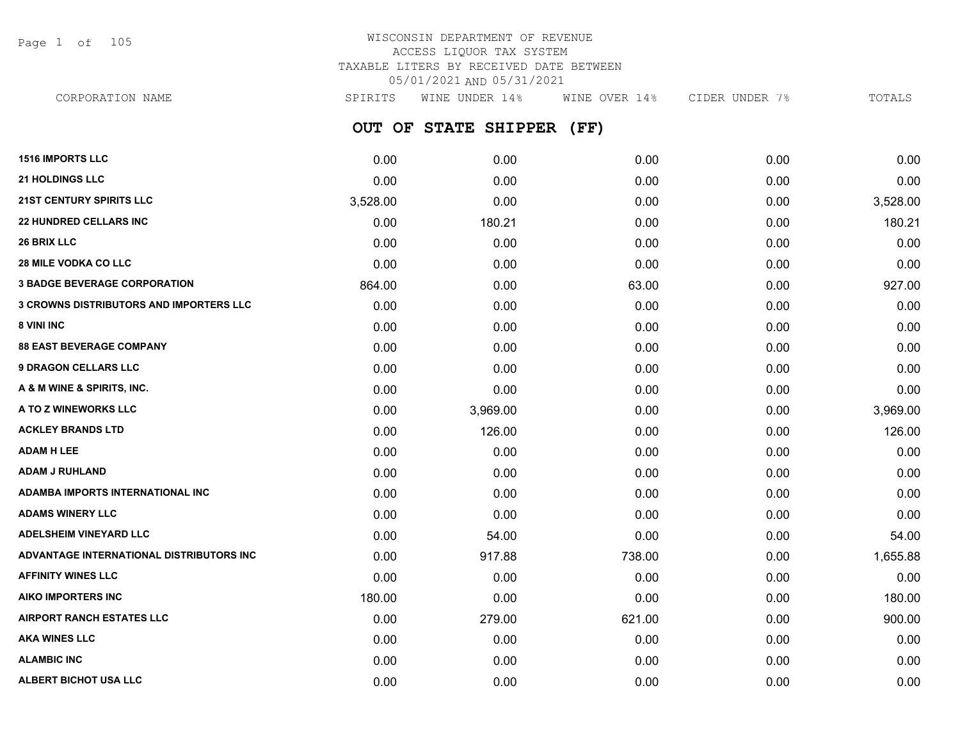Page 1 of 105

## WISCONSIN DEPARTMENT OF REVENUE ACCESS LIQUOR TAX SYSTEM TAXABLE LITERS BY RECEIVED DATE BETWEEN 05/01/2021 AND 05/31/2021

| CORPORATION NAME                               | SPIRITS  | WINE UNDER 14%       | WINE OVER 14% | CIDER UNDER 7% | TOTALS   |
|------------------------------------------------|----------|----------------------|---------------|----------------|----------|
|                                                |          | OUT OF STATE SHIPPER | (FF)          |                |          |
| <b>1516 IMPORTS LLC</b>                        | 0.00     | 0.00                 | 0.00          | 0.00           | 0.00     |
| <b>21 HOLDINGS LLC</b>                         | 0.00     | 0.00                 | 0.00          | 0.00           | 0.00     |
| <b>21ST CENTURY SPIRITS LLC</b>                | 3,528.00 | 0.00                 | 0.00          | 0.00           | 3,528.00 |
| <b>22 HUNDRED CELLARS INC</b>                  | 0.00     | 180.21               | 0.00          | 0.00           | 180.21   |
| <b>26 BRIX LLC</b>                             | 0.00     | 0.00                 | 0.00          | 0.00           | 0.00     |
| <b>28 MILE VODKA CO LLC</b>                    | 0.00     | 0.00                 | 0.00          | 0.00           | 0.00     |
| <b>3 BADGE BEVERAGE CORPORATION</b>            | 864.00   | 0.00                 | 63.00         | 0.00           | 927.00   |
| <b>3 CROWNS DISTRIBUTORS AND IMPORTERS LLC</b> | 0.00     | 0.00                 | 0.00          | 0.00           | 0.00     |
| <b>8 VINI INC</b>                              | 0.00     | 0.00                 | 0.00          | 0.00           | 0.00     |
| <b>88 EAST BEVERAGE COMPANY</b>                | 0.00     | 0.00                 | 0.00          | 0.00           | 0.00     |
| <b>9 DRAGON CELLARS LLC</b>                    | 0.00     | 0.00                 | 0.00          | 0.00           | 0.00     |
| A & M WINE & SPIRITS, INC.                     | 0.00     | 0.00                 | 0.00          | 0.00           | 0.00     |
| A TO Z WINEWORKS LLC                           | 0.00     | 3,969.00             | 0.00          | 0.00           | 3,969.00 |
| ACKLEY BRANDS LTD                              | 0.00     | 126.00               | 0.00          | 0.00           | 126.00   |
| ADAM H LEE                                     | 0.00     | 0.00                 | 0.00          | 0.00           | 0.00     |
| ADAM J RUHLAND                                 | 0.00     | 0.00                 | 0.00          | 0.00           | 0.00     |
| ADAMBA IMPORTS INTERNATIONAL INC               | 0.00     | 0.00                 | 0.00          | 0.00           | 0.00     |
| <b>ADAMS WINERY LLC</b>                        | 0.00     | 0.00                 | 0.00          | 0.00           | 0.00     |
| ADELSHEIM VINEYARD LLC                         | 0.00     | 54.00                | 0.00          | 0.00           | 54.00    |
| ADVANTAGE INTERNATIONAL DISTRIBUTORS INC       | 0.00     | 917.88               | 738.00        | 0.00           | 1,655.88 |
| <b>AFFINITY WINES LLC</b>                      | 0.00     | 0.00                 | 0.00          | 0.00           | 0.00     |
| AIKO IMPORTERS INC                             | 180.00   | 0.00                 | 0.00          | 0.00           | 180.00   |
| <b>AIRPORT RANCH ESTATES LLC</b>               | 0.00     | 279.00               | 621.00        | 0.00           | 900.00   |
| AKA WINES LLC                                  | 0.00     | 0.00                 | 0.00          | 0.00           | 0.00     |
|                                                |          |                      |               |                |          |

**ALAMBIC INC** 0.00 0.00 0.00 0.00 0.00 **ALBERT BICHOT USA LLC** 0.00 0.00 0.00 0.00 0.00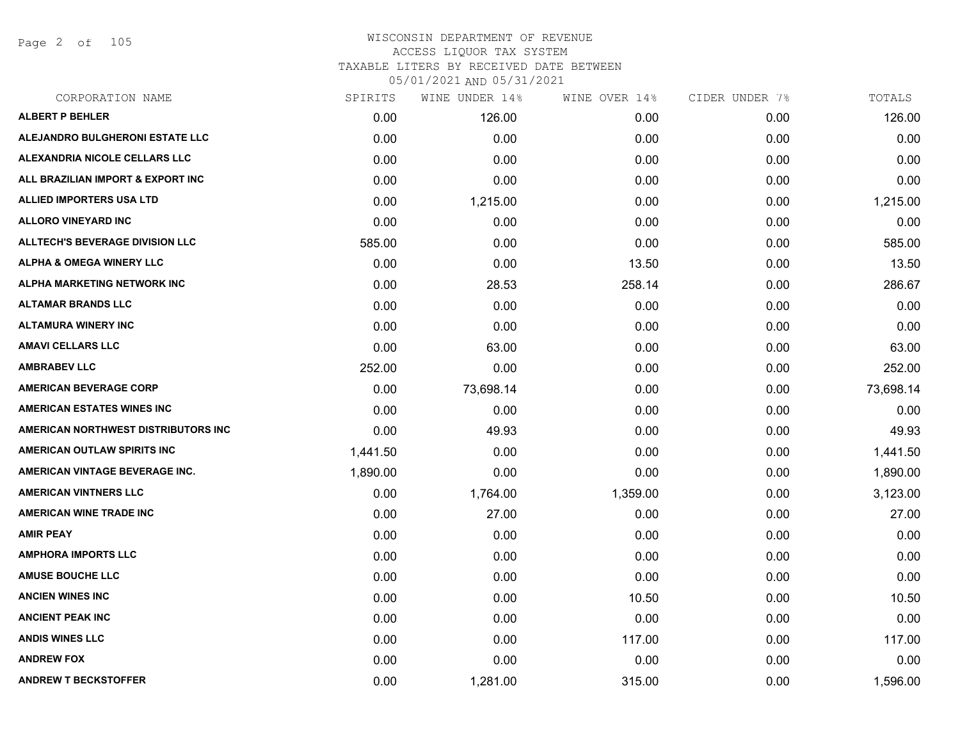Page 2 of 105

| CORPORATION NAME                       | SPIRITS  | WINE UNDER 14% | WINE OVER 14% | CIDER UNDER 7% | TOTALS    |
|----------------------------------------|----------|----------------|---------------|----------------|-----------|
| <b>ALBERT P BEHLER</b>                 | 0.00     | 126.00         | 0.00          | 0.00           | 126.00    |
| ALEJANDRO BULGHERONI ESTATE LLC        | 0.00     | 0.00           | 0.00          | 0.00           | 0.00      |
| ALEXANDRIA NICOLE CELLARS LLC          | 0.00     | 0.00           | 0.00          | 0.00           | 0.00      |
| ALL BRAZILIAN IMPORT & EXPORT INC      | 0.00     | 0.00           | 0.00          | 0.00           | 0.00      |
| ALLIED IMPORTERS USA LTD               | 0.00     | 1,215.00       | 0.00          | 0.00           | 1,215.00  |
| <b>ALLORO VINEYARD INC</b>             | 0.00     | 0.00           | 0.00          | 0.00           | 0.00      |
| <b>ALLTECH'S BEVERAGE DIVISION LLC</b> | 585.00   | 0.00           | 0.00          | 0.00           | 585.00    |
| <b>ALPHA &amp; OMEGA WINERY LLC</b>    | 0.00     | 0.00           | 13.50         | 0.00           | 13.50     |
| ALPHA MARKETING NETWORK INC            | 0.00     | 28.53          | 258.14        | 0.00           | 286.67    |
| <b>ALTAMAR BRANDS LLC</b>              | 0.00     | 0.00           | 0.00          | 0.00           | 0.00      |
| <b>ALTAMURA WINERY INC</b>             | 0.00     | 0.00           | 0.00          | 0.00           | 0.00      |
| <b>AMAVI CELLARS LLC</b>               | 0.00     | 63.00          | 0.00          | 0.00           | 63.00     |
| <b>AMBRABEV LLC</b>                    | 252.00   | 0.00           | 0.00          | 0.00           | 252.00    |
| <b>AMERICAN BEVERAGE CORP</b>          | 0.00     | 73,698.14      | 0.00          | 0.00           | 73,698.14 |
| <b>AMERICAN ESTATES WINES INC</b>      | 0.00     | 0.00           | 0.00          | 0.00           | 0.00      |
| AMERICAN NORTHWEST DISTRIBUTORS INC    | 0.00     | 49.93          | 0.00          | 0.00           | 49.93     |
| AMERICAN OUTLAW SPIRITS INC            | 1,441.50 | 0.00           | 0.00          | 0.00           | 1,441.50  |
| AMERICAN VINTAGE BEVERAGE INC.         | 1,890.00 | 0.00           | 0.00          | 0.00           | 1,890.00  |
| <b>AMERICAN VINTNERS LLC</b>           | 0.00     | 1,764.00       | 1,359.00      | 0.00           | 3,123.00  |
| <b>AMERICAN WINE TRADE INC</b>         | 0.00     | 27.00          | 0.00          | 0.00           | 27.00     |
| <b>AMIR PEAY</b>                       | 0.00     | 0.00           | 0.00          | 0.00           | 0.00      |
| <b>AMPHORA IMPORTS LLC</b>             | 0.00     | 0.00           | 0.00          | 0.00           | 0.00      |
| <b>AMUSE BOUCHE LLC</b>                | 0.00     | 0.00           | 0.00          | 0.00           | 0.00      |
| <b>ANCIEN WINES INC</b>                | 0.00     | 0.00           | 10.50         | 0.00           | 10.50     |
| <b>ANCIENT PEAK INC</b>                | 0.00     | 0.00           | 0.00          | 0.00           | 0.00      |
| <b>ANDIS WINES LLC</b>                 | 0.00     | 0.00           | 117.00        | 0.00           | 117.00    |
| <b>ANDREW FOX</b>                      | 0.00     | 0.00           | 0.00          | 0.00           | 0.00      |
| <b>ANDREW T BECKSTOFFER</b>            | 0.00     | 1,281.00       | 315.00        | 0.00           | 1,596.00  |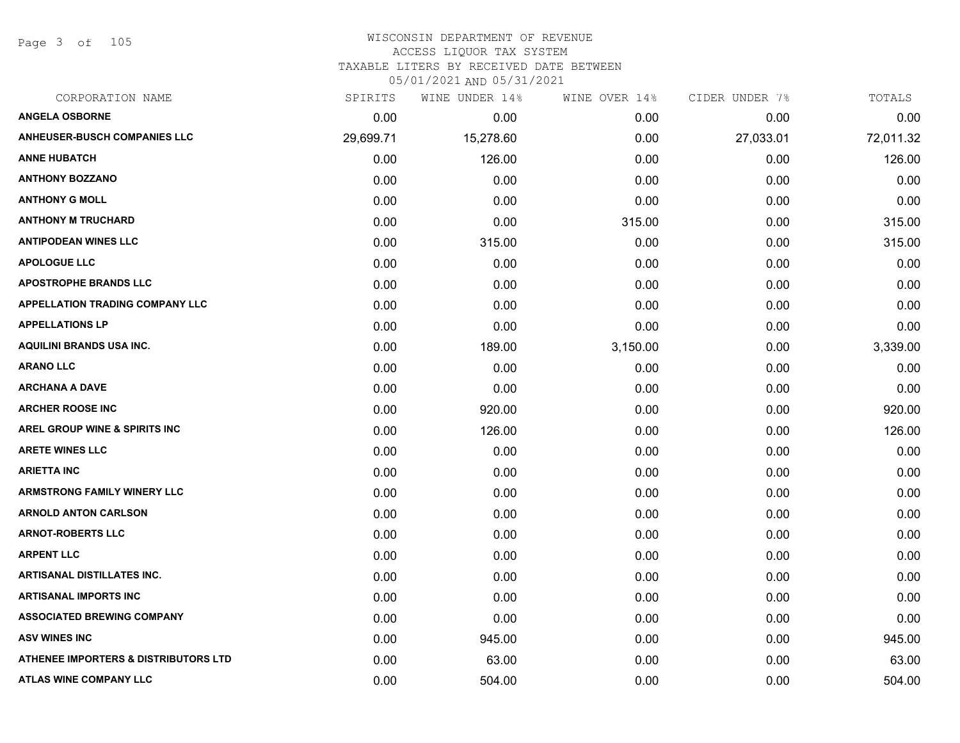Page 3 of 105

# WISCONSIN DEPARTMENT OF REVENUE ACCESS LIQUOR TAX SYSTEM

TAXABLE LITERS BY RECEIVED DATE BETWEEN

| CORPORATION NAME                         | SPIRITS   | WINE UNDER 14% | WINE OVER 14% | CIDER UNDER 7% | TOTALS    |
|------------------------------------------|-----------|----------------|---------------|----------------|-----------|
| <b>ANGELA OSBORNE</b>                    | 0.00      | 0.00           | 0.00          | 0.00           | 0.00      |
| <b>ANHEUSER-BUSCH COMPANIES LLC</b>      | 29,699.71 | 15,278.60      | 0.00          | 27,033.01      | 72,011.32 |
| <b>ANNE HUBATCH</b>                      | 0.00      | 126.00         | 0.00          | 0.00           | 126.00    |
| <b>ANTHONY BOZZANO</b>                   | 0.00      | 0.00           | 0.00          | 0.00           | 0.00      |
| <b>ANTHONY G MOLL</b>                    | 0.00      | 0.00           | 0.00          | 0.00           | 0.00      |
| <b>ANTHONY M TRUCHARD</b>                | 0.00      | 0.00           | 315.00        | 0.00           | 315.00    |
| <b>ANTIPODEAN WINES LLC</b>              | 0.00      | 315.00         | 0.00          | 0.00           | 315.00    |
| <b>APOLOGUE LLC</b>                      | 0.00      | 0.00           | 0.00          | 0.00           | 0.00      |
| <b>APOSTROPHE BRANDS LLC</b>             | 0.00      | 0.00           | 0.00          | 0.00           | 0.00      |
| <b>APPELLATION TRADING COMPANY LLC</b>   | 0.00      | 0.00           | 0.00          | 0.00           | 0.00      |
| <b>APPELLATIONS LP</b>                   | 0.00      | 0.00           | 0.00          | 0.00           | 0.00      |
| <b>AQUILINI BRANDS USA INC.</b>          | 0.00      | 189.00         | 3,150.00      | 0.00           | 3,339.00  |
| <b>ARANO LLC</b>                         | 0.00      | 0.00           | 0.00          | 0.00           | 0.00      |
| <b>ARCHANA A DAVE</b>                    | 0.00      | 0.00           | 0.00          | 0.00           | 0.00      |
| <b>ARCHER ROOSE INC</b>                  | 0.00      | 920.00         | 0.00          | 0.00           | 920.00    |
| <b>AREL GROUP WINE &amp; SPIRITS INC</b> | 0.00      | 126.00         | 0.00          | 0.00           | 126.00    |
| <b>ARETE WINES LLC</b>                   | 0.00      | 0.00           | 0.00          | 0.00           | 0.00      |
| <b>ARIETTA INC</b>                       | 0.00      | 0.00           | 0.00          | 0.00           | 0.00      |
| <b>ARMSTRONG FAMILY WINERY LLC</b>       | 0.00      | 0.00           | 0.00          | 0.00           | 0.00      |
| <b>ARNOLD ANTON CARLSON</b>              | 0.00      | 0.00           | 0.00          | 0.00           | 0.00      |
| <b>ARNOT-ROBERTS LLC</b>                 | 0.00      | 0.00           | 0.00          | 0.00           | 0.00      |
| <b>ARPENT LLC</b>                        | 0.00      | 0.00           | 0.00          | 0.00           | 0.00      |
| <b>ARTISANAL DISTILLATES INC.</b>        | 0.00      | 0.00           | 0.00          | 0.00           | 0.00      |
| <b>ARTISANAL IMPORTS INC</b>             | 0.00      | 0.00           | 0.00          | 0.00           | 0.00      |
| <b>ASSOCIATED BREWING COMPANY</b>        | 0.00      | 0.00           | 0.00          | 0.00           | 0.00      |
| <b>ASV WINES INC</b>                     | 0.00      | 945.00         | 0.00          | 0.00           | 945.00    |
| ATHENEE IMPORTERS & DISTRIBUTORS LTD     | 0.00      | 63.00          | 0.00          | 0.00           | 63.00     |
| <b>ATLAS WINE COMPANY LLC</b>            | 0.00      | 504.00         | 0.00          | 0.00           | 504.00    |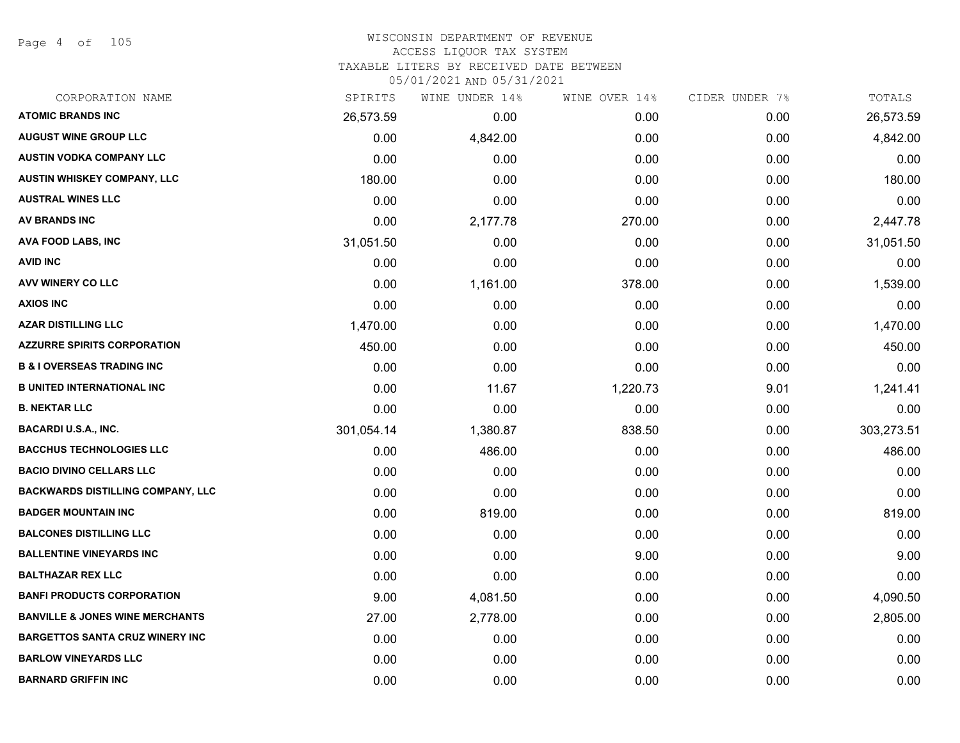Page 4 of 105

# WISCONSIN DEPARTMENT OF REVENUE ACCESS LIQUOR TAX SYSTEM TAXABLE LITERS BY RECEIVED DATE BETWEEN

| CORPORATION NAME                           | SPIRITS    | WINE UNDER 14% | WINE OVER 14% | CIDER UNDER 7% | TOTALS     |
|--------------------------------------------|------------|----------------|---------------|----------------|------------|
| <b>ATOMIC BRANDS INC</b>                   | 26,573.59  | 0.00           | 0.00          | 0.00           | 26,573.59  |
| <b>AUGUST WINE GROUP LLC</b>               | 0.00       | 4,842.00       | 0.00          | 0.00           | 4,842.00   |
| <b>AUSTIN VODKA COMPANY LLC</b>            | 0.00       | 0.00           | 0.00          | 0.00           | 0.00       |
| <b>AUSTIN WHISKEY COMPANY, LLC</b>         | 180.00     | 0.00           | 0.00          | 0.00           | 180.00     |
| <b>AUSTRAL WINES LLC</b>                   | 0.00       | 0.00           | 0.00          | 0.00           | 0.00       |
| AV BRANDS INC                              | 0.00       | 2,177.78       | 270.00        | 0.00           | 2,447.78   |
| AVA FOOD LABS, INC                         | 31,051.50  | 0.00           | 0.00          | 0.00           | 31,051.50  |
| <b>AVID INC</b>                            | 0.00       | 0.00           | 0.00          | 0.00           | 0.00       |
| AVV WINERY CO LLC                          | 0.00       | 1,161.00       | 378.00        | 0.00           | 1,539.00   |
| <b>AXIOS INC</b>                           | 0.00       | 0.00           | 0.00          | 0.00           | 0.00       |
| <b>AZAR DISTILLING LLC</b>                 | 1,470.00   | 0.00           | 0.00          | 0.00           | 1,470.00   |
| <b>AZZURRE SPIRITS CORPORATION</b>         | 450.00     | 0.00           | 0.00          | 0.00           | 450.00     |
| <b>B &amp; I OVERSEAS TRADING INC</b>      | 0.00       | 0.00           | 0.00          | 0.00           | 0.00       |
| <b>B UNITED INTERNATIONAL INC</b>          | 0.00       | 11.67          | 1,220.73      | 9.01           | 1,241.41   |
| <b>B. NEKTAR LLC</b>                       | 0.00       | 0.00           | 0.00          | 0.00           | 0.00       |
| <b>BACARDI U.S.A., INC.</b>                | 301,054.14 | 1,380.87       | 838.50        | 0.00           | 303,273.51 |
| <b>BACCHUS TECHNOLOGIES LLC</b>            | 0.00       | 486.00         | 0.00          | 0.00           | 486.00     |
| <b>BACIO DIVINO CELLARS LLC</b>            | 0.00       | 0.00           | 0.00          | 0.00           | 0.00       |
| <b>BACKWARDS DISTILLING COMPANY, LLC</b>   | 0.00       | 0.00           | 0.00          | 0.00           | 0.00       |
| <b>BADGER MOUNTAIN INC</b>                 | 0.00       | 819.00         | 0.00          | 0.00           | 819.00     |
| <b>BALCONES DISTILLING LLC</b>             | 0.00       | 0.00           | 0.00          | 0.00           | 0.00       |
| <b>BALLENTINE VINEYARDS INC</b>            | 0.00       | 0.00           | 9.00          | 0.00           | 9.00       |
| <b>BALTHAZAR REX LLC</b>                   | 0.00       | 0.00           | 0.00          | 0.00           | 0.00       |
| <b>BANFI PRODUCTS CORPORATION</b>          | 9.00       | 4,081.50       | 0.00          | 0.00           | 4,090.50   |
| <b>BANVILLE &amp; JONES WINE MERCHANTS</b> | 27.00      | 2,778.00       | 0.00          | 0.00           | 2,805.00   |
| <b>BARGETTOS SANTA CRUZ WINERY INC</b>     | 0.00       | 0.00           | 0.00          | 0.00           | 0.00       |
| <b>BARLOW VINEYARDS LLC</b>                | 0.00       | 0.00           | 0.00          | 0.00           | 0.00       |
| <b>BARNARD GRIFFIN INC</b>                 | 0.00       | 0.00           | 0.00          | 0.00           | 0.00       |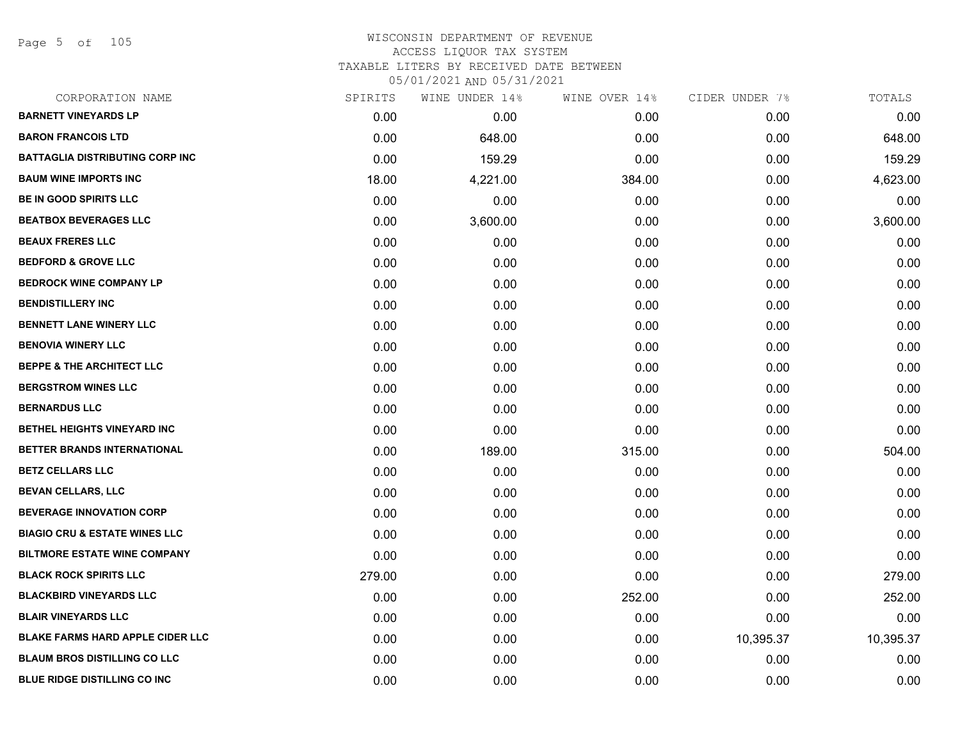Page 5 of 105

| CORPORATION NAME                         | SPIRITS | WINE UNDER 14% | WINE OVER 14% | CIDER UNDER 7% | TOTALS    |
|------------------------------------------|---------|----------------|---------------|----------------|-----------|
| <b>BARNETT VINEYARDS LP</b>              | 0.00    | 0.00           | 0.00          | 0.00           | 0.00      |
| <b>BARON FRANCOIS LTD</b>                | 0.00    | 648.00         | 0.00          | 0.00           | 648.00    |
| <b>BATTAGLIA DISTRIBUTING CORP INC</b>   | 0.00    | 159.29         | 0.00          | 0.00           | 159.29    |
| <b>BAUM WINE IMPORTS INC</b>             | 18.00   | 4,221.00       | 384.00        | 0.00           | 4,623.00  |
| <b>BE IN GOOD SPIRITS LLC</b>            | 0.00    | 0.00           | 0.00          | 0.00           | 0.00      |
| <b>BEATBOX BEVERAGES LLC</b>             | 0.00    | 3,600.00       | 0.00          | 0.00           | 3,600.00  |
| <b>BEAUX FRERES LLC</b>                  | 0.00    | 0.00           | 0.00          | 0.00           | 0.00      |
| <b>BEDFORD &amp; GROVE LLC</b>           | 0.00    | 0.00           | 0.00          | 0.00           | 0.00      |
| <b>BEDROCK WINE COMPANY LP</b>           | 0.00    | 0.00           | 0.00          | 0.00           | 0.00      |
| <b>BENDISTILLERY INC</b>                 | 0.00    | 0.00           | 0.00          | 0.00           | 0.00      |
| <b>BENNETT LANE WINERY LLC</b>           | 0.00    | 0.00           | 0.00          | 0.00           | 0.00      |
| <b>BENOVIA WINERY LLC</b>                | 0.00    | 0.00           | 0.00          | 0.00           | 0.00      |
| <b>BEPPE &amp; THE ARCHITECT LLC</b>     | 0.00    | 0.00           | 0.00          | 0.00           | 0.00      |
| <b>BERGSTROM WINES LLC</b>               | 0.00    | 0.00           | 0.00          | 0.00           | 0.00      |
| <b>BERNARDUS LLC</b>                     | 0.00    | 0.00           | 0.00          | 0.00           | 0.00      |
| BETHEL HEIGHTS VINEYARD INC              | 0.00    | 0.00           | 0.00          | 0.00           | 0.00      |
| BETTER BRANDS INTERNATIONAL              | 0.00    | 189.00         | 315.00        | 0.00           | 504.00    |
| <b>BETZ CELLARS LLC</b>                  | 0.00    | 0.00           | 0.00          | 0.00           | 0.00      |
| <b>BEVAN CELLARS, LLC</b>                | 0.00    | 0.00           | 0.00          | 0.00           | 0.00      |
| <b>BEVERAGE INNOVATION CORP</b>          | 0.00    | 0.00           | 0.00          | 0.00           | 0.00      |
| <b>BIAGIO CRU &amp; ESTATE WINES LLC</b> | 0.00    | 0.00           | 0.00          | 0.00           | 0.00      |
| <b>BILTMORE ESTATE WINE COMPANY</b>      | 0.00    | 0.00           | 0.00          | 0.00           | 0.00      |
| <b>BLACK ROCK SPIRITS LLC</b>            | 279.00  | 0.00           | 0.00          | 0.00           | 279.00    |
| <b>BLACKBIRD VINEYARDS LLC</b>           | 0.00    | 0.00           | 252.00        | 0.00           | 252.00    |
| <b>BLAIR VINEYARDS LLC</b>               | 0.00    | 0.00           | 0.00          | 0.00           | 0.00      |
| <b>BLAKE FARMS HARD APPLE CIDER LLC</b>  | 0.00    | 0.00           | 0.00          | 10,395.37      | 10,395.37 |
| <b>BLAUM BROS DISTILLING CO LLC</b>      | 0.00    | 0.00           | 0.00          | 0.00           | 0.00      |
| <b>BLUE RIDGE DISTILLING CO INC</b>      | 0.00    | 0.00           | 0.00          | 0.00           | 0.00      |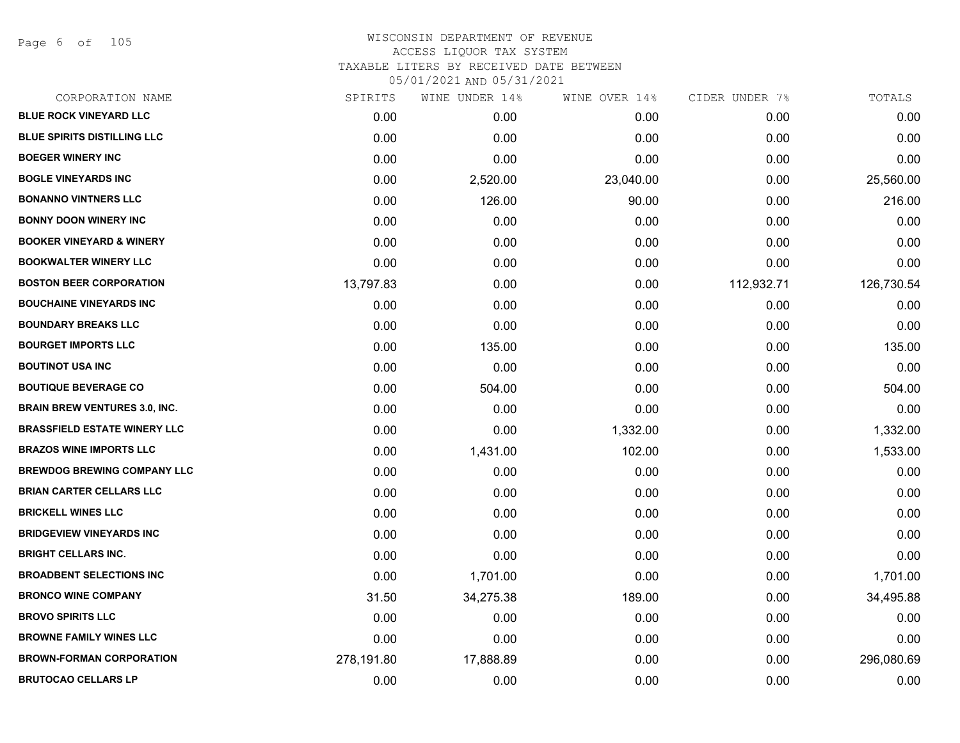Page 6 of 105

| CORPORATION NAME                     | SPIRITS    | WINE UNDER 14% | WINE OVER 14% | CIDER UNDER 7% | TOTALS     |
|--------------------------------------|------------|----------------|---------------|----------------|------------|
| <b>BLUE ROCK VINEYARD LLC</b>        | 0.00       | 0.00           | 0.00          | 0.00           | 0.00       |
| <b>BLUE SPIRITS DISTILLING LLC</b>   | 0.00       | 0.00           | 0.00          | 0.00           | 0.00       |
| <b>BOEGER WINERY INC</b>             | 0.00       | 0.00           | 0.00          | 0.00           | 0.00       |
| <b>BOGLE VINEYARDS INC</b>           | 0.00       | 2,520.00       | 23,040.00     | 0.00           | 25,560.00  |
| <b>BONANNO VINTNERS LLC</b>          | 0.00       | 126.00         | 90.00         | 0.00           | 216.00     |
| <b>BONNY DOON WINERY INC</b>         | 0.00       | 0.00           | 0.00          | 0.00           | 0.00       |
| <b>BOOKER VINEYARD &amp; WINERY</b>  | 0.00       | 0.00           | 0.00          | 0.00           | 0.00       |
| <b>BOOKWALTER WINERY LLC</b>         | 0.00       | 0.00           | 0.00          | 0.00           | 0.00       |
| <b>BOSTON BEER CORPORATION</b>       | 13,797.83  | 0.00           | 0.00          | 112,932.71     | 126,730.54 |
| <b>BOUCHAINE VINEYARDS INC</b>       | 0.00       | 0.00           | 0.00          | 0.00           | 0.00       |
| <b>BOUNDARY BREAKS LLC</b>           | 0.00       | 0.00           | 0.00          | 0.00           | 0.00       |
| <b>BOURGET IMPORTS LLC</b>           | 0.00       | 135.00         | 0.00          | 0.00           | 135.00     |
| <b>BOUTINOT USA INC</b>              | 0.00       | 0.00           | 0.00          | 0.00           | 0.00       |
| <b>BOUTIQUE BEVERAGE CO</b>          | 0.00       | 504.00         | 0.00          | 0.00           | 504.00     |
| <b>BRAIN BREW VENTURES 3.0, INC.</b> | 0.00       | 0.00           | 0.00          | 0.00           | 0.00       |
| <b>BRASSFIELD ESTATE WINERY LLC</b>  | 0.00       | 0.00           | 1,332.00      | 0.00           | 1,332.00   |
| <b>BRAZOS WINE IMPORTS LLC</b>       | 0.00       | 1,431.00       | 102.00        | 0.00           | 1,533.00   |
| <b>BREWDOG BREWING COMPANY LLC</b>   | 0.00       | 0.00           | 0.00          | 0.00           | 0.00       |
| <b>BRIAN CARTER CELLARS LLC</b>      | 0.00       | 0.00           | 0.00          | 0.00           | 0.00       |
| <b>BRICKELL WINES LLC</b>            | 0.00       | 0.00           | 0.00          | 0.00           | 0.00       |
| <b>BRIDGEVIEW VINEYARDS INC</b>      | 0.00       | 0.00           | 0.00          | 0.00           | 0.00       |
| <b>BRIGHT CELLARS INC.</b>           | 0.00       | 0.00           | 0.00          | 0.00           | 0.00       |
| <b>BROADBENT SELECTIONS INC</b>      | 0.00       | 1,701.00       | 0.00          | 0.00           | 1,701.00   |
| <b>BRONCO WINE COMPANY</b>           | 31.50      | 34,275.38      | 189.00        | 0.00           | 34,495.88  |
| <b>BROVO SPIRITS LLC</b>             | 0.00       | 0.00           | 0.00          | 0.00           | 0.00       |
| <b>BROWNE FAMILY WINES LLC</b>       | 0.00       | 0.00           | 0.00          | 0.00           | 0.00       |
| <b>BROWN-FORMAN CORPORATION</b>      | 278,191.80 | 17,888.89      | 0.00          | 0.00           | 296,080.69 |
| <b>BRUTOCAO CELLARS LP</b>           | 0.00       | 0.00           | 0.00          | 0.00           | 0.00       |
|                                      |            |                |               |                |            |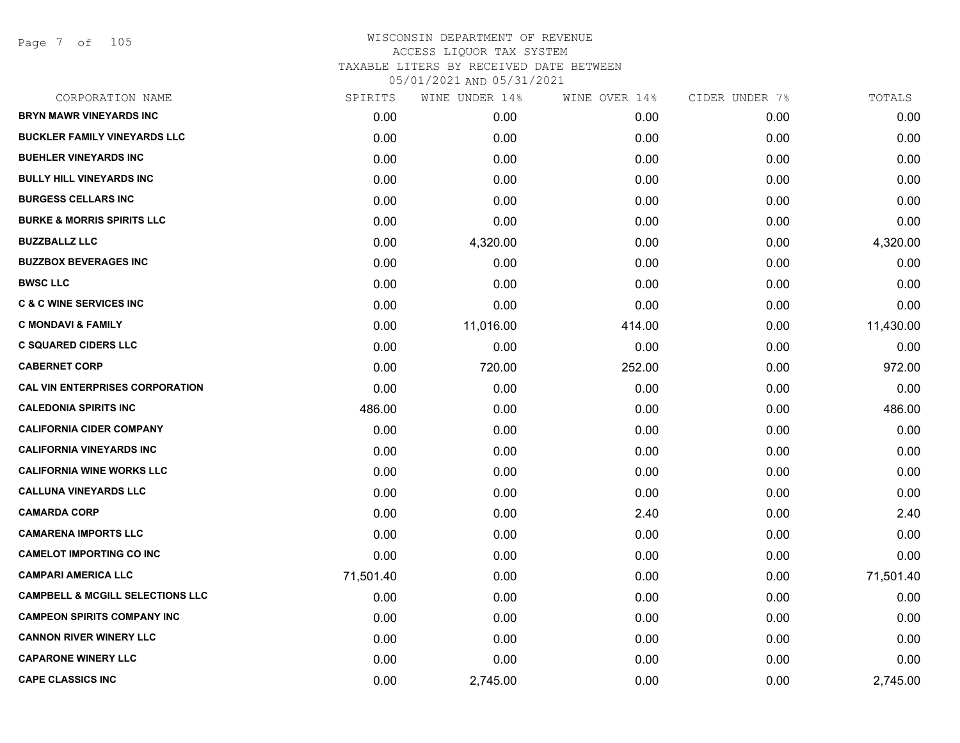| CORPORATION NAME                            | SPIRITS   | WINE UNDER 14% | WINE OVER 14% | CIDER UNDER 7% | TOTALS    |
|---------------------------------------------|-----------|----------------|---------------|----------------|-----------|
| <b>BRYN MAWR VINEYARDS INC</b>              | 0.00      | 0.00           | 0.00          | 0.00           | 0.00      |
| <b>BUCKLER FAMILY VINEYARDS LLC</b>         | 0.00      | 0.00           | 0.00          | 0.00           | 0.00      |
| <b>BUEHLER VINEYARDS INC</b>                | 0.00      | 0.00           | 0.00          | 0.00           | 0.00      |
| <b>BULLY HILL VINEYARDS INC</b>             | 0.00      | 0.00           | 0.00          | 0.00           | 0.00      |
| <b>BURGESS CELLARS INC</b>                  | 0.00      | 0.00           | 0.00          | 0.00           | 0.00      |
| <b>BURKE &amp; MORRIS SPIRITS LLC</b>       | 0.00      | 0.00           | 0.00          | 0.00           | 0.00      |
| <b>BUZZBALLZ LLC</b>                        | 0.00      | 4,320.00       | 0.00          | 0.00           | 4,320.00  |
| <b>BUZZBOX BEVERAGES INC</b>                | 0.00      | 0.00           | 0.00          | 0.00           | 0.00      |
| <b>BWSC LLC</b>                             | 0.00      | 0.00           | 0.00          | 0.00           | 0.00      |
| <b>C &amp; C WINE SERVICES INC</b>          | 0.00      | 0.00           | 0.00          | 0.00           | 0.00      |
| <b>C MONDAVI &amp; FAMILY</b>               | 0.00      | 11,016.00      | 414.00        | 0.00           | 11,430.00 |
| <b>C SQUARED CIDERS LLC</b>                 | 0.00      | 0.00           | 0.00          | 0.00           | 0.00      |
| <b>CABERNET CORP</b>                        | 0.00      | 720.00         | 252.00        | 0.00           | 972.00    |
| <b>CAL VIN ENTERPRISES CORPORATION</b>      | 0.00      | 0.00           | 0.00          | 0.00           | 0.00      |
| <b>CALEDONIA SPIRITS INC</b>                | 486.00    | 0.00           | 0.00          | 0.00           | 486.00    |
| <b>CALIFORNIA CIDER COMPANY</b>             | 0.00      | 0.00           | 0.00          | 0.00           | 0.00      |
| <b>CALIFORNIA VINEYARDS INC</b>             | 0.00      | 0.00           | 0.00          | 0.00           | 0.00      |
| <b>CALIFORNIA WINE WORKS LLC</b>            | 0.00      | 0.00           | 0.00          | 0.00           | 0.00      |
| <b>CALLUNA VINEYARDS LLC</b>                | 0.00      | 0.00           | 0.00          | 0.00           | 0.00      |
| <b>CAMARDA CORP</b>                         | 0.00      | 0.00           | 2.40          | 0.00           | 2.40      |
| <b>CAMARENA IMPORTS LLC</b>                 | 0.00      | 0.00           | 0.00          | 0.00           | 0.00      |
| <b>CAMELOT IMPORTING CO INC</b>             | 0.00      | 0.00           | 0.00          | 0.00           | 0.00      |
| <b>CAMPARI AMERICA LLC</b>                  | 71,501.40 | 0.00           | 0.00          | 0.00           | 71,501.40 |
| <b>CAMPBELL &amp; MCGILL SELECTIONS LLC</b> | 0.00      | 0.00           | 0.00          | 0.00           | 0.00      |
| <b>CAMPEON SPIRITS COMPANY INC</b>          | 0.00      | 0.00           | 0.00          | 0.00           | 0.00      |
| <b>CANNON RIVER WINERY LLC</b>              | 0.00      | 0.00           | 0.00          | 0.00           | 0.00      |
| <b>CAPARONE WINERY LLC</b>                  | 0.00      | 0.00           | 0.00          | 0.00           | 0.00      |
| <b>CAPE CLASSICS INC</b>                    | 0.00      | 2,745.00       | 0.00          | 0.00           | 2,745.00  |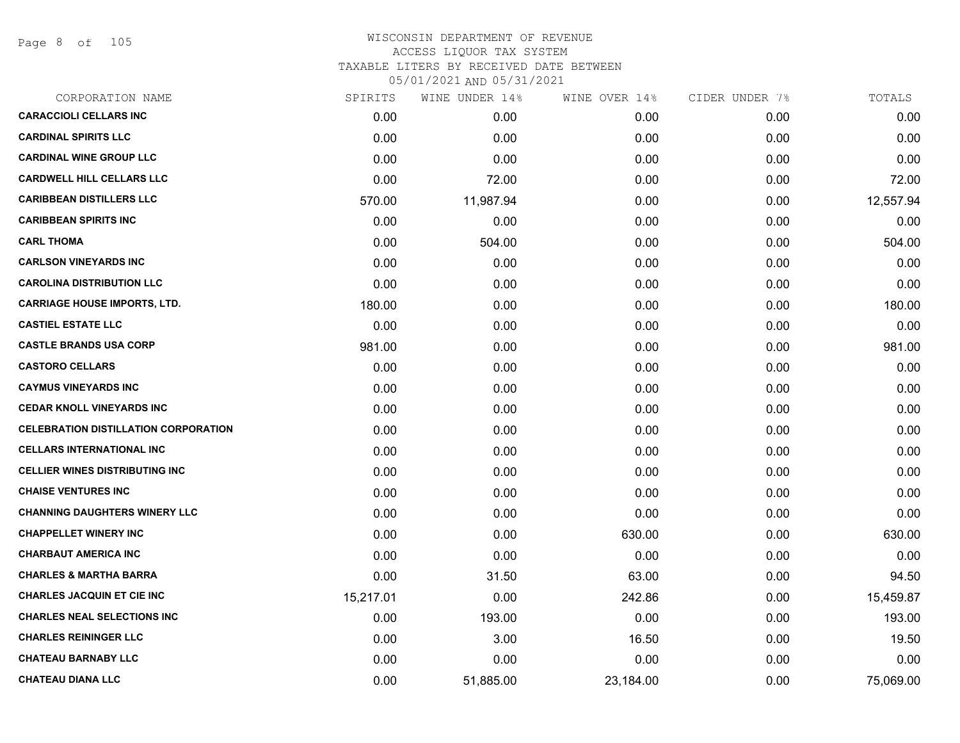Page 8 of 105

| CORPORATION NAME                            | SPIRITS   | WINE UNDER 14% | WINE OVER 14% | CIDER UNDER 7% | TOTALS    |
|---------------------------------------------|-----------|----------------|---------------|----------------|-----------|
| <b>CARACCIOLI CELLARS INC</b>               | 0.00      | 0.00           | 0.00          | 0.00           | 0.00      |
| <b>CARDINAL SPIRITS LLC</b>                 | 0.00      | 0.00           | 0.00          | 0.00           | 0.00      |
| <b>CARDINAL WINE GROUP LLC</b>              | 0.00      | 0.00           | 0.00          | 0.00           | 0.00      |
| <b>CARDWELL HILL CELLARS LLC</b>            | 0.00      | 72.00          | 0.00          | 0.00           | 72.00     |
| <b>CARIBBEAN DISTILLERS LLC</b>             | 570.00    | 11,987.94      | 0.00          | 0.00           | 12,557.94 |
| <b>CARIBBEAN SPIRITS INC</b>                | 0.00      | 0.00           | 0.00          | 0.00           | 0.00      |
| <b>CARL THOMA</b>                           | 0.00      | 504.00         | 0.00          | 0.00           | 504.00    |
| <b>CARLSON VINEYARDS INC</b>                | 0.00      | 0.00           | 0.00          | 0.00           | 0.00      |
| <b>CAROLINA DISTRIBUTION LLC</b>            | 0.00      | 0.00           | 0.00          | 0.00           | 0.00      |
| <b>CARRIAGE HOUSE IMPORTS, LTD.</b>         | 180.00    | 0.00           | 0.00          | 0.00           | 180.00    |
| <b>CASTIEL ESTATE LLC</b>                   | 0.00      | 0.00           | 0.00          | 0.00           | 0.00      |
| <b>CASTLE BRANDS USA CORP</b>               | 981.00    | 0.00           | 0.00          | 0.00           | 981.00    |
| <b>CASTORO CELLARS</b>                      | 0.00      | 0.00           | 0.00          | 0.00           | 0.00      |
| <b>CAYMUS VINEYARDS INC</b>                 | 0.00      | 0.00           | 0.00          | 0.00           | 0.00      |
| <b>CEDAR KNOLL VINEYARDS INC</b>            | 0.00      | 0.00           | 0.00          | 0.00           | 0.00      |
| <b>CELEBRATION DISTILLATION CORPORATION</b> | 0.00      | 0.00           | 0.00          | 0.00           | 0.00      |
| <b>CELLARS INTERNATIONAL INC</b>            | 0.00      | 0.00           | 0.00          | 0.00           | 0.00      |
| <b>CELLIER WINES DISTRIBUTING INC</b>       | 0.00      | 0.00           | 0.00          | 0.00           | 0.00      |
| <b>CHAISE VENTURES INC</b>                  | 0.00      | 0.00           | 0.00          | 0.00           | 0.00      |
| <b>CHANNING DAUGHTERS WINERY LLC</b>        | 0.00      | 0.00           | 0.00          | 0.00           | 0.00      |
| <b>CHAPPELLET WINERY INC</b>                | 0.00      | 0.00           | 630.00        | 0.00           | 630.00    |
| <b>CHARBAUT AMERICA INC</b>                 | 0.00      | 0.00           | 0.00          | 0.00           | 0.00      |
| <b>CHARLES &amp; MARTHA BARRA</b>           | 0.00      | 31.50          | 63.00         | 0.00           | 94.50     |
| <b>CHARLES JACQUIN ET CIE INC</b>           | 15,217.01 | 0.00           | 242.86        | 0.00           | 15,459.87 |
| <b>CHARLES NEAL SELECTIONS INC</b>          | 0.00      | 193.00         | 0.00          | 0.00           | 193.00    |
| <b>CHARLES REININGER LLC</b>                | 0.00      | 3.00           | 16.50         | 0.00           | 19.50     |
| <b>CHATEAU BARNABY LLC</b>                  | 0.00      | 0.00           | 0.00          | 0.00           | 0.00      |
| <b>CHATEAU DIANA LLC</b>                    | 0.00      | 51,885.00      | 23,184.00     | 0.00           | 75,069.00 |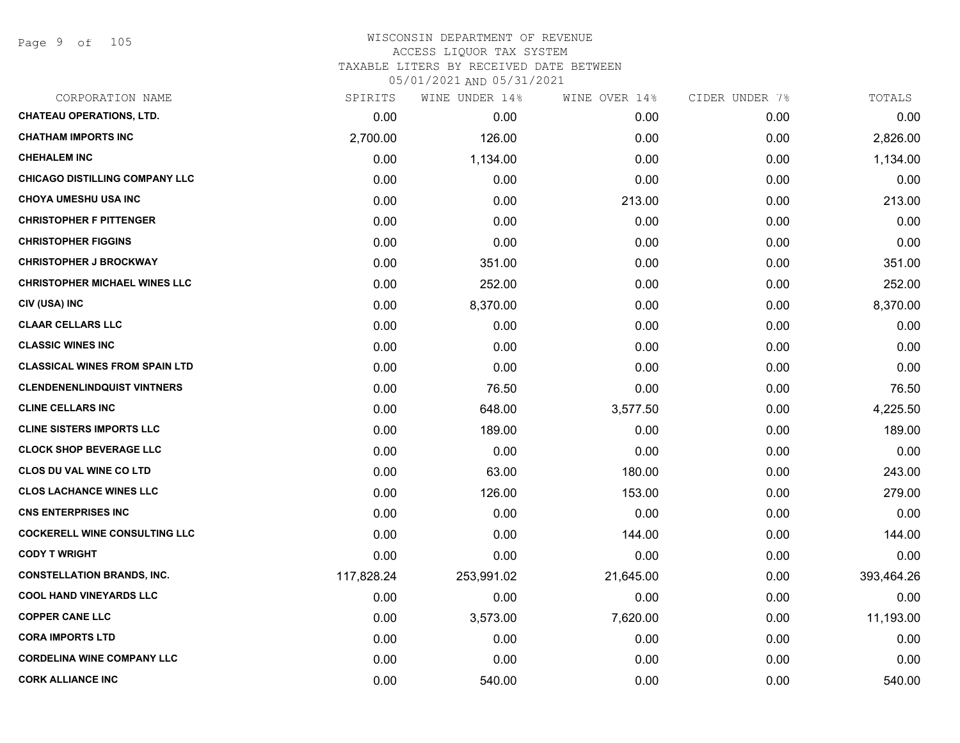## WISCONSIN DEPARTMENT OF REVENUE ACCESS LIQUOR TAX SYSTEM

TAXABLE LITERS BY RECEIVED DATE BETWEEN

| CORPORATION NAME                      | SPIRITS    | WINE UNDER 14% | WINE OVER 14% | CIDER UNDER 7% | TOTALS     |
|---------------------------------------|------------|----------------|---------------|----------------|------------|
| <b>CHATEAU OPERATIONS, LTD.</b>       | 0.00       | 0.00           | 0.00          | 0.00           | 0.00       |
| <b>CHATHAM IMPORTS INC</b>            | 2,700.00   | 126.00         | 0.00          | 0.00           | 2,826.00   |
| <b>CHEHALEM INC</b>                   | 0.00       | 1,134.00       | 0.00          | 0.00           | 1,134.00   |
| <b>CHICAGO DISTILLING COMPANY LLC</b> | 0.00       | 0.00           | 0.00          | 0.00           | 0.00       |
| <b>CHOYA UMESHU USA INC</b>           | 0.00       | 0.00           | 213.00        | 0.00           | 213.00     |
| <b>CHRISTOPHER F PITTENGER</b>        | 0.00       | 0.00           | 0.00          | 0.00           | 0.00       |
| <b>CHRISTOPHER FIGGINS</b>            | 0.00       | 0.00           | 0.00          | 0.00           | 0.00       |
| <b>CHRISTOPHER J BROCKWAY</b>         | 0.00       | 351.00         | 0.00          | 0.00           | 351.00     |
| <b>CHRISTOPHER MICHAEL WINES LLC</b>  | 0.00       | 252.00         | 0.00          | 0.00           | 252.00     |
| CIV (USA) INC                         | 0.00       | 8,370.00       | 0.00          | 0.00           | 8,370.00   |
| <b>CLAAR CELLARS LLC</b>              | 0.00       | 0.00           | 0.00          | 0.00           | 0.00       |
| <b>CLASSIC WINES INC</b>              | 0.00       | 0.00           | 0.00          | 0.00           | 0.00       |
| <b>CLASSICAL WINES FROM SPAIN LTD</b> | 0.00       | 0.00           | 0.00          | 0.00           | 0.00       |
| <b>CLENDENENLINDQUIST VINTNERS</b>    | 0.00       | 76.50          | 0.00          | 0.00           | 76.50      |
| <b>CLINE CELLARS INC</b>              | 0.00       | 648.00         | 3,577.50      | 0.00           | 4,225.50   |
| <b>CLINE SISTERS IMPORTS LLC</b>      | 0.00       | 189.00         | 0.00          | 0.00           | 189.00     |
| <b>CLOCK SHOP BEVERAGE LLC</b>        | 0.00       | 0.00           | 0.00          | 0.00           | 0.00       |
| <b>CLOS DU VAL WINE CO LTD</b>        | 0.00       | 63.00          | 180.00        | 0.00           | 243.00     |
| <b>CLOS LACHANCE WINES LLC</b>        | 0.00       | 126.00         | 153.00        | 0.00           | 279.00     |
| <b>CNS ENTERPRISES INC</b>            | 0.00       | 0.00           | 0.00          | 0.00           | 0.00       |
| <b>COCKERELL WINE CONSULTING LLC</b>  | 0.00       | 0.00           | 144.00        | 0.00           | 144.00     |
| <b>CODY T WRIGHT</b>                  | 0.00       | 0.00           | 0.00          | 0.00           | 0.00       |
| <b>CONSTELLATION BRANDS, INC.</b>     | 117,828.24 | 253,991.02     | 21,645.00     | 0.00           | 393,464.26 |
| <b>COOL HAND VINEYARDS LLC</b>        | 0.00       | 0.00           | 0.00          | 0.00           | 0.00       |
| <b>COPPER CANE LLC</b>                | 0.00       | 3,573.00       | 7,620.00      | 0.00           | 11,193.00  |
| <b>CORA IMPORTS LTD</b>               | 0.00       | 0.00           | 0.00          | 0.00           | 0.00       |
| <b>CORDELINA WINE COMPANY LLC</b>     | 0.00       | 0.00           | 0.00          | 0.00           | 0.00       |
| <b>CORK ALLIANCE INC</b>              | 0.00       | 540.00         | 0.00          | 0.00           | 540.00     |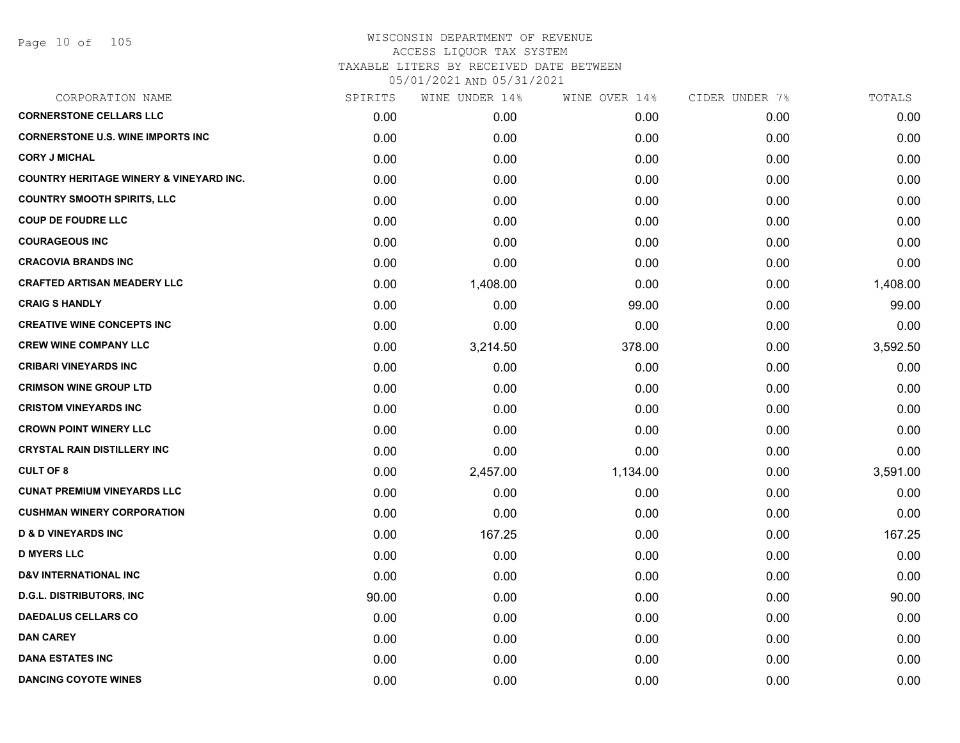| CORPORATION NAME                                   | SPIRITS | WINE UNDER 14% | WINE OVER 14% | CIDER UNDER 7% | TOTALS   |
|----------------------------------------------------|---------|----------------|---------------|----------------|----------|
| <b>CORNERSTONE CELLARS LLC</b>                     | 0.00    | 0.00           | 0.00          | 0.00           | 0.00     |
| <b>CORNERSTONE U.S. WINE IMPORTS INC</b>           | 0.00    | 0.00           | 0.00          | 0.00           | 0.00     |
| <b>CORY J MICHAL</b>                               | 0.00    | 0.00           | 0.00          | 0.00           | 0.00     |
| <b>COUNTRY HERITAGE WINERY &amp; VINEYARD INC.</b> | 0.00    | 0.00           | 0.00          | 0.00           | 0.00     |
| <b>COUNTRY SMOOTH SPIRITS, LLC</b>                 | 0.00    | 0.00           | 0.00          | 0.00           | 0.00     |
| <b>COUP DE FOUDRE LLC</b>                          | 0.00    | 0.00           | 0.00          | 0.00           | 0.00     |
| <b>COURAGEOUS INC</b>                              | 0.00    | 0.00           | 0.00          | 0.00           | 0.00     |
| <b>CRACOVIA BRANDS INC</b>                         | 0.00    | 0.00           | 0.00          | 0.00           | 0.00     |
| <b>CRAFTED ARTISAN MEADERY LLC</b>                 | 0.00    | 1,408.00       | 0.00          | 0.00           | 1,408.00 |
| <b>CRAIG S HANDLY</b>                              | 0.00    | 0.00           | 99.00         | 0.00           | 99.00    |
| <b>CREATIVE WINE CONCEPTS INC</b>                  | 0.00    | 0.00           | 0.00          | 0.00           | 0.00     |
| <b>CREW WINE COMPANY LLC</b>                       | 0.00    | 3,214.50       | 378.00        | 0.00           | 3,592.50 |
| <b>CRIBARI VINEYARDS INC</b>                       | 0.00    | 0.00           | 0.00          | 0.00           | 0.00     |
| <b>CRIMSON WINE GROUP LTD</b>                      | 0.00    | 0.00           | 0.00          | 0.00           | 0.00     |
| <b>CRISTOM VINEYARDS INC</b>                       | 0.00    | 0.00           | 0.00          | 0.00           | 0.00     |
| <b>CROWN POINT WINERY LLC</b>                      | 0.00    | 0.00           | 0.00          | 0.00           | 0.00     |
| <b>CRYSTAL RAIN DISTILLERY INC</b>                 | 0.00    | 0.00           | 0.00          | 0.00           | 0.00     |
| <b>CULT OF 8</b>                                   | 0.00    | 2,457.00       | 1,134.00      | 0.00           | 3,591.00 |
| <b>CUNAT PREMIUM VINEYARDS LLC</b>                 | 0.00    | 0.00           | 0.00          | 0.00           | 0.00     |
| <b>CUSHMAN WINERY CORPORATION</b>                  | 0.00    | 0.00           | 0.00          | 0.00           | 0.00     |
| <b>D &amp; D VINEYARDS INC</b>                     | 0.00    | 167.25         | 0.00          | 0.00           | 167.25   |
| <b>D MYERS LLC</b>                                 | 0.00    | 0.00           | 0.00          | 0.00           | 0.00     |
| <b>D&amp;V INTERNATIONAL INC</b>                   | 0.00    | 0.00           | 0.00          | 0.00           | 0.00     |
| <b>D.G.L. DISTRIBUTORS, INC</b>                    | 90.00   | 0.00           | 0.00          | 0.00           | 90.00    |
| <b>DAEDALUS CELLARS CO</b>                         | 0.00    | 0.00           | 0.00          | 0.00           | 0.00     |
| <b>DAN CAREY</b>                                   | 0.00    | 0.00           | 0.00          | 0.00           | 0.00     |
| <b>DANA ESTATES INC</b>                            | 0.00    | 0.00           | 0.00          | 0.00           | 0.00     |
| <b>DANCING COYOTE WINES</b>                        | 0.00    | 0.00           | 0.00          | 0.00           | 0.00     |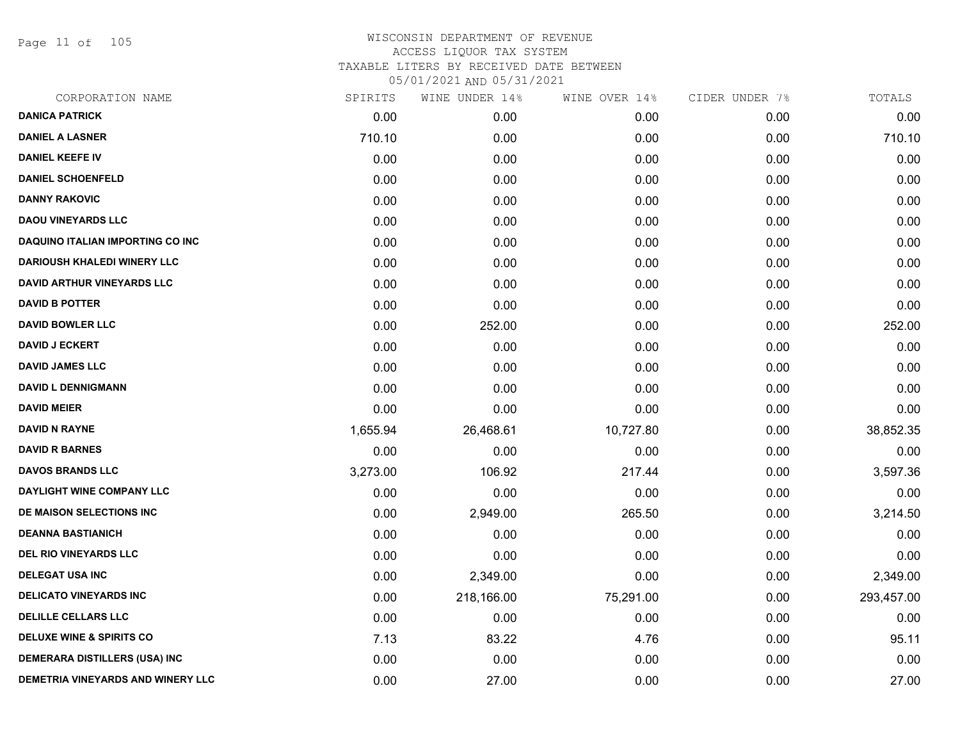Page 11 of 105

| CORPORATION NAME                        | SPIRITS  | WINE UNDER 14% | WINE OVER 14% | CIDER UNDER 7% | TOTALS     |
|-----------------------------------------|----------|----------------|---------------|----------------|------------|
| <b>DANICA PATRICK</b>                   | 0.00     | 0.00           | 0.00          | 0.00           | 0.00       |
| <b>DANIEL A LASNER</b>                  | 710.10   | 0.00           | 0.00          | 0.00           | 710.10     |
| <b>DANIEL KEEFE IV</b>                  | 0.00     | 0.00           | 0.00          | 0.00           | 0.00       |
| <b>DANIEL SCHOENFELD</b>                | 0.00     | 0.00           | 0.00          | 0.00           | 0.00       |
| <b>DANNY RAKOVIC</b>                    | 0.00     | 0.00           | 0.00          | 0.00           | 0.00       |
| <b>DAOU VINEYARDS LLC</b>               | 0.00     | 0.00           | 0.00          | 0.00           | 0.00       |
| <b>DAQUINO ITALIAN IMPORTING CO INC</b> | 0.00     | 0.00           | 0.00          | 0.00           | 0.00       |
| <b>DARIOUSH KHALEDI WINERY LLC</b>      | 0.00     | 0.00           | 0.00          | 0.00           | 0.00       |
| <b>DAVID ARTHUR VINEYARDS LLC</b>       | 0.00     | 0.00           | 0.00          | 0.00           | 0.00       |
| <b>DAVID B POTTER</b>                   | 0.00     | 0.00           | 0.00          | 0.00           | 0.00       |
| <b>DAVID BOWLER LLC</b>                 | 0.00     | 252.00         | 0.00          | 0.00           | 252.00     |
| <b>DAVID J ECKERT</b>                   | 0.00     | 0.00           | 0.00          | 0.00           | 0.00       |
| <b>DAVID JAMES LLC</b>                  | 0.00     | 0.00           | 0.00          | 0.00           | 0.00       |
| <b>DAVID L DENNIGMANN</b>               | 0.00     | 0.00           | 0.00          | 0.00           | 0.00       |
| <b>DAVID MEIER</b>                      | 0.00     | 0.00           | 0.00          | 0.00           | 0.00       |
| <b>DAVID N RAYNE</b>                    | 1,655.94 | 26,468.61      | 10,727.80     | 0.00           | 38,852.35  |
| <b>DAVID R BARNES</b>                   | 0.00     | 0.00           | 0.00          | 0.00           | 0.00       |
| <b>DAVOS BRANDS LLC</b>                 | 3,273.00 | 106.92         | 217.44        | 0.00           | 3,597.36   |
| DAYLIGHT WINE COMPANY LLC               | 0.00     | 0.00           | 0.00          | 0.00           | 0.00       |
| DE MAISON SELECTIONS INC                | 0.00     | 2,949.00       | 265.50        | 0.00           | 3,214.50   |
| <b>DEANNA BASTIANICH</b>                | 0.00     | 0.00           | 0.00          | 0.00           | 0.00       |
| <b>DEL RIO VINEYARDS LLC</b>            | 0.00     | 0.00           | 0.00          | 0.00           | 0.00       |
| <b>DELEGAT USA INC</b>                  | 0.00     | 2,349.00       | 0.00          | 0.00           | 2,349.00   |
| <b>DELICATO VINEYARDS INC</b>           | 0.00     | 218,166.00     | 75,291.00     | 0.00           | 293,457.00 |
| <b>DELILLE CELLARS LLC</b>              | 0.00     | 0.00           | 0.00          | 0.00           | 0.00       |
| <b>DELUXE WINE &amp; SPIRITS CO</b>     | 7.13     | 83.22          | 4.76          | 0.00           | 95.11      |
| <b>DEMERARA DISTILLERS (USA) INC</b>    | 0.00     | 0.00           | 0.00          | 0.00           | 0.00       |
| DEMETRIA VINEYARDS AND WINERY LLC       | 0.00     | 27.00          | 0.00          | 0.00           | 27.00      |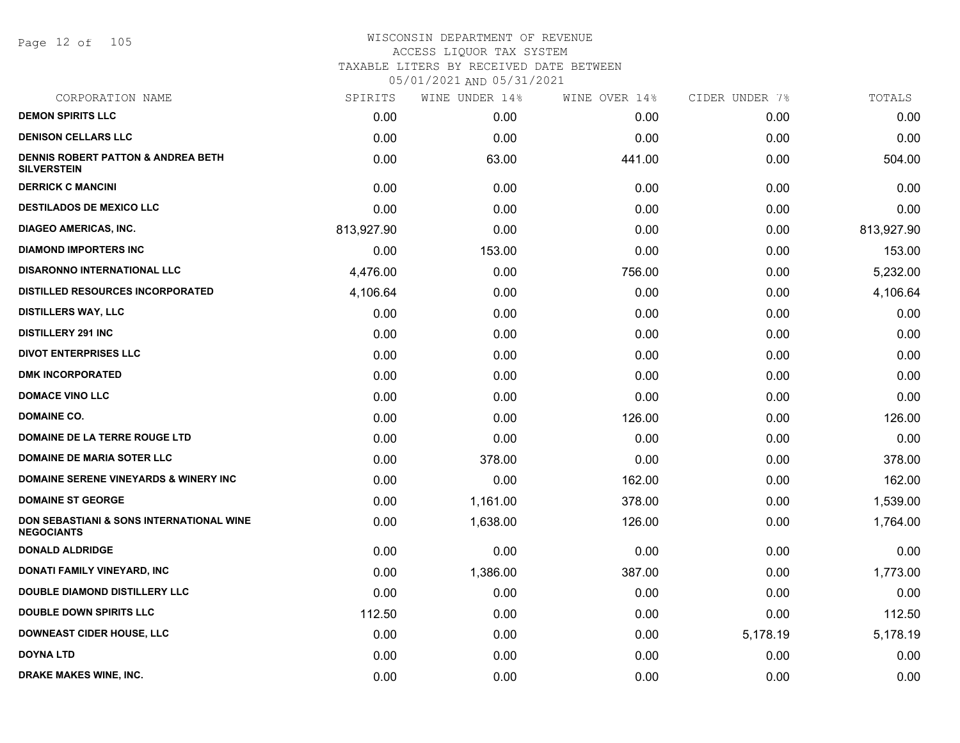Page 12 of 105

| CORPORATION NAME                                                         | SPIRITS    | WINE UNDER 14% | WINE OVER 14% | CIDER UNDER 7% | TOTALS     |
|--------------------------------------------------------------------------|------------|----------------|---------------|----------------|------------|
| <b>DEMON SPIRITS LLC</b>                                                 | 0.00       | 0.00           | 0.00          | 0.00           | 0.00       |
| <b>DENISON CELLARS LLC</b>                                               | 0.00       | 0.00           | 0.00          | 0.00           | 0.00       |
| <b>DENNIS ROBERT PATTON &amp; ANDREA BETH</b><br><b>SILVERSTEIN</b>      | 0.00       | 63.00          | 441.00        | 0.00           | 504.00     |
| <b>DERRICK C MANCINI</b>                                                 | 0.00       | 0.00           | 0.00          | 0.00           | 0.00       |
| <b>DESTILADOS DE MEXICO LLC</b>                                          | 0.00       | 0.00           | 0.00          | 0.00           | 0.00       |
| <b>DIAGEO AMERICAS, INC.</b>                                             | 813,927.90 | 0.00           | 0.00          | 0.00           | 813,927.90 |
| <b>DIAMOND IMPORTERS INC</b>                                             | 0.00       | 153.00         | 0.00          | 0.00           | 153.00     |
| <b>DISARONNO INTERNATIONAL LLC</b>                                       | 4,476.00   | 0.00           | 756.00        | 0.00           | 5,232.00   |
| <b>DISTILLED RESOURCES INCORPORATED</b>                                  | 4,106.64   | 0.00           | 0.00          | 0.00           | 4,106.64   |
| <b>DISTILLERS WAY, LLC</b>                                               | 0.00       | 0.00           | 0.00          | 0.00           | 0.00       |
| <b>DISTILLERY 291 INC</b>                                                | 0.00       | 0.00           | 0.00          | 0.00           | 0.00       |
| <b>DIVOT ENTERPRISES LLC</b>                                             | 0.00       | 0.00           | 0.00          | 0.00           | 0.00       |
| <b>DMK INCORPORATED</b>                                                  | 0.00       | 0.00           | 0.00          | 0.00           | 0.00       |
| <b>DOMACE VINO LLC</b>                                                   | 0.00       | 0.00           | 0.00          | 0.00           | 0.00       |
| <b>DOMAINE CO.</b>                                                       | 0.00       | 0.00           | 126.00        | 0.00           | 126.00     |
| DOMAINE DE LA TERRE ROUGE LTD                                            | 0.00       | 0.00           | 0.00          | 0.00           | 0.00       |
| <b>DOMAINE DE MARIA SOTER LLC</b>                                        | 0.00       | 378.00         | 0.00          | 0.00           | 378.00     |
| DOMAINE SERENE VINEYARDS & WINERY INC                                    | 0.00       | 0.00           | 162.00        | 0.00           | 162.00     |
| <b>DOMAINE ST GEORGE</b>                                                 | 0.00       | 1,161.00       | 378.00        | 0.00           | 1,539.00   |
| <b>DON SEBASTIANI &amp; SONS INTERNATIONAL WINE</b><br><b>NEGOCIANTS</b> | 0.00       | 1,638.00       | 126.00        | 0.00           | 1,764.00   |
| <b>DONALD ALDRIDGE</b>                                                   | 0.00       | 0.00           | 0.00          | 0.00           | 0.00       |
| DONATI FAMILY VINEYARD, INC                                              | 0.00       | 1,386.00       | 387.00        | 0.00           | 1,773.00   |
| <b>DOUBLE DIAMOND DISTILLERY LLC</b>                                     | 0.00       | 0.00           | 0.00          | 0.00           | 0.00       |
| <b>DOUBLE DOWN SPIRITS LLC</b>                                           | 112.50     | 0.00           | 0.00          | 0.00           | 112.50     |
| <b>DOWNEAST CIDER HOUSE, LLC</b>                                         | 0.00       | 0.00           | 0.00          | 5,178.19       | 5,178.19   |
| <b>DOYNA LTD</b>                                                         | 0.00       | 0.00           | 0.00          | 0.00           | 0.00       |
| <b>DRAKE MAKES WINE, INC.</b>                                            | 0.00       | 0.00           | 0.00          | 0.00           | 0.00       |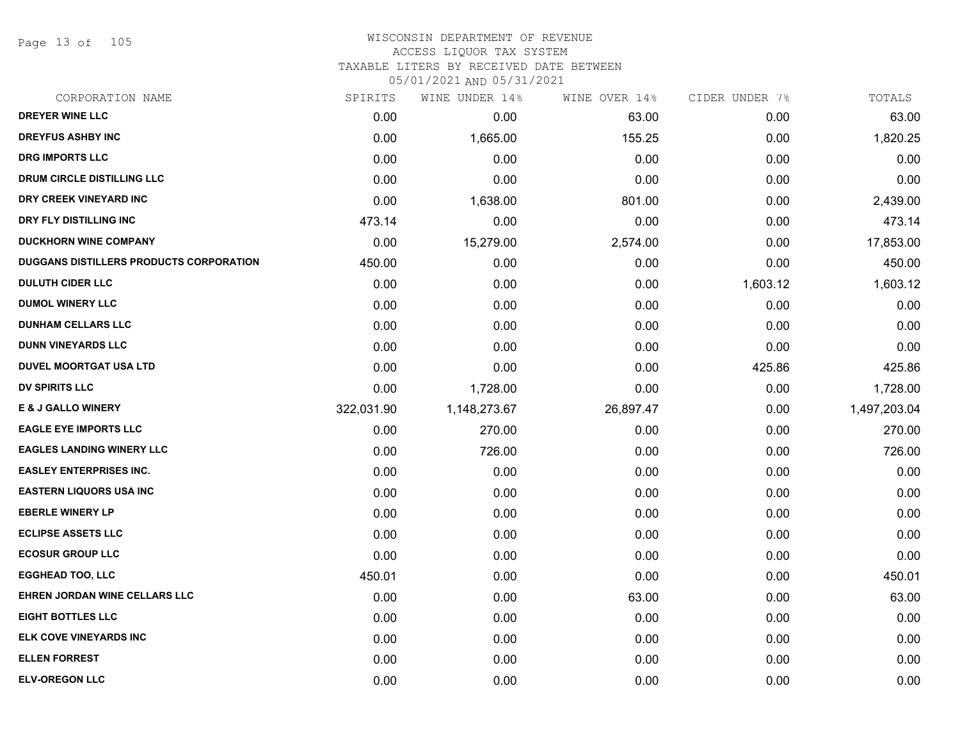Page 13 of 105

## WISCONSIN DEPARTMENT OF REVENUE ACCESS LIQUOR TAX SYSTEM

TAXABLE LITERS BY RECEIVED DATE BETWEEN

| CORPORATION NAME                               | SPIRITS    | WINE UNDER 14% | WINE OVER 14% | CIDER UNDER 7% | TOTALS       |
|------------------------------------------------|------------|----------------|---------------|----------------|--------------|
| <b>DREYER WINE LLC</b>                         | 0.00       | 0.00           | 63.00         | 0.00           | 63.00        |
| <b>DREYFUS ASHBY INC</b>                       | 0.00       | 1,665.00       | 155.25        | 0.00           | 1,820.25     |
| <b>DRG IMPORTS LLC</b>                         | 0.00       | 0.00           | 0.00          | 0.00           | 0.00         |
| DRUM CIRCLE DISTILLING LLC                     | 0.00       | 0.00           | 0.00          | 0.00           | 0.00         |
| DRY CREEK VINEYARD INC                         | 0.00       | 1,638.00       | 801.00        | 0.00           | 2,439.00     |
| DRY FLY DISTILLING INC                         | 473.14     | 0.00           | 0.00          | 0.00           | 473.14       |
| <b>DUCKHORN WINE COMPANY</b>                   | 0.00       | 15,279.00      | 2,574.00      | 0.00           | 17,853.00    |
| <b>DUGGANS DISTILLERS PRODUCTS CORPORATION</b> | 450.00     | 0.00           | 0.00          | 0.00           | 450.00       |
| <b>DULUTH CIDER LLC</b>                        | 0.00       | 0.00           | 0.00          | 1,603.12       | 1,603.12     |
| <b>DUMOL WINERY LLC</b>                        | 0.00       | 0.00           | 0.00          | 0.00           | 0.00         |
| <b>DUNHAM CELLARS LLC</b>                      | 0.00       | 0.00           | 0.00          | 0.00           | 0.00         |
| <b>DUNN VINEYARDS LLC</b>                      | 0.00       | 0.00           | 0.00          | 0.00           | 0.00         |
| <b>DUVEL MOORTGAT USA LTD</b>                  | 0.00       | 0.00           | 0.00          | 425.86         | 425.86       |
| <b>DV SPIRITS LLC</b>                          | 0.00       | 1,728.00       | 0.00          | 0.00           | 1,728.00     |
| <b>E &amp; J GALLO WINERY</b>                  | 322,031.90 | 1,148,273.67   | 26,897.47     | 0.00           | 1,497,203.04 |
| <b>EAGLE EYE IMPORTS LLC</b>                   | 0.00       | 270.00         | 0.00          | 0.00           | 270.00       |
| <b>EAGLES LANDING WINERY LLC</b>               | 0.00       | 726.00         | 0.00          | 0.00           | 726.00       |
| <b>EASLEY ENTERPRISES INC.</b>                 | 0.00       | 0.00           | 0.00          | 0.00           | 0.00         |
| <b>EASTERN LIQUORS USA INC</b>                 | 0.00       | 0.00           | 0.00          | 0.00           | 0.00         |
| <b>EBERLE WINERY LP</b>                        | 0.00       | 0.00           | 0.00          | 0.00           | 0.00         |
| <b>ECLIPSE ASSETS LLC</b>                      | 0.00       | 0.00           | 0.00          | 0.00           | 0.00         |
| <b>ECOSUR GROUP LLC</b>                        | 0.00       | 0.00           | 0.00          | 0.00           | 0.00         |
| <b>EGGHEAD TOO, LLC</b>                        | 450.01     | 0.00           | 0.00          | 0.00           | 450.01       |
| EHREN JORDAN WINE CELLARS LLC                  | 0.00       | 0.00           | 63.00         | 0.00           | 63.00        |
| <b>EIGHT BOTTLES LLC</b>                       | 0.00       | 0.00           | 0.00          | 0.00           | 0.00         |
| <b>ELK COVE VINEYARDS INC</b>                  | 0.00       | 0.00           | 0.00          | 0.00           | 0.00         |
| <b>ELLEN FORREST</b>                           | 0.00       | 0.00           | 0.00          | 0.00           | 0.00         |
| <b>ELV-OREGON LLC</b>                          | 0.00       | 0.00           | 0.00          | 0.00           | 0.00         |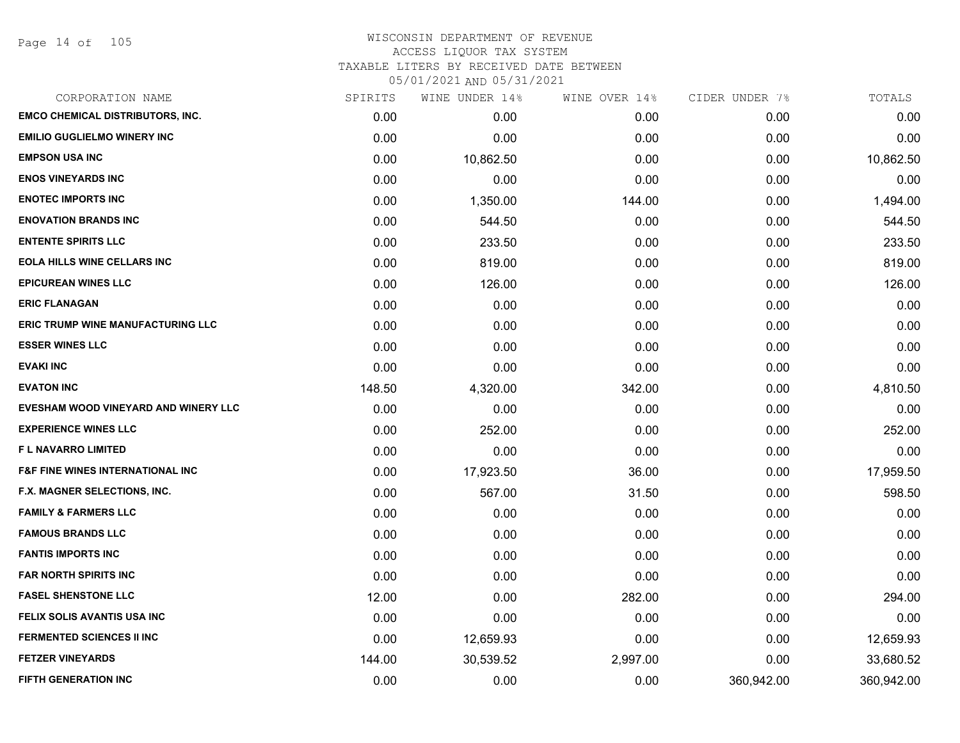Page 14 of 105

| CORPORATION NAME                            | SPIRITS | WINE UNDER 14% | WINE OVER 14% | CIDER UNDER 7% | TOTALS     |
|---------------------------------------------|---------|----------------|---------------|----------------|------------|
| <b>EMCO CHEMICAL DISTRIBUTORS, INC.</b>     | 0.00    | 0.00           | 0.00          | 0.00           | 0.00       |
| <b>EMILIO GUGLIELMO WINERY INC</b>          | 0.00    | 0.00           | 0.00          | 0.00           | 0.00       |
| <b>EMPSON USA INC</b>                       | 0.00    | 10,862.50      | 0.00          | 0.00           | 10,862.50  |
| <b>ENOS VINEYARDS INC</b>                   | 0.00    | 0.00           | 0.00          | 0.00           | 0.00       |
| <b>ENOTEC IMPORTS INC</b>                   | 0.00    | 1,350.00       | 144.00        | 0.00           | 1,494.00   |
| <b>ENOVATION BRANDS INC</b>                 | 0.00    | 544.50         | 0.00          | 0.00           | 544.50     |
| <b>ENTENTE SPIRITS LLC</b>                  | 0.00    | 233.50         | 0.00          | 0.00           | 233.50     |
| <b>EOLA HILLS WINE CELLARS INC</b>          | 0.00    | 819.00         | 0.00          | 0.00           | 819.00     |
| <b>EPICUREAN WINES LLC</b>                  | 0.00    | 126.00         | 0.00          | 0.00           | 126.00     |
| <b>ERIC FLANAGAN</b>                        | 0.00    | 0.00           | 0.00          | 0.00           | 0.00       |
| <b>ERIC TRUMP WINE MANUFACTURING LLC</b>    | 0.00    | 0.00           | 0.00          | 0.00           | 0.00       |
| <b>ESSER WINES LLC</b>                      | 0.00    | 0.00           | 0.00          | 0.00           | 0.00       |
| <b>EVAKI INC</b>                            | 0.00    | 0.00           | 0.00          | 0.00           | 0.00       |
| <b>EVATON INC</b>                           | 148.50  | 4,320.00       | 342.00        | 0.00           | 4,810.50   |
| EVESHAM WOOD VINEYARD AND WINERY LLC        | 0.00    | 0.00           | 0.00          | 0.00           | 0.00       |
| <b>EXPERIENCE WINES LLC</b>                 | 0.00    | 252.00         | 0.00          | 0.00           | 252.00     |
| <b>FL NAVARRO LIMITED</b>                   | 0.00    | 0.00           | 0.00          | 0.00           | 0.00       |
| <b>F&amp;F FINE WINES INTERNATIONAL INC</b> | 0.00    | 17,923.50      | 36.00         | 0.00           | 17,959.50  |
| F.X. MAGNER SELECTIONS, INC.                | 0.00    | 567.00         | 31.50         | 0.00           | 598.50     |
| <b>FAMILY &amp; FARMERS LLC</b>             | 0.00    | 0.00           | 0.00          | 0.00           | 0.00       |
| <b>FAMOUS BRANDS LLC</b>                    | 0.00    | 0.00           | 0.00          | 0.00           | 0.00       |
| <b>FANTIS IMPORTS INC</b>                   | 0.00    | 0.00           | 0.00          | 0.00           | 0.00       |
| <b>FAR NORTH SPIRITS INC</b>                | 0.00    | 0.00           | 0.00          | 0.00           | 0.00       |
| <b>FASEL SHENSTONE LLC</b>                  | 12.00   | 0.00           | 282.00        | 0.00           | 294.00     |
| FELIX SOLIS AVANTIS USA INC                 | 0.00    | 0.00           | 0.00          | 0.00           | 0.00       |
| <b>FERMENTED SCIENCES II INC</b>            | 0.00    | 12,659.93      | 0.00          | 0.00           | 12,659.93  |
| <b>FETZER VINEYARDS</b>                     | 144.00  | 30,539.52      | 2,997.00      | 0.00           | 33,680.52  |
| <b>FIFTH GENERATION INC</b>                 | 0.00    | 0.00           | 0.00          | 360,942.00     | 360,942.00 |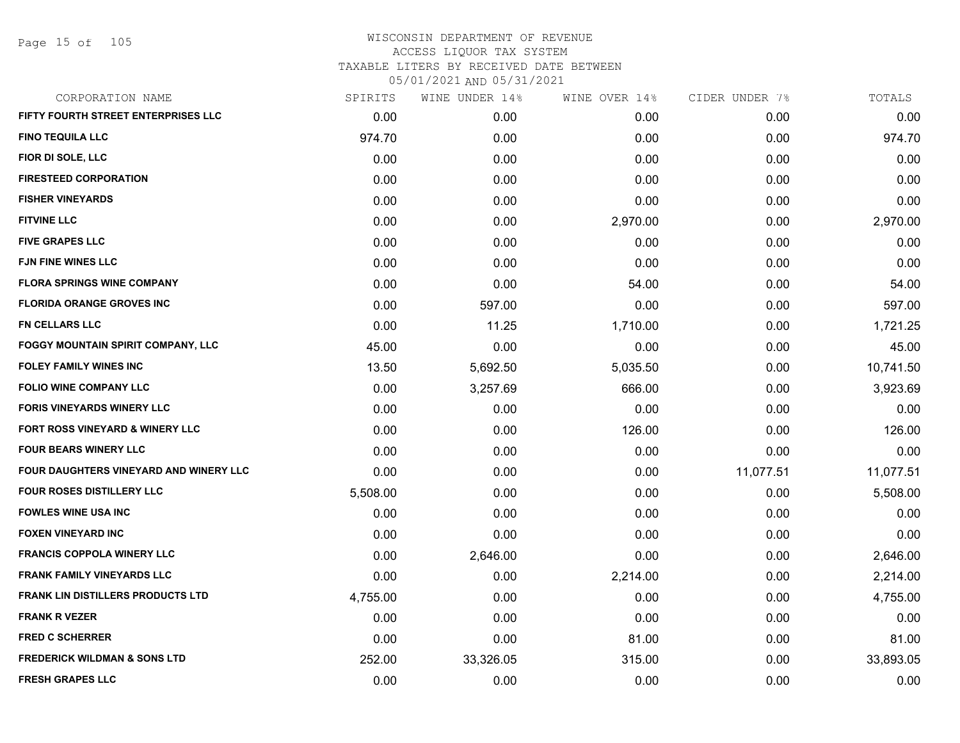Page 15 of 105

| SPIRITS  | WINE UNDER 14% | WINE OVER 14% | CIDER UNDER 7% | TOTALS    |
|----------|----------------|---------------|----------------|-----------|
| 0.00     | 0.00           | 0.00          | 0.00           | 0.00      |
| 974.70   | 0.00           | 0.00          | 0.00           | 974.70    |
| 0.00     | 0.00           | 0.00          | 0.00           | 0.00      |
| 0.00     | 0.00           | 0.00          | 0.00           | 0.00      |
| 0.00     | 0.00           | 0.00          | 0.00           | 0.00      |
| 0.00     | 0.00           | 2,970.00      | 0.00           | 2,970.00  |
| 0.00     | 0.00           | 0.00          | 0.00           | 0.00      |
| 0.00     | 0.00           | 0.00          | 0.00           | 0.00      |
| 0.00     | 0.00           | 54.00         | 0.00           | 54.00     |
| 0.00     | 597.00         | 0.00          | 0.00           | 597.00    |
| 0.00     | 11.25          | 1,710.00      | 0.00           | 1,721.25  |
| 45.00    | 0.00           | 0.00          | 0.00           | 45.00     |
| 13.50    | 5,692.50       | 5,035.50      | 0.00           | 10,741.50 |
| 0.00     | 3,257.69       | 666.00        | 0.00           | 3,923.69  |
| 0.00     | 0.00           | 0.00          | 0.00           | 0.00      |
| 0.00     | 0.00           | 126.00        | 0.00           | 126.00    |
| 0.00     | 0.00           | 0.00          | 0.00           | 0.00      |
| 0.00     | 0.00           | 0.00          | 11,077.51      | 11,077.51 |
| 5,508.00 | 0.00           | 0.00          | 0.00           | 5,508.00  |
| 0.00     | 0.00           | 0.00          | 0.00           | 0.00      |
| 0.00     | 0.00           | 0.00          | 0.00           | 0.00      |
| 0.00     | 2,646.00       | 0.00          | 0.00           | 2,646.00  |
| 0.00     | 0.00           | 2,214.00      | 0.00           | 2,214.00  |
| 4,755.00 | 0.00           | 0.00          | 0.00           | 4,755.00  |
| 0.00     | 0.00           | 0.00          | 0.00           | 0.00      |
| 0.00     | 0.00           | 81.00         | 0.00           | 81.00     |
| 252.00   | 33,326.05      | 315.00        | 0.00           | 33,893.05 |
| 0.00     | 0.00           | 0.00          | 0.00           | 0.00      |
|          |                |               |                |           |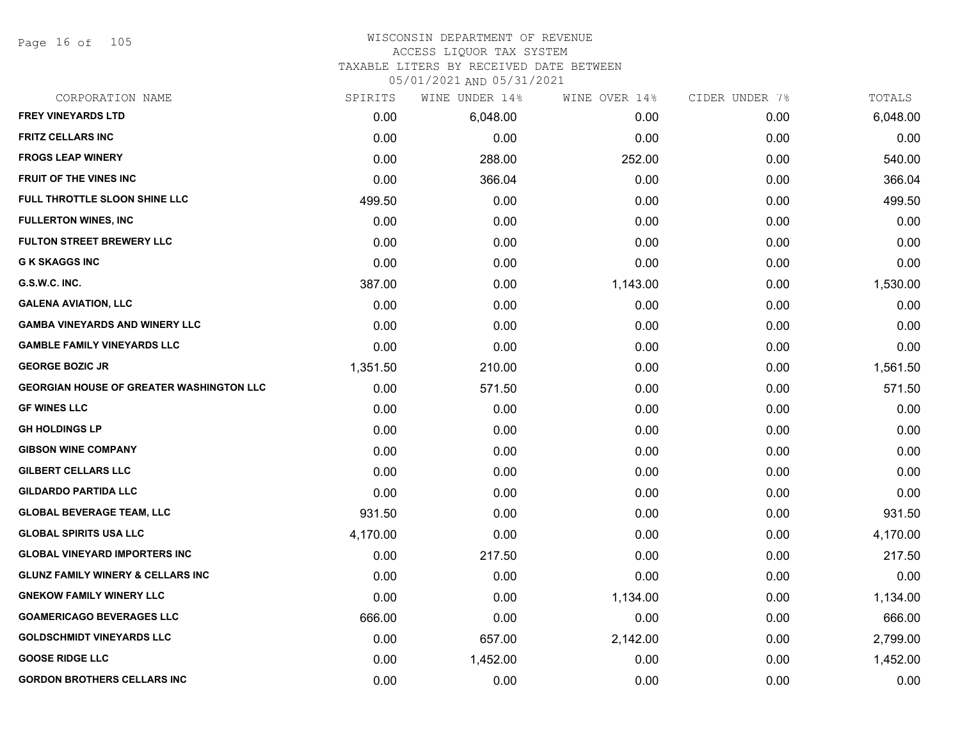Page 16 of 105

#### WISCONSIN DEPARTMENT OF REVENUE ACCESS LIQUOR TAX SYSTEM

#### TAXABLE LITERS BY RECEIVED DATE BETWEEN

| CORPORATION NAME                                | SPIRITS  | WINE UNDER 14% | WINE OVER 14% | CIDER UNDER 7% | TOTALS   |
|-------------------------------------------------|----------|----------------|---------------|----------------|----------|
| <b>FREY VINEYARDS LTD</b>                       | 0.00     | 6,048.00       | 0.00          | 0.00           | 6,048.00 |
| <b>FRITZ CELLARS INC</b>                        | 0.00     | 0.00           | 0.00          | 0.00           | 0.00     |
| <b>FROGS LEAP WINERY</b>                        | 0.00     | 288.00         | 252.00        | 0.00           | 540.00   |
| <b>FRUIT OF THE VINES INC</b>                   | 0.00     | 366.04         | 0.00          | 0.00           | 366.04   |
| FULL THROTTLE SLOON SHINE LLC                   | 499.50   | 0.00           | 0.00          | 0.00           | 499.50   |
| <b>FULLERTON WINES, INC</b>                     | 0.00     | 0.00           | 0.00          | 0.00           | 0.00     |
| <b>FULTON STREET BREWERY LLC</b>                | 0.00     | 0.00           | 0.00          | 0.00           | 0.00     |
| <b>G K SKAGGS INC</b>                           | 0.00     | 0.00           | 0.00          | 0.00           | 0.00     |
| G.S.W.C. INC.                                   | 387.00   | 0.00           | 1,143.00      | 0.00           | 1,530.00 |
| <b>GALENA AVIATION, LLC</b>                     | 0.00     | 0.00           | 0.00          | 0.00           | 0.00     |
| <b>GAMBA VINEYARDS AND WINERY LLC</b>           | 0.00     | 0.00           | 0.00          | 0.00           | 0.00     |
| <b>GAMBLE FAMILY VINEYARDS LLC</b>              | 0.00     | 0.00           | 0.00          | 0.00           | 0.00     |
| <b>GEORGE BOZIC JR</b>                          | 1,351.50 | 210.00         | 0.00          | 0.00           | 1,561.50 |
| <b>GEORGIAN HOUSE OF GREATER WASHINGTON LLC</b> | 0.00     | 571.50         | 0.00          | 0.00           | 571.50   |
| <b>GF WINES LLC</b>                             | 0.00     | 0.00           | 0.00          | 0.00           | 0.00     |
| <b>GH HOLDINGS LP</b>                           | 0.00     | 0.00           | 0.00          | 0.00           | 0.00     |
| <b>GIBSON WINE COMPANY</b>                      | 0.00     | 0.00           | 0.00          | 0.00           | 0.00     |
| <b>GILBERT CELLARS LLC</b>                      | 0.00     | 0.00           | 0.00          | 0.00           | 0.00     |
| <b>GILDARDO PARTIDA LLC</b>                     | 0.00     | 0.00           | 0.00          | 0.00           | 0.00     |
| <b>GLOBAL BEVERAGE TEAM, LLC</b>                | 931.50   | 0.00           | 0.00          | 0.00           | 931.50   |
| <b>GLOBAL SPIRITS USA LLC</b>                   | 4,170.00 | 0.00           | 0.00          | 0.00           | 4,170.00 |
| <b>GLOBAL VINEYARD IMPORTERS INC</b>            | 0.00     | 217.50         | 0.00          | 0.00           | 217.50   |
| <b>GLUNZ FAMILY WINERY &amp; CELLARS INC</b>    | 0.00     | 0.00           | 0.00          | 0.00           | 0.00     |
| <b>GNEKOW FAMILY WINERY LLC</b>                 | 0.00     | 0.00           | 1,134.00      | 0.00           | 1,134.00 |
| <b>GOAMERICAGO BEVERAGES LLC</b>                | 666.00   | 0.00           | 0.00          | 0.00           | 666.00   |
| <b>GOLDSCHMIDT VINEYARDS LLC</b>                | 0.00     | 657.00         | 2,142.00      | 0.00           | 2,799.00 |
| <b>GOOSE RIDGE LLC</b>                          | 0.00     | 1,452.00       | 0.00          | 0.00           | 1,452.00 |
| <b>GORDON BROTHERS CELLARS INC</b>              | 0.00     | 0.00           | 0.00          | 0.00           | 0.00     |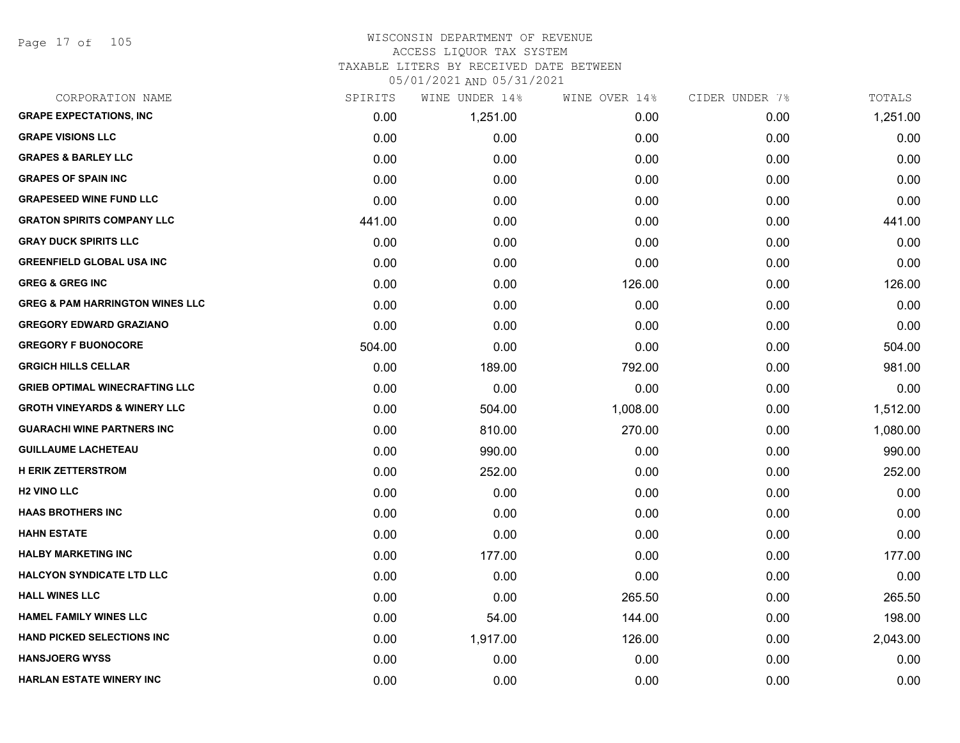Page 17 of 105

#### WISCONSIN DEPARTMENT OF REVENUE ACCESS LIQUOR TAX SYSTEM TAXABLE LITERS BY RECEIVED DATE BETWEEN

| CORPORATION NAME                           | SPIRITS | WINE UNDER 14% | WINE OVER 14% | CIDER UNDER 7% | TOTALS   |
|--------------------------------------------|---------|----------------|---------------|----------------|----------|
| <b>GRAPE EXPECTATIONS, INC</b>             | 0.00    | 1,251.00       | 0.00          | 0.00           | 1,251.00 |
| <b>GRAPE VISIONS LLC</b>                   | 0.00    | 0.00           | 0.00          | 0.00           | 0.00     |
| <b>GRAPES &amp; BARLEY LLC</b>             | 0.00    | 0.00           | 0.00          | 0.00           | 0.00     |
| <b>GRAPES OF SPAIN INC</b>                 | 0.00    | 0.00           | 0.00          | 0.00           | 0.00     |
| <b>GRAPESEED WINE FUND LLC</b>             | 0.00    | 0.00           | 0.00          | 0.00           | 0.00     |
| <b>GRATON SPIRITS COMPANY LLC</b>          | 441.00  | 0.00           | 0.00          | 0.00           | 441.00   |
| <b>GRAY DUCK SPIRITS LLC</b>               | 0.00    | 0.00           | 0.00          | 0.00           | 0.00     |
| <b>GREENFIELD GLOBAL USA INC</b>           | 0.00    | 0.00           | 0.00          | 0.00           | 0.00     |
| <b>GREG &amp; GREG INC</b>                 | 0.00    | 0.00           | 126.00        | 0.00           | 126.00   |
| <b>GREG &amp; PAM HARRINGTON WINES LLC</b> | 0.00    | 0.00           | 0.00          | 0.00           | 0.00     |
| <b>GREGORY EDWARD GRAZIANO</b>             | 0.00    | 0.00           | 0.00          | 0.00           | 0.00     |
| <b>GREGORY F BUONOCORE</b>                 | 504.00  | 0.00           | 0.00          | 0.00           | 504.00   |
| <b>GRGICH HILLS CELLAR</b>                 | 0.00    | 189.00         | 792.00        | 0.00           | 981.00   |
| <b>GRIEB OPTIMAL WINECRAFTING LLC</b>      | 0.00    | 0.00           | 0.00          | 0.00           | 0.00     |
| <b>GROTH VINEYARDS &amp; WINERY LLC</b>    | 0.00    | 504.00         | 1,008.00      | 0.00           | 1,512.00 |
| <b>GUARACHI WINE PARTNERS INC</b>          | 0.00    | 810.00         | 270.00        | 0.00           | 1,080.00 |
| <b>GUILLAUME LACHETEAU</b>                 | 0.00    | 990.00         | 0.00          | 0.00           | 990.00   |
| <b>H ERIK ZETTERSTROM</b>                  | 0.00    | 252.00         | 0.00          | 0.00           | 252.00   |
| <b>H2 VINO LLC</b>                         | 0.00    | 0.00           | 0.00          | 0.00           | 0.00     |
| <b>HAAS BROTHERS INC</b>                   | 0.00    | 0.00           | 0.00          | 0.00           | 0.00     |
| <b>HAHN ESTATE</b>                         | 0.00    | 0.00           | 0.00          | 0.00           | 0.00     |
| <b>HALBY MARKETING INC</b>                 | 0.00    | 177.00         | 0.00          | 0.00           | 177.00   |
| <b>HALCYON SYNDICATE LTD LLC</b>           | 0.00    | 0.00           | 0.00          | 0.00           | 0.00     |
| <b>HALL WINES LLC</b>                      | 0.00    | 0.00           | 265.50        | 0.00           | 265.50   |
| <b>HAMEL FAMILY WINES LLC</b>              | 0.00    | 54.00          | 144.00        | 0.00           | 198.00   |
| <b>HAND PICKED SELECTIONS INC</b>          | 0.00    | 1,917.00       | 126.00        | 0.00           | 2,043.00 |
| <b>HANSJOERG WYSS</b>                      | 0.00    | 0.00           | 0.00          | 0.00           | 0.00     |
| <b>HARLAN ESTATE WINERY INC</b>            | 0.00    | 0.00           | 0.00          | 0.00           | 0.00     |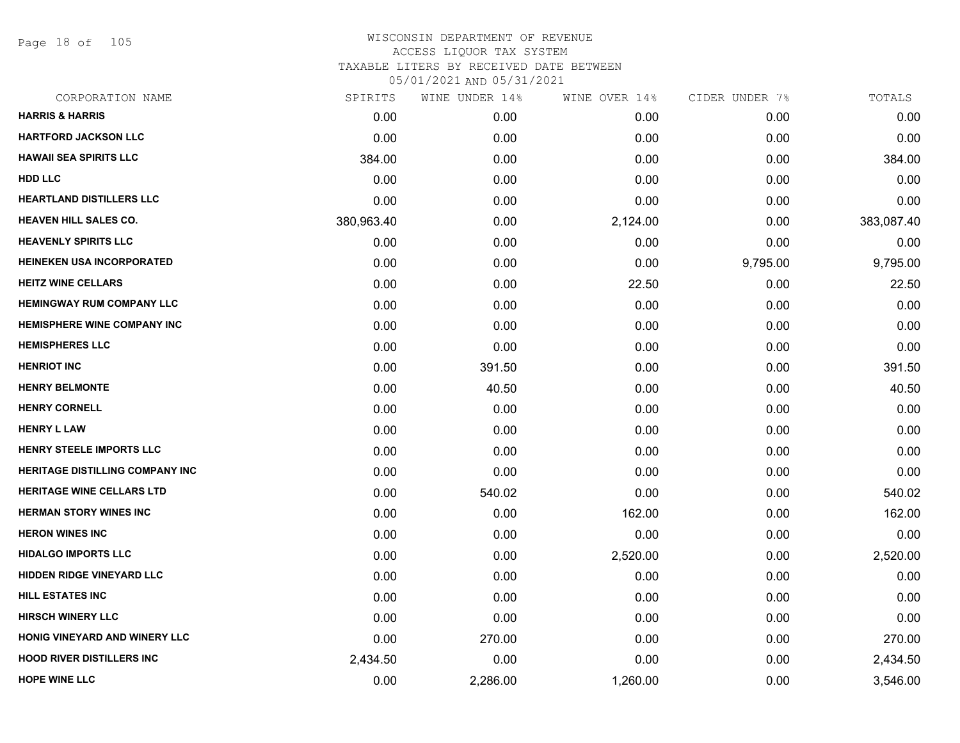Page 18 of 105

| CORPORATION NAME                       | SPIRITS    | WINE UNDER 14% | WINE OVER 14% | CIDER UNDER 7% | TOTALS     |
|----------------------------------------|------------|----------------|---------------|----------------|------------|
| <b>HARRIS &amp; HARRIS</b>             | 0.00       | 0.00           | 0.00          | 0.00           | 0.00       |
| <b>HARTFORD JACKSON LLC</b>            | 0.00       | 0.00           | 0.00          | 0.00           | 0.00       |
| <b>HAWAII SEA SPIRITS LLC</b>          | 384.00     | 0.00           | 0.00          | 0.00           | 384.00     |
| <b>HDD LLC</b>                         | 0.00       | 0.00           | 0.00          | 0.00           | 0.00       |
| <b>HEARTLAND DISTILLERS LLC</b>        | 0.00       | 0.00           | 0.00          | 0.00           | 0.00       |
| <b>HEAVEN HILL SALES CO.</b>           | 380,963.40 | 0.00           | 2,124.00      | 0.00           | 383,087.40 |
| <b>HEAVENLY SPIRITS LLC</b>            | 0.00       | 0.00           | 0.00          | 0.00           | 0.00       |
| <b>HEINEKEN USA INCORPORATED</b>       | 0.00       | 0.00           | 0.00          | 9,795.00       | 9,795.00   |
| <b>HEITZ WINE CELLARS</b>              | 0.00       | 0.00           | 22.50         | 0.00           | 22.50      |
| <b>HEMINGWAY RUM COMPANY LLC</b>       | 0.00       | 0.00           | 0.00          | 0.00           | 0.00       |
| <b>HEMISPHERE WINE COMPANY INC</b>     | 0.00       | 0.00           | 0.00          | 0.00           | 0.00       |
| <b>HEMISPHERES LLC</b>                 | 0.00       | 0.00           | 0.00          | 0.00           | 0.00       |
| <b>HENRIOT INC</b>                     | 0.00       | 391.50         | 0.00          | 0.00           | 391.50     |
| <b>HENRY BELMONTE</b>                  | 0.00       | 40.50          | 0.00          | 0.00           | 40.50      |
| <b>HENRY CORNELL</b>                   | 0.00       | 0.00           | 0.00          | 0.00           | 0.00       |
| <b>HENRY L LAW</b>                     | 0.00       | 0.00           | 0.00          | 0.00           | 0.00       |
| <b>HENRY STEELE IMPORTS LLC</b>        | 0.00       | 0.00           | 0.00          | 0.00           | 0.00       |
| <b>HERITAGE DISTILLING COMPANY INC</b> | 0.00       | 0.00           | 0.00          | 0.00           | 0.00       |
| <b>HERITAGE WINE CELLARS LTD</b>       | 0.00       | 540.02         | 0.00          | 0.00           | 540.02     |
| <b>HERMAN STORY WINES INC</b>          | 0.00       | 0.00           | 162.00        | 0.00           | 162.00     |
| <b>HERON WINES INC</b>                 | 0.00       | 0.00           | 0.00          | 0.00           | 0.00       |
| <b>HIDALGO IMPORTS LLC</b>             | 0.00       | 0.00           | 2,520.00      | 0.00           | 2,520.00   |
| HIDDEN RIDGE VINEYARD LLC              | 0.00       | 0.00           | 0.00          | 0.00           | 0.00       |
| <b>HILL ESTATES INC</b>                | 0.00       | 0.00           | 0.00          | 0.00           | 0.00       |
| <b>HIRSCH WINERY LLC</b>               | 0.00       | 0.00           | 0.00          | 0.00           | 0.00       |
| HONIG VINEYARD AND WINERY LLC          | 0.00       | 270.00         | 0.00          | 0.00           | 270.00     |
| <b>HOOD RIVER DISTILLERS INC</b>       | 2,434.50   | 0.00           | 0.00          | 0.00           | 2,434.50   |
| <b>HOPE WINE LLC</b>                   | 0.00       | 2,286.00       | 1,260.00      | 0.00           | 3,546.00   |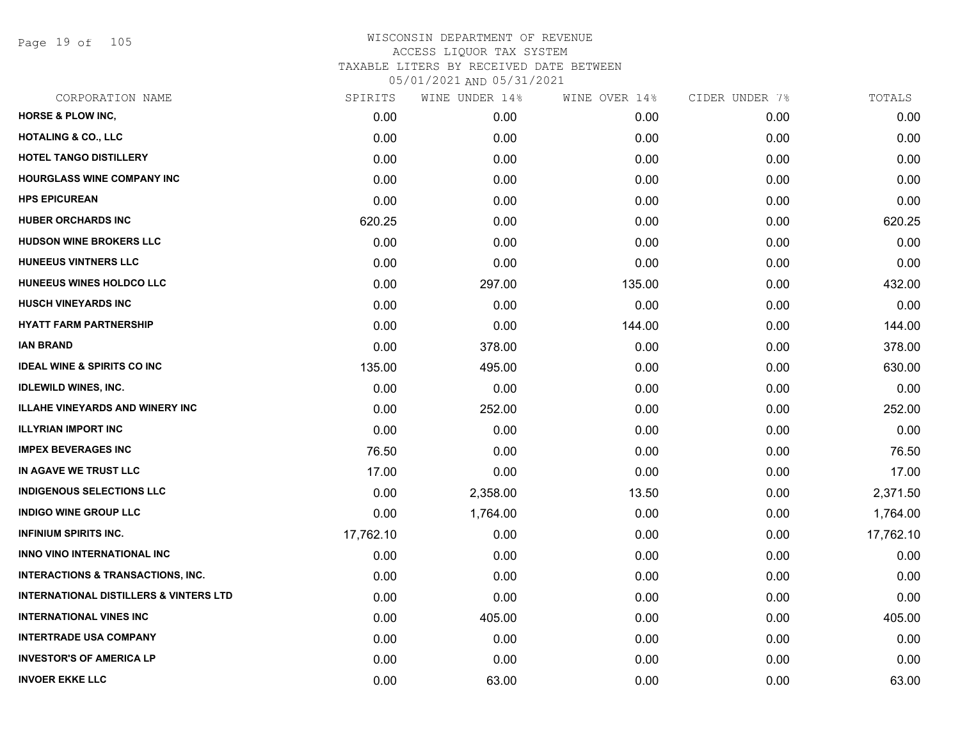Page 19 of 105

| CORPORATION NAME                                  | SPIRITS   | WINE UNDER 14% | WINE OVER 14% | CIDER UNDER 7% | TOTALS    |
|---------------------------------------------------|-----------|----------------|---------------|----------------|-----------|
| <b>HORSE &amp; PLOW INC,</b>                      | 0.00      | 0.00           | 0.00          | 0.00           | 0.00      |
| <b>HOTALING &amp; CO., LLC</b>                    | 0.00      | 0.00           | 0.00          | 0.00           | 0.00      |
| <b>HOTEL TANGO DISTILLERY</b>                     | 0.00      | 0.00           | 0.00          | 0.00           | 0.00      |
| HOURGLASS WINE COMPANY INC                        | 0.00      | 0.00           | 0.00          | 0.00           | 0.00      |
| <b>HPS EPICUREAN</b>                              | 0.00      | 0.00           | 0.00          | 0.00           | 0.00      |
| <b>HUBER ORCHARDS INC</b>                         | 620.25    | 0.00           | 0.00          | 0.00           | 620.25    |
| <b>HUDSON WINE BROKERS LLC</b>                    | 0.00      | 0.00           | 0.00          | 0.00           | 0.00      |
| HUNEEUS VINTNERS LLC                              | 0.00      | 0.00           | 0.00          | 0.00           | 0.00      |
| HUNEEUS WINES HOLDCO LLC                          | 0.00      | 297.00         | 135.00        | 0.00           | 432.00    |
| <b>HUSCH VINEYARDS INC</b>                        | 0.00      | 0.00           | 0.00          | 0.00           | 0.00      |
| <b>HYATT FARM PARTNERSHIP</b>                     | 0.00      | 0.00           | 144.00        | 0.00           | 144.00    |
| <b>IAN BRAND</b>                                  | 0.00      | 378.00         | 0.00          | 0.00           | 378.00    |
| <b>IDEAL WINE &amp; SPIRITS CO INC</b>            | 135.00    | 495.00         | 0.00          | 0.00           | 630.00    |
| <b>IDLEWILD WINES, INC.</b>                       | 0.00      | 0.00           | 0.00          | 0.00           | 0.00      |
| <b>ILLAHE VINEYARDS AND WINERY INC</b>            | 0.00      | 252.00         | 0.00          | 0.00           | 252.00    |
| <b>ILLYRIAN IMPORT INC</b>                        | 0.00      | 0.00           | 0.00          | 0.00           | 0.00      |
| <b>IMPEX BEVERAGES INC</b>                        | 76.50     | 0.00           | 0.00          | 0.00           | 76.50     |
| IN AGAVE WE TRUST LLC                             | 17.00     | 0.00           | 0.00          | 0.00           | 17.00     |
| <b>INDIGENOUS SELECTIONS LLC</b>                  | 0.00      | 2,358.00       | 13.50         | 0.00           | 2,371.50  |
| <b>INDIGO WINE GROUP LLC</b>                      | 0.00      | 1,764.00       | 0.00          | 0.00           | 1,764.00  |
| <b>INFINIUM SPIRITS INC.</b>                      | 17,762.10 | 0.00           | 0.00          | 0.00           | 17,762.10 |
| <b>INNO VINO INTERNATIONAL INC</b>                | 0.00      | 0.00           | 0.00          | 0.00           | 0.00      |
| <b>INTERACTIONS &amp; TRANSACTIONS, INC.</b>      | 0.00      | 0.00           | 0.00          | 0.00           | 0.00      |
| <b>INTERNATIONAL DISTILLERS &amp; VINTERS LTD</b> | 0.00      | 0.00           | 0.00          | 0.00           | 0.00      |
| <b>INTERNATIONAL VINES INC</b>                    | 0.00      | 405.00         | 0.00          | 0.00           | 405.00    |
| <b>INTERTRADE USA COMPANY</b>                     | 0.00      | 0.00           | 0.00          | 0.00           | 0.00      |
| <b>INVESTOR'S OF AMERICA LP</b>                   | 0.00      | 0.00           | 0.00          | 0.00           | 0.00      |
| <b>INVOER EKKE LLC</b>                            | 0.00      | 63.00          | 0.00          | 0.00           | 63.00     |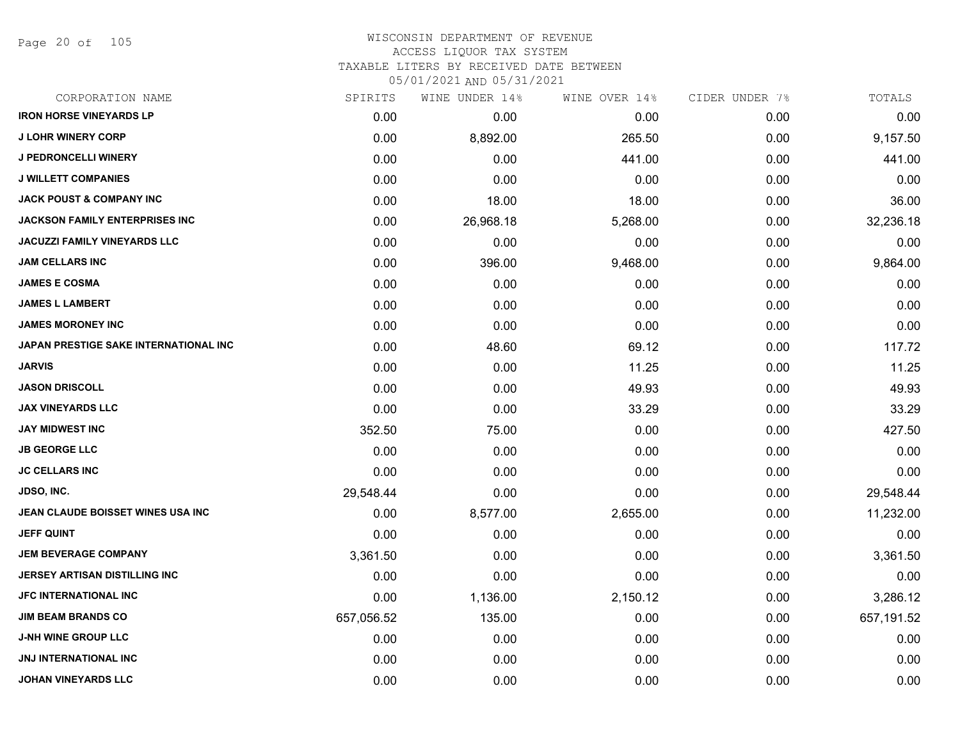Page 20 of 105

#### WISCONSIN DEPARTMENT OF REVENUE ACCESS LIQUOR TAX SYSTEM TAXABLE LITERS BY RECEIVED DATE BETWEEN

| CORPORATION NAME                      | SPIRITS    | WINE UNDER 14% | WINE OVER 14% | CIDER UNDER 7% | TOTALS     |
|---------------------------------------|------------|----------------|---------------|----------------|------------|
| <b>IRON HORSE VINEYARDS LP</b>        | 0.00       | 0.00           | 0.00          | 0.00           | 0.00       |
| <b>J LOHR WINERY CORP</b>             | 0.00       | 8,892.00       | 265.50        | 0.00           | 9,157.50   |
| <b>J PEDRONCELLI WINERY</b>           | 0.00       | 0.00           | 441.00        | 0.00           | 441.00     |
| <b>J WILLETT COMPANIES</b>            | 0.00       | 0.00           | 0.00          | 0.00           | 0.00       |
| <b>JACK POUST &amp; COMPANY INC</b>   | 0.00       | 18.00          | 18.00         | 0.00           | 36.00      |
| JACKSON FAMILY ENTERPRISES INC        | 0.00       | 26,968.18      | 5,268.00      | 0.00           | 32,236.18  |
| JACUZZI FAMILY VINEYARDS LLC          | 0.00       | 0.00           | 0.00          | 0.00           | 0.00       |
| JAM CELLARS INC                       | 0.00       | 396.00         | 9,468.00      | 0.00           | 9,864.00   |
| <b>JAMES E COSMA</b>                  | 0.00       | 0.00           | 0.00          | 0.00           | 0.00       |
| <b>JAMES L LAMBERT</b>                | 0.00       | 0.00           | 0.00          | 0.00           | 0.00       |
| <b>JAMES MORONEY INC</b>              | 0.00       | 0.00           | 0.00          | 0.00           | 0.00       |
| JAPAN PRESTIGE SAKE INTERNATIONAL INC | 0.00       | 48.60          | 69.12         | 0.00           | 117.72     |
| <b>JARVIS</b>                         | 0.00       | 0.00           | 11.25         | 0.00           | 11.25      |
| <b>JASON DRISCOLL</b>                 | 0.00       | 0.00           | 49.93         | 0.00           | 49.93      |
| <b>JAX VINEYARDS LLC</b>              | 0.00       | 0.00           | 33.29         | 0.00           | 33.29      |
| <b>JAY MIDWEST INC</b>                | 352.50     | 75.00          | 0.00          | 0.00           | 427.50     |
| <b>JB GEORGE LLC</b>                  | 0.00       | 0.00           | 0.00          | 0.00           | 0.00       |
| <b>JC CELLARS INC</b>                 | 0.00       | 0.00           | 0.00          | 0.00           | 0.00       |
| <b>JDSO, INC.</b>                     | 29,548.44  | 0.00           | 0.00          | 0.00           | 29,548.44  |
| JEAN CLAUDE BOISSET WINES USA INC     | 0.00       | 8,577.00       | 2,655.00      | 0.00           | 11,232.00  |
| JEFF QUINT                            | 0.00       | 0.00           | 0.00          | 0.00           | 0.00       |
| <b>JEM BEVERAGE COMPANY</b>           | 3,361.50   | 0.00           | 0.00          | 0.00           | 3,361.50   |
| <b>JERSEY ARTISAN DISTILLING INC</b>  | 0.00       | 0.00           | 0.00          | 0.00           | 0.00       |
| JFC INTERNATIONAL INC                 | 0.00       | 1,136.00       | 2,150.12      | 0.00           | 3,286.12   |
| <b>JIM BEAM BRANDS CO</b>             | 657,056.52 | 135.00         | 0.00          | 0.00           | 657,191.52 |
| <b>J-NH WINE GROUP LLC</b>            | 0.00       | 0.00           | 0.00          | 0.00           | 0.00       |
| <b>JNJ INTERNATIONAL INC</b>          | 0.00       | 0.00           | 0.00          | 0.00           | 0.00       |
| <b>JOHAN VINEYARDS LLC</b>            | 0.00       | 0.00           | 0.00          | 0.00           | 0.00       |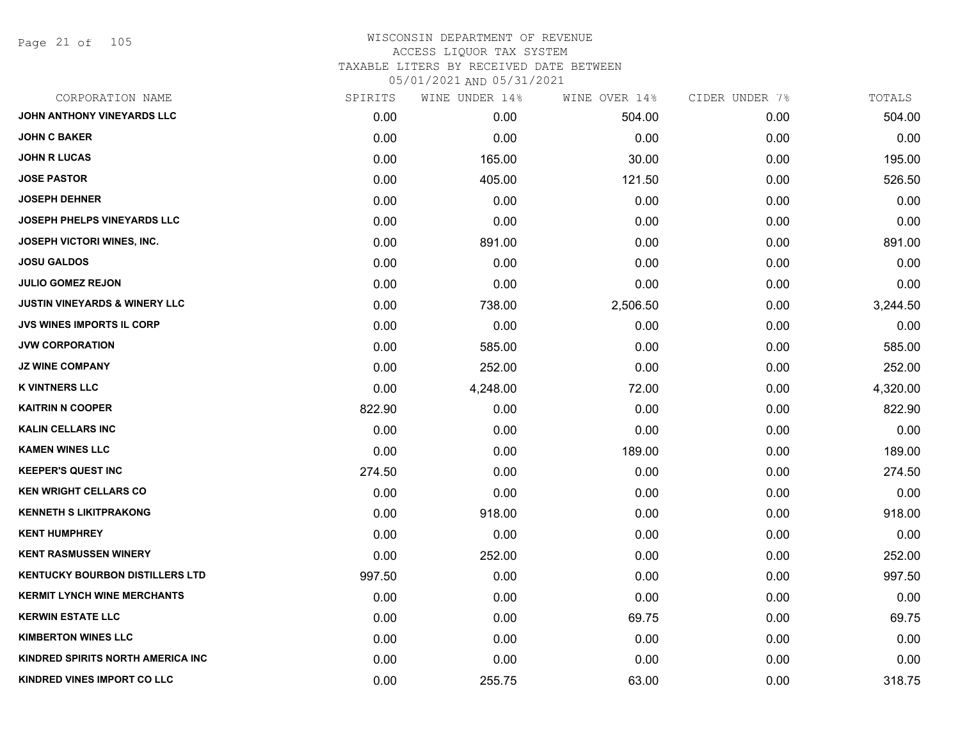Page 21 of 105

## WISCONSIN DEPARTMENT OF REVENUE ACCESS LIQUOR TAX SYSTEM TAXABLE LITERS BY RECEIVED DATE BETWEEN

| CORPORATION NAME                         | SPIRITS | WINE UNDER 14% | WINE OVER 14% | CIDER UNDER 7% | TOTALS   |
|------------------------------------------|---------|----------------|---------------|----------------|----------|
| JOHN ANTHONY VINEYARDS LLC               | 0.00    | 0.00           | 504.00        | 0.00           | 504.00   |
| <b>JOHN C BAKER</b>                      | 0.00    | 0.00           | 0.00          | 0.00           | 0.00     |
| <b>JOHN R LUCAS</b>                      | 0.00    | 165.00         | 30.00         | 0.00           | 195.00   |
| <b>JOSE PASTOR</b>                       | 0.00    | 405.00         | 121.50        | 0.00           | 526.50   |
| <b>JOSEPH DEHNER</b>                     | 0.00    | 0.00           | 0.00          | 0.00           | 0.00     |
| <b>JOSEPH PHELPS VINEYARDS LLC</b>       | 0.00    | 0.00           | 0.00          | 0.00           | 0.00     |
| JOSEPH VICTORI WINES, INC.               | 0.00    | 891.00         | 0.00          | 0.00           | 891.00   |
| <b>JOSU GALDOS</b>                       | 0.00    | 0.00           | 0.00          | 0.00           | 0.00     |
| <b>JULIO GOMEZ REJON</b>                 | 0.00    | 0.00           | 0.00          | 0.00           | 0.00     |
| <b>JUSTIN VINEYARDS &amp; WINERY LLC</b> | 0.00    | 738.00         | 2,506.50      | 0.00           | 3,244.50 |
| JVS WINES IMPORTS IL CORP                | 0.00    | 0.00           | 0.00          | 0.00           | 0.00     |
| <b>JVW CORPORATION</b>                   | 0.00    | 585.00         | 0.00          | 0.00           | 585.00   |
| <b>JZ WINE COMPANY</b>                   | 0.00    | 252.00         | 0.00          | 0.00           | 252.00   |
| <b>K VINTNERS LLC</b>                    | 0.00    | 4,248.00       | 72.00         | 0.00           | 4,320.00 |
| <b>KAITRIN N COOPER</b>                  | 822.90  | 0.00           | 0.00          | 0.00           | 822.90   |
| <b>KALIN CELLARS INC</b>                 | 0.00    | 0.00           | 0.00          | 0.00           | 0.00     |
| <b>KAMEN WINES LLC</b>                   | 0.00    | 0.00           | 189.00        | 0.00           | 189.00   |
| <b>KEEPER'S QUEST INC</b>                | 274.50  | 0.00           | 0.00          | 0.00           | 274.50   |
| <b>KEN WRIGHT CELLARS CO</b>             | 0.00    | 0.00           | 0.00          | 0.00           | 0.00     |
| <b>KENNETH S LIKITPRAKONG</b>            | 0.00    | 918.00         | 0.00          | 0.00           | 918.00   |
| <b>KENT HUMPHREY</b>                     | 0.00    | 0.00           | 0.00          | 0.00           | 0.00     |
| <b>KENT RASMUSSEN WINERY</b>             | 0.00    | 252.00         | 0.00          | 0.00           | 252.00   |
| <b>KENTUCKY BOURBON DISTILLERS LTD</b>   | 997.50  | 0.00           | 0.00          | 0.00           | 997.50   |
| <b>KERMIT LYNCH WINE MERCHANTS</b>       | 0.00    | 0.00           | 0.00          | 0.00           | 0.00     |
| <b>KERWIN ESTATE LLC</b>                 | 0.00    | 0.00           | 69.75         | 0.00           | 69.75    |
| <b>KIMBERTON WINES LLC</b>               | 0.00    | 0.00           | 0.00          | 0.00           | 0.00     |
| KINDRED SPIRITS NORTH AMERICA INC        | 0.00    | 0.00           | 0.00          | 0.00           | 0.00     |
| KINDRED VINES IMPORT CO LLC              | 0.00    | 255.75         | 63.00         | 0.00           | 318.75   |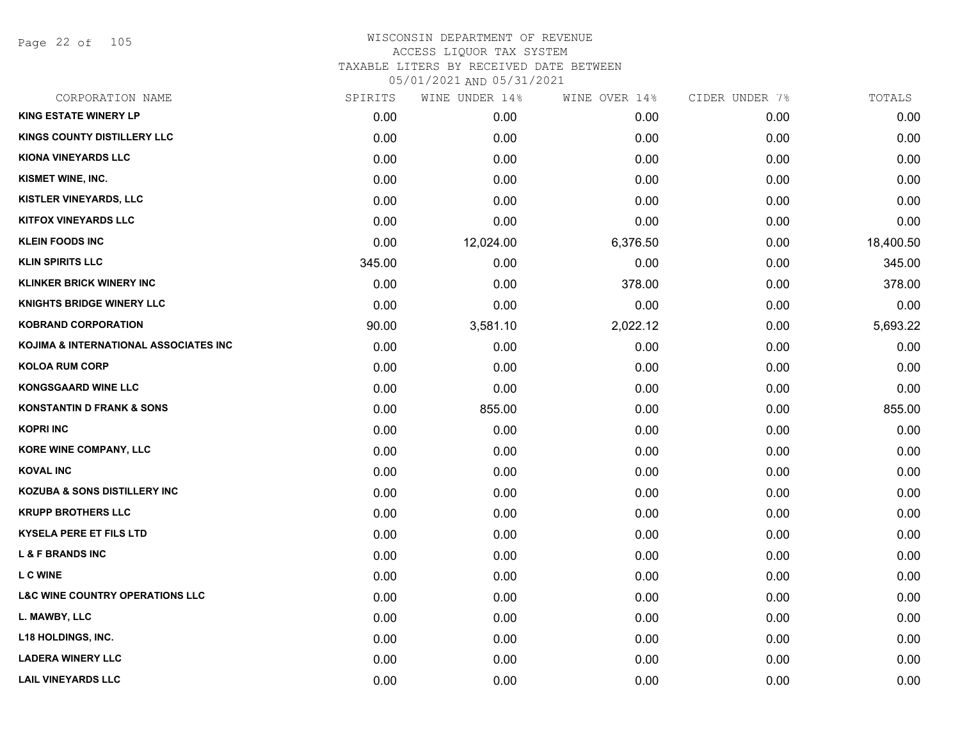Page 22 of 105

| CORPORATION NAME                           | SPIRITS | WINE UNDER 14% | WINE OVER 14% | CIDER UNDER 7% | TOTALS    |
|--------------------------------------------|---------|----------------|---------------|----------------|-----------|
| <b>KING ESTATE WINERY LP</b>               | 0.00    | 0.00           | 0.00          | 0.00           | 0.00      |
| KINGS COUNTY DISTILLERY LLC                | 0.00    | 0.00           | 0.00          | 0.00           | 0.00      |
| <b>KIONA VINEYARDS LLC</b>                 | 0.00    | 0.00           | 0.00          | 0.00           | 0.00      |
| KISMET WINE, INC.                          | 0.00    | 0.00           | 0.00          | 0.00           | 0.00      |
| KISTLER VINEYARDS, LLC                     | 0.00    | 0.00           | 0.00          | 0.00           | 0.00      |
| <b>KITFOX VINEYARDS LLC</b>                | 0.00    | 0.00           | 0.00          | 0.00           | 0.00      |
| <b>KLEIN FOODS INC</b>                     | 0.00    | 12,024.00      | 6,376.50      | 0.00           | 18,400.50 |
| <b>KLIN SPIRITS LLC</b>                    | 345.00  | 0.00           | 0.00          | 0.00           | 345.00    |
| <b>KLINKER BRICK WINERY INC</b>            | 0.00    | 0.00           | 378.00        | 0.00           | 378.00    |
| <b>KNIGHTS BRIDGE WINERY LLC</b>           | 0.00    | 0.00           | 0.00          | 0.00           | 0.00      |
| <b>KOBRAND CORPORATION</b>                 | 90.00   | 3,581.10       | 2,022.12      | 0.00           | 5,693.22  |
| KOJIMA & INTERNATIONAL ASSOCIATES INC      | 0.00    | 0.00           | 0.00          | 0.00           | 0.00      |
| <b>KOLOA RUM CORP</b>                      | 0.00    | 0.00           | 0.00          | 0.00           | 0.00      |
| <b>KONGSGAARD WINE LLC</b>                 | 0.00    | 0.00           | 0.00          | 0.00           | 0.00      |
| <b>KONSTANTIN D FRANK &amp; SONS</b>       | 0.00    | 855.00         | 0.00          | 0.00           | 855.00    |
| <b>KOPRI INC</b>                           | 0.00    | 0.00           | 0.00          | 0.00           | 0.00      |
| KORE WINE COMPANY, LLC                     | 0.00    | 0.00           | 0.00          | 0.00           | 0.00      |
| <b>KOVAL INC</b>                           | 0.00    | 0.00           | 0.00          | 0.00           | 0.00      |
| <b>KOZUBA &amp; SONS DISTILLERY INC</b>    | 0.00    | 0.00           | 0.00          | 0.00           | 0.00      |
| <b>KRUPP BROTHERS LLC</b>                  | 0.00    | 0.00           | 0.00          | 0.00           | 0.00      |
| <b>KYSELA PERE ET FILS LTD</b>             | 0.00    | 0.00           | 0.00          | 0.00           | 0.00      |
| <b>L &amp; F BRANDS INC</b>                | 0.00    | 0.00           | 0.00          | 0.00           | 0.00      |
| <b>LC WINE</b>                             | 0.00    | 0.00           | 0.00          | 0.00           | 0.00      |
| <b>L&amp;C WINE COUNTRY OPERATIONS LLC</b> | 0.00    | 0.00           | 0.00          | 0.00           | 0.00      |
| L. MAWBY, LLC                              | 0.00    | 0.00           | 0.00          | 0.00           | 0.00      |
| <b>L18 HOLDINGS, INC.</b>                  | 0.00    | 0.00           | 0.00          | 0.00           | 0.00      |
| <b>LADERA WINERY LLC</b>                   | 0.00    | 0.00           | 0.00          | 0.00           | 0.00      |
| <b>LAIL VINEYARDS LLC</b>                  | 0.00    | 0.00           | 0.00          | 0.00           | 0.00      |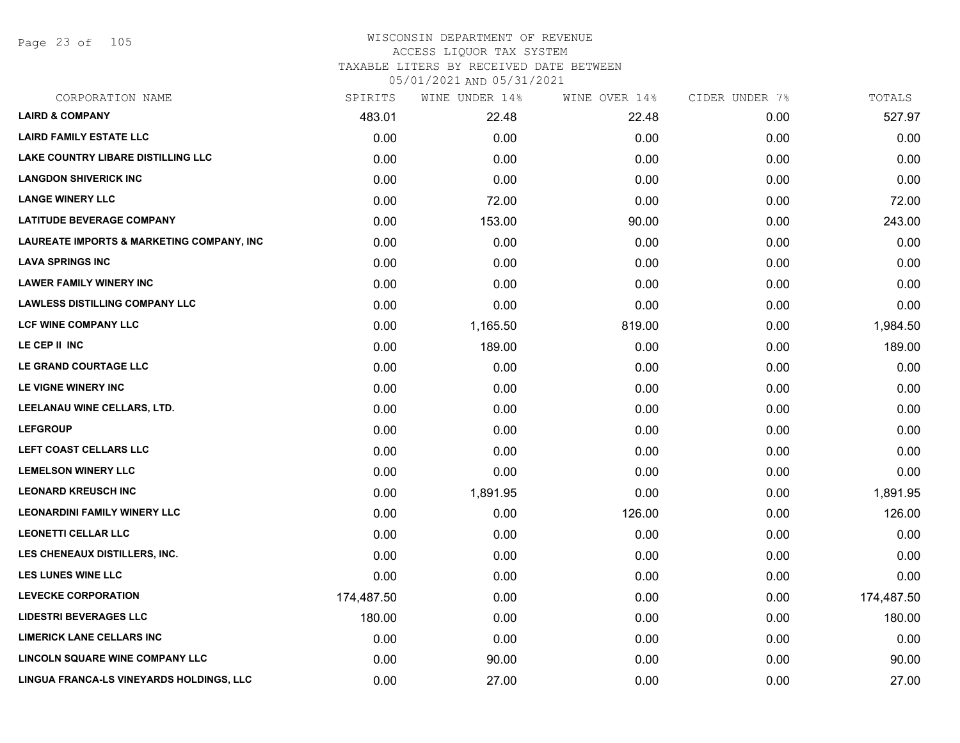Page 23 of 105

## WISCONSIN DEPARTMENT OF REVENUE ACCESS LIQUOR TAX SYSTEM TAXABLE LITERS BY RECEIVED DATE BETWEEN

| CORPORATION NAME                                     | SPIRITS    | WINE UNDER 14% | WINE OVER 14% | CIDER UNDER 7% | TOTALS     |
|------------------------------------------------------|------------|----------------|---------------|----------------|------------|
| <b>LAIRD &amp; COMPANY</b>                           | 483.01     | 22.48          | 22.48         | 0.00           | 527.97     |
| <b>LAIRD FAMILY ESTATE LLC</b>                       | 0.00       | 0.00           | 0.00          | 0.00           | 0.00       |
| <b>LAKE COUNTRY LIBARE DISTILLING LLC</b>            | 0.00       | 0.00           | 0.00          | 0.00           | 0.00       |
| <b>LANGDON SHIVERICK INC</b>                         | 0.00       | 0.00           | 0.00          | 0.00           | 0.00       |
| <b>LANGE WINERY LLC</b>                              | 0.00       | 72.00          | 0.00          | 0.00           | 72.00      |
| <b>LATITUDE BEVERAGE COMPANY</b>                     | 0.00       | 153.00         | 90.00         | 0.00           | 243.00     |
| <b>LAUREATE IMPORTS &amp; MARKETING COMPANY, INC</b> | 0.00       | 0.00           | 0.00          | 0.00           | 0.00       |
| <b>LAVA SPRINGS INC</b>                              | 0.00       | 0.00           | 0.00          | 0.00           | 0.00       |
| <b>LAWER FAMILY WINERY INC</b>                       | 0.00       | 0.00           | 0.00          | 0.00           | 0.00       |
| <b>LAWLESS DISTILLING COMPANY LLC</b>                | 0.00       | 0.00           | 0.00          | 0.00           | 0.00       |
| <b>LCF WINE COMPANY LLC</b>                          | 0.00       | 1,165.50       | 819.00        | 0.00           | 1,984.50   |
| LE CEP II INC                                        | 0.00       | 189.00         | 0.00          | 0.00           | 189.00     |
| LE GRAND COURTAGE LLC                                | 0.00       | 0.00           | 0.00          | 0.00           | 0.00       |
| LE VIGNE WINERY INC                                  | 0.00       | 0.00           | 0.00          | 0.00           | 0.00       |
| LEELANAU WINE CELLARS, LTD.                          | 0.00       | 0.00           | 0.00          | 0.00           | 0.00       |
| <b>LEFGROUP</b>                                      | 0.00       | 0.00           | 0.00          | 0.00           | 0.00       |
| LEFT COAST CELLARS LLC                               | 0.00       | 0.00           | 0.00          | 0.00           | 0.00       |
| <b>LEMELSON WINERY LLC</b>                           | 0.00       | 0.00           | 0.00          | 0.00           | 0.00       |
| <b>LEONARD KREUSCH INC</b>                           | 0.00       | 1,891.95       | 0.00          | 0.00           | 1,891.95   |
| <b>LEONARDINI FAMILY WINERY LLC</b>                  | 0.00       | 0.00           | 126.00        | 0.00           | 126.00     |
| <b>LEONETTI CELLAR LLC</b>                           | 0.00       | 0.00           | 0.00          | 0.00           | 0.00       |
| LES CHENEAUX DISTILLERS, INC.                        | 0.00       | 0.00           | 0.00          | 0.00           | 0.00       |
| <b>LES LUNES WINE LLC</b>                            | 0.00       | 0.00           | 0.00          | 0.00           | 0.00       |
| <b>LEVECKE CORPORATION</b>                           | 174,487.50 | 0.00           | 0.00          | 0.00           | 174,487.50 |
| <b>LIDESTRI BEVERAGES LLC</b>                        | 180.00     | 0.00           | 0.00          | 0.00           | 180.00     |
| <b>LIMERICK LANE CELLARS INC</b>                     | 0.00       | 0.00           | 0.00          | 0.00           | 0.00       |
| LINCOLN SQUARE WINE COMPANY LLC                      | 0.00       | 90.00          | 0.00          | 0.00           | 90.00      |
| LINGUA FRANCA-LS VINEYARDS HOLDINGS, LLC             | 0.00       | 27.00          | 0.00          | 0.00           | 27.00      |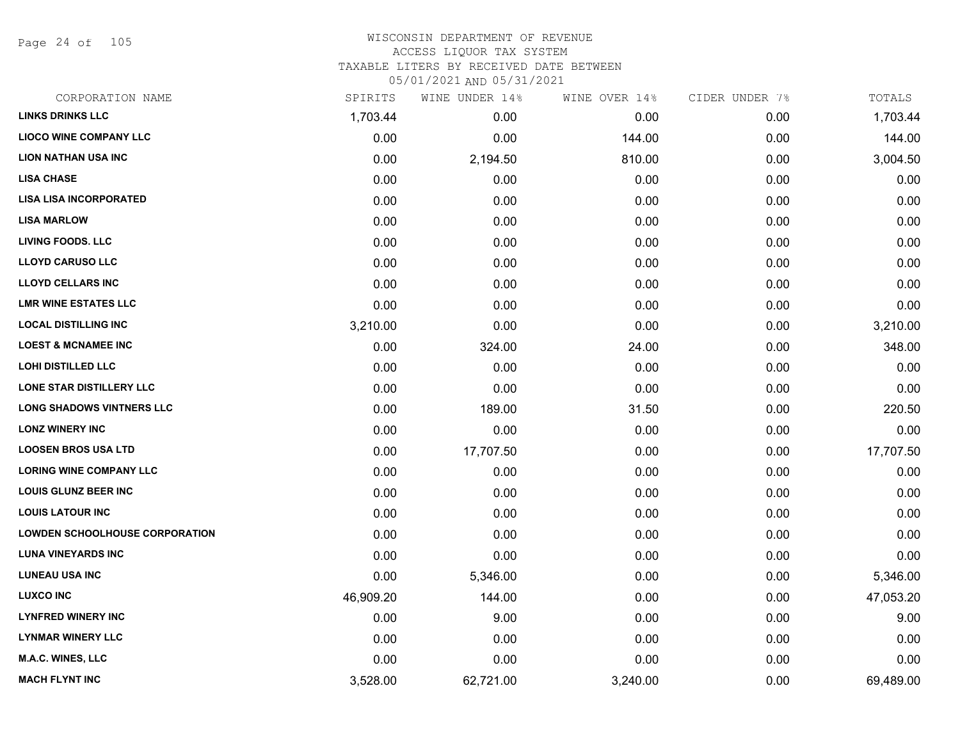Page 24 of 105

| CORPORATION NAME                      | SPIRITS   | WINE UNDER 14% | WINE OVER 14% | CIDER UNDER 7% | TOTALS    |
|---------------------------------------|-----------|----------------|---------------|----------------|-----------|
| <b>LINKS DRINKS LLC</b>               | 1,703.44  | 0.00           | 0.00          | 0.00           | 1,703.44  |
| <b>LIOCO WINE COMPANY LLC</b>         | 0.00      | 0.00           | 144.00        | 0.00           | 144.00    |
| <b>LION NATHAN USA INC</b>            | 0.00      | 2,194.50       | 810.00        | 0.00           | 3,004.50  |
| <b>LISA CHASE</b>                     | 0.00      | 0.00           | 0.00          | 0.00           | 0.00      |
| <b>LISA LISA INCORPORATED</b>         | 0.00      | 0.00           | 0.00          | 0.00           | 0.00      |
| <b>LISA MARLOW</b>                    | 0.00      | 0.00           | 0.00          | 0.00           | 0.00      |
| <b>LIVING FOODS. LLC</b>              | 0.00      | 0.00           | 0.00          | 0.00           | 0.00      |
| <b>LLOYD CARUSO LLC</b>               | 0.00      | 0.00           | 0.00          | 0.00           | 0.00      |
| <b>LLOYD CELLARS INC</b>              | 0.00      | 0.00           | 0.00          | 0.00           | 0.00      |
| <b>LMR WINE ESTATES LLC</b>           | 0.00      | 0.00           | 0.00          | 0.00           | 0.00      |
| <b>LOCAL DISTILLING INC</b>           | 3,210.00  | 0.00           | 0.00          | 0.00           | 3,210.00  |
| <b>LOEST &amp; MCNAMEE INC</b>        | 0.00      | 324.00         | 24.00         | 0.00           | 348.00    |
| <b>LOHI DISTILLED LLC</b>             | 0.00      | 0.00           | 0.00          | 0.00           | 0.00      |
| <b>LONE STAR DISTILLERY LLC</b>       | 0.00      | 0.00           | 0.00          | 0.00           | 0.00      |
| <b>LONG SHADOWS VINTNERS LLC</b>      | 0.00      | 189.00         | 31.50         | 0.00           | 220.50    |
| <b>LONZ WINERY INC</b>                | 0.00      | 0.00           | 0.00          | 0.00           | 0.00      |
| <b>LOOSEN BROS USA LTD</b>            | 0.00      | 17,707.50      | 0.00          | 0.00           | 17,707.50 |
| <b>LORING WINE COMPANY LLC</b>        | 0.00      | 0.00           | 0.00          | 0.00           | 0.00      |
| <b>LOUIS GLUNZ BEER INC</b>           | 0.00      | 0.00           | 0.00          | 0.00           | 0.00      |
| <b>LOUIS LATOUR INC</b>               | 0.00      | 0.00           | 0.00          | 0.00           | 0.00      |
| <b>LOWDEN SCHOOLHOUSE CORPORATION</b> | 0.00      | 0.00           | 0.00          | 0.00           | 0.00      |
| <b>LUNA VINEYARDS INC</b>             | 0.00      | 0.00           | 0.00          | 0.00           | 0.00      |
| <b>LUNEAU USA INC</b>                 | 0.00      | 5,346.00       | 0.00          | 0.00           | 5,346.00  |
| <b>LUXCO INC</b>                      | 46,909.20 | 144.00         | 0.00          | 0.00           | 47,053.20 |
| <b>LYNFRED WINERY INC</b>             | 0.00      | 9.00           | 0.00          | 0.00           | 9.00      |
| <b>LYNMAR WINERY LLC</b>              | 0.00      | 0.00           | 0.00          | 0.00           | 0.00      |
| M.A.C. WINES, LLC                     | 0.00      | 0.00           | 0.00          | 0.00           | 0.00      |
| <b>MACH FLYNT INC</b>                 | 3,528.00  | 62,721.00      | 3,240.00      | 0.00           | 69,489.00 |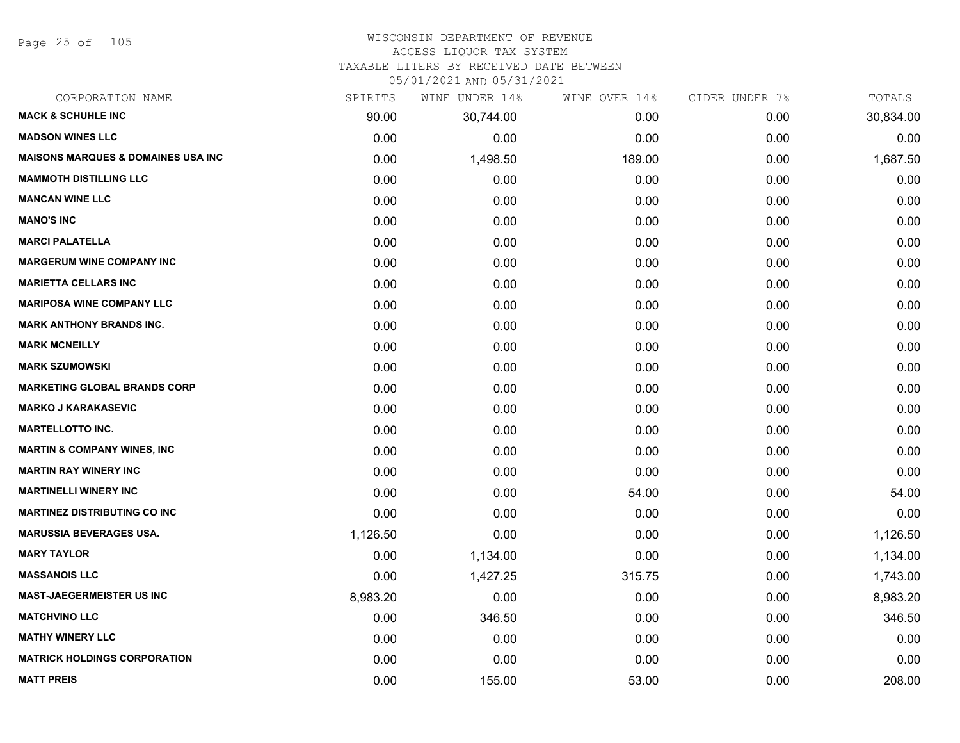Page 25 of 105

# WISCONSIN DEPARTMENT OF REVENUE

# ACCESS LIQUOR TAX SYSTEM

TAXABLE LITERS BY RECEIVED DATE BETWEEN

| CORPORATION NAME                               | SPIRITS  | WINE UNDER 14% | WINE OVER 14% | CIDER UNDER 7% | TOTALS    |
|------------------------------------------------|----------|----------------|---------------|----------------|-----------|
| <b>MACK &amp; SCHUHLE INC</b>                  | 90.00    | 30,744.00      | 0.00          | 0.00           | 30,834.00 |
| <b>MADSON WINES LLC</b>                        | 0.00     | 0.00           | 0.00          | 0.00           | 0.00      |
| <b>MAISONS MARQUES &amp; DOMAINES USA INC.</b> | 0.00     | 1,498.50       | 189.00        | 0.00           | 1,687.50  |
| <b>MAMMOTH DISTILLING LLC</b>                  | 0.00     | 0.00           | 0.00          | 0.00           | 0.00      |
| <b>MANCAN WINE LLC</b>                         | 0.00     | 0.00           | 0.00          | 0.00           | 0.00      |
| <b>MANO'S INC</b>                              | 0.00     | 0.00           | 0.00          | 0.00           | 0.00      |
| <b>MARCI PALATELLA</b>                         | 0.00     | 0.00           | 0.00          | 0.00           | 0.00      |
| <b>MARGERUM WINE COMPANY INC</b>               | 0.00     | 0.00           | 0.00          | 0.00           | 0.00      |
| <b>MARIETTA CELLARS INC</b>                    | 0.00     | 0.00           | 0.00          | 0.00           | 0.00      |
| <b>MARIPOSA WINE COMPANY LLC</b>               | 0.00     | 0.00           | 0.00          | 0.00           | 0.00      |
| <b>MARK ANTHONY BRANDS INC.</b>                | 0.00     | 0.00           | 0.00          | 0.00           | 0.00      |
| <b>MARK MCNEILLY</b>                           | 0.00     | 0.00           | 0.00          | 0.00           | 0.00      |
| <b>MARK SZUMOWSKI</b>                          | 0.00     | 0.00           | 0.00          | 0.00           | 0.00      |
| <b>MARKETING GLOBAL BRANDS CORP</b>            | 0.00     | 0.00           | 0.00          | 0.00           | 0.00      |
| <b>MARKO J KARAKASEVIC</b>                     | 0.00     | 0.00           | 0.00          | 0.00           | 0.00      |
| <b>MARTELLOTTO INC.</b>                        | 0.00     | 0.00           | 0.00          | 0.00           | 0.00      |
| <b>MARTIN &amp; COMPANY WINES, INC</b>         | 0.00     | 0.00           | 0.00          | 0.00           | 0.00      |
| <b>MARTIN RAY WINERY INC</b>                   | 0.00     | 0.00           | 0.00          | 0.00           | 0.00      |
| <b>MARTINELLI WINERY INC</b>                   | 0.00     | 0.00           | 54.00         | 0.00           | 54.00     |
| <b>MARTINEZ DISTRIBUTING CO INC</b>            | 0.00     | 0.00           | 0.00          | 0.00           | 0.00      |
| <b>MARUSSIA BEVERAGES USA.</b>                 | 1,126.50 | 0.00           | 0.00          | 0.00           | 1,126.50  |
| <b>MARY TAYLOR</b>                             | 0.00     | 1,134.00       | 0.00          | 0.00           | 1,134.00  |
| <b>MASSANOIS LLC</b>                           | 0.00     | 1,427.25       | 315.75        | 0.00           | 1,743.00  |
| <b>MAST-JAEGERMEISTER US INC</b>               | 8,983.20 | 0.00           | 0.00          | 0.00           | 8,983.20  |
| <b>MATCHVINO LLC</b>                           | 0.00     | 346.50         | 0.00          | 0.00           | 346.50    |
| <b>MATHY WINERY LLC</b>                        | 0.00     | 0.00           | 0.00          | 0.00           | 0.00      |
| <b>MATRICK HOLDINGS CORPORATION</b>            | 0.00     | 0.00           | 0.00          | 0.00           | 0.00      |
| <b>MATT PREIS</b>                              | 0.00     | 155.00         | 53.00         | 0.00           | 208.00    |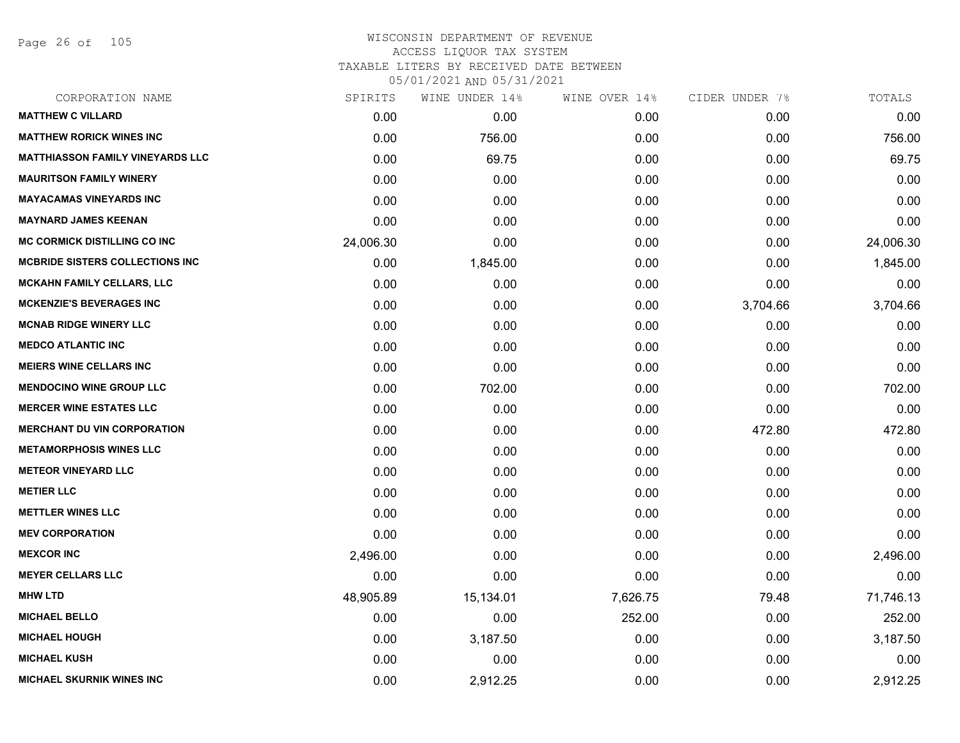Page 26 of 105

| CORPORATION NAME                        | SPIRITS   | WINE UNDER 14% | WINE OVER 14% | CIDER UNDER 7% | TOTALS    |
|-----------------------------------------|-----------|----------------|---------------|----------------|-----------|
| <b>MATTHEW C VILLARD</b>                | 0.00      | 0.00           | 0.00          | 0.00           | 0.00      |
| <b>MATTHEW RORICK WINES INC</b>         | 0.00      | 756.00         | 0.00          | 0.00           | 756.00    |
| <b>MATTHIASSON FAMILY VINEYARDS LLC</b> | 0.00      | 69.75          | 0.00          | 0.00           | 69.75     |
| <b>MAURITSON FAMILY WINERY</b>          | 0.00      | 0.00           | 0.00          | 0.00           | 0.00      |
| <b>MAYACAMAS VINEYARDS INC</b>          | 0.00      | 0.00           | 0.00          | 0.00           | 0.00      |
| <b>MAYNARD JAMES KEENAN</b>             | 0.00      | 0.00           | 0.00          | 0.00           | 0.00      |
| <b>MC CORMICK DISTILLING CO INC</b>     | 24,006.30 | 0.00           | 0.00          | 0.00           | 24,006.30 |
| <b>MCBRIDE SISTERS COLLECTIONS INC</b>  | 0.00      | 1,845.00       | 0.00          | 0.00           | 1,845.00  |
| MCKAHN FAMILY CELLARS, LLC              | 0.00      | 0.00           | 0.00          | 0.00           | 0.00      |
| <b>MCKENZIE'S BEVERAGES INC</b>         | 0.00      | 0.00           | 0.00          | 3,704.66       | 3,704.66  |
| <b>MCNAB RIDGE WINERY LLC</b>           | 0.00      | 0.00           | 0.00          | 0.00           | 0.00      |
| <b>MEDCO ATLANTIC INC</b>               | 0.00      | 0.00           | 0.00          | 0.00           | 0.00      |
| <b>MEIERS WINE CELLARS INC</b>          | 0.00      | 0.00           | 0.00          | 0.00           | 0.00      |
| <b>MENDOCINO WINE GROUP LLC</b>         | 0.00      | 702.00         | 0.00          | 0.00           | 702.00    |
| <b>MERCER WINE ESTATES LLC</b>          | 0.00      | 0.00           | 0.00          | 0.00           | 0.00      |
| <b>MERCHANT DU VIN CORPORATION</b>      | 0.00      | 0.00           | 0.00          | 472.80         | 472.80    |
| <b>METAMORPHOSIS WINES LLC</b>          | 0.00      | 0.00           | 0.00          | 0.00           | 0.00      |
| <b>METEOR VINEYARD LLC</b>              | 0.00      | 0.00           | 0.00          | 0.00           | 0.00      |
| <b>METIER LLC</b>                       | 0.00      | 0.00           | 0.00          | 0.00           | 0.00      |
| <b>METTLER WINES LLC</b>                | 0.00      | 0.00           | 0.00          | 0.00           | 0.00      |
| <b>MEV CORPORATION</b>                  | 0.00      | 0.00           | 0.00          | 0.00           | 0.00      |
| <b>MEXCOR INC</b>                       | 2,496.00  | 0.00           | 0.00          | 0.00           | 2,496.00  |
| <b>MEYER CELLARS LLC</b>                | 0.00      | 0.00           | 0.00          | 0.00           | 0.00      |
| <b>MHW LTD</b>                          | 48,905.89 | 15,134.01      | 7,626.75      | 79.48          | 71,746.13 |
| <b>MICHAEL BELLO</b>                    | 0.00      | 0.00           | 252.00        | 0.00           | 252.00    |
| <b>MICHAEL HOUGH</b>                    | 0.00      | 3,187.50       | 0.00          | 0.00           | 3,187.50  |
| <b>MICHAEL KUSH</b>                     | 0.00      | 0.00           | 0.00          | 0.00           | 0.00      |
| <b>MICHAEL SKURNIK WINES INC</b>        | 0.00      | 2,912.25       | 0.00          | 0.00           | 2,912.25  |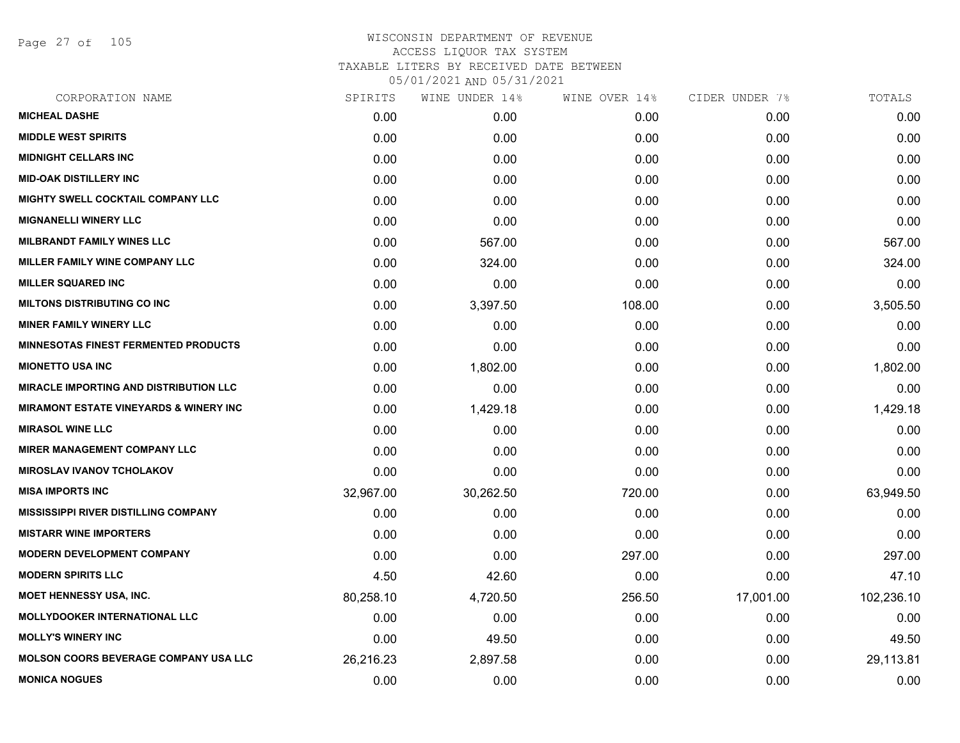Page 27 of 105

| SPIRITS   | WINE UNDER 14% | WINE OVER 14% | CIDER UNDER 7% | TOTALS     |
|-----------|----------------|---------------|----------------|------------|
| 0.00      | 0.00           | 0.00          | 0.00           | 0.00       |
| 0.00      | 0.00           | 0.00          | 0.00           | 0.00       |
| 0.00      | 0.00           | 0.00          | 0.00           | 0.00       |
| 0.00      | 0.00           | 0.00          | 0.00           | 0.00       |
| 0.00      | 0.00           | 0.00          | 0.00           | 0.00       |
| 0.00      | 0.00           | 0.00          | 0.00           | 0.00       |
| 0.00      | 567.00         | 0.00          | 0.00           | 567.00     |
| 0.00      | 324.00         | 0.00          | 0.00           | 324.00     |
| 0.00      | 0.00           | 0.00          | 0.00           | 0.00       |
| 0.00      | 3,397.50       | 108.00        | 0.00           | 3,505.50   |
| 0.00      | 0.00           | 0.00          | 0.00           | 0.00       |
| 0.00      | 0.00           | 0.00          | 0.00           | 0.00       |
| 0.00      | 1,802.00       | 0.00          | 0.00           | 1,802.00   |
| 0.00      | 0.00           | 0.00          | 0.00           | 0.00       |
| 0.00      | 1,429.18       | 0.00          | 0.00           | 1,429.18   |
| 0.00      | 0.00           | 0.00          | 0.00           | 0.00       |
| 0.00      | 0.00           | 0.00          | 0.00           | 0.00       |
| 0.00      | 0.00           | 0.00          | 0.00           | 0.00       |
| 32,967.00 | 30,262.50      | 720.00        | 0.00           | 63,949.50  |
| 0.00      | 0.00           | 0.00          | 0.00           | 0.00       |
| 0.00      | 0.00           | 0.00          | 0.00           | 0.00       |
| 0.00      | 0.00           | 297.00        | 0.00           | 297.00     |
| 4.50      | 42.60          | 0.00          | 0.00           | 47.10      |
| 80,258.10 | 4,720.50       | 256.50        | 17,001.00      | 102,236.10 |
| 0.00      | 0.00           | 0.00          | 0.00           | 0.00       |
| 0.00      | 49.50          | 0.00          | 0.00           | 49.50      |
| 26,216.23 | 2,897.58       | 0.00          | 0.00           | 29,113.81  |
| 0.00      | 0.00           | 0.00          | 0.00           | 0.00       |
|           |                |               |                |            |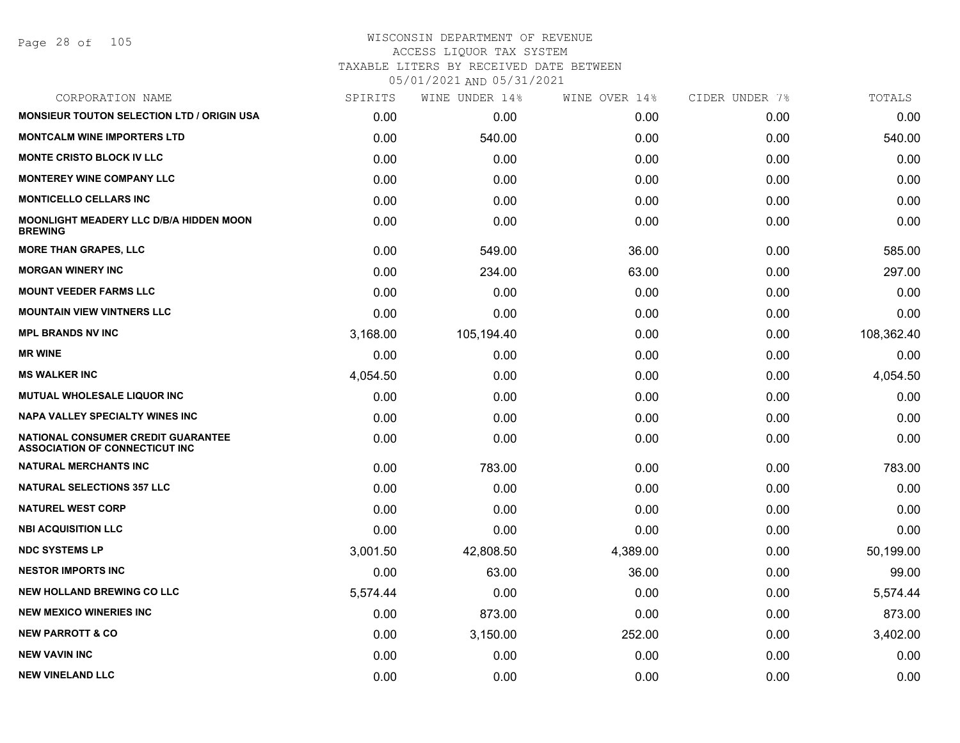Page 28 of 105

#### WISCONSIN DEPARTMENT OF REVENUE ACCESS LIQUOR TAX SYSTEM

TAXABLE LITERS BY RECEIVED DATE BETWEEN

| CORPORATION NAME                                                            | SPIRITS  | WINE UNDER 14% | WINE OVER 14% | CIDER UNDER 7% | TOTALS     |
|-----------------------------------------------------------------------------|----------|----------------|---------------|----------------|------------|
| <b>MONSIEUR TOUTON SELECTION LTD / ORIGIN USA</b>                           | 0.00     | 0.00           | 0.00          | 0.00           | 0.00       |
| <b>MONTCALM WINE IMPORTERS LTD</b>                                          | 0.00     | 540.00         | 0.00          | 0.00           | 540.00     |
| <b>MONTE CRISTO BLOCK IV LLC</b>                                            | 0.00     | 0.00           | 0.00          | 0.00           | 0.00       |
| <b>MONTEREY WINE COMPANY LLC</b>                                            | 0.00     | 0.00           | 0.00          | 0.00           | 0.00       |
| <b>MONTICELLO CELLARS INC</b>                                               | 0.00     | 0.00           | 0.00          | 0.00           | 0.00       |
| MOONLIGHT MEADERY LLC D/B/A HIDDEN MOON<br><b>BREWING</b>                   | 0.00     | 0.00           | 0.00          | 0.00           | 0.00       |
| <b>MORE THAN GRAPES, LLC</b>                                                | 0.00     | 549.00         | 36.00         | 0.00           | 585.00     |
| <b>MORGAN WINERY INC</b>                                                    | 0.00     | 234.00         | 63.00         | 0.00           | 297.00     |
| <b>MOUNT VEEDER FARMS LLC</b>                                               | 0.00     | 0.00           | 0.00          | 0.00           | 0.00       |
| <b>MOUNTAIN VIEW VINTNERS LLC</b>                                           | 0.00     | 0.00           | 0.00          | 0.00           | 0.00       |
| <b>MPL BRANDS NV INC</b>                                                    | 3,168.00 | 105,194.40     | 0.00          | 0.00           | 108,362.40 |
| <b>MR WINE</b>                                                              | 0.00     | 0.00           | 0.00          | 0.00           | 0.00       |
| <b>MS WALKER INC</b>                                                        | 4,054.50 | 0.00           | 0.00          | 0.00           | 4,054.50   |
| MUTUAL WHOLESALE LIQUOR INC                                                 | 0.00     | 0.00           | 0.00          | 0.00           | 0.00       |
| NAPA VALLEY SPECIALTY WINES INC                                             | 0.00     | 0.00           | 0.00          | 0.00           | 0.00       |
| NATIONAL CONSUMER CREDIT GUARANTEE<br><b>ASSOCIATION OF CONNECTICUT INC</b> | 0.00     | 0.00           | 0.00          | 0.00           | 0.00       |
| <b>NATURAL MERCHANTS INC</b>                                                | 0.00     | 783.00         | 0.00          | 0.00           | 783.00     |
| <b>NATURAL SELECTIONS 357 LLC</b>                                           | 0.00     | 0.00           | 0.00          | 0.00           | 0.00       |
| <b>NATUREL WEST CORP</b>                                                    | 0.00     | 0.00           | 0.00          | 0.00           | 0.00       |
| <b>NBI ACQUISITION LLC</b>                                                  | 0.00     | 0.00           | 0.00          | 0.00           | 0.00       |
| <b>NDC SYSTEMS LP</b>                                                       | 3,001.50 | 42,808.50      | 4,389.00      | 0.00           | 50,199.00  |
| <b>NESTOR IMPORTS INC</b>                                                   | 0.00     | 63.00          | 36.00         | 0.00           | 99.00      |
| <b>NEW HOLLAND BREWING CO LLC</b>                                           | 5,574.44 | 0.00           | 0.00          | 0.00           | 5,574.44   |
| <b>NEW MEXICO WINERIES INC</b>                                              | 0.00     | 873.00         | 0.00          | 0.00           | 873.00     |
| <b>NEW PARROTT &amp; CO</b>                                                 | 0.00     | 3,150.00       | 252.00        | 0.00           | 3,402.00   |
| <b>NEW VAVIN INC</b>                                                        | 0.00     | 0.00           | 0.00          | 0.00           | 0.00       |
| <b>NEW VINELAND LLC</b>                                                     | 0.00     | 0.00           | 0.00          | 0.00           | 0.00       |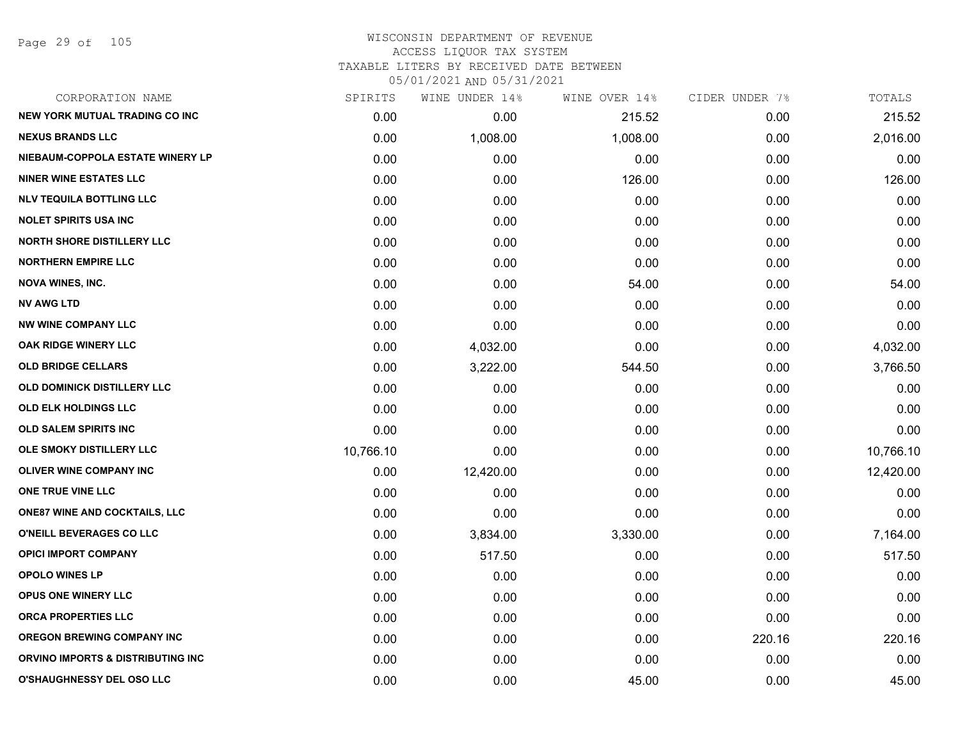Page 29 of 105

| CORPORATION NAME                      | SPIRITS   | WINE UNDER 14% | WINE OVER 14% | CIDER UNDER 7% | TOTALS    |
|---------------------------------------|-----------|----------------|---------------|----------------|-----------|
| <b>NEW YORK MUTUAL TRADING CO INC</b> | 0.00      | 0.00           | 215.52        | 0.00           | 215.52    |
| <b>NEXUS BRANDS LLC</b>               | 0.00      | 1,008.00       | 1,008.00      | 0.00           | 2,016.00  |
| NIEBAUM-COPPOLA ESTATE WINERY LP      | 0.00      | 0.00           | 0.00          | 0.00           | 0.00      |
| <b>NINER WINE ESTATES LLC</b>         | 0.00      | 0.00           | 126.00        | 0.00           | 126.00    |
| <b>NLV TEQUILA BOTTLING LLC</b>       | 0.00      | 0.00           | 0.00          | 0.00           | 0.00      |
| <b>NOLET SPIRITS USA INC</b>          | 0.00      | 0.00           | 0.00          | 0.00           | 0.00      |
| <b>NORTH SHORE DISTILLERY LLC</b>     | 0.00      | 0.00           | 0.00          | 0.00           | 0.00      |
| <b>NORTHERN EMPIRE LLC</b>            | 0.00      | 0.00           | 0.00          | 0.00           | 0.00      |
| <b>NOVA WINES, INC.</b>               | 0.00      | 0.00           | 54.00         | 0.00           | 54.00     |
| <b>NV AWG LTD</b>                     | 0.00      | 0.00           | 0.00          | 0.00           | 0.00      |
| <b>NW WINE COMPANY LLC</b>            | 0.00      | 0.00           | 0.00          | 0.00           | 0.00      |
| OAK RIDGE WINERY LLC                  | 0.00      | 4,032.00       | 0.00          | 0.00           | 4,032.00  |
| <b>OLD BRIDGE CELLARS</b>             | 0.00      | 3,222.00       | 544.50        | 0.00           | 3,766.50  |
| OLD DOMINICK DISTILLERY LLC           | 0.00      | 0.00           | 0.00          | 0.00           | 0.00      |
| <b>OLD ELK HOLDINGS LLC</b>           | 0.00      | 0.00           | 0.00          | 0.00           | 0.00      |
| <b>OLD SALEM SPIRITS INC</b>          | 0.00      | 0.00           | 0.00          | 0.00           | 0.00      |
| OLE SMOKY DISTILLERY LLC              | 10,766.10 | 0.00           | 0.00          | 0.00           | 10,766.10 |
| <b>OLIVER WINE COMPANY INC</b>        | 0.00      | 12,420.00      | 0.00          | 0.00           | 12,420.00 |
| ONE TRUE VINE LLC                     | 0.00      | 0.00           | 0.00          | 0.00           | 0.00      |
| <b>ONE87 WINE AND COCKTAILS, LLC</b>  | 0.00      | 0.00           | 0.00          | 0.00           | 0.00      |
| O'NEILL BEVERAGES CO LLC              | 0.00      | 3,834.00       | 3,330.00      | 0.00           | 7,164.00  |
| <b>OPICI IMPORT COMPANY</b>           | 0.00      | 517.50         | 0.00          | 0.00           | 517.50    |
| <b>OPOLO WINES LP</b>                 | 0.00      | 0.00           | 0.00          | 0.00           | 0.00      |
| <b>OPUS ONE WINERY LLC</b>            | 0.00      | 0.00           | 0.00          | 0.00           | 0.00      |
| <b>ORCA PROPERTIES LLC</b>            | 0.00      | 0.00           | 0.00          | 0.00           | 0.00      |
| <b>OREGON BREWING COMPANY INC</b>     | 0.00      | 0.00           | 0.00          | 220.16         | 220.16    |
| ORVINO IMPORTS & DISTRIBUTING INC     | 0.00      | 0.00           | 0.00          | 0.00           | 0.00      |
| <b>O'SHAUGHNESSY DEL OSO LLC</b>      | 0.00      | 0.00           | 45.00         | 0.00           | 45.00     |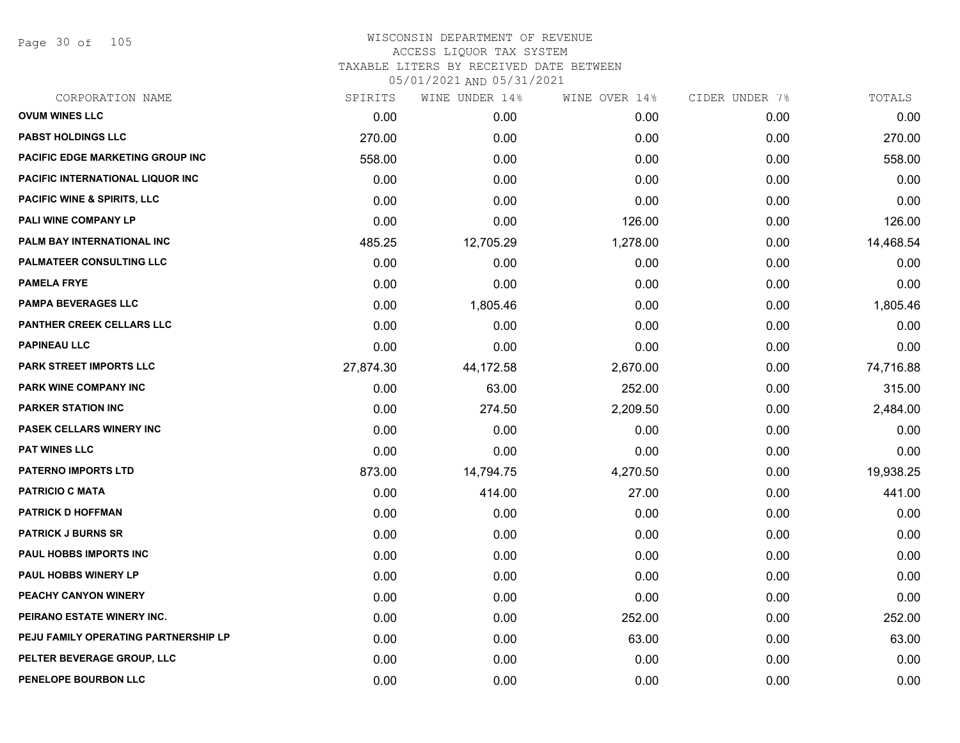Page 30 of 105

| CORPORATION NAME                       | SPIRITS   | WINE UNDER 14% | WINE OVER 14% | CIDER UNDER 7% | TOTALS    |
|----------------------------------------|-----------|----------------|---------------|----------------|-----------|
| <b>OVUM WINES LLC</b>                  | 0.00      | 0.00           | 0.00          | 0.00           | 0.00      |
| <b>PABST HOLDINGS LLC</b>              | 270.00    | 0.00           | 0.00          | 0.00           | 270.00    |
| PACIFIC EDGE MARKETING GROUP INC       | 558.00    | 0.00           | 0.00          | 0.00           | 558.00    |
| PACIFIC INTERNATIONAL LIQUOR INC       | 0.00      | 0.00           | 0.00          | 0.00           | 0.00      |
| <b>PACIFIC WINE &amp; SPIRITS, LLC</b> | 0.00      | 0.00           | 0.00          | 0.00           | 0.00      |
| PALI WINE COMPANY LP                   | 0.00      | 0.00           | 126.00        | 0.00           | 126.00    |
| PALM BAY INTERNATIONAL INC             | 485.25    | 12,705.29      | 1,278.00      | 0.00           | 14,468.54 |
| PALMATEER CONSULTING LLC               | 0.00      | 0.00           | 0.00          | 0.00           | 0.00      |
| <b>PAMELA FRYE</b>                     | 0.00      | 0.00           | 0.00          | 0.00           | 0.00      |
| <b>PAMPA BEVERAGES LLC</b>             | 0.00      | 1,805.46       | 0.00          | 0.00           | 1,805.46  |
| <b>PANTHER CREEK CELLARS LLC</b>       | 0.00      | 0.00           | 0.00          | 0.00           | 0.00      |
| <b>PAPINEAU LLC</b>                    | 0.00      | 0.00           | 0.00          | 0.00           | 0.00      |
| <b>PARK STREET IMPORTS LLC</b>         | 27,874.30 | 44,172.58      | 2,670.00      | 0.00           | 74,716.88 |
| PARK WINE COMPANY INC                  | 0.00      | 63.00          | 252.00        | 0.00           | 315.00    |
| <b>PARKER STATION INC</b>              | 0.00      | 274.50         | 2,209.50      | 0.00           | 2,484.00  |
| <b>PASEK CELLARS WINERY INC</b>        | 0.00      | 0.00           | 0.00          | 0.00           | 0.00      |
| <b>PAT WINES LLC</b>                   | 0.00      | 0.00           | 0.00          | 0.00           | 0.00      |
| <b>PATERNO IMPORTS LTD</b>             | 873.00    | 14,794.75      | 4,270.50      | 0.00           | 19,938.25 |
| <b>PATRICIO C MATA</b>                 | 0.00      | 414.00         | 27.00         | 0.00           | 441.00    |
| <b>PATRICK D HOFFMAN</b>               | 0.00      | 0.00           | 0.00          | 0.00           | 0.00      |
| <b>PATRICK J BURNS SR</b>              | 0.00      | 0.00           | 0.00          | 0.00           | 0.00      |
| <b>PAUL HOBBS IMPORTS INC</b>          | 0.00      | 0.00           | 0.00          | 0.00           | 0.00      |
| <b>PAUL HOBBS WINERY LP</b>            | 0.00      | 0.00           | 0.00          | 0.00           | 0.00      |
| PEACHY CANYON WINERY                   | 0.00      | 0.00           | 0.00          | 0.00           | 0.00      |
| PEIRANO ESTATE WINERY INC.             | 0.00      | 0.00           | 252.00        | 0.00           | 252.00    |
| PEJU FAMILY OPERATING PARTNERSHIP LP   | 0.00      | 0.00           | 63.00         | 0.00           | 63.00     |
| PELTER BEVERAGE GROUP, LLC             | 0.00      | 0.00           | 0.00          | 0.00           | 0.00      |
| PENELOPE BOURBON LLC                   | 0.00      | 0.00           | 0.00          | 0.00           | 0.00      |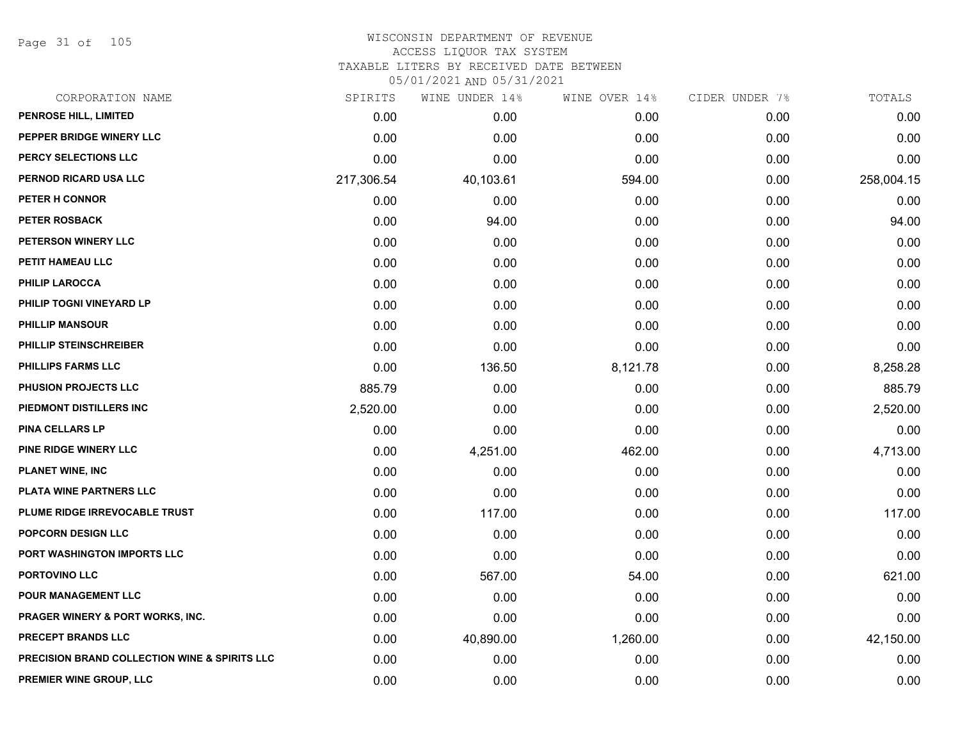Page 31 of 105

## WISCONSIN DEPARTMENT OF REVENUE ACCESS LIQUOR TAX SYSTEM

TAXABLE LITERS BY RECEIVED DATE BETWEEN

| CORPORATION NAME                                         | SPIRITS    | WINE UNDER 14% | WINE OVER 14% | CIDER UNDER 7% | TOTALS     |
|----------------------------------------------------------|------------|----------------|---------------|----------------|------------|
| PENROSE HILL, LIMITED                                    | 0.00       | 0.00           | 0.00          | 0.00           | 0.00       |
| PEPPER BRIDGE WINERY LLC                                 | 0.00       | 0.00           | 0.00          | 0.00           | 0.00       |
| PERCY SELECTIONS LLC                                     | 0.00       | 0.00           | 0.00          | 0.00           | 0.00       |
| PERNOD RICARD USA LLC                                    | 217,306.54 | 40,103.61      | 594.00        | 0.00           | 258,004.15 |
| PETER H CONNOR                                           | 0.00       | 0.00           | 0.00          | 0.00           | 0.00       |
| <b>PETER ROSBACK</b>                                     | 0.00       | 94.00          | 0.00          | 0.00           | 94.00      |
| PETERSON WINERY LLC                                      | 0.00       | 0.00           | 0.00          | 0.00           | 0.00       |
| PETIT HAMEAU LLC                                         | 0.00       | 0.00           | 0.00          | 0.00           | 0.00       |
| <b>PHILIP LAROCCA</b>                                    | 0.00       | 0.00           | 0.00          | 0.00           | 0.00       |
| PHILIP TOGNI VINEYARD LP                                 | 0.00       | 0.00           | 0.00          | 0.00           | 0.00       |
| <b>PHILLIP MANSOUR</b>                                   | 0.00       | 0.00           | 0.00          | 0.00           | 0.00       |
| PHILLIP STEINSCHREIBER                                   | 0.00       | 0.00           | 0.00          | 0.00           | 0.00       |
| <b>PHILLIPS FARMS LLC</b>                                | 0.00       | 136.50         | 8,121.78      | 0.00           | 8,258.28   |
| <b>PHUSION PROJECTS LLC</b>                              | 885.79     | 0.00           | 0.00          | 0.00           | 885.79     |
| PIEDMONT DISTILLERS INC                                  | 2,520.00   | 0.00           | 0.00          | 0.00           | 2,520.00   |
| <b>PINA CELLARS LP</b>                                   | 0.00       | 0.00           | 0.00          | 0.00           | 0.00       |
| <b>PINE RIDGE WINERY LLC</b>                             | 0.00       | 4,251.00       | 462.00        | 0.00           | 4,713.00   |
| <b>PLANET WINE, INC</b>                                  | 0.00       | 0.00           | 0.00          | 0.00           | 0.00       |
| PLATA WINE PARTNERS LLC                                  | 0.00       | 0.00           | 0.00          | 0.00           | 0.00       |
| PLUME RIDGE IRREVOCABLE TRUST                            | 0.00       | 117.00         | 0.00          | 0.00           | 117.00     |
| <b>POPCORN DESIGN LLC</b>                                | 0.00       | 0.00           | 0.00          | 0.00           | 0.00       |
| PORT WASHINGTON IMPORTS LLC                              | 0.00       | 0.00           | 0.00          | 0.00           | 0.00       |
| PORTOVINO LLC                                            | 0.00       | 567.00         | 54.00         | 0.00           | 621.00     |
| POUR MANAGEMENT LLC                                      | 0.00       | 0.00           | 0.00          | 0.00           | 0.00       |
| <b>PRAGER WINERY &amp; PORT WORKS, INC.</b>              | 0.00       | 0.00           | 0.00          | 0.00           | 0.00       |
| <b>PRECEPT BRANDS LLC</b>                                | 0.00       | 40,890.00      | 1,260.00      | 0.00           | 42,150.00  |
| <b>PRECISION BRAND COLLECTION WINE &amp; SPIRITS LLC</b> | 0.00       | 0.00           | 0.00          | 0.00           | 0.00       |
| PREMIER WINE GROUP, LLC                                  | 0.00       | 0.00           | 0.00          | 0.00           | 0.00       |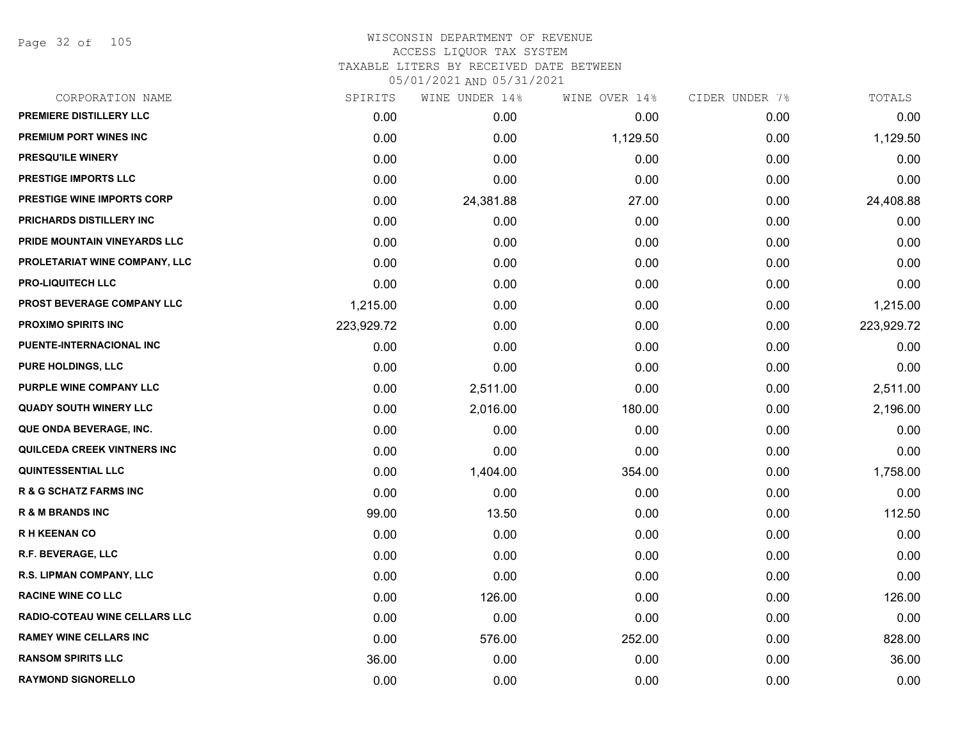Page 32 of 105

| CORPORATION NAME                     | SPIRITS    | WINE UNDER 14% | WINE OVER 14% | CIDER UNDER 7% | TOTALS     |
|--------------------------------------|------------|----------------|---------------|----------------|------------|
| PREMIERE DISTILLERY LLC              | 0.00       | 0.00           | 0.00          | 0.00           | 0.00       |
| PREMIUM PORT WINES INC               | 0.00       | 0.00           | 1,129.50      | 0.00           | 1,129.50   |
| PRESQU'ILE WINERY                    | 0.00       | 0.00           | 0.00          | 0.00           | 0.00       |
| PRESTIGE IMPORTS LLC                 | 0.00       | 0.00           | 0.00          | 0.00           | 0.00       |
| <b>PRESTIGE WINE IMPORTS CORP</b>    | 0.00       | 24,381.88      | 27.00         | 0.00           | 24,408.88  |
| PRICHARDS DISTILLERY INC             | 0.00       | 0.00           | 0.00          | 0.00           | 0.00       |
| PRIDE MOUNTAIN VINEYARDS LLC         | 0.00       | 0.00           | 0.00          | 0.00           | 0.00       |
| PROLETARIAT WINE COMPANY, LLC        | 0.00       | 0.00           | 0.00          | 0.00           | 0.00       |
| <b>PRO-LIQUITECH LLC</b>             | 0.00       | 0.00           | 0.00          | 0.00           | 0.00       |
| PROST BEVERAGE COMPANY LLC           | 1,215.00   | 0.00           | 0.00          | 0.00           | 1,215.00   |
| <b>PROXIMO SPIRITS INC</b>           | 223,929.72 | 0.00           | 0.00          | 0.00           | 223,929.72 |
| PUENTE-INTERNACIONAL INC             | 0.00       | 0.00           | 0.00          | 0.00           | 0.00       |
| PURE HOLDINGS, LLC                   | 0.00       | 0.00           | 0.00          | 0.00           | 0.00       |
| PURPLE WINE COMPANY LLC              | 0.00       | 2,511.00       | 0.00          | 0.00           | 2,511.00   |
| <b>QUADY SOUTH WINERY LLC</b>        | 0.00       | 2,016.00       | 180.00        | 0.00           | 2,196.00   |
| QUE ONDA BEVERAGE, INC.              | 0.00       | 0.00           | 0.00          | 0.00           | 0.00       |
| <b>QUILCEDA CREEK VINTNERS INC</b>   | 0.00       | 0.00           | 0.00          | 0.00           | 0.00       |
| <b>QUINTESSENTIAL LLC</b>            | 0.00       | 1,404.00       | 354.00        | 0.00           | 1,758.00   |
| <b>R &amp; G SCHATZ FARMS INC</b>    | 0.00       | 0.00           | 0.00          | 0.00           | 0.00       |
| <b>R &amp; M BRANDS INC</b>          | 99.00      | 13.50          | 0.00          | 0.00           | 112.50     |
| <b>RH KEENAN CO</b>                  | 0.00       | 0.00           | 0.00          | 0.00           | 0.00       |
| R.F. BEVERAGE, LLC                   | 0.00       | 0.00           | 0.00          | 0.00           | 0.00       |
| R.S. LIPMAN COMPANY, LLC             | 0.00       | 0.00           | 0.00          | 0.00           | 0.00       |
| <b>RACINE WINE CO LLC</b>            | 0.00       | 126.00         | 0.00          | 0.00           | 126.00     |
| <b>RADIO-COTEAU WINE CELLARS LLC</b> | 0.00       | 0.00           | 0.00          | 0.00           | 0.00       |
| <b>RAMEY WINE CELLARS INC</b>        | 0.00       | 576.00         | 252.00        | 0.00           | 828.00     |
| <b>RANSOM SPIRITS LLC</b>            | 36.00      | 0.00           | 0.00          | 0.00           | 36.00      |
| <b>RAYMOND SIGNORELLO</b>            | 0.00       | 0.00           | 0.00          | 0.00           | 0.00       |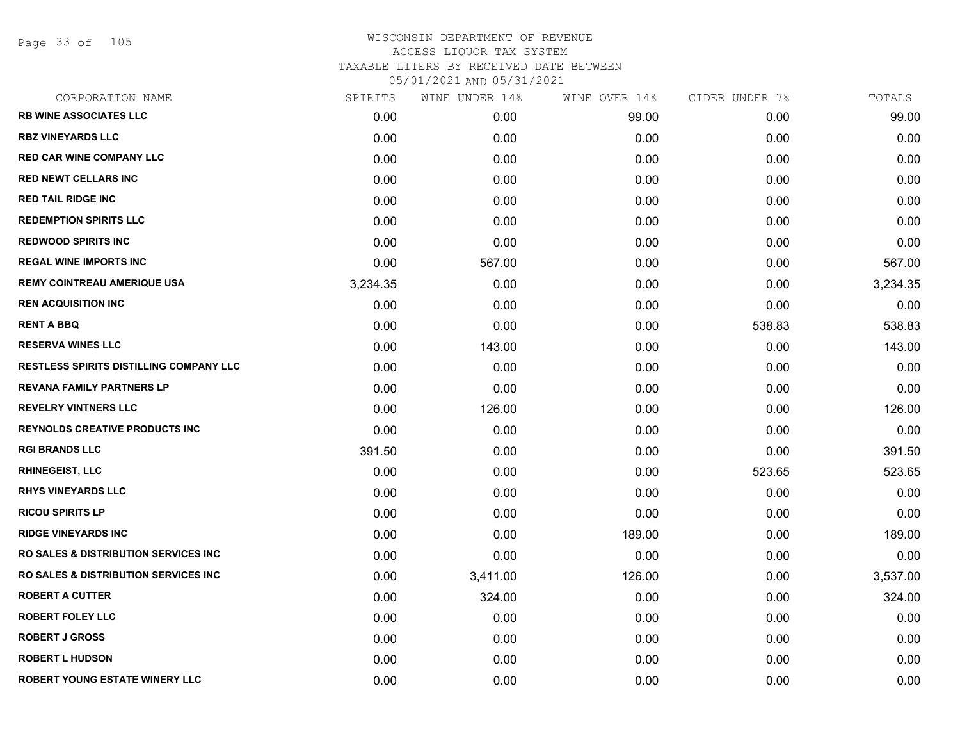Page 33 of 105

| CORPORATION NAME                                 | SPIRITS  | WINE UNDER 14% | WINE OVER 14% | CIDER UNDER 7% | TOTALS   |
|--------------------------------------------------|----------|----------------|---------------|----------------|----------|
| <b>RB WINE ASSOCIATES LLC</b>                    | 0.00     | 0.00           | 99.00         | 0.00           | 99.00    |
| <b>RBZ VINEYARDS LLC</b>                         | 0.00     | 0.00           | 0.00          | 0.00           | 0.00     |
| <b>RED CAR WINE COMPANY LLC</b>                  | 0.00     | 0.00           | 0.00          | 0.00           | 0.00     |
| <b>RED NEWT CELLARS INC</b>                      | 0.00     | 0.00           | 0.00          | 0.00           | 0.00     |
| <b>RED TAIL RIDGE INC</b>                        | 0.00     | 0.00           | 0.00          | 0.00           | 0.00     |
| <b>REDEMPTION SPIRITS LLC</b>                    | 0.00     | 0.00           | 0.00          | 0.00           | 0.00     |
| <b>REDWOOD SPIRITS INC</b>                       | 0.00     | 0.00           | 0.00          | 0.00           | 0.00     |
| <b>REGAL WINE IMPORTS INC</b>                    | 0.00     | 567.00         | 0.00          | 0.00           | 567.00   |
| <b>REMY COINTREAU AMERIQUE USA</b>               | 3,234.35 | 0.00           | 0.00          | 0.00           | 3,234.35 |
| <b>REN ACQUISITION INC</b>                       | 0.00     | 0.00           | 0.00          | 0.00           | 0.00     |
| <b>RENT A BBQ</b>                                | 0.00     | 0.00           | 0.00          | 538.83         | 538.83   |
| <b>RESERVA WINES LLC</b>                         | 0.00     | 143.00         | 0.00          | 0.00           | 143.00   |
| <b>RESTLESS SPIRITS DISTILLING COMPANY LLC</b>   | 0.00     | 0.00           | 0.00          | 0.00           | 0.00     |
| <b>REVANA FAMILY PARTNERS LP</b>                 | 0.00     | 0.00           | 0.00          | 0.00           | 0.00     |
| <b>REVELRY VINTNERS LLC</b>                      | 0.00     | 126.00         | 0.00          | 0.00           | 126.00   |
| <b>REYNOLDS CREATIVE PRODUCTS INC</b>            | 0.00     | 0.00           | 0.00          | 0.00           | 0.00     |
| <b>RGI BRANDS LLC</b>                            | 391.50   | 0.00           | 0.00          | 0.00           | 391.50   |
| <b>RHINEGEIST, LLC</b>                           | 0.00     | 0.00           | 0.00          | 523.65         | 523.65   |
| <b>RHYS VINEYARDS LLC</b>                        | 0.00     | 0.00           | 0.00          | 0.00           | 0.00     |
| <b>RICOU SPIRITS LP</b>                          | 0.00     | 0.00           | 0.00          | 0.00           | 0.00     |
| <b>RIDGE VINEYARDS INC</b>                       | 0.00     | 0.00           | 189.00        | 0.00           | 189.00   |
| <b>RO SALES &amp; DISTRIBUTION SERVICES INC.</b> | 0.00     | 0.00           | 0.00          | 0.00           | 0.00     |
| <b>RO SALES &amp; DISTRIBUTION SERVICES INC.</b> | 0.00     | 3,411.00       | 126.00        | 0.00           | 3,537.00 |
| <b>ROBERT A CUTTER</b>                           | 0.00     | 324.00         | 0.00          | 0.00           | 324.00   |
| <b>ROBERT FOLEY LLC</b>                          | 0.00     | 0.00           | 0.00          | 0.00           | 0.00     |
| <b>ROBERT J GROSS</b>                            | 0.00     | 0.00           | 0.00          | 0.00           | 0.00     |
| <b>ROBERT L HUDSON</b>                           | 0.00     | 0.00           | 0.00          | 0.00           | 0.00     |
| ROBERT YOUNG ESTATE WINERY LLC                   | 0.00     | 0.00           | 0.00          | 0.00           | 0.00     |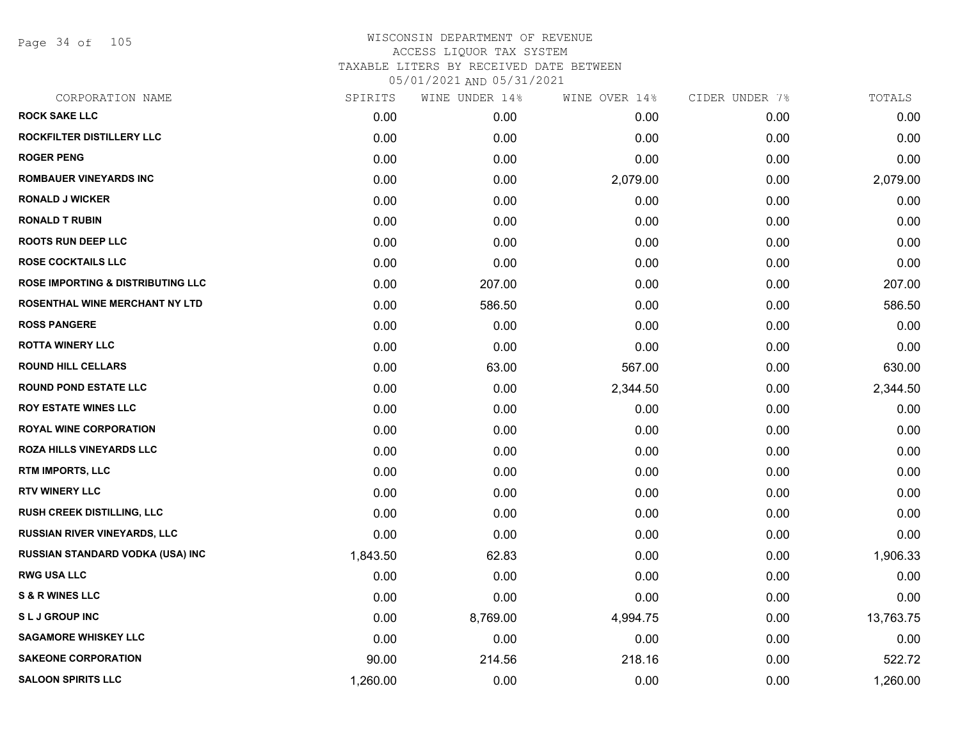Page 34 of 105

| CORPORATION NAME                             | SPIRITS  | WINE UNDER 14% | WINE OVER 14% | CIDER UNDER 7% | TOTALS    |
|----------------------------------------------|----------|----------------|---------------|----------------|-----------|
| <b>ROCK SAKE LLC</b>                         | 0.00     | 0.00           | 0.00          | 0.00           | 0.00      |
| ROCKFILTER DISTILLERY LLC                    | 0.00     | 0.00           | 0.00          | 0.00           | 0.00      |
| <b>ROGER PENG</b>                            | 0.00     | 0.00           | 0.00          | 0.00           | 0.00      |
| <b>ROMBAUER VINEYARDS INC</b>                | 0.00     | 0.00           | 2,079.00      | 0.00           | 2,079.00  |
| <b>RONALD J WICKER</b>                       | 0.00     | 0.00           | 0.00          | 0.00           | 0.00      |
| <b>RONALD T RUBIN</b>                        | 0.00     | 0.00           | 0.00          | 0.00           | 0.00      |
| <b>ROOTS RUN DEEP LLC</b>                    | 0.00     | 0.00           | 0.00          | 0.00           | 0.00      |
| <b>ROSE COCKTAILS LLC</b>                    | 0.00     | 0.00           | 0.00          | 0.00           | 0.00      |
| <b>ROSE IMPORTING &amp; DISTRIBUTING LLC</b> | 0.00     | 207.00         | 0.00          | 0.00           | 207.00    |
| ROSENTHAL WINE MERCHANT NY LTD               | 0.00     | 586.50         | 0.00          | 0.00           | 586.50    |
| <b>ROSS PANGERE</b>                          | 0.00     | 0.00           | 0.00          | 0.00           | 0.00      |
| <b>ROTTA WINERY LLC</b>                      | 0.00     | 0.00           | 0.00          | 0.00           | 0.00      |
| <b>ROUND HILL CELLARS</b>                    | 0.00     | 63.00          | 567.00        | 0.00           | 630.00    |
| <b>ROUND POND ESTATE LLC</b>                 | 0.00     | 0.00           | 2,344.50      | 0.00           | 2,344.50  |
| <b>ROY ESTATE WINES LLC</b>                  | 0.00     | 0.00           | 0.00          | 0.00           | 0.00      |
| <b>ROYAL WINE CORPORATION</b>                | 0.00     | 0.00           | 0.00          | 0.00           | 0.00      |
| <b>ROZA HILLS VINEYARDS LLC</b>              | 0.00     | 0.00           | 0.00          | 0.00           | 0.00      |
| RTM IMPORTS, LLC                             | 0.00     | 0.00           | 0.00          | 0.00           | 0.00      |
| <b>RTV WINERY LLC</b>                        | 0.00     | 0.00           | 0.00          | 0.00           | 0.00      |
| RUSH CREEK DISTILLING, LLC                   | 0.00     | 0.00           | 0.00          | 0.00           | 0.00      |
| <b>RUSSIAN RIVER VINEYARDS, LLC</b>          | 0.00     | 0.00           | 0.00          | 0.00           | 0.00      |
| RUSSIAN STANDARD VODKA (USA) INC             | 1,843.50 | 62.83          | 0.00          | 0.00           | 1,906.33  |
| <b>RWG USA LLC</b>                           | 0.00     | 0.00           | 0.00          | 0.00           | 0.00      |
| <b>S &amp; R WINES LLC</b>                   | 0.00     | 0.00           | 0.00          | 0.00           | 0.00      |
| <b>SLJ GROUP INC</b>                         | 0.00     | 8,769.00       | 4,994.75      | 0.00           | 13,763.75 |
| <b>SAGAMORE WHISKEY LLC</b>                  | 0.00     | 0.00           | 0.00          | 0.00           | 0.00      |
| <b>SAKEONE CORPORATION</b>                   | 90.00    | 214.56         | 218.16        | 0.00           | 522.72    |
| <b>SALOON SPIRITS LLC</b>                    | 1,260.00 | 0.00           | 0.00          | 0.00           | 1,260.00  |
|                                              |          |                |               |                |           |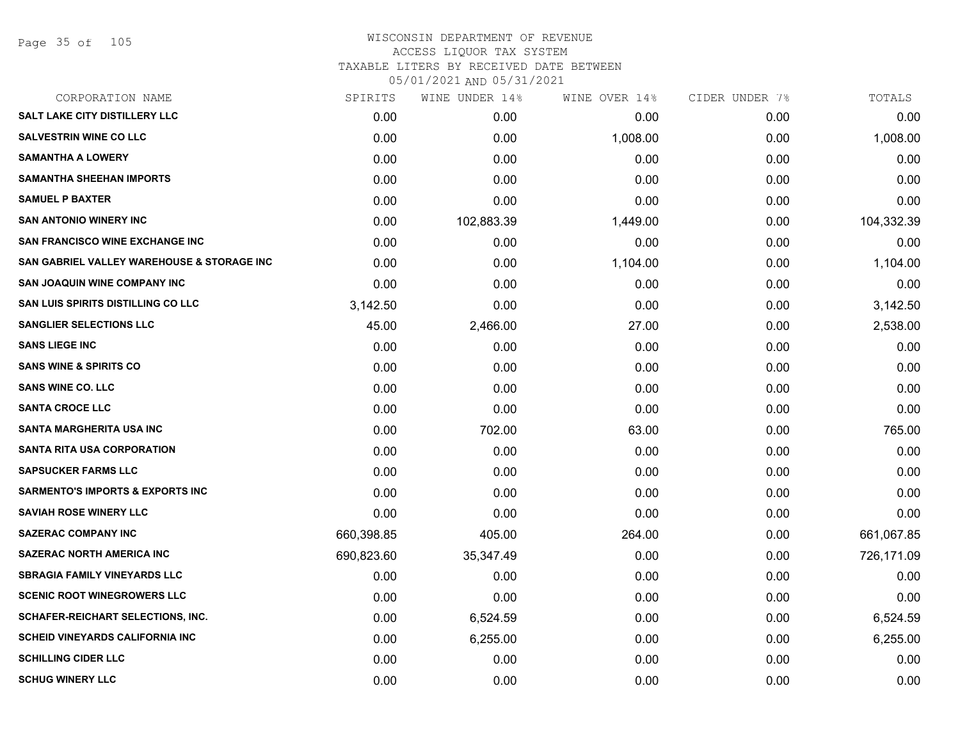## WISCONSIN DEPARTMENT OF REVENUE ACCESS LIQUOR TAX SYSTEM

TAXABLE LITERS BY RECEIVED DATE BETWEEN

| CORPORATION NAME                            | SPIRITS    | WINE UNDER 14% | WINE OVER 14% | CIDER UNDER 7% | TOTALS     |
|---------------------------------------------|------------|----------------|---------------|----------------|------------|
| <b>SALT LAKE CITY DISTILLERY LLC</b>        | 0.00       | 0.00           | 0.00          | 0.00           | 0.00       |
| <b>SALVESTRIN WINE CO LLC</b>               | 0.00       | 0.00           | 1,008.00      | 0.00           | 1,008.00   |
| <b>SAMANTHA A LOWERY</b>                    | 0.00       | 0.00           | 0.00          | 0.00           | 0.00       |
| <b>SAMANTHA SHEEHAN IMPORTS</b>             | 0.00       | 0.00           | 0.00          | 0.00           | 0.00       |
| <b>SAMUEL P BAXTER</b>                      | 0.00       | 0.00           | 0.00          | 0.00           | 0.00       |
| <b>SAN ANTONIO WINERY INC</b>               | 0.00       | 102,883.39     | 1,449.00      | 0.00           | 104,332.39 |
| SAN FRANCISCO WINE EXCHANGE INC             | 0.00       | 0.00           | 0.00          | 0.00           | 0.00       |
| SAN GABRIEL VALLEY WAREHOUSE & STORAGE INC  | 0.00       | 0.00           | 1,104.00      | 0.00           | 1,104.00   |
| SAN JOAQUIN WINE COMPANY INC                | 0.00       | 0.00           | 0.00          | 0.00           | 0.00       |
| SAN LUIS SPIRITS DISTILLING CO LLC          | 3,142.50   | 0.00           | 0.00          | 0.00           | 3,142.50   |
| <b>SANGLIER SELECTIONS LLC</b>              | 45.00      | 2,466.00       | 27.00         | 0.00           | 2,538.00   |
| <b>SANS LIEGE INC</b>                       | 0.00       | 0.00           | 0.00          | 0.00           | 0.00       |
| <b>SANS WINE &amp; SPIRITS CO</b>           | 0.00       | 0.00           | 0.00          | 0.00           | 0.00       |
| <b>SANS WINE CO. LLC</b>                    | 0.00       | 0.00           | 0.00          | 0.00           | 0.00       |
| <b>SANTA CROCE LLC</b>                      | 0.00       | 0.00           | 0.00          | 0.00           | 0.00       |
| <b>SANTA MARGHERITA USA INC</b>             | 0.00       | 702.00         | 63.00         | 0.00           | 765.00     |
| <b>SANTA RITA USA CORPORATION</b>           | 0.00       | 0.00           | 0.00          | 0.00           | 0.00       |
| <b>SAPSUCKER FARMS LLC</b>                  | 0.00       | 0.00           | 0.00          | 0.00           | 0.00       |
| <b>SARMENTO'S IMPORTS &amp; EXPORTS INC</b> | 0.00       | 0.00           | 0.00          | 0.00           | 0.00       |
| <b>SAVIAH ROSE WINERY LLC</b>               | 0.00       | 0.00           | 0.00          | 0.00           | 0.00       |
| <b>SAZERAC COMPANY INC</b>                  | 660,398.85 | 405.00         | 264.00        | 0.00           | 661,067.85 |
| <b>SAZERAC NORTH AMERICA INC</b>            | 690,823.60 | 35,347.49      | 0.00          | 0.00           | 726,171.09 |
| <b>SBRAGIA FAMILY VINEYARDS LLC</b>         | 0.00       | 0.00           | 0.00          | 0.00           | 0.00       |
| <b>SCENIC ROOT WINEGROWERS LLC</b>          | 0.00       | 0.00           | 0.00          | 0.00           | 0.00       |
| <b>SCHAFER-REICHART SELECTIONS, INC.</b>    | 0.00       | 6,524.59       | 0.00          | 0.00           | 6,524.59   |
| <b>SCHEID VINEYARDS CALIFORNIA INC</b>      | 0.00       | 6,255.00       | 0.00          | 0.00           | 6,255.00   |
| <b>SCHILLING CIDER LLC</b>                  | 0.00       | 0.00           | 0.00          | 0.00           | 0.00       |
| <b>SCHUG WINERY LLC</b>                     | 0.00       | 0.00           | 0.00          | 0.00           | 0.00       |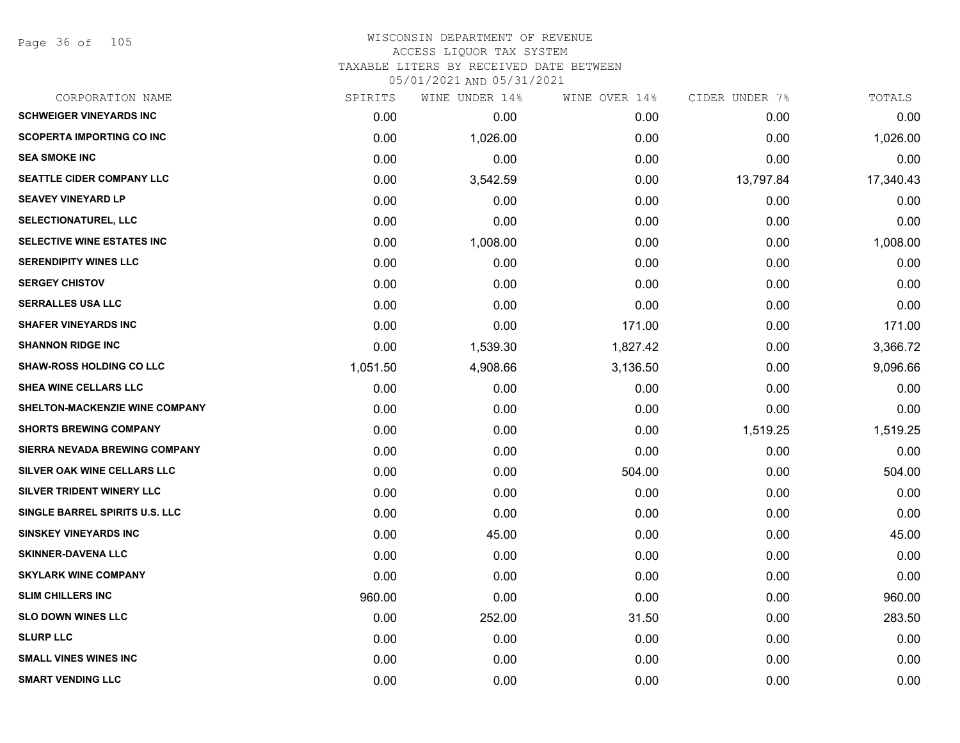Page 36 of 105

## WISCONSIN DEPARTMENT OF REVENUE ACCESS LIQUOR TAX SYSTEM TAXABLE LITERS BY RECEIVED DATE BETWEEN

| CORPORATION NAME                 | SPIRITS  | WINE UNDER 14% | WINE OVER 14% | CIDER UNDER 7% | TOTALS    |
|----------------------------------|----------|----------------|---------------|----------------|-----------|
| <b>SCHWEIGER VINEYARDS INC</b>   | 0.00     | 0.00           | 0.00          | 0.00           | 0.00      |
| <b>SCOPERTA IMPORTING CO INC</b> | 0.00     | 1,026.00       | 0.00          | 0.00           | 1,026.00  |
| <b>SEA SMOKE INC</b>             | 0.00     | 0.00           | 0.00          | 0.00           | 0.00      |
| <b>SEATTLE CIDER COMPANY LLC</b> | 0.00     | 3,542.59       | 0.00          | 13,797.84      | 17,340.43 |
| <b>SEAVEY VINEYARD LP</b>        | 0.00     | 0.00           | 0.00          | 0.00           | 0.00      |
| <b>SELECTIONATUREL, LLC</b>      | 0.00     | 0.00           | 0.00          | 0.00           | 0.00      |
| SELECTIVE WINE ESTATES INC       | 0.00     | 1,008.00       | 0.00          | 0.00           | 1,008.00  |
| <b>SERENDIPITY WINES LLC</b>     | 0.00     | 0.00           | 0.00          | 0.00           | 0.00      |
| <b>SERGEY CHISTOV</b>            | 0.00     | 0.00           | 0.00          | 0.00           | 0.00      |
| <b>SERRALLES USA LLC</b>         | 0.00     | 0.00           | 0.00          | 0.00           | 0.00      |
| <b>SHAFER VINEYARDS INC</b>      | 0.00     | 0.00           | 171.00        | 0.00           | 171.00    |
| <b>SHANNON RIDGE INC</b>         | 0.00     | 1,539.30       | 1,827.42      | 0.00           | 3,366.72  |
| <b>SHAW-ROSS HOLDING CO LLC</b>  | 1,051.50 | 4,908.66       | 3,136.50      | 0.00           | 9,096.66  |
| <b>SHEA WINE CELLARS LLC</b>     | 0.00     | 0.00           | 0.00          | 0.00           | 0.00      |
| SHELTON-MACKENZIE WINE COMPANY   | 0.00     | 0.00           | 0.00          | 0.00           | 0.00      |
| <b>SHORTS BREWING COMPANY</b>    | 0.00     | 0.00           | 0.00          | 1,519.25       | 1,519.25  |
| SIERRA NEVADA BREWING COMPANY    | 0.00     | 0.00           | 0.00          | 0.00           | 0.00      |
| SILVER OAK WINE CELLARS LLC      | 0.00     | 0.00           | 504.00        | 0.00           | 504.00    |
| SILVER TRIDENT WINERY LLC        | 0.00     | 0.00           | 0.00          | 0.00           | 0.00      |
| SINGLE BARREL SPIRITS U.S. LLC   | 0.00     | 0.00           | 0.00          | 0.00           | 0.00      |
| <b>SINSKEY VINEYARDS INC</b>     | 0.00     | 45.00          | 0.00          | 0.00           | 45.00     |
| <b>SKINNER-DAVENA LLC</b>        | 0.00     | 0.00           | 0.00          | 0.00           | 0.00      |
| <b>SKYLARK WINE COMPANY</b>      | 0.00     | 0.00           | 0.00          | 0.00           | 0.00      |
| <b>SLIM CHILLERS INC</b>         | 960.00   | 0.00           | 0.00          | 0.00           | 960.00    |
| <b>SLO DOWN WINES LLC</b>        | 0.00     | 252.00         | 31.50         | 0.00           | 283.50    |
| <b>SLURP LLC</b>                 | 0.00     | 0.00           | 0.00          | 0.00           | 0.00      |
| <b>SMALL VINES WINES INC</b>     | 0.00     | 0.00           | 0.00          | 0.00           | 0.00      |
| <b>SMART VENDING LLC</b>         | 0.00     | 0.00           | 0.00          | 0.00           | 0.00      |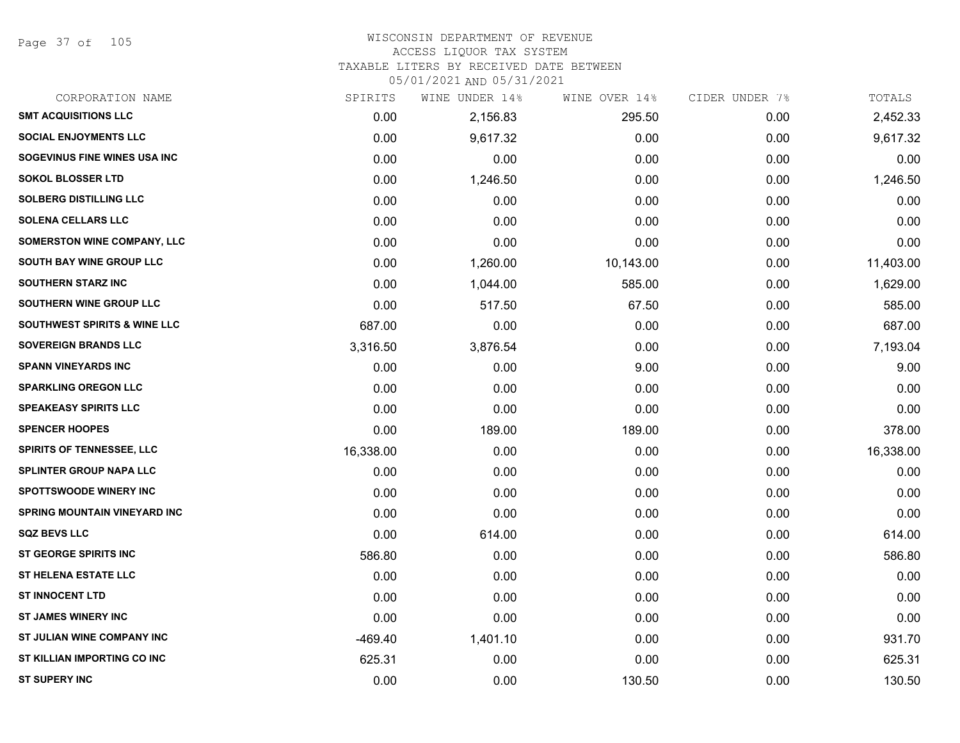Page 37 of 105

# WISCONSIN DEPARTMENT OF REVENUE

# ACCESS LIQUOR TAX SYSTEM

TAXABLE LITERS BY RECEIVED DATE BETWEEN

| CORPORATION NAME                        | SPIRITS   | WINE UNDER 14% | WINE OVER 14% | CIDER UNDER 7% | TOTALS    |
|-----------------------------------------|-----------|----------------|---------------|----------------|-----------|
| <b>SMT ACQUISITIONS LLC</b>             | 0.00      | 2,156.83       | 295.50        | 0.00           | 2,452.33  |
| <b>SOCIAL ENJOYMENTS LLC</b>            | 0.00      | 9,617.32       | 0.00          | 0.00           | 9,617.32  |
| SOGEVINUS FINE WINES USA INC            | 0.00      | 0.00           | 0.00          | 0.00           | 0.00      |
| <b>SOKOL BLOSSER LTD</b>                | 0.00      | 1,246.50       | 0.00          | 0.00           | 1,246.50  |
| <b>SOLBERG DISTILLING LLC</b>           | 0.00      | 0.00           | 0.00          | 0.00           | 0.00      |
| <b>SOLENA CELLARS LLC</b>               | 0.00      | 0.00           | 0.00          | 0.00           | 0.00      |
| <b>SOMERSTON WINE COMPANY, LLC</b>      | 0.00      | 0.00           | 0.00          | 0.00           | 0.00      |
| SOUTH BAY WINE GROUP LLC                | 0.00      | 1,260.00       | 10,143.00     | 0.00           | 11,403.00 |
| <b>SOUTHERN STARZ INC</b>               | 0.00      | 1,044.00       | 585.00        | 0.00           | 1,629.00  |
| <b>SOUTHERN WINE GROUP LLC</b>          | 0.00      | 517.50         | 67.50         | 0.00           | 585.00    |
| <b>SOUTHWEST SPIRITS &amp; WINE LLC</b> | 687.00    | 0.00           | 0.00          | 0.00           | 687.00    |
| <b>SOVEREIGN BRANDS LLC</b>             | 3,316.50  | 3,876.54       | 0.00          | 0.00           | 7,193.04  |
| <b>SPANN VINEYARDS INC</b>              | 0.00      | 0.00           | 9.00          | 0.00           | 9.00      |
| <b>SPARKLING OREGON LLC</b>             | 0.00      | 0.00           | 0.00          | 0.00           | 0.00      |
| <b>SPEAKEASY SPIRITS LLC</b>            | 0.00      | 0.00           | 0.00          | 0.00           | 0.00      |
| <b>SPENCER HOOPES</b>                   | 0.00      | 189.00         | 189.00        | 0.00           | 378.00    |
| <b>SPIRITS OF TENNESSEE, LLC</b>        | 16,338.00 | 0.00           | 0.00          | 0.00           | 16,338.00 |
| SPLINTER GROUP NAPA LLC                 | 0.00      | 0.00           | 0.00          | 0.00           | 0.00      |
| <b>SPOTTSWOODE WINERY INC</b>           | 0.00      | 0.00           | 0.00          | 0.00           | 0.00      |
| <b>SPRING MOUNTAIN VINEYARD INC</b>     | 0.00      | 0.00           | 0.00          | 0.00           | 0.00      |
| <b>SQZ BEVS LLC</b>                     | 0.00      | 614.00         | 0.00          | 0.00           | 614.00    |
| ST GEORGE SPIRITS INC                   | 586.80    | 0.00           | 0.00          | 0.00           | 586.80    |
| <b>ST HELENA ESTATE LLC</b>             | 0.00      | 0.00           | 0.00          | 0.00           | 0.00      |
| <b>ST INNOCENT LTD</b>                  | 0.00      | 0.00           | 0.00          | 0.00           | 0.00      |
| <b>ST JAMES WINERY INC</b>              | 0.00      | 0.00           | 0.00          | 0.00           | 0.00      |
| ST JULIAN WINE COMPANY INC              | $-469.40$ | 1,401.10       | 0.00          | 0.00           | 931.70    |
| ST KILLIAN IMPORTING CO INC             | 625.31    | 0.00           | 0.00          | 0.00           | 625.31    |
| <b>ST SUPERY INC</b>                    | 0.00      | 0.00           | 130.50        | 0.00           | 130.50    |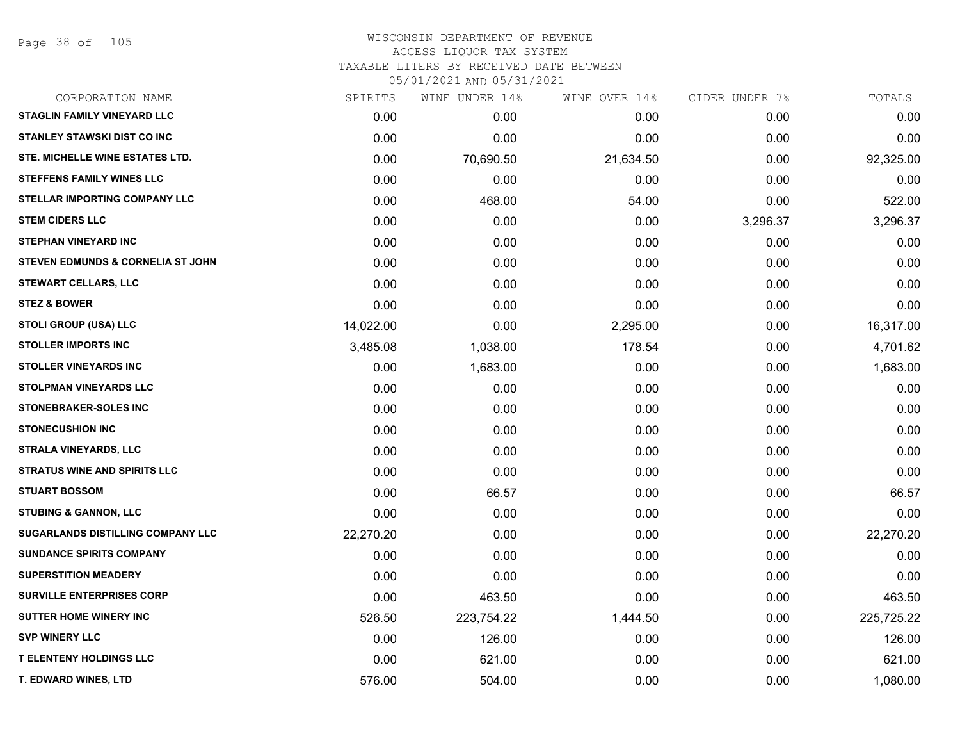Page 38 of 105

# WISCONSIN DEPARTMENT OF REVENUE ACCESS LIQUOR TAX SYSTEM TAXABLE LITERS BY RECEIVED DATE BETWEEN

| CORPORATION NAME                             | SPIRITS   | WINE UNDER 14% | WINE OVER 14% | CIDER UNDER 7% | TOTALS     |
|----------------------------------------------|-----------|----------------|---------------|----------------|------------|
| <b>STAGLIN FAMILY VINEYARD LLC</b>           | 0.00      | 0.00           | 0.00          | 0.00           | 0.00       |
| <b>STANLEY STAWSKI DIST CO INC</b>           | 0.00      | 0.00           | 0.00          | 0.00           | 0.00       |
| STE. MICHELLE WINE ESTATES LTD.              | 0.00      | 70,690.50      | 21,634.50     | 0.00           | 92,325.00  |
| <b>STEFFENS FAMILY WINES LLC</b>             | 0.00      | 0.00           | 0.00          | 0.00           | 0.00       |
| STELLAR IMPORTING COMPANY LLC                | 0.00      | 468.00         | 54.00         | 0.00           | 522.00     |
| <b>STEM CIDERS LLC</b>                       | 0.00      | 0.00           | 0.00          | 3,296.37       | 3,296.37   |
| <b>STEPHAN VINEYARD INC</b>                  | 0.00      | 0.00           | 0.00          | 0.00           | 0.00       |
| <b>STEVEN EDMUNDS &amp; CORNELIA ST JOHN</b> | 0.00      | 0.00           | 0.00          | 0.00           | 0.00       |
| <b>STEWART CELLARS, LLC</b>                  | 0.00      | 0.00           | 0.00          | 0.00           | 0.00       |
| <b>STEZ &amp; BOWER</b>                      | 0.00      | 0.00           | 0.00          | 0.00           | 0.00       |
| <b>STOLI GROUP (USA) LLC</b>                 | 14,022.00 | 0.00           | 2,295.00      | 0.00           | 16,317.00  |
| <b>STOLLER IMPORTS INC</b>                   | 3,485.08  | 1,038.00       | 178.54        | 0.00           | 4,701.62   |
| <b>STOLLER VINEYARDS INC</b>                 | 0.00      | 1,683.00       | 0.00          | 0.00           | 1,683.00   |
| <b>STOLPMAN VINEYARDS LLC</b>                | 0.00      | 0.00           | 0.00          | 0.00           | 0.00       |
| <b>STONEBRAKER-SOLES INC</b>                 | 0.00      | 0.00           | 0.00          | 0.00           | 0.00       |
| <b>STONECUSHION INC</b>                      | 0.00      | 0.00           | 0.00          | 0.00           | 0.00       |
| <b>STRALA VINEYARDS, LLC</b>                 | 0.00      | 0.00           | 0.00          | 0.00           | 0.00       |
| <b>STRATUS WINE AND SPIRITS LLC</b>          | 0.00      | 0.00           | 0.00          | 0.00           | 0.00       |
| <b>STUART BOSSOM</b>                         | 0.00      | 66.57          | 0.00          | 0.00           | 66.57      |
| <b>STUBING &amp; GANNON, LLC</b>             | 0.00      | 0.00           | 0.00          | 0.00           | 0.00       |
| <b>SUGARLANDS DISTILLING COMPANY LLC</b>     | 22,270.20 | 0.00           | 0.00          | 0.00           | 22,270.20  |
| <b>SUNDANCE SPIRITS COMPANY</b>              | 0.00      | 0.00           | 0.00          | 0.00           | 0.00       |
| <b>SUPERSTITION MEADERY</b>                  | 0.00      | 0.00           | 0.00          | 0.00           | 0.00       |
| <b>SURVILLE ENTERPRISES CORP</b>             | 0.00      | 463.50         | 0.00          | 0.00           | 463.50     |
| <b>SUTTER HOME WINERY INC</b>                | 526.50    | 223,754.22     | 1,444.50      | 0.00           | 225,725.22 |
| <b>SVP WINERY LLC</b>                        | 0.00      | 126.00         | 0.00          | 0.00           | 126.00     |
| <b>T ELENTENY HOLDINGS LLC</b>               | 0.00      | 621.00         | 0.00          | 0.00           | 621.00     |
| T. EDWARD WINES, LTD                         | 576.00    | 504.00         | 0.00          | 0.00           | 1,080.00   |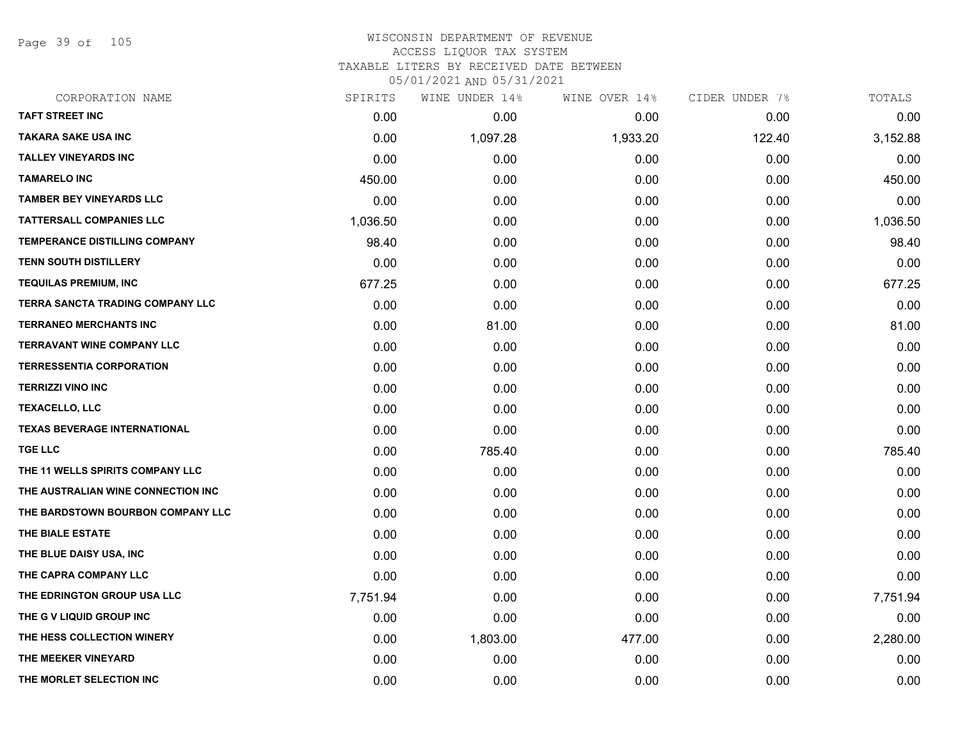Page 39 of 105

| CORPORATION NAME                        | SPIRITS  | WINE UNDER 14% | WINE OVER 14% | CIDER UNDER 7% | TOTALS   |
|-----------------------------------------|----------|----------------|---------------|----------------|----------|
| <b>TAFT STREET INC</b>                  | 0.00     | 0.00           | 0.00          | 0.00           | 0.00     |
| <b>TAKARA SAKE USA INC</b>              | 0.00     | 1,097.28       | 1,933.20      | 122.40         | 3,152.88 |
| <b>TALLEY VINEYARDS INC</b>             | 0.00     | 0.00           | 0.00          | 0.00           | 0.00     |
| <b>TAMARELO INC</b>                     | 450.00   | 0.00           | 0.00          | 0.00           | 450.00   |
| <b>TAMBER BEY VINEYARDS LLC</b>         | 0.00     | 0.00           | 0.00          | 0.00           | 0.00     |
| <b>TATTERSALL COMPANIES LLC</b>         | 1,036.50 | 0.00           | 0.00          | 0.00           | 1,036.50 |
| TEMPERANCE DISTILLING COMPANY           | 98.40    | 0.00           | 0.00          | 0.00           | 98.40    |
| <b>TENN SOUTH DISTILLERY</b>            | 0.00     | 0.00           | 0.00          | 0.00           | 0.00     |
| <b>TEQUILAS PREMIUM, INC</b>            | 677.25   | 0.00           | 0.00          | 0.00           | 677.25   |
| <b>TERRA SANCTA TRADING COMPANY LLC</b> | 0.00     | 0.00           | 0.00          | 0.00           | 0.00     |
| <b>TERRANEO MERCHANTS INC</b>           | 0.00     | 81.00          | 0.00          | 0.00           | 81.00    |
| <b>TERRAVANT WINE COMPANY LLC</b>       | 0.00     | 0.00           | 0.00          | 0.00           | 0.00     |
| <b>TERRESSENTIA CORPORATION</b>         | 0.00     | 0.00           | 0.00          | 0.00           | 0.00     |
| <b>TERRIZZI VINO INC</b>                | 0.00     | 0.00           | 0.00          | 0.00           | 0.00     |
| <b>TEXACELLO, LLC</b>                   | 0.00     | 0.00           | 0.00          | 0.00           | 0.00     |
| <b>TEXAS BEVERAGE INTERNATIONAL</b>     | 0.00     | 0.00           | 0.00          | 0.00           | 0.00     |
| <b>TGE LLC</b>                          | 0.00     | 785.40         | 0.00          | 0.00           | 785.40   |
| THE 11 WELLS SPIRITS COMPANY LLC        | 0.00     | 0.00           | 0.00          | 0.00           | 0.00     |
| THE AUSTRALIAN WINE CONNECTION INC      | 0.00     | 0.00           | 0.00          | 0.00           | 0.00     |
| THE BARDSTOWN BOURBON COMPANY LLC       | 0.00     | 0.00           | 0.00          | 0.00           | 0.00     |
| THE BIALE ESTATE                        | 0.00     | 0.00           | 0.00          | 0.00           | 0.00     |
| THE BLUE DAISY USA, INC                 | 0.00     | 0.00           | 0.00          | 0.00           | 0.00     |
| THE CAPRA COMPANY LLC                   | 0.00     | 0.00           | 0.00          | 0.00           | 0.00     |
| THE EDRINGTON GROUP USA LLC             | 7,751.94 | 0.00           | 0.00          | 0.00           | 7,751.94 |
| THE G V LIQUID GROUP INC                | 0.00     | 0.00           | 0.00          | 0.00           | 0.00     |
| THE HESS COLLECTION WINERY              | 0.00     | 1,803.00       | 477.00        | 0.00           | 2,280.00 |
| THE MEEKER VINEYARD                     | 0.00     | 0.00           | 0.00          | 0.00           | 0.00     |
| THE MORLET SELECTION INC                | 0.00     | 0.00           | 0.00          | 0.00           | 0.00     |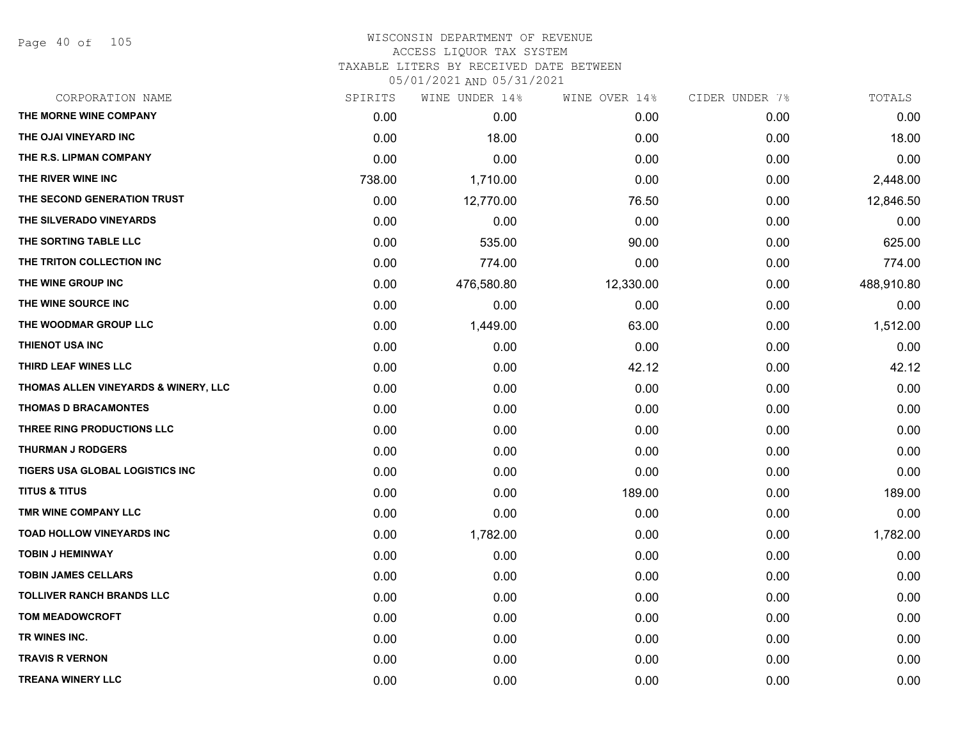Page 40 of 105

| CORPORATION NAME                     | SPIRITS | WINE UNDER 14% | WINE OVER 14% | CIDER UNDER 7% | TOTALS     |
|--------------------------------------|---------|----------------|---------------|----------------|------------|
| THE MORNE WINE COMPANY               | 0.00    | 0.00           | 0.00          | 0.00           | 0.00       |
| THE OJAI VINEYARD INC                | 0.00    | 18.00          | 0.00          | 0.00           | 18.00      |
| THE R.S. LIPMAN COMPANY              | 0.00    | 0.00           | 0.00          | 0.00           | 0.00       |
| THE RIVER WINE INC                   | 738.00  | 1,710.00       | 0.00          | 0.00           | 2,448.00   |
| THE SECOND GENERATION TRUST          | 0.00    | 12,770.00      | 76.50         | 0.00           | 12,846.50  |
| THE SILVERADO VINEYARDS              | 0.00    | 0.00           | 0.00          | 0.00           | 0.00       |
| THE SORTING TABLE LLC                | 0.00    | 535.00         | 90.00         | 0.00           | 625.00     |
| THE TRITON COLLECTION INC            | 0.00    | 774.00         | 0.00          | 0.00           | 774.00     |
| THE WINE GROUP INC                   | 0.00    | 476,580.80     | 12,330.00     | 0.00           | 488,910.80 |
| THE WINE SOURCE INC                  | 0.00    | 0.00           | 0.00          | 0.00           | 0.00       |
| THE WOODMAR GROUP LLC                | 0.00    | 1,449.00       | 63.00         | 0.00           | 1,512.00   |
| THIENOT USA INC                      | 0.00    | 0.00           | 0.00          | 0.00           | 0.00       |
| THIRD LEAF WINES LLC                 | 0.00    | 0.00           | 42.12         | 0.00           | 42.12      |
| THOMAS ALLEN VINEYARDS & WINERY, LLC | 0.00    | 0.00           | 0.00          | 0.00           | 0.00       |
| <b>THOMAS D BRACAMONTES</b>          | 0.00    | 0.00           | 0.00          | 0.00           | 0.00       |
| THREE RING PRODUCTIONS LLC           | 0.00    | 0.00           | 0.00          | 0.00           | 0.00       |
| <b>THURMAN J RODGERS</b>             | 0.00    | 0.00           | 0.00          | 0.00           | 0.00       |
| TIGERS USA GLOBAL LOGISTICS INC      | 0.00    | 0.00           | 0.00          | 0.00           | 0.00       |
| <b>TITUS &amp; TITUS</b>             | 0.00    | 0.00           | 189.00        | 0.00           | 189.00     |
| TMR WINE COMPANY LLC                 | 0.00    | 0.00           | 0.00          | 0.00           | 0.00       |
| TOAD HOLLOW VINEYARDS INC            | 0.00    | 1,782.00       | 0.00          | 0.00           | 1,782.00   |
| <b>TOBIN J HEMINWAY</b>              | 0.00    | 0.00           | 0.00          | 0.00           | 0.00       |
| <b>TOBIN JAMES CELLARS</b>           | 0.00    | 0.00           | 0.00          | 0.00           | 0.00       |
| <b>TOLLIVER RANCH BRANDS LLC</b>     | 0.00    | 0.00           | 0.00          | 0.00           | 0.00       |
| <b>TOM MEADOWCROFT</b>               | 0.00    | 0.00           | 0.00          | 0.00           | 0.00       |
| TR WINES INC.                        | 0.00    | 0.00           | 0.00          | 0.00           | 0.00       |
| <b>TRAVIS R VERNON</b>               | 0.00    | 0.00           | 0.00          | 0.00           | 0.00       |
| <b>TREANA WINERY LLC</b>             | 0.00    | 0.00           | 0.00          | 0.00           | 0.00       |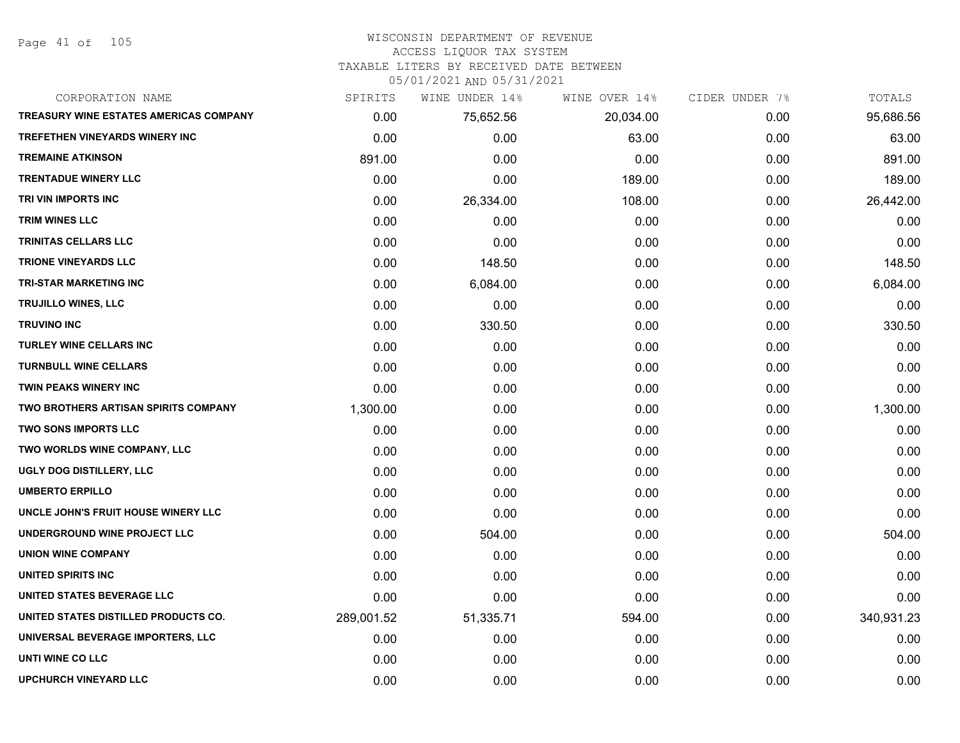Page 41 of 105

#### WISCONSIN DEPARTMENT OF REVENUE ACCESS LIQUOR TAX SYSTEM

TAXABLE LITERS BY RECEIVED DATE BETWEEN

| CORPORATION NAME                              | SPIRITS    | WINE UNDER 14% | WINE OVER 14% | CIDER UNDER 7% | TOTALS     |
|-----------------------------------------------|------------|----------------|---------------|----------------|------------|
| <b>TREASURY WINE ESTATES AMERICAS COMPANY</b> | 0.00       | 75,652.56      | 20,034.00     | 0.00           | 95,686.56  |
| <b>TREFETHEN VINEYARDS WINERY INC</b>         | 0.00       | 0.00           | 63.00         | 0.00           | 63.00      |
| <b>TREMAINE ATKINSON</b>                      | 891.00     | 0.00           | 0.00          | 0.00           | 891.00     |
| <b>TRENTADUE WINERY LLC</b>                   | 0.00       | 0.00           | 189.00        | 0.00           | 189.00     |
| TRI VIN IMPORTS INC                           | 0.00       | 26,334.00      | 108.00        | 0.00           | 26,442.00  |
| <b>TRIM WINES LLC</b>                         | 0.00       | 0.00           | 0.00          | 0.00           | 0.00       |
| TRINITAS CELLARS LLC                          | 0.00       | 0.00           | 0.00          | 0.00           | 0.00       |
| <b>TRIONE VINEYARDS LLC</b>                   | 0.00       | 148.50         | 0.00          | 0.00           | 148.50     |
| <b>TRI-STAR MARKETING INC</b>                 | 0.00       | 6,084.00       | 0.00          | 0.00           | 6,084.00   |
| <b>TRUJILLO WINES, LLC</b>                    | 0.00       | 0.00           | 0.00          | 0.00           | 0.00       |
| <b>TRUVINO INC</b>                            | 0.00       | 330.50         | 0.00          | 0.00           | 330.50     |
| TURLEY WINE CELLARS INC                       | 0.00       | 0.00           | 0.00          | 0.00           | 0.00       |
| <b>TURNBULL WINE CELLARS</b>                  | 0.00       | 0.00           | 0.00          | 0.00           | 0.00       |
| <b>TWIN PEAKS WINERY INC</b>                  | 0.00       | 0.00           | 0.00          | 0.00           | 0.00       |
| TWO BROTHERS ARTISAN SPIRITS COMPANY          | 1,300.00   | 0.00           | 0.00          | 0.00           | 1,300.00   |
| TWO SONS IMPORTS LLC                          | 0.00       | 0.00           | 0.00          | 0.00           | 0.00       |
| TWO WORLDS WINE COMPANY, LLC                  | 0.00       | 0.00           | 0.00          | 0.00           | 0.00       |
| UGLY DOG DISTILLERY, LLC                      | 0.00       | 0.00           | 0.00          | 0.00           | 0.00       |
| <b>UMBERTO ERPILLO</b>                        | 0.00       | 0.00           | 0.00          | 0.00           | 0.00       |
| UNCLE JOHN'S FRUIT HOUSE WINERY LLC           | 0.00       | 0.00           | 0.00          | 0.00           | 0.00       |
| UNDERGROUND WINE PROJECT LLC                  | 0.00       | 504.00         | 0.00          | 0.00           | 504.00     |
| <b>UNION WINE COMPANY</b>                     | 0.00       | 0.00           | 0.00          | 0.00           | 0.00       |
| UNITED SPIRITS INC                            | 0.00       | 0.00           | 0.00          | 0.00           | 0.00       |
| UNITED STATES BEVERAGE LLC                    | 0.00       | 0.00           | 0.00          | 0.00           | 0.00       |
| UNITED STATES DISTILLED PRODUCTS CO.          | 289,001.52 | 51,335.71      | 594.00        | 0.00           | 340,931.23 |
| UNIVERSAL BEVERAGE IMPORTERS, LLC             | 0.00       | 0.00           | 0.00          | 0.00           | 0.00       |
| UNTI WINE CO LLC                              | 0.00       | 0.00           | 0.00          | 0.00           | 0.00       |
| <b>UPCHURCH VINEYARD LLC</b>                  | 0.00       | 0.00           | 0.00          | 0.00           | 0.00       |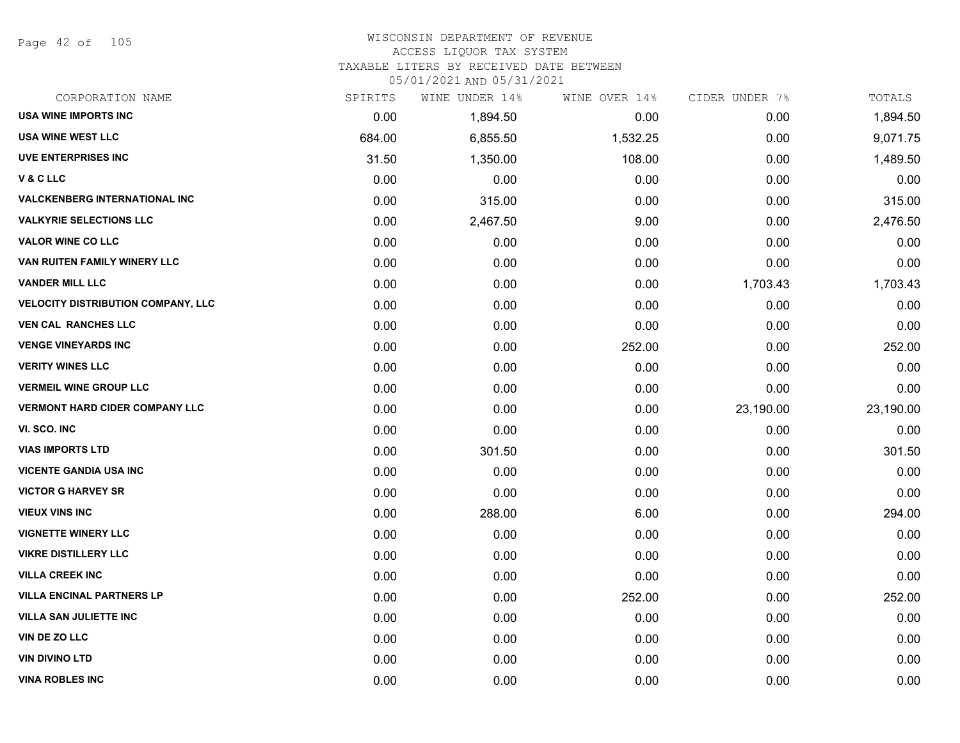#### WISCONSIN DEPARTMENT OF REVENUE ACCESS LIQUOR TAX SYSTEM

TAXABLE LITERS BY RECEIVED DATE BETWEEN

| CORPORATION NAME                          | SPIRITS | WINE UNDER 14% | WINE OVER 14% | CIDER UNDER 7% | TOTALS    |
|-------------------------------------------|---------|----------------|---------------|----------------|-----------|
| <b>USA WINE IMPORTS INC</b>               | 0.00    | 1,894.50       | 0.00          | 0.00           | 1,894.50  |
| USA WINE WEST LLC                         | 684.00  | 6,855.50       | 1,532.25      | 0.00           | 9,071.75  |
| <b>UVE ENTERPRISES INC</b>                | 31.50   | 1,350.00       | 108.00        | 0.00           | 1,489.50  |
| V&CLLC                                    | 0.00    | 0.00           | 0.00          | 0.00           | 0.00      |
| <b>VALCKENBERG INTERNATIONAL INC</b>      | 0.00    | 315.00         | 0.00          | 0.00           | 315.00    |
| <b>VALKYRIE SELECTIONS LLC</b>            | 0.00    | 2,467.50       | 9.00          | 0.00           | 2,476.50  |
| <b>VALOR WINE CO LLC</b>                  | 0.00    | 0.00           | 0.00          | 0.00           | 0.00      |
| VAN RUITEN FAMILY WINERY LLC              | 0.00    | 0.00           | 0.00          | 0.00           | 0.00      |
| <b>VANDER MILL LLC</b>                    | 0.00    | 0.00           | 0.00          | 1,703.43       | 1,703.43  |
| <b>VELOCITY DISTRIBUTION COMPANY, LLC</b> | 0.00    | 0.00           | 0.00          | 0.00           | 0.00      |
| <b>VEN CAL RANCHES LLC</b>                | 0.00    | 0.00           | 0.00          | 0.00           | 0.00      |
| <b>VENGE VINEYARDS INC</b>                | 0.00    | 0.00           | 252.00        | 0.00           | 252.00    |
| <b>VERITY WINES LLC</b>                   | 0.00    | 0.00           | 0.00          | 0.00           | 0.00      |
| <b>VERMEIL WINE GROUP LLC</b>             | 0.00    | 0.00           | 0.00          | 0.00           | 0.00      |
| <b>VERMONT HARD CIDER COMPANY LLC</b>     | 0.00    | 0.00           | 0.00          | 23,190.00      | 23,190.00 |
| VI. SCO. INC                              | 0.00    | 0.00           | 0.00          | 0.00           | 0.00      |
| <b>VIAS IMPORTS LTD</b>                   | 0.00    | 301.50         | 0.00          | 0.00           | 301.50    |
| <b>VICENTE GANDIA USA INC</b>             | 0.00    | 0.00           | 0.00          | 0.00           | 0.00      |
| <b>VICTOR G HARVEY SR</b>                 | 0.00    | 0.00           | 0.00          | 0.00           | 0.00      |
| <b>VIEUX VINS INC</b>                     | 0.00    | 288.00         | 6.00          | 0.00           | 294.00    |
| <b>VIGNETTE WINERY LLC</b>                | 0.00    | 0.00           | 0.00          | 0.00           | 0.00      |
| <b>VIKRE DISTILLERY LLC</b>               | 0.00    | 0.00           | 0.00          | 0.00           | 0.00      |
| <b>VILLA CREEK INC</b>                    | 0.00    | 0.00           | 0.00          | 0.00           | 0.00      |
| <b>VILLA ENCINAL PARTNERS LP</b>          | 0.00    | 0.00           | 252.00        | 0.00           | 252.00    |
| <b>VILLA SAN JULIETTE INC</b>             | 0.00    | 0.00           | 0.00          | 0.00           | 0.00      |
| VIN DE ZO LLC                             | 0.00    | 0.00           | 0.00          | 0.00           | 0.00      |
| <b>VIN DIVINO LTD</b>                     | 0.00    | 0.00           | 0.00          | 0.00           | 0.00      |
| <b>VINA ROBLES INC</b>                    | 0.00    | 0.00           | 0.00          | 0.00           | 0.00      |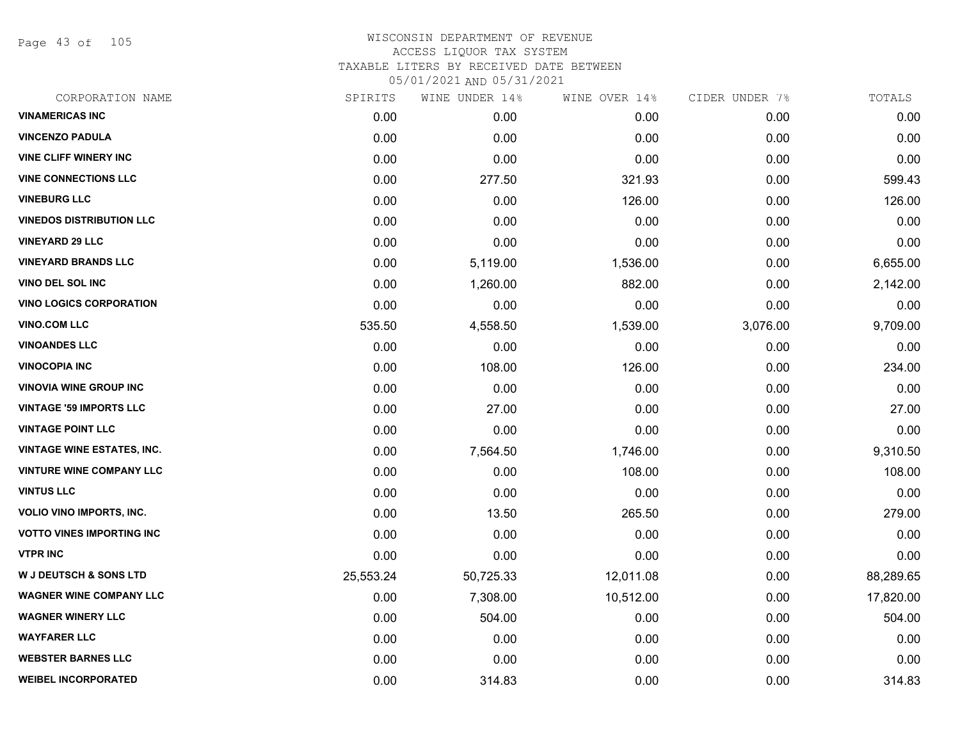Page 43 of 105

| CORPORATION NAME                  | SPIRITS   | WINE UNDER 14% | WINE OVER 14% | CIDER UNDER 7% | TOTALS    |
|-----------------------------------|-----------|----------------|---------------|----------------|-----------|
| <b>VINAMERICAS INC</b>            | 0.00      | 0.00           | 0.00          | 0.00           | 0.00      |
| <b>VINCENZO PADULA</b>            | 0.00      | 0.00           | 0.00          | 0.00           | 0.00      |
| <b>VINE CLIFF WINERY INC</b>      | 0.00      | 0.00           | 0.00          | 0.00           | 0.00      |
| <b>VINE CONNECTIONS LLC</b>       | 0.00      | 277.50         | 321.93        | 0.00           | 599.43    |
| <b>VINEBURG LLC</b>               | 0.00      | 0.00           | 126.00        | 0.00           | 126.00    |
| <b>VINEDOS DISTRIBUTION LLC</b>   | 0.00      | 0.00           | 0.00          | 0.00           | 0.00      |
| <b>VINEYARD 29 LLC</b>            | 0.00      | 0.00           | 0.00          | 0.00           | 0.00      |
| <b>VINEYARD BRANDS LLC</b>        | 0.00      | 5,119.00       | 1,536.00      | 0.00           | 6,655.00  |
| <b>VINO DEL SOL INC</b>           | 0.00      | 1,260.00       | 882.00        | 0.00           | 2,142.00  |
| <b>VINO LOGICS CORPORATION</b>    | 0.00      | 0.00           | 0.00          | 0.00           | 0.00      |
| <b>VINO.COM LLC</b>               | 535.50    | 4,558.50       | 1,539.00      | 3,076.00       | 9,709.00  |
| <b>VINOANDES LLC</b>              | 0.00      | 0.00           | 0.00          | 0.00           | 0.00      |
| <b>VINOCOPIA INC</b>              | 0.00      | 108.00         | 126.00        | 0.00           | 234.00    |
| <b>VINOVIA WINE GROUP INC</b>     | 0.00      | 0.00           | 0.00          | 0.00           | 0.00      |
| <b>VINTAGE '59 IMPORTS LLC</b>    | 0.00      | 27.00          | 0.00          | 0.00           | 27.00     |
| <b>VINTAGE POINT LLC</b>          | 0.00      | 0.00           | 0.00          | 0.00           | 0.00      |
| <b>VINTAGE WINE ESTATES, INC.</b> | 0.00      | 7,564.50       | 1,746.00      | 0.00           | 9,310.50  |
| VINTURE WINE COMPANY LLC          | 0.00      | 0.00           | 108.00        | 0.00           | 108.00    |
| <b>VINTUS LLC</b>                 | 0.00      | 0.00           | 0.00          | 0.00           | 0.00      |
| <b>VOLIO VINO IMPORTS, INC.</b>   | 0.00      | 13.50          | 265.50        | 0.00           | 279.00    |
| <b>VOTTO VINES IMPORTING INC</b>  | 0.00      | 0.00           | 0.00          | 0.00           | 0.00      |
| <b>VTPR INC</b>                   | 0.00      | 0.00           | 0.00          | 0.00           | 0.00      |
| <b>W J DEUTSCH &amp; SONS LTD</b> | 25,553.24 | 50,725.33      | 12,011.08     | 0.00           | 88,289.65 |
| <b>WAGNER WINE COMPANY LLC</b>    | 0.00      | 7,308.00       | 10,512.00     | 0.00           | 17,820.00 |
| <b>WAGNER WINERY LLC</b>          | 0.00      | 504.00         | 0.00          | 0.00           | 504.00    |
| <b>WAYFARER LLC</b>               | 0.00      | 0.00           | 0.00          | 0.00           | 0.00      |
| <b>WEBSTER BARNES LLC</b>         | 0.00      | 0.00           | 0.00          | 0.00           | 0.00      |
| <b>WEIBEL INCORPORATED</b>        | 0.00      | 314.83         | 0.00          | 0.00           | 314.83    |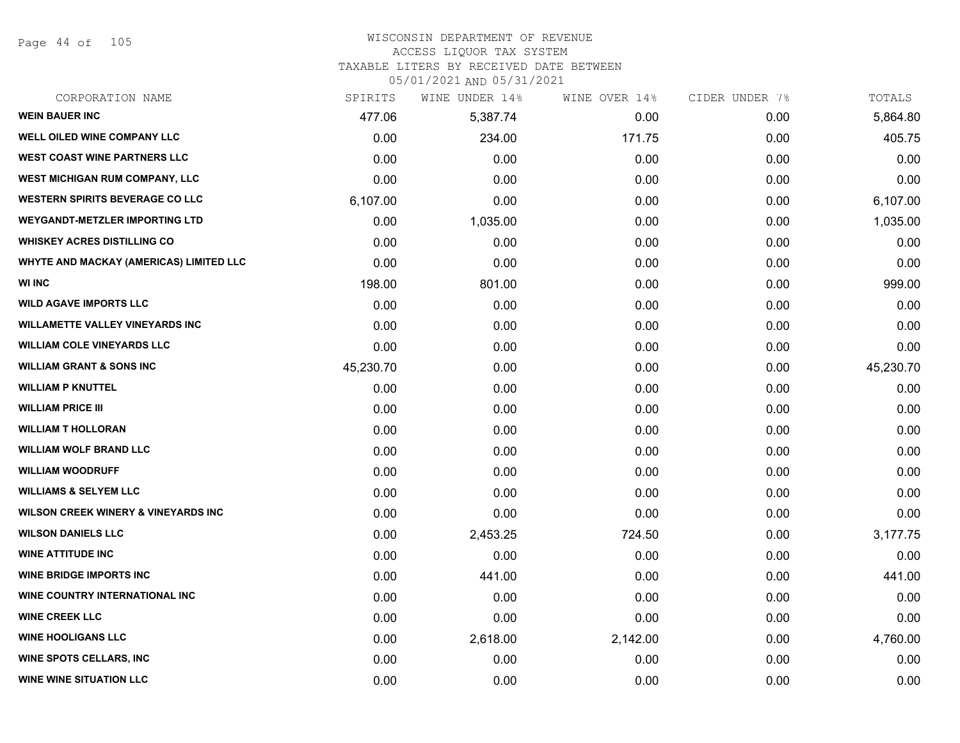Page 44 of 105

## WISCONSIN DEPARTMENT OF REVENUE ACCESS LIQUOR TAX SYSTEM

TAXABLE LITERS BY RECEIVED DATE BETWEEN

| CORPORATION NAME                               | SPIRITS   | WINE UNDER 14% | WINE OVER 14% | CIDER UNDER 7% | TOTALS    |
|------------------------------------------------|-----------|----------------|---------------|----------------|-----------|
| <b>WEIN BAUER INC</b>                          | 477.06    | 5,387.74       | 0.00          | 0.00           | 5,864.80  |
| WELL OILED WINE COMPANY LLC                    | 0.00      | 234.00         | 171.75        | 0.00           | 405.75    |
| <b>WEST COAST WINE PARTNERS LLC</b>            | 0.00      | 0.00           | 0.00          | 0.00           | 0.00      |
| <b>WEST MICHIGAN RUM COMPANY, LLC</b>          | 0.00      | 0.00           | 0.00          | 0.00           | 0.00      |
| <b>WESTERN SPIRITS BEVERAGE CO LLC</b>         | 6,107.00  | 0.00           | 0.00          | 0.00           | 6,107.00  |
| <b>WEYGANDT-METZLER IMPORTING LTD</b>          | 0.00      | 1,035.00       | 0.00          | 0.00           | 1,035.00  |
| <b>WHISKEY ACRES DISTILLING CO</b>             | 0.00      | 0.00           | 0.00          | 0.00           | 0.00      |
| <b>WHYTE AND MACKAY (AMERICAS) LIMITED LLC</b> | 0.00      | 0.00           | 0.00          | 0.00           | 0.00      |
| <b>WI INC</b>                                  | 198.00    | 801.00         | 0.00          | 0.00           | 999.00    |
| <b>WILD AGAVE IMPORTS LLC</b>                  | 0.00      | 0.00           | 0.00          | 0.00           | 0.00      |
| <b>WILLAMETTE VALLEY VINEYARDS INC</b>         | 0.00      | 0.00           | 0.00          | 0.00           | 0.00      |
| <b>WILLIAM COLE VINEYARDS LLC</b>              | 0.00      | 0.00           | 0.00          | 0.00           | 0.00      |
| <b>WILLIAM GRANT &amp; SONS INC</b>            | 45,230.70 | 0.00           | 0.00          | 0.00           | 45,230.70 |
| <b>WILLIAM P KNUTTEL</b>                       | 0.00      | 0.00           | 0.00          | 0.00           | 0.00      |
| <b>WILLIAM PRICE III</b>                       | 0.00      | 0.00           | 0.00          | 0.00           | 0.00      |
| <b>WILLIAM T HOLLORAN</b>                      | 0.00      | 0.00           | 0.00          | 0.00           | 0.00      |
| <b>WILLIAM WOLF BRAND LLC</b>                  | 0.00      | 0.00           | 0.00          | 0.00           | 0.00      |
| <b>WILLIAM WOODRUFF</b>                        | 0.00      | 0.00           | 0.00          | 0.00           | 0.00      |
| <b>WILLIAMS &amp; SELYEM LLC</b>               | 0.00      | 0.00           | 0.00          | 0.00           | 0.00      |
| <b>WILSON CREEK WINERY &amp; VINEYARDS INC</b> | 0.00      | 0.00           | 0.00          | 0.00           | 0.00      |
| <b>WILSON DANIELS LLC</b>                      | 0.00      | 2,453.25       | 724.50        | 0.00           | 3,177.75  |
| <b>WINE ATTITUDE INC</b>                       | 0.00      | 0.00           | 0.00          | 0.00           | 0.00      |
| <b>WINE BRIDGE IMPORTS INC</b>                 | 0.00      | 441.00         | 0.00          | 0.00           | 441.00    |
| WINE COUNTRY INTERNATIONAL INC                 | 0.00      | 0.00           | 0.00          | 0.00           | 0.00      |
| <b>WINE CREEK LLC</b>                          | 0.00      | 0.00           | 0.00          | 0.00           | 0.00      |
| <b>WINE HOOLIGANS LLC</b>                      | 0.00      | 2,618.00       | 2,142.00      | 0.00           | 4,760.00  |
| <b>WINE SPOTS CELLARS, INC</b>                 | 0.00      | 0.00           | 0.00          | 0.00           | 0.00      |
| <b>WINE WINE SITUATION LLC</b>                 | 0.00      | 0.00           | 0.00          | 0.00           | 0.00      |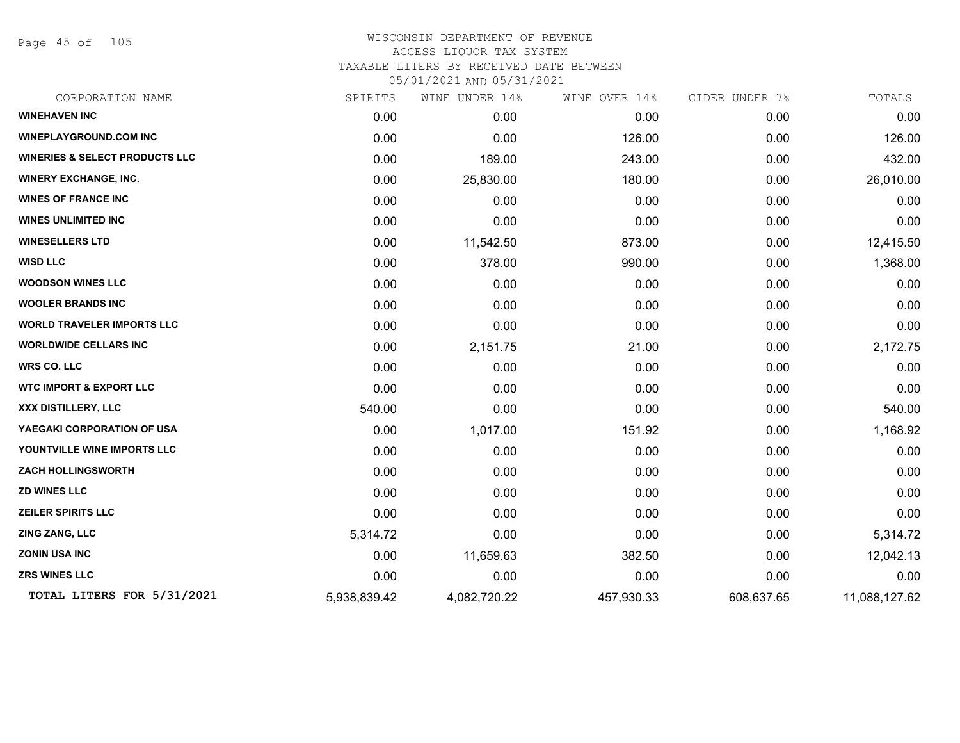Page 45 of 105

| CORPORATION NAME                          | SPIRITS      | WINE UNDER 14% | WINE OVER 14% | CIDER UNDER 7% | TOTALS        |
|-------------------------------------------|--------------|----------------|---------------|----------------|---------------|
| <b>WINEHAVEN INC</b>                      | 0.00         | 0.00           | 0.00          | 0.00           | 0.00          |
| <b>WINEPLAYGROUND.COM INC</b>             | 0.00         | 0.00           | 126.00        | 0.00           | 126.00        |
| <b>WINERIES &amp; SELECT PRODUCTS LLC</b> | 0.00         | 189.00         | 243.00        | 0.00           | 432.00        |
| <b>WINERY EXCHANGE, INC.</b>              | 0.00         | 25,830.00      | 180.00        | 0.00           | 26,010.00     |
| <b>WINES OF FRANCE INC</b>                | 0.00         | 0.00           | 0.00          | 0.00           | 0.00          |
| <b>WINES UNLIMITED INC</b>                | 0.00         | 0.00           | 0.00          | 0.00           | 0.00          |
| <b>WINESELLERS LTD</b>                    | 0.00         | 11,542.50      | 873.00        | 0.00           | 12,415.50     |
| <b>WISD LLC</b>                           | 0.00         | 378.00         | 990.00        | 0.00           | 1,368.00      |
| <b>WOODSON WINES LLC</b>                  | 0.00         | 0.00           | 0.00          | 0.00           | 0.00          |
| <b>WOOLER BRANDS INC</b>                  | 0.00         | 0.00           | 0.00          | 0.00           | 0.00          |
| <b>WORLD TRAVELER IMPORTS LLC</b>         | 0.00         | 0.00           | 0.00          | 0.00           | 0.00          |
| <b>WORLDWIDE CELLARS INC</b>              | 0.00         | 2,151.75       | 21.00         | 0.00           | 2,172.75      |
| <b>WRS CO. LLC</b>                        | 0.00         | 0.00           | 0.00          | 0.00           | 0.00          |
| <b>WTC IMPORT &amp; EXPORT LLC</b>        | 0.00         | 0.00           | 0.00          | 0.00           | 0.00          |
| XXX DISTILLERY, LLC                       | 540.00       | 0.00           | 0.00          | 0.00           | 540.00        |
| YAEGAKI CORPORATION OF USA                | 0.00         | 1,017.00       | 151.92        | 0.00           | 1,168.92      |
| YOUNTVILLE WINE IMPORTS LLC               | 0.00         | 0.00           | 0.00          | 0.00           | 0.00          |
| <b>ZACH HOLLINGSWORTH</b>                 | 0.00         | 0.00           | 0.00          | 0.00           | 0.00          |
| <b>ZD WINES LLC</b>                       | 0.00         | 0.00           | 0.00          | 0.00           | 0.00          |
| <b>ZEILER SPIRITS LLC</b>                 | 0.00         | 0.00           | 0.00          | 0.00           | 0.00          |
| ZING ZANG, LLC                            | 5,314.72     | 0.00           | 0.00          | 0.00           | 5,314.72      |
| <b>ZONIN USA INC</b>                      | 0.00         | 11,659.63      | 382.50        | 0.00           | 12,042.13     |
| <b>ZRS WINES LLC</b>                      | 0.00         | 0.00           | 0.00          | 0.00           | 0.00          |
| TOTAL LITERS FOR 5/31/2021                | 5,938,839.42 | 4,082,720.22   | 457,930.33    | 608,637.65     | 11,088,127.62 |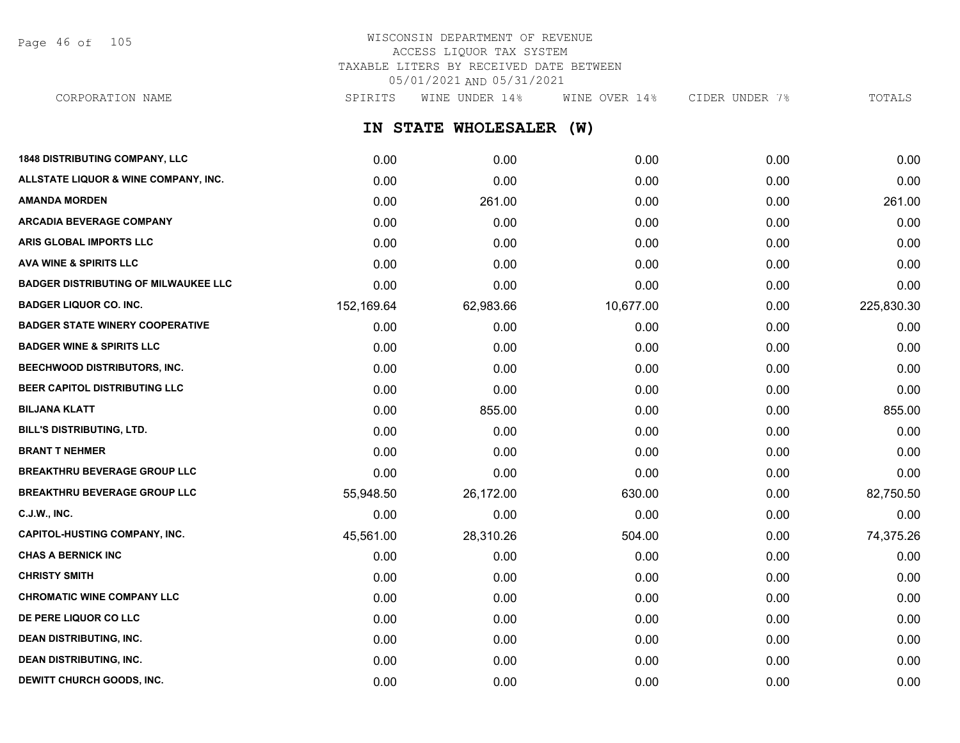Page 46 of 105

# WISCONSIN DEPARTMENT OF REVENUE ACCESS LIQUOR TAX SYSTEM TAXABLE LITERS BY RECEIVED DATE BETWEEN 05/01/2021 AND 05/31/2021

**IN STATE WHOLESALER (W) 1848 DISTRIBUTING COMPANY, LLC** 0.00 0.00 0.00 0.00 0.00 **ALLSTATE LIQUOR & WINE COMPANY, INC.** 0.00 0.00 0.00 0.00 0.00 **AMANDA MORDEN** 0.00 261.00 0.00 0.00 261.00 **ARCADIA BEVERAGE COMPANY**  $0.00$   $0.00$   $0.00$   $0.00$   $0.00$   $0.00$   $0.00$   $0.00$   $0.00$   $0.00$   $0.00$   $0.00$   $0.00$   $0.00$   $0.00$   $0.00$   $0.00$   $0.00$   $0.00$   $0.00$   $0.00$   $0.00$   $0.00$   $0.00$   $0.00$   $0.00$   $0.00$   $0.00$ **ARIS GLOBAL IMPORTS LLC** 0.00 0.00 0.00 0.00 0.00 **AVA WINE & SPIRITS LLC** 0.00 0.00 0.00 0.00 0.00 **BADGER DISTRIBUTING OF MILWAUKEE LLC** 0.00 0.00 0.00 0.00 0.00 **BADGER LIQUOR CO. INC.** 225,830.30 152,169.64 62,983.66 10,677.00 0.00 0.00 225,830.30 **BADGER STATE WINERY COOPERATIVE** 0.00 0.00 0.00 0.00 0.00 **BADGER WINE & SPIRITS LLC** 0.00 0.00 0.00 0.00 0.00 **BEECHWOOD DISTRIBUTORS, INC.** 0.00 0.00 0.00 0.00 0.00 **BEER CAPITOL DISTRIBUTING LLC** 0.00 0.00 0.00 0.00 0.00 **BILJANA KLATT** 0.00 855.00 0.00 0.00 855.00 **BILL'S DISTRIBUTING, LTD.** 0.00 0.00 0.00 0.00 0.00 **BRANT T NEHMER** 0.00 0.00 0.00 0.00 0.00 **BREAKTHRU BEVERAGE GROUP LLC** 0.00 0.00 0.00 0.00 0.00 **BREAKTHRU BEVERAGE GROUP LLC**  $55,948.50$   $26,172.00$   $630.00$   $0.00$   $82,750.50$ **C.J.W., INC.** 6.00 **0.00 0.00 0.00 0.00 0.00 0.00 0.00 0.00 0.00 0.00 0.00 0.00 0.00 CAPITOL-HUSTING COMPANY, INC.** (45,561.00 45,561.00 28,310.26 504.00 504.00 0.00 74,375.26 **CHAS A BERNICK INC** 0.00 0.00 0.00 0.00 0.00 **CHRISTY SMITH** 0.00 0.00 0.00 0.00 0.00 **CHROMATIC WINE COMPANY LLC** 0.00 0.00 0.00 0.00 0.00 **DE PERE LIQUOR CO LLC** 0.00 0.00 0.00 0.00 0.00 **DEAN DISTRIBUTING, INC.** 0.00 0.00 0.00 0.00 0.00 **DEAN DISTRIBUTING, INC.** 0.00 0.00 0.00 0.00 0.00 CORPORATION NAME SPIRITS WINE UNDER 14% WINE OVER 14% CIDER UNDER 7% TOTALS

**DEWITT CHURCH GOODS, INC.** 0.00 0.00 0.00 0.00 0.00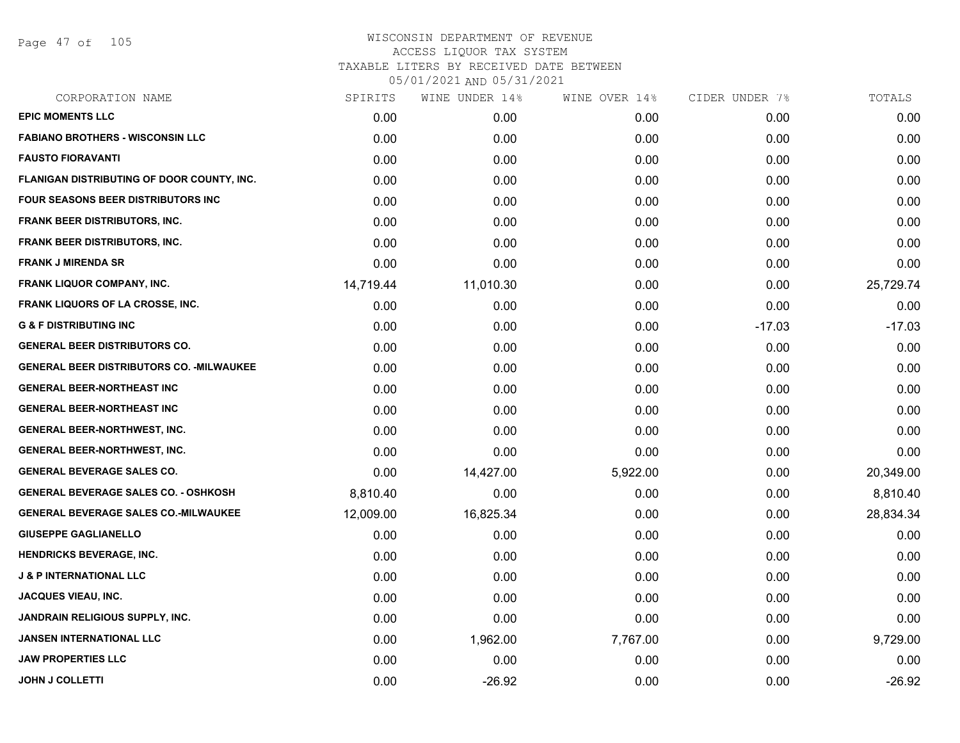Page 47 of 105

| SPIRITS   | WINE UNDER 14% | WINE OVER 14% |          | TOTALS         |
|-----------|----------------|---------------|----------|----------------|
| 0.00      | 0.00           | 0.00          | 0.00     | 0.00           |
| 0.00      | 0.00           | 0.00          | 0.00     | 0.00           |
| 0.00      | 0.00           | 0.00          | 0.00     | 0.00           |
| 0.00      | 0.00           | 0.00          | 0.00     | 0.00           |
| 0.00      | 0.00           | 0.00          | 0.00     | 0.00           |
| 0.00      | 0.00           | 0.00          | 0.00     | 0.00           |
| 0.00      | 0.00           | 0.00          | 0.00     | 0.00           |
| 0.00      | 0.00           | 0.00          | 0.00     | 0.00           |
| 14,719.44 | 11,010.30      | 0.00          | 0.00     | 25,729.74      |
| 0.00      | 0.00           | 0.00          | 0.00     | 0.00           |
| 0.00      | 0.00           | 0.00          | $-17.03$ | $-17.03$       |
| 0.00      | 0.00           | 0.00          | 0.00     | 0.00           |
| 0.00      | 0.00           | 0.00          | 0.00     | 0.00           |
| 0.00      | 0.00           | 0.00          | 0.00     | 0.00           |
| 0.00      | 0.00           | 0.00          | 0.00     | 0.00           |
| 0.00      | 0.00           | 0.00          | 0.00     | 0.00           |
| 0.00      | 0.00           | 0.00          | 0.00     | 0.00           |
| 0.00      | 14,427.00      | 5,922.00      | 0.00     | 20,349.00      |
| 8,810.40  | 0.00           | 0.00          | 0.00     | 8,810.40       |
| 12,009.00 | 16,825.34      | 0.00          | 0.00     | 28,834.34      |
| 0.00      | 0.00           | 0.00          | 0.00     | 0.00           |
| 0.00      | 0.00           | 0.00          | 0.00     | 0.00           |
| 0.00      | 0.00           | 0.00          | 0.00     | 0.00           |
| 0.00      | 0.00           | 0.00          | 0.00     | 0.00           |
| 0.00      | 0.00           | 0.00          | 0.00     | 0.00           |
| 0.00      | 1,962.00       | 7,767.00      | 0.00     | 9,729.00       |
| 0.00      | 0.00           | 0.00          | 0.00     | 0.00           |
| 0.00      | $-26.92$       | 0.00          | 0.00     | $-26.92$       |
|           |                |               |          | CIDER UNDER 7% |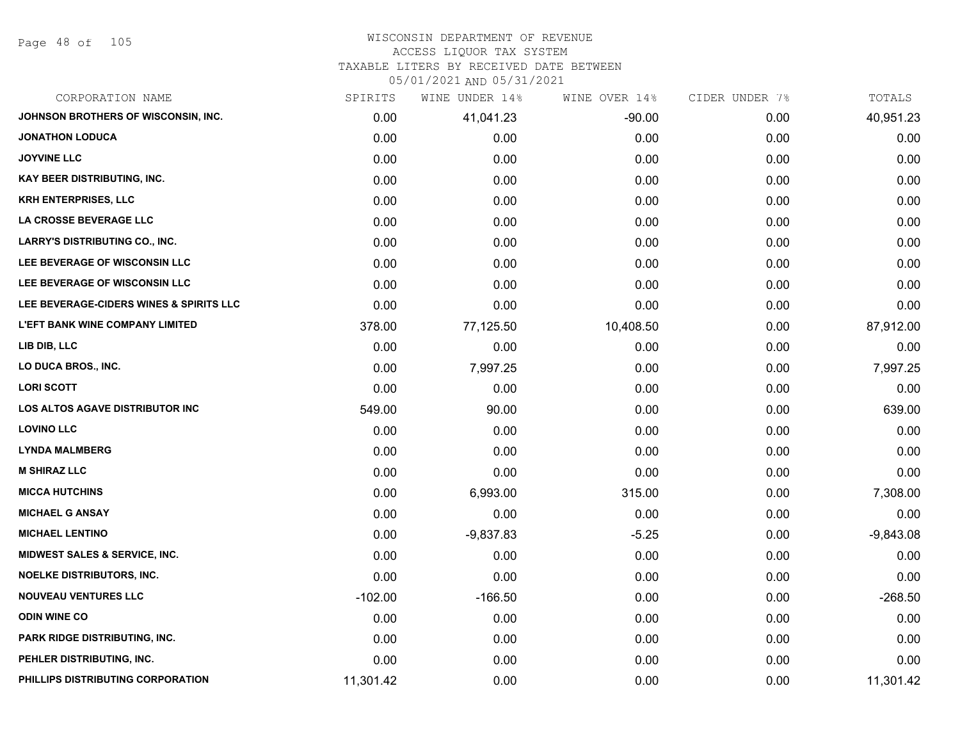Page 48 of 105

#### WISCONSIN DEPARTMENT OF REVENUE ACCESS LIQUOR TAX SYSTEM

TAXABLE LITERS BY RECEIVED DATE BETWEEN

| CORPORATION NAME                        | SPIRITS   | WINE UNDER 14% | WINE OVER 14% | CIDER UNDER 7% | TOTALS      |
|-----------------------------------------|-----------|----------------|---------------|----------------|-------------|
| JOHNSON BROTHERS OF WISCONSIN, INC.     | 0.00      | 41,041.23      | $-90.00$      | 0.00           | 40,951.23   |
| <b>JONATHON LODUCA</b>                  | 0.00      | 0.00           | 0.00          | 0.00           | 0.00        |
| <b>JOYVINE LLC</b>                      | 0.00      | 0.00           | 0.00          | 0.00           | 0.00        |
| <b>KAY BEER DISTRIBUTING, INC.</b>      | 0.00      | 0.00           | 0.00          | 0.00           | 0.00        |
| <b>KRH ENTERPRISES, LLC</b>             | 0.00      | 0.00           | 0.00          | 0.00           | 0.00        |
| LA CROSSE BEVERAGE LLC                  | 0.00      | 0.00           | 0.00          | 0.00           | 0.00        |
| <b>LARRY'S DISTRIBUTING CO., INC.</b>   | 0.00      | 0.00           | 0.00          | 0.00           | 0.00        |
| LEE BEVERAGE OF WISCONSIN LLC           | 0.00      | 0.00           | 0.00          | 0.00           | 0.00        |
| LEE BEVERAGE OF WISCONSIN LLC           | 0.00      | 0.00           | 0.00          | 0.00           | 0.00        |
| LEE BEVERAGE-CIDERS WINES & SPIRITS LLC | 0.00      | 0.00           | 0.00          | 0.00           | 0.00        |
| <b>L'EFT BANK WINE COMPANY LIMITED</b>  | 378.00    | 77,125.50      | 10,408.50     | 0.00           | 87,912.00   |
| LIB DIB, LLC                            | 0.00      | 0.00           | 0.00          | 0.00           | 0.00        |
| LO DUCA BROS., INC.                     | 0.00      | 7,997.25       | 0.00          | 0.00           | 7,997.25    |
| <b>LORI SCOTT</b>                       | 0.00      | 0.00           | 0.00          | 0.00           | 0.00        |
| <b>LOS ALTOS AGAVE DISTRIBUTOR INC</b>  | 549.00    | 90.00          | 0.00          | 0.00           | 639.00      |
| <b>LOVINO LLC</b>                       | 0.00      | 0.00           | 0.00          | 0.00           | 0.00        |
| <b>LYNDA MALMBERG</b>                   | 0.00      | 0.00           | 0.00          | 0.00           | 0.00        |
| <b>M SHIRAZ LLC</b>                     | 0.00      | 0.00           | 0.00          | 0.00           | 0.00        |
| <b>MICCA HUTCHINS</b>                   | 0.00      | 6,993.00       | 315.00        | 0.00           | 7,308.00    |
| <b>MICHAEL G ANSAY</b>                  | 0.00      | 0.00           | 0.00          | 0.00           | 0.00        |
| <b>MICHAEL LENTINO</b>                  | 0.00      | $-9,837.83$    | $-5.25$       | 0.00           | $-9,843.08$ |
| MIDWEST SALES & SERVICE, INC.           | 0.00      | 0.00           | 0.00          | 0.00           | 0.00        |
| <b>NOELKE DISTRIBUTORS, INC.</b>        | 0.00      | 0.00           | 0.00          | 0.00           | 0.00        |
| <b>NOUVEAU VENTURES LLC</b>             | $-102.00$ | $-166.50$      | 0.00          | 0.00           | $-268.50$   |
| <b>ODIN WINE CO</b>                     | 0.00      | 0.00           | 0.00          | 0.00           | 0.00        |
| PARK RIDGE DISTRIBUTING, INC.           | 0.00      | 0.00           | 0.00          | 0.00           | 0.00        |
| PEHLER DISTRIBUTING, INC.               | 0.00      | 0.00           | 0.00          | 0.00           | 0.00        |
| PHILLIPS DISTRIBUTING CORPORATION       | 11,301.42 | 0.00           | 0.00          | 0.00           | 11,301.42   |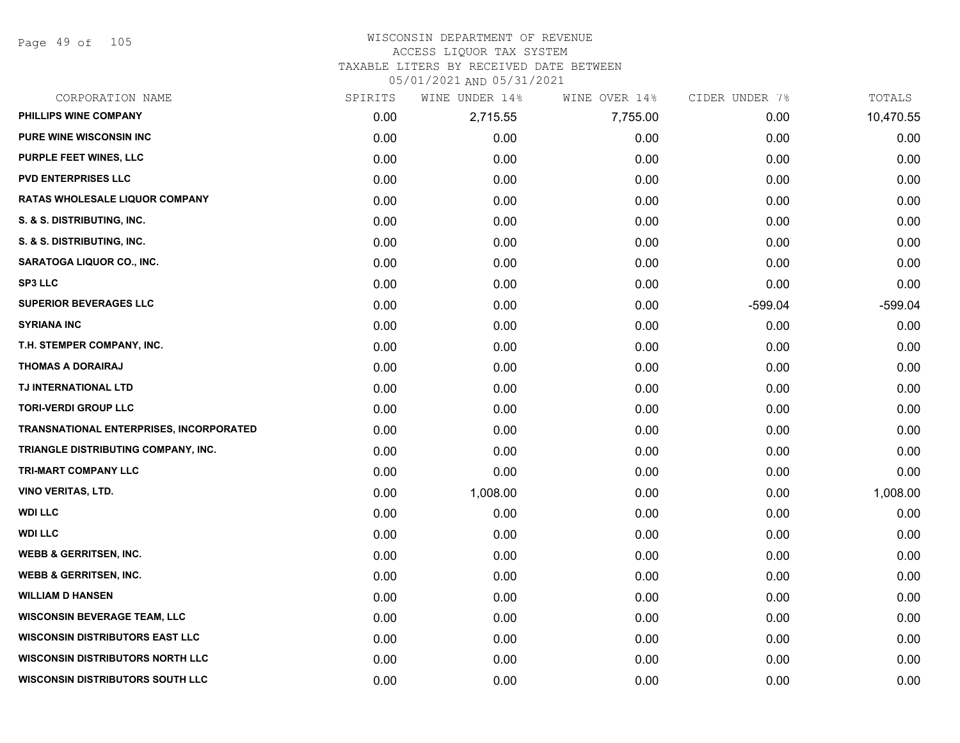Page 49 of 105

#### WISCONSIN DEPARTMENT OF REVENUE ACCESS LIQUOR TAX SYSTEM

TAXABLE LITERS BY RECEIVED DATE BETWEEN

| CORPORATION NAME                               | SPIRITS | WINE UNDER 14% | WINE OVER 14% | CIDER UNDER 7% | TOTALS    |
|------------------------------------------------|---------|----------------|---------------|----------------|-----------|
| PHILLIPS WINE COMPANY                          | 0.00    | 2,715.55       | 7,755.00      | 0.00           | 10,470.55 |
| <b>PURE WINE WISCONSIN INC</b>                 | 0.00    | 0.00           | 0.00          | 0.00           | 0.00      |
| PURPLE FEET WINES, LLC                         | 0.00    | 0.00           | 0.00          | 0.00           | 0.00      |
| <b>PVD ENTERPRISES LLC</b>                     | 0.00    | 0.00           | 0.00          | 0.00           | 0.00      |
| RATAS WHOLESALE LIQUOR COMPANY                 | 0.00    | 0.00           | 0.00          | 0.00           | 0.00      |
| S. & S. DISTRIBUTING, INC.                     | 0.00    | 0.00           | 0.00          | 0.00           | 0.00      |
| S. & S. DISTRIBUTING, INC.                     | 0.00    | 0.00           | 0.00          | 0.00           | 0.00      |
| <b>SARATOGA LIQUOR CO., INC.</b>               | 0.00    | 0.00           | 0.00          | 0.00           | 0.00      |
| <b>SP3 LLC</b>                                 | 0.00    | 0.00           | 0.00          | 0.00           | 0.00      |
| <b>SUPERIOR BEVERAGES LLC</b>                  | 0.00    | 0.00           | 0.00          | $-599.04$      | $-599.04$ |
| <b>SYRIANA INC</b>                             | 0.00    | 0.00           | 0.00          | 0.00           | 0.00      |
| T.H. STEMPER COMPANY, INC.                     | 0.00    | 0.00           | 0.00          | 0.00           | 0.00      |
| <b>THOMAS A DORAIRAJ</b>                       | 0.00    | 0.00           | 0.00          | 0.00           | 0.00      |
| TJ INTERNATIONAL LTD                           | 0.00    | 0.00           | 0.00          | 0.00           | 0.00      |
| <b>TORI-VERDI GROUP LLC</b>                    | 0.00    | 0.00           | 0.00          | 0.00           | 0.00      |
| <b>TRANSNATIONAL ENTERPRISES, INCORPORATED</b> | 0.00    | 0.00           | 0.00          | 0.00           | 0.00      |
| TRIANGLE DISTRIBUTING COMPANY, INC.            | 0.00    | 0.00           | 0.00          | 0.00           | 0.00      |
| TRI-MART COMPANY LLC                           | 0.00    | 0.00           | 0.00          | 0.00           | 0.00      |
| <b>VINO VERITAS, LTD.</b>                      | 0.00    | 1,008.00       | 0.00          | 0.00           | 1,008.00  |
| <b>WDI LLC</b>                                 | 0.00    | 0.00           | 0.00          | 0.00           | 0.00      |
| <b>WDI LLC</b>                                 | 0.00    | 0.00           | 0.00          | 0.00           | 0.00      |
| <b>WEBB &amp; GERRITSEN, INC.</b>              | 0.00    | 0.00           | 0.00          | 0.00           | 0.00      |
| <b>WEBB &amp; GERRITSEN, INC.</b>              | 0.00    | 0.00           | 0.00          | 0.00           | 0.00      |
| <b>WILLIAM D HANSEN</b>                        | 0.00    | 0.00           | 0.00          | 0.00           | 0.00      |
| <b>WISCONSIN BEVERAGE TEAM, LLC</b>            | 0.00    | 0.00           | 0.00          | 0.00           | 0.00      |
| <b>WISCONSIN DISTRIBUTORS EAST LLC</b>         | 0.00    | 0.00           | 0.00          | 0.00           | 0.00      |
| <b>WISCONSIN DISTRIBUTORS NORTH LLC</b>        | 0.00    | 0.00           | 0.00          | 0.00           | 0.00      |
| <b>WISCONSIN DISTRIBUTORS SOUTH LLC</b>        | 0.00    | 0.00           | 0.00          | 0.00           | 0.00      |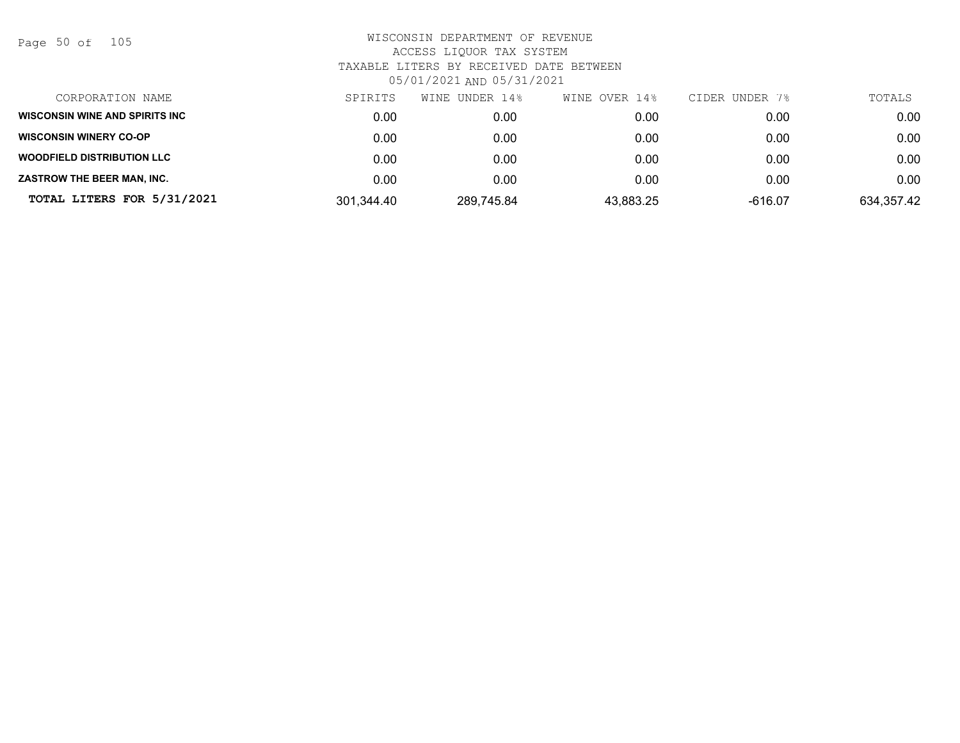Page 50 of 105

| CORPORATION NAME                       | SPIRITS    | WINE UNDER 14% | WINE OVER 14% | CIDER UNDER 7% | TOTALS     |
|----------------------------------------|------------|----------------|---------------|----------------|------------|
| <b>WISCONSIN WINE AND SPIRITS INC.</b> | 0.00       | 0.00           | 0.00          | 0.00           | 0.00       |
| <b>WISCONSIN WINERY CO-OP</b>          | 0.00       | 0.00           | 0.00          | 0.00           | 0.00       |
| <b>WOODFIELD DISTRIBUTION LLC</b>      | 0.00       | 0.00           | 0.00          | 0.00           | 0.00       |
| <b>ZASTROW THE BEER MAN. INC.</b>      | 0.00       | 0.00           | 0.00          | 0.00           | 0.00       |
| TOTAL LITERS FOR 5/31/2021             | 301,344.40 | 289,745.84     | 43,883.25     | -616.07        | 634,357.42 |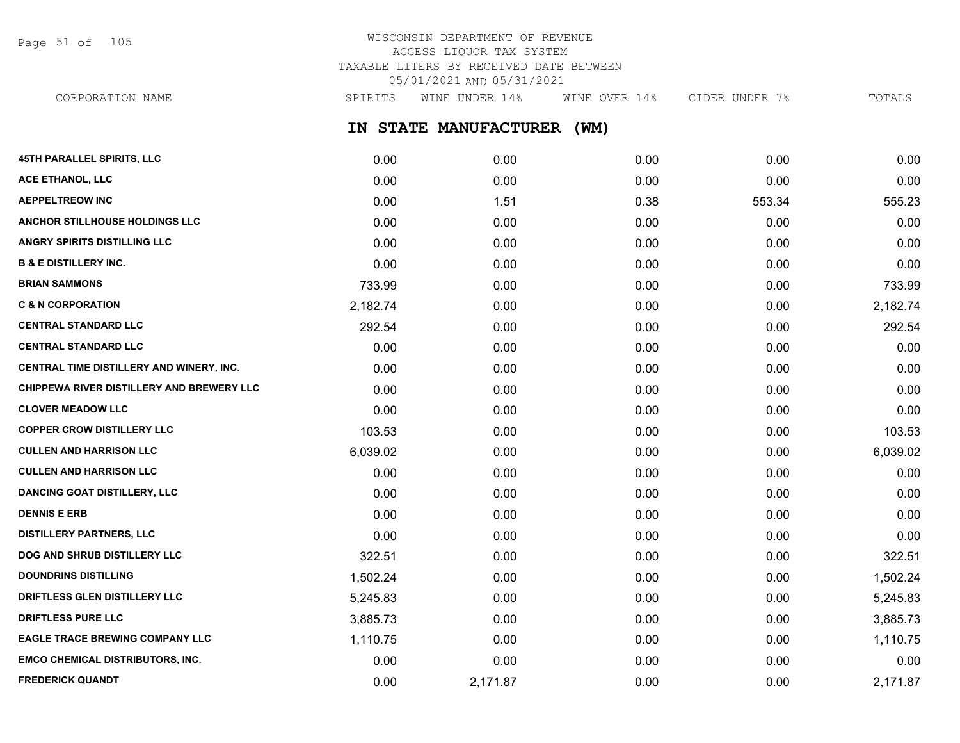Page 51 of 105

# WISCONSIN DEPARTMENT OF REVENUE ACCESS LIQUOR TAX SYSTEM TAXABLE LITERS BY RECEIVED DATE BETWEEN 05/01/2021 AND 05/31/2021

**IN STATE MANUFACTURER (WM) 45TH PARALLEL SPIRITS, LLC** 0.00 0.00 0.00 0.00 0.00 **ACE ETHANOL, LLC** 0.00 0.00 0.00 0.00 0.00 **AEPPELTREOW INC** 653.34 555.23 655.23 **ANCHOR STILLHOUSE HOLDINGS LLC** 0.00 0.00 0.00 0.00 0.00 **ANGRY SPIRITS DISTILLING LLC** 0.00 0.00 0.00 0.00 0.00 **B & E DISTILLERY INC.** 0.00 0.00 0.00 0.00 0.00 **BRIAN SAMMONS** 2000 233.99 233.99 233.99 25 26 26 2733.99 25 273.99 26 273.99 26 273.99 273.99 273.99 273.99 273 **C & N CORPORATION** 2,182.74 0.00 0.00 0.00 2,182.74 **CENTRAL STANDARD LLC** 292.54 0.00 0.00 0.00 292.54 **CENTRAL STANDARD LLC** 0.00 0.00 0.00 0.00 0.00 **CENTRAL TIME DISTILLERY AND WINERY, INC.**  $0.00$   $0.00$   $0.00$   $0.00$   $0.00$   $0.00$   $0.00$   $0.00$   $0.00$   $0.00$   $0.00$ **CHIPPEWA RIVER DISTILLERY AND BREWERY LLC** 0.00 0.00 0.00 0.00 0.00 **CLOVER MEADOW LLC** 0.00 0.00 0.00 0.00 0.00 **COPPER CROW DISTILLERY LLC** 103.53 0.00 0.00 0.00 103.53 **CULLEN AND HARRISON LLC** 6,039.02 0.00 0.00 0.00 6,039.02 **CULLEN AND HARRISON LLC** 0.00 0.00 0.00 0.00 0.00 CORPORATION NAME SPIRITS WINE UNDER 14% WINE OVER 14% CIDER UNDER 7% TOTALS

**DANCING GOAT DISTILLERY, LLC** 0.00 0.00 0.00 0.00 0.00 **DENNIS E ERB** 0.00 0.00 0.00 0.00 0.00 **DISTILLERY PARTNERS, LLC** 0.00 0.00 0.00 0.00 0.00 **DOG AND SHRUB DISTILLERY LLC**  $322.51$  0.00 0.00 0.00 0.00 0.00 0.00 0.00 322.51 **DOUNDRINS DISTILLING** 1,502.24 0.00 0.00 0.00 1,502.24 **DRIFTLESS GLEN DISTILLERY LLC** 5,245.83 0.00 0.00 0.00 5,245.83 **DRIFTLESS PURE LLC** 3,885.73 0.00 0.00 0.00 3,885.73 **EAGLE TRACE BREWING COMPANY LLC** 1,110.75 0.00 0.00 0.00 1,110.75 **EMCO CHEMICAL DISTRIBUTORS, INC.** 0.00 0.00 0.00 0.00 0.00 **FREDERICK QUANDT** 0.00 2,171.87 0.00 0.00 2,171.87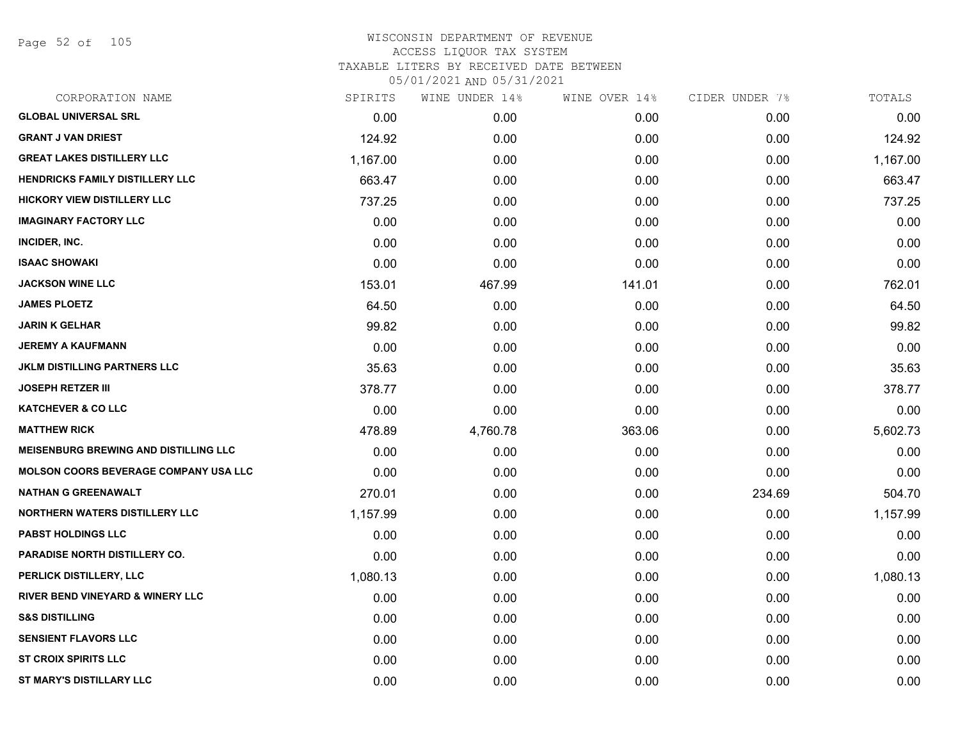Page 52 of 105

| CORPORATION NAME                             | SPIRITS  | WINE UNDER 14% | WINE OVER 14% | CIDER UNDER 7% | TOTALS   |
|----------------------------------------------|----------|----------------|---------------|----------------|----------|
| <b>GLOBAL UNIVERSAL SRL</b>                  | 0.00     | 0.00           | 0.00          | 0.00           | 0.00     |
| <b>GRANT J VAN DRIEST</b>                    | 124.92   | 0.00           | 0.00          | 0.00           | 124.92   |
| <b>GREAT LAKES DISTILLERY LLC</b>            | 1,167.00 | 0.00           | 0.00          | 0.00           | 1,167.00 |
| <b>HENDRICKS FAMILY DISTILLERY LLC</b>       | 663.47   | 0.00           | 0.00          | 0.00           | 663.47   |
| <b>HICKORY VIEW DISTILLERY LLC</b>           | 737.25   | 0.00           | 0.00          | 0.00           | 737.25   |
| <b>IMAGINARY FACTORY LLC</b>                 | 0.00     | 0.00           | 0.00          | 0.00           | 0.00     |
| INCIDER, INC.                                | 0.00     | 0.00           | 0.00          | 0.00           | 0.00     |
| <b>ISAAC SHOWAKI</b>                         | 0.00     | 0.00           | 0.00          | 0.00           | 0.00     |
| <b>JACKSON WINE LLC</b>                      | 153.01   | 467.99         | 141.01        | 0.00           | 762.01   |
| <b>JAMES PLOETZ</b>                          | 64.50    | 0.00           | 0.00          | 0.00           | 64.50    |
| <b>JARIN K GELHAR</b>                        | 99.82    | 0.00           | 0.00          | 0.00           | 99.82    |
| <b>JEREMY A KAUFMANN</b>                     | 0.00     | 0.00           | 0.00          | 0.00           | 0.00     |
| <b>JKLM DISTILLING PARTNERS LLC</b>          | 35.63    | 0.00           | 0.00          | 0.00           | 35.63    |
| <b>JOSEPH RETZER III</b>                     | 378.77   | 0.00           | 0.00          | 0.00           | 378.77   |
| <b>KATCHEVER &amp; CO LLC</b>                | 0.00     | 0.00           | 0.00          | 0.00           | 0.00     |
| <b>MATTHEW RICK</b>                          | 478.89   | 4,760.78       | 363.06        | 0.00           | 5,602.73 |
| <b>MEISENBURG BREWING AND DISTILLING LLC</b> | 0.00     | 0.00           | 0.00          | 0.00           | 0.00     |
| <b>MOLSON COORS BEVERAGE COMPANY USA LLC</b> | 0.00     | 0.00           | 0.00          | 0.00           | 0.00     |
| <b>NATHAN G GREENAWALT</b>                   | 270.01   | 0.00           | 0.00          | 234.69         | 504.70   |
| NORTHERN WATERS DISTILLERY LLC               | 1,157.99 | 0.00           | 0.00          | 0.00           | 1,157.99 |
| <b>PABST HOLDINGS LLC</b>                    | 0.00     | 0.00           | 0.00          | 0.00           | 0.00     |
| <b>PARADISE NORTH DISTILLERY CO.</b>         | 0.00     | 0.00           | 0.00          | 0.00           | 0.00     |
| PERLICK DISTILLERY, LLC                      | 1,080.13 | 0.00           | 0.00          | 0.00           | 1,080.13 |
| <b>RIVER BEND VINEYARD &amp; WINERY LLC</b>  | 0.00     | 0.00           | 0.00          | 0.00           | 0.00     |
| <b>S&amp;S DISTILLING</b>                    | 0.00     | 0.00           | 0.00          | 0.00           | 0.00     |
| <b>SENSIENT FLAVORS LLC</b>                  | 0.00     | 0.00           | 0.00          | 0.00           | 0.00     |
| <b>ST CROIX SPIRITS LLC</b>                  | 0.00     | 0.00           | 0.00          | 0.00           | 0.00     |
| <b>ST MARY'S DISTILLARY LLC</b>              | 0.00     | 0.00           | 0.00          | 0.00           | 0.00     |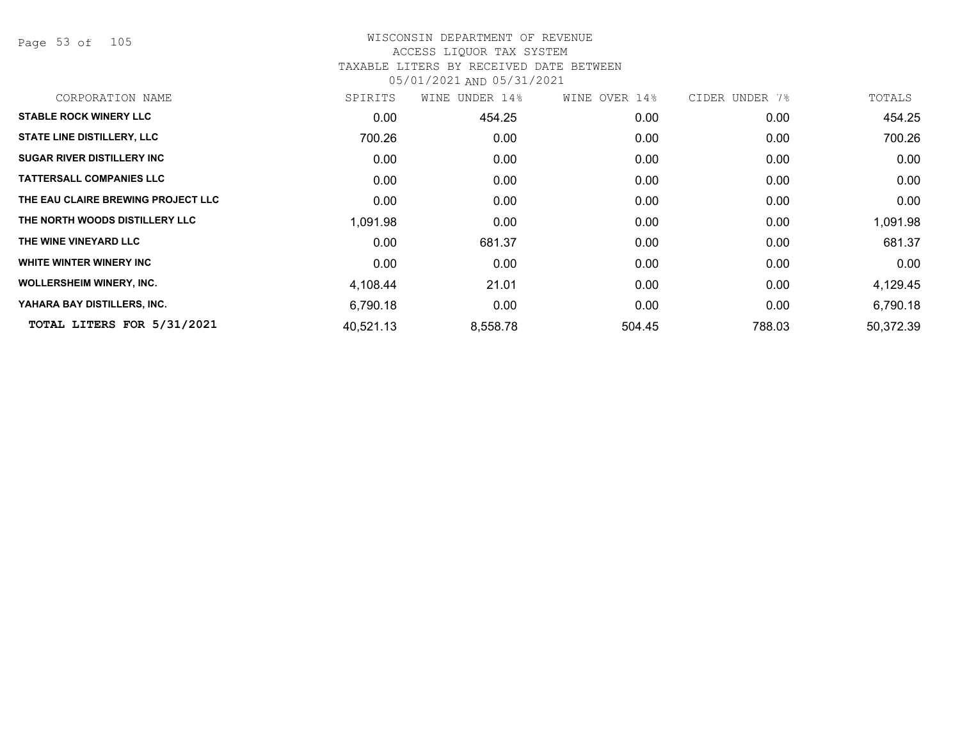Page 53 of 105

# WISCONSIN DEPARTMENT OF REVENUE ACCESS LIQUOR TAX SYSTEM TAXABLE LITERS BY RECEIVED DATE BETWEEN

| CORPORATION NAME                   | SPIRITS   | UNDER 14%<br>WINE | WINE OVER 14%     | CIDER UNDER 7% | TOTALS    |
|------------------------------------|-----------|-------------------|-------------------|----------------|-----------|
| <b>STABLE ROCK WINERY LLC</b>      | 0.00      | 454.25            | 0.00              | 0.00           | 454.25    |
| <b>STATE LINE DISTILLERY, LLC</b>  | 700.26    | 0.00              | 0.00              | 0.00           | 700.26    |
| <b>SUGAR RIVER DISTILLERY INC</b>  | 0.00      | 0.00              | 0.00              | 0.00           | 0.00      |
| <b>TATTERSALL COMPANIES LLC</b>    | 0.00      | 0.00              | 0.00              | 0.00           | 0.00      |
| THE EAU CLAIRE BREWING PROJECT LLC | 0.00      | 0.00              | 0.00 <sub>1</sub> | 0.00           | 0.00      |
| THE NORTH WOODS DISTILLERY LLC     | 1,091.98  | 0.00 <sub>1</sub> | 0.00 <sub>1</sub> | 0.00           | 1,091.98  |
| THE WINE VINEYARD LLC              | 0.00      | 681.37            | 0.00              | 0.00           | 681.37    |
| WHITE WINTER WINERY INC            | 0.00      | 0.00              | 0.00              | 0.00           | 0.00      |
| <b>WOLLERSHEIM WINERY, INC.</b>    | 4,108.44  | 21.01             | 0.00              | 0.00           | 4,129.45  |
| YAHARA BAY DISTILLERS, INC.        | 6,790.18  | 0.00              | 0.00              | 0.00           | 6,790.18  |
| TOTAL LITERS FOR 5/31/2021         | 40,521.13 | 8,558.78          | 504.45            | 788.03         | 50,372.39 |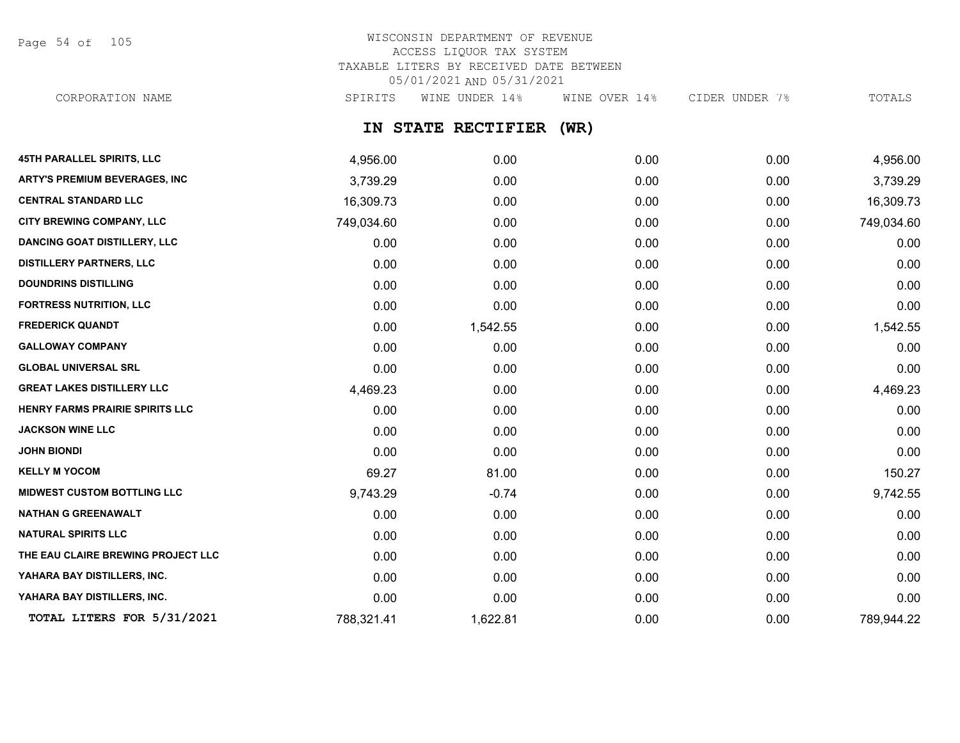Page 54 of 105

# WISCONSIN DEPARTMENT OF REVENUE ACCESS LIQUOR TAX SYSTEM TAXABLE LITERS BY RECEIVED DATE BETWEEN 05/01/2021 AND 05/31/2021 CORPORATION NAME SPIRITS WINE UNDER 14% WINE OVER 14% CIDER UNDER 7% TOTALS

# **IN STATE RECTIFIER (WR)**

| 45TH PARALLEL SPIRITS, LLC           | 4,956.00   | 0.00     | 0.00 | 0.00 | 4,956.00   |
|--------------------------------------|------------|----------|------|------|------------|
| <b>ARTY'S PREMIUM BEVERAGES, INC</b> | 3,739.29   | 0.00     | 0.00 | 0.00 | 3,739.29   |
| <b>CENTRAL STANDARD LLC</b>          | 16,309.73  | 0.00     | 0.00 | 0.00 | 16,309.73  |
| CITY BREWING COMPANY, LLC            | 749,034.60 | 0.00     | 0.00 | 0.00 | 749,034.60 |
| <b>DANCING GOAT DISTILLERY, LLC</b>  | 0.00       | 0.00     | 0.00 | 0.00 | 0.00       |
| <b>DISTILLERY PARTNERS, LLC</b>      | 0.00       | 0.00     | 0.00 | 0.00 | 0.00       |
| <b>DOUNDRINS DISTILLING</b>          | 0.00       | 0.00     | 0.00 | 0.00 | 0.00       |
| <b>FORTRESS NUTRITION, LLC</b>       | 0.00       | 0.00     | 0.00 | 0.00 | 0.00       |
| <b>FREDERICK QUANDT</b>              | 0.00       | 1,542.55 | 0.00 | 0.00 | 1,542.55   |
| <b>GALLOWAY COMPANY</b>              | 0.00       | 0.00     | 0.00 | 0.00 | 0.00       |
| <b>GLOBAL UNIVERSAL SRL</b>          | 0.00       | 0.00     | 0.00 | 0.00 | 0.00       |
| <b>GREAT LAKES DISTILLERY LLC</b>    | 4,469.23   | 0.00     | 0.00 | 0.00 | 4,469.23   |
| HENRY FARMS PRAIRIE SPIRITS LLC      | 0.00       | 0.00     | 0.00 | 0.00 | 0.00       |
| <b>JACKSON WINE LLC</b>              | 0.00       | 0.00     | 0.00 | 0.00 | 0.00       |
| <b>JOHN BIONDI</b>                   | 0.00       | 0.00     | 0.00 | 0.00 | 0.00       |
| <b>KELLY M YOCOM</b>                 | 69.27      | 81.00    | 0.00 | 0.00 | 150.27     |
| <b>MIDWEST CUSTOM BOTTLING LLC</b>   | 9,743.29   | $-0.74$  | 0.00 | 0.00 | 9,742.55   |
| <b>NATHAN G GREENAWALT</b>           | 0.00       | 0.00     | 0.00 | 0.00 | 0.00       |
| <b>NATURAL SPIRITS LLC</b>           | 0.00       | 0.00     | 0.00 | 0.00 | 0.00       |
| THE EAU CLAIRE BREWING PROJECT LLC   | 0.00       | 0.00     | 0.00 | 0.00 | 0.00       |
| YAHARA BAY DISTILLERS, INC.          | 0.00       | 0.00     | 0.00 | 0.00 | 0.00       |
| YAHARA BAY DISTILLERS, INC.          | 0.00       | 0.00     | 0.00 | 0.00 | 0.00       |
| TOTAL LITERS FOR 5/31/2021           | 788,321.41 | 1,622.81 | 0.00 | 0.00 | 789,944.22 |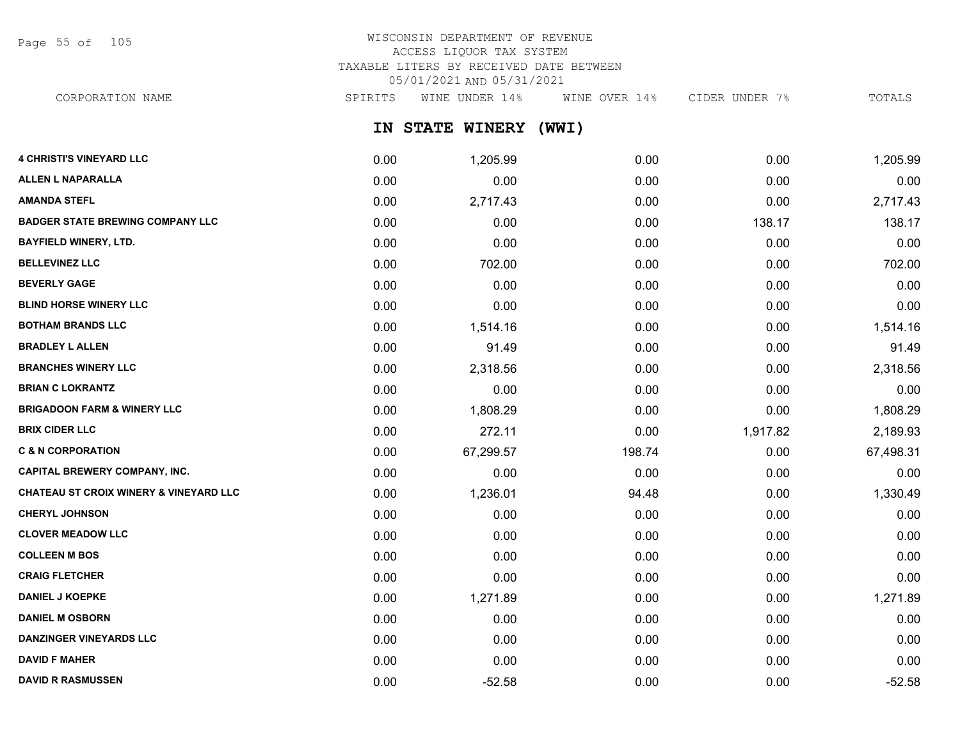Page 55 of 105

# WISCONSIN DEPARTMENT OF REVENUE ACCESS LIQUOR TAX SYSTEM TAXABLE LITERS BY RECEIVED DATE BETWEEN 05/01/2021 AND 05/31/2021

CORPORATION NAME SPIRITS WINE UNDER 14% WINE OVER 14% CIDER UNDER 7% TOTALS

**IN STATE WINERY (WWI)**

| <b>4 CHRISTI'S VINEYARD LLC</b>                   | 0.00 | 1,205.99  | 0.00   | 0.00     | 1,205.99  |
|---------------------------------------------------|------|-----------|--------|----------|-----------|
| <b>ALLEN L NAPARALLA</b>                          | 0.00 | 0.00      | 0.00   | 0.00     | 0.00      |
| <b>AMANDA STEFL</b>                               | 0.00 | 2,717.43  | 0.00   | 0.00     | 2,717.43  |
| <b>BADGER STATE BREWING COMPANY LLC</b>           | 0.00 | 0.00      | 0.00   | 138.17   | 138.17    |
| <b>BAYFIELD WINERY, LTD.</b>                      | 0.00 | 0.00      | 0.00   | 0.00     | 0.00      |
| <b>BELLEVINEZ LLC</b>                             | 0.00 | 702.00    | 0.00   | 0.00     | 702.00    |
| <b>BEVERLY GAGE</b>                               | 0.00 | 0.00      | 0.00   | 0.00     | 0.00      |
| <b>BLIND HORSE WINERY LLC</b>                     | 0.00 | 0.00      | 0.00   | 0.00     | 0.00      |
| <b>BOTHAM BRANDS LLC</b>                          | 0.00 | 1,514.16  | 0.00   | 0.00     | 1,514.16  |
| <b>BRADLEY L ALLEN</b>                            | 0.00 | 91.49     | 0.00   | 0.00     | 91.49     |
| <b>BRANCHES WINERY LLC</b>                        | 0.00 | 2,318.56  | 0.00   | 0.00     | 2,318.56  |
| <b>BRIAN C LOKRANTZ</b>                           | 0.00 | 0.00      | 0.00   | 0.00     | 0.00      |
| <b>BRIGADOON FARM &amp; WINERY LLC</b>            | 0.00 | 1,808.29  | 0.00   | 0.00     | 1,808.29  |
| <b>BRIX CIDER LLC</b>                             | 0.00 | 272.11    | 0.00   | 1,917.82 | 2,189.93  |
| <b>C &amp; N CORPORATION</b>                      | 0.00 | 67,299.57 | 198.74 | 0.00     | 67,498.31 |
| <b>CAPITAL BREWERY COMPANY, INC.</b>              | 0.00 | 0.00      | 0.00   | 0.00     | 0.00      |
| <b>CHATEAU ST CROIX WINERY &amp; VINEYARD LLC</b> | 0.00 | 1,236.01  | 94.48  | 0.00     | 1,330.49  |
| <b>CHERYL JOHNSON</b>                             | 0.00 | 0.00      | 0.00   | 0.00     | 0.00      |
| <b>CLOVER MEADOW LLC</b>                          | 0.00 | 0.00      | 0.00   | 0.00     | 0.00      |
| <b>COLLEEN M BOS</b>                              | 0.00 | 0.00      | 0.00   | 0.00     | 0.00      |
| <b>CRAIG FLETCHER</b>                             | 0.00 | 0.00      | 0.00   | 0.00     | 0.00      |
| <b>DANIEL J KOEPKE</b>                            | 0.00 | 1,271.89  | 0.00   | 0.00     | 1,271.89  |
| <b>DANIEL M OSBORN</b>                            | 0.00 | 0.00      | 0.00   | 0.00     | 0.00      |
| <b>DANZINGER VINEYARDS LLC</b>                    | 0.00 | 0.00      | 0.00   | 0.00     | 0.00      |
| <b>DAVID F MAHER</b>                              | 0.00 | 0.00      | 0.00   | 0.00     | 0.00      |
| <b>DAVID R RASMUSSEN</b>                          | 0.00 | $-52.58$  | 0.00   | 0.00     | $-52.58$  |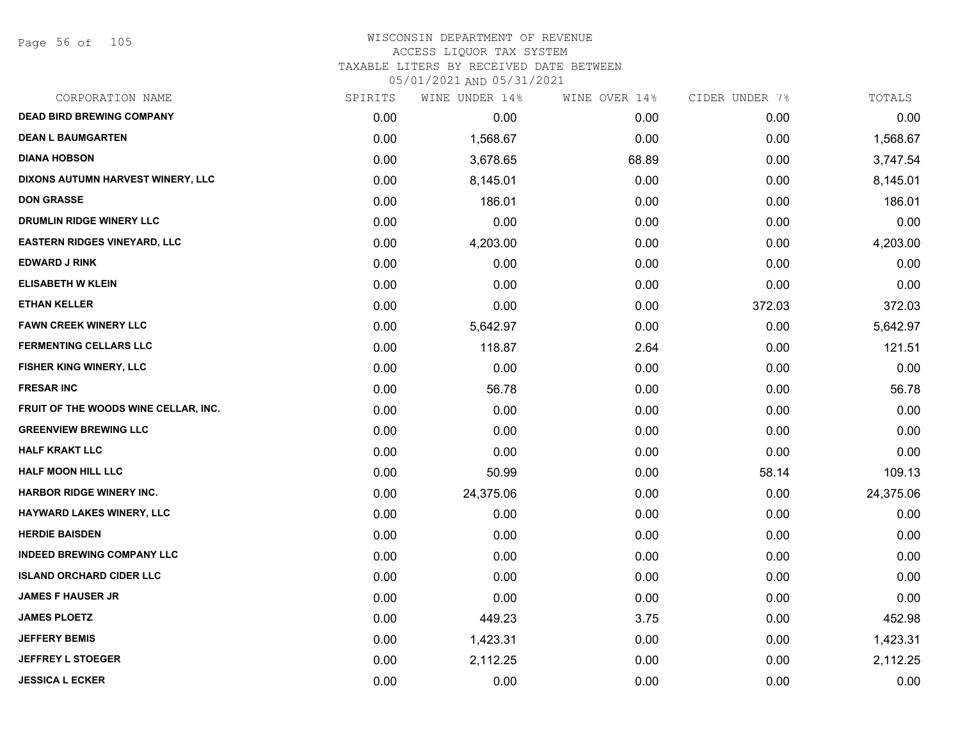# WISCONSIN DEPARTMENT OF REVENUE ACCESS LIQUOR TAX SYSTEM TAXABLE LITERS BY RECEIVED DATE BETWEEN

| CORPORATION NAME                     | SPIRITS | WINE UNDER 14% | WINE OVER 14% | CIDER UNDER 7% | TOTALS    |
|--------------------------------------|---------|----------------|---------------|----------------|-----------|
| <b>DEAD BIRD BREWING COMPANY</b>     | 0.00    | 0.00           | 0.00          | 0.00           | 0.00      |
| <b>DEAN L BAUMGARTEN</b>             | 0.00    | 1,568.67       | 0.00          | 0.00           | 1,568.67  |
| <b>DIANA HOBSON</b>                  | 0.00    | 3,678.65       | 68.89         | 0.00           | 3,747.54  |
| DIXONS AUTUMN HARVEST WINERY, LLC    | 0.00    | 8,145.01       | 0.00          | 0.00           | 8,145.01  |
| <b>DON GRASSE</b>                    | 0.00    | 186.01         | 0.00          | 0.00           | 186.01    |
| DRUMLIN RIDGE WINERY LLC             | 0.00    | 0.00           | 0.00          | 0.00           | 0.00      |
| <b>EASTERN RIDGES VINEYARD, LLC</b>  | 0.00    | 4,203.00       | 0.00          | 0.00           | 4,203.00  |
| <b>EDWARD J RINK</b>                 | 0.00    | 0.00           | 0.00          | 0.00           | 0.00      |
| <b>ELISABETH W KLEIN</b>             | 0.00    | 0.00           | 0.00          | 0.00           | 0.00      |
| <b>ETHAN KELLER</b>                  | 0.00    | 0.00           | 0.00          | 372.03         | 372.03    |
| <b>FAWN CREEK WINERY LLC</b>         | 0.00    | 5,642.97       | 0.00          | 0.00           | 5,642.97  |
| <b>FERMENTING CELLARS LLC</b>        | 0.00    | 118.87         | 2.64          | 0.00           | 121.51    |
| FISHER KING WINERY, LLC              | 0.00    | 0.00           | 0.00          | 0.00           | 0.00      |
| <b>FRESAR INC</b>                    | 0.00    | 56.78          | 0.00          | 0.00           | 56.78     |
| FRUIT OF THE WOODS WINE CELLAR, INC. | 0.00    | 0.00           | 0.00          | 0.00           | 0.00      |
| <b>GREENVIEW BREWING LLC</b>         | 0.00    | 0.00           | 0.00          | 0.00           | 0.00      |
| <b>HALF KRAKT LLC</b>                | 0.00    | 0.00           | 0.00          | 0.00           | 0.00      |
| <b>HALF MOON HILL LLC</b>            | 0.00    | 50.99          | 0.00          | 58.14          | 109.13    |
| <b>HARBOR RIDGE WINERY INC.</b>      | 0.00    | 24,375.06      | 0.00          | 0.00           | 24,375.06 |
| HAYWARD LAKES WINERY, LLC            | 0.00    | 0.00           | 0.00          | 0.00           | 0.00      |
| <b>HERDIE BAISDEN</b>                | 0.00    | 0.00           | 0.00          | 0.00           | 0.00      |
| <b>INDEED BREWING COMPANY LLC</b>    | 0.00    | 0.00           | 0.00          | 0.00           | 0.00      |
| <b>ISLAND ORCHARD CIDER LLC</b>      | 0.00    | 0.00           | 0.00          | 0.00           | 0.00      |
| <b>JAMES F HAUSER JR</b>             | 0.00    | 0.00           | 0.00          | 0.00           | 0.00      |
| <b>JAMES PLOETZ</b>                  | 0.00    | 449.23         | 3.75          | 0.00           | 452.98    |
| <b>JEFFERY BEMIS</b>                 | 0.00    | 1,423.31       | 0.00          | 0.00           | 1,423.31  |
| <b>JEFFREY L STOEGER</b>             | 0.00    | 2,112.25       | 0.00          | 0.00           | 2,112.25  |
| <b>JESSICA L ECKER</b>               | 0.00    | 0.00           | 0.00          | 0.00           | 0.00      |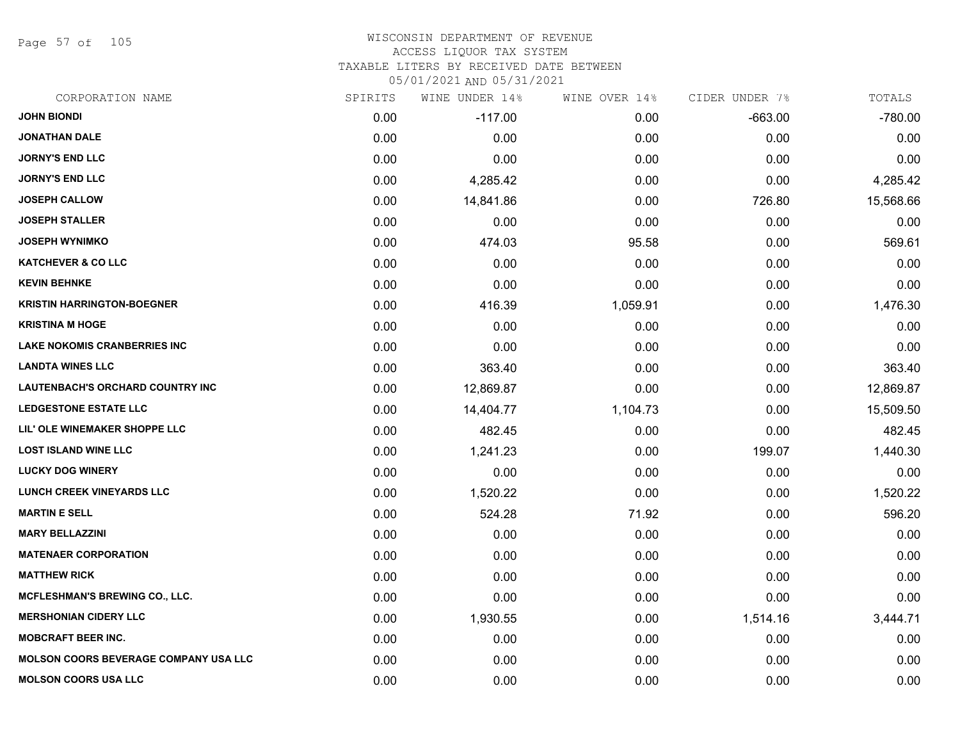Page 57 of 105

#### WISCONSIN DEPARTMENT OF REVENUE ACCESS LIQUOR TAX SYSTEM

TAXABLE LITERS BY RECEIVED DATE BETWEEN

| CORPORATION NAME                             | SPIRITS | WINE UNDER 14% | WINE OVER 14% | CIDER UNDER 7% | TOTALS    |
|----------------------------------------------|---------|----------------|---------------|----------------|-----------|
| <b>JOHN BIONDI</b>                           | 0.00    | $-117.00$      | 0.00          | $-663.00$      | $-780.00$ |
| <b>JONATHAN DALE</b>                         | 0.00    | 0.00           | 0.00          | 0.00           | 0.00      |
| <b>JORNY'S END LLC</b>                       | 0.00    | 0.00           | 0.00          | 0.00           | 0.00      |
| <b>JORNY'S END LLC</b>                       | 0.00    | 4,285.42       | 0.00          | 0.00           | 4,285.42  |
| <b>JOSEPH CALLOW</b>                         | 0.00    | 14,841.86      | 0.00          | 726.80         | 15,568.66 |
| <b>JOSEPH STALLER</b>                        | 0.00    | 0.00           | 0.00          | 0.00           | 0.00      |
| <b>JOSEPH WYNIMKO</b>                        | 0.00    | 474.03         | 95.58         | 0.00           | 569.61    |
| <b>KATCHEVER &amp; CO LLC</b>                | 0.00    | 0.00           | 0.00          | 0.00           | 0.00      |
| <b>KEVIN BEHNKE</b>                          | 0.00    | 0.00           | 0.00          | 0.00           | 0.00      |
| <b>KRISTIN HARRINGTON-BOEGNER</b>            | 0.00    | 416.39         | 1,059.91      | 0.00           | 1,476.30  |
| <b>KRISTINA M HOGE</b>                       | 0.00    | 0.00           | 0.00          | 0.00           | 0.00      |
| <b>LAKE NOKOMIS CRANBERRIES INC</b>          | 0.00    | 0.00           | 0.00          | 0.00           | 0.00      |
| <b>LANDTA WINES LLC</b>                      | 0.00    | 363.40         | 0.00          | 0.00           | 363.40    |
| <b>LAUTENBACH'S ORCHARD COUNTRY INC</b>      | 0.00    | 12,869.87      | 0.00          | 0.00           | 12,869.87 |
| <b>LEDGESTONE ESTATE LLC</b>                 | 0.00    | 14,404.77      | 1,104.73      | 0.00           | 15,509.50 |
| LIL' OLE WINEMAKER SHOPPE LLC                | 0.00    | 482.45         | 0.00          | 0.00           | 482.45    |
| <b>LOST ISLAND WINE LLC</b>                  | 0.00    | 1,241.23       | 0.00          | 199.07         | 1,440.30  |
| <b>LUCKY DOG WINERY</b>                      | 0.00    | 0.00           | 0.00          | 0.00           | 0.00      |
| <b>LUNCH CREEK VINEYARDS LLC</b>             | 0.00    | 1,520.22       | 0.00          | 0.00           | 1,520.22  |
| <b>MARTIN E SELL</b>                         | 0.00    | 524.28         | 71.92         | 0.00           | 596.20    |
| <b>MARY BELLAZZINI</b>                       | 0.00    | 0.00           | 0.00          | 0.00           | 0.00      |
| <b>MATENAER CORPORATION</b>                  | 0.00    | 0.00           | 0.00          | 0.00           | 0.00      |
| <b>MATTHEW RICK</b>                          | 0.00    | 0.00           | 0.00          | 0.00           | 0.00      |
| MCFLESHMAN'S BREWING CO., LLC.               | 0.00    | 0.00           | 0.00          | 0.00           | 0.00      |
| <b>MERSHONIAN CIDERY LLC</b>                 | 0.00    | 1,930.55       | 0.00          | 1,514.16       | 3,444.71  |
| <b>MOBCRAFT BEER INC.</b>                    | 0.00    | 0.00           | 0.00          | 0.00           | 0.00      |
| <b>MOLSON COORS BEVERAGE COMPANY USA LLC</b> | 0.00    | 0.00           | 0.00          | 0.00           | 0.00      |
| <b>MOLSON COORS USA LLC</b>                  | 0.00    | 0.00           | 0.00          | 0.00           | 0.00      |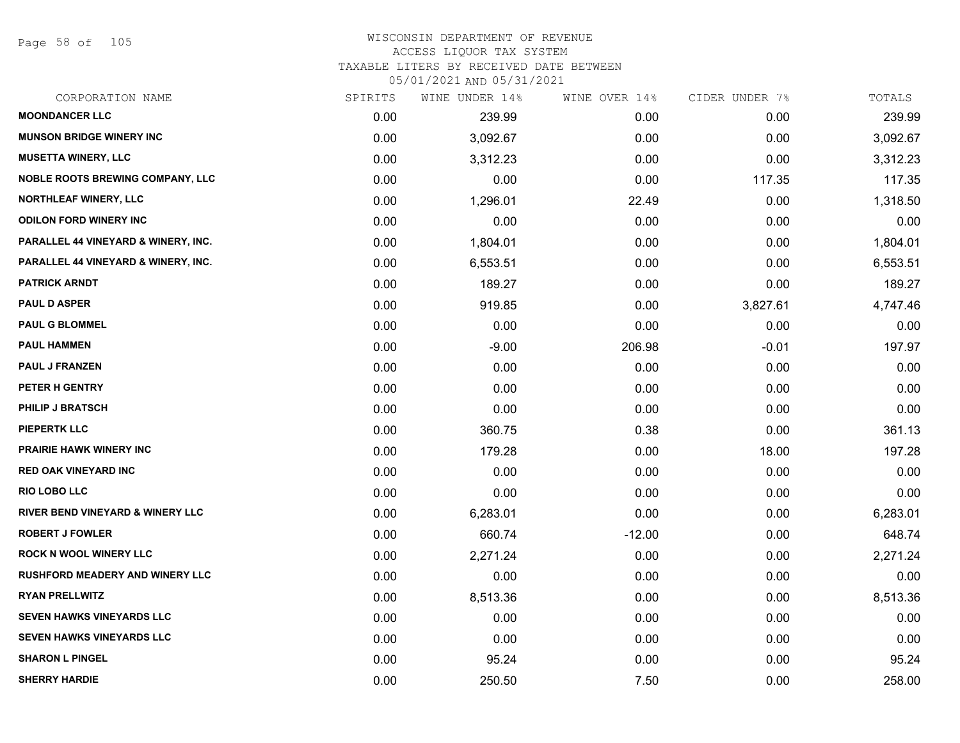Page 58 of 105

# WISCONSIN DEPARTMENT OF REVENUE ACCESS LIQUOR TAX SYSTEM

TAXABLE LITERS BY RECEIVED DATE BETWEEN

| CORPORATION NAME                            | SPIRITS | WINE UNDER 14% | WINE OVER 14% | CIDER UNDER 7% | TOTALS   |
|---------------------------------------------|---------|----------------|---------------|----------------|----------|
| <b>MOONDANCER LLC</b>                       | 0.00    | 239.99         | 0.00          | 0.00           | 239.99   |
| <b>MUNSON BRIDGE WINERY INC</b>             | 0.00    | 3,092.67       | 0.00          | 0.00           | 3,092.67 |
| <b>MUSETTA WINERY, LLC</b>                  | 0.00    | 3,312.23       | 0.00          | 0.00           | 3,312.23 |
| <b>NOBLE ROOTS BREWING COMPANY, LLC</b>     | 0.00    | 0.00           | 0.00          | 117.35         | 117.35   |
| <b>NORTHLEAF WINERY, LLC</b>                | 0.00    | 1,296.01       | 22.49         | 0.00           | 1,318.50 |
| <b>ODILON FORD WINERY INC</b>               | 0.00    | 0.00           | 0.00          | 0.00           | 0.00     |
| PARALLEL 44 VINEYARD & WINERY, INC.         | 0.00    | 1,804.01       | 0.00          | 0.00           | 1,804.01 |
| PARALLEL 44 VINEYARD & WINERY, INC.         | 0.00    | 6,553.51       | 0.00          | 0.00           | 6,553.51 |
| <b>PATRICK ARNDT</b>                        | 0.00    | 189.27         | 0.00          | 0.00           | 189.27   |
| <b>PAUL D ASPER</b>                         | 0.00    | 919.85         | 0.00          | 3,827.61       | 4,747.46 |
| <b>PAUL G BLOMMEL</b>                       | 0.00    | 0.00           | 0.00          | 0.00           | 0.00     |
| <b>PAUL HAMMEN</b>                          | 0.00    | $-9.00$        | 206.98        | $-0.01$        | 197.97   |
| <b>PAUL J FRANZEN</b>                       | 0.00    | 0.00           | 0.00          | 0.00           | 0.00     |
| <b>PETER H GENTRY</b>                       | 0.00    | 0.00           | 0.00          | 0.00           | 0.00     |
| PHILIP J BRATSCH                            | 0.00    | 0.00           | 0.00          | 0.00           | 0.00     |
| <b>PIEPERTK LLC</b>                         | 0.00    | 360.75         | 0.38          | 0.00           | 361.13   |
| <b>PRAIRIE HAWK WINERY INC</b>              | 0.00    | 179.28         | 0.00          | 18.00          | 197.28   |
| <b>RED OAK VINEYARD INC</b>                 | 0.00    | 0.00           | 0.00          | 0.00           | 0.00     |
| <b>RIO LOBO LLC</b>                         | 0.00    | 0.00           | 0.00          | 0.00           | 0.00     |
| <b>RIVER BEND VINEYARD &amp; WINERY LLC</b> | 0.00    | 6,283.01       | 0.00          | 0.00           | 6,283.01 |
| <b>ROBERT J FOWLER</b>                      | 0.00    | 660.74         | $-12.00$      | 0.00           | 648.74   |
| <b>ROCK N WOOL WINERY LLC</b>               | 0.00    | 2,271.24       | 0.00          | 0.00           | 2,271.24 |
| <b>RUSHFORD MEADERY AND WINERY LLC</b>      | 0.00    | 0.00           | 0.00          | 0.00           | 0.00     |
| <b>RYAN PRELLWITZ</b>                       | 0.00    | 8,513.36       | 0.00          | 0.00           | 8,513.36 |
| <b>SEVEN HAWKS VINEYARDS LLC</b>            | 0.00    | 0.00           | 0.00          | 0.00           | 0.00     |
| <b>SEVEN HAWKS VINEYARDS LLC</b>            | 0.00    | 0.00           | 0.00          | 0.00           | 0.00     |
| <b>SHARON L PINGEL</b>                      | 0.00    | 95.24          | 0.00          | 0.00           | 95.24    |
| <b>SHERRY HARDIE</b>                        | 0.00    | 250.50         | 7.50          | 0.00           | 258.00   |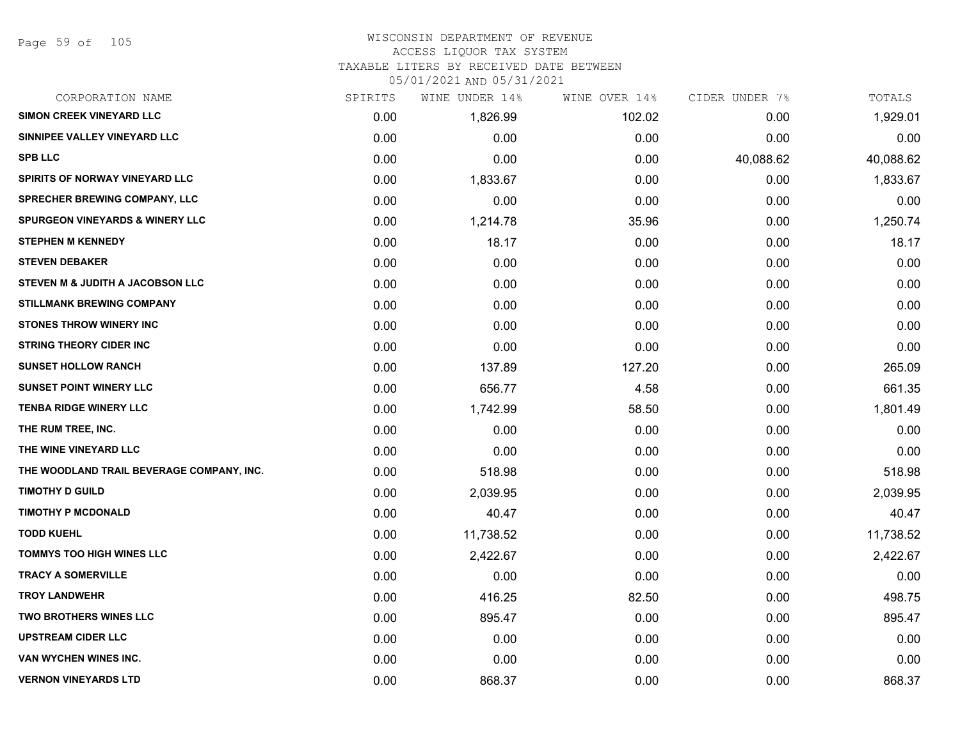# WISCONSIN DEPARTMENT OF REVENUE

# ACCESS LIQUOR TAX SYSTEM

TAXABLE LITERS BY RECEIVED DATE BETWEEN

| CORPORATION NAME                           | SPIRITS | WINE UNDER 14% | WINE OVER 14% | CIDER UNDER 7% | TOTALS    |
|--------------------------------------------|---------|----------------|---------------|----------------|-----------|
| <b>SIMON CREEK VINEYARD LLC</b>            | 0.00    | 1,826.99       | 102.02        | 0.00           | 1,929.01  |
| SINNIPEE VALLEY VINEYARD LLC               | 0.00    | 0.00           | 0.00          | 0.00           | 0.00      |
| <b>SPB LLC</b>                             | 0.00    | 0.00           | 0.00          | 40,088.62      | 40,088.62 |
| SPIRITS OF NORWAY VINEYARD LLC             | 0.00    | 1,833.67       | 0.00          | 0.00           | 1,833.67  |
| SPRECHER BREWING COMPANY, LLC              | 0.00    | 0.00           | 0.00          | 0.00           | 0.00      |
| <b>SPURGEON VINEYARDS &amp; WINERY LLC</b> | 0.00    | 1,214.78       | 35.96         | 0.00           | 1,250.74  |
| <b>STEPHEN M KENNEDY</b>                   | 0.00    | 18.17          | 0.00          | 0.00           | 18.17     |
| <b>STEVEN DEBAKER</b>                      | 0.00    | 0.00           | 0.00          | 0.00           | 0.00      |
| STEVEN M & JUDITH A JACOBSON LLC           | 0.00    | 0.00           | 0.00          | 0.00           | 0.00      |
| <b>STILLMANK BREWING COMPANY</b>           | 0.00    | 0.00           | 0.00          | 0.00           | 0.00      |
| <b>STONES THROW WINERY INC</b>             | 0.00    | 0.00           | 0.00          | 0.00           | 0.00      |
| <b>STRING THEORY CIDER INC</b>             | 0.00    | 0.00           | 0.00          | 0.00           | 0.00      |
| <b>SUNSET HOLLOW RANCH</b>                 | 0.00    | 137.89         | 127.20        | 0.00           | 265.09    |
| <b>SUNSET POINT WINERY LLC</b>             | 0.00    | 656.77         | 4.58          | 0.00           | 661.35    |
| <b>TENBA RIDGE WINERY LLC</b>              | 0.00    | 1,742.99       | 58.50         | 0.00           | 1,801.49  |
| THE RUM TREE, INC.                         | 0.00    | 0.00           | 0.00          | 0.00           | 0.00      |
| THE WINE VINEYARD LLC                      | 0.00    | 0.00           | 0.00          | 0.00           | 0.00      |
| THE WOODLAND TRAIL BEVERAGE COMPANY, INC.  | 0.00    | 518.98         | 0.00          | 0.00           | 518.98    |
| <b>TIMOTHY D GUILD</b>                     | 0.00    | 2,039.95       | 0.00          | 0.00           | 2,039.95  |
| <b>TIMOTHY P MCDONALD</b>                  | 0.00    | 40.47          | 0.00          | 0.00           | 40.47     |
| <b>TODD KUEHL</b>                          | 0.00    | 11,738.52      | 0.00          | 0.00           | 11,738.52 |
| TOMMYS TOO HIGH WINES LLC                  | 0.00    | 2,422.67       | 0.00          | 0.00           | 2,422.67  |
| <b>TRACY A SOMERVILLE</b>                  | 0.00    | 0.00           | 0.00          | 0.00           | 0.00      |
| <b>TROY LANDWEHR</b>                       | 0.00    | 416.25         | 82.50         | 0.00           | 498.75    |
| <b>TWO BROTHERS WINES LLC</b>              | 0.00    | 895.47         | 0.00          | 0.00           | 895.47    |
| <b>UPSTREAM CIDER LLC</b>                  | 0.00    | 0.00           | 0.00          | 0.00           | 0.00      |
| VAN WYCHEN WINES INC.                      | 0.00    | 0.00           | 0.00          | 0.00           | 0.00      |
| <b>VERNON VINEYARDS LTD</b>                | 0.00    | 868.37         | 0.00          | 0.00           | 868.37    |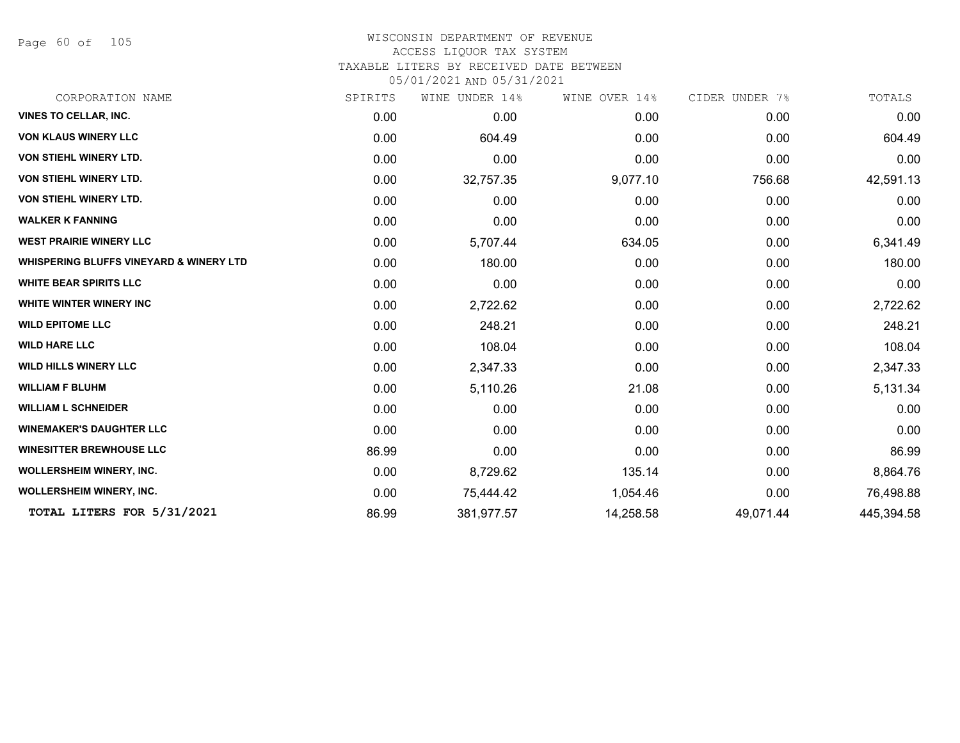Page 60 of 105

#### WISCONSIN DEPARTMENT OF REVENUE ACCESS LIQUOR TAX SYSTEM

TAXABLE LITERS BY RECEIVED DATE BETWEEN

| CORPORATION NAME                                   | SPIRITS | WINE UNDER 14% | WINE OVER 14% | CIDER UNDER 7% | TOTALS     |
|----------------------------------------------------|---------|----------------|---------------|----------------|------------|
| <b>VINES TO CELLAR, INC.</b>                       | 0.00    | 0.00           | 0.00          | 0.00           | 0.00       |
| <b>VON KLAUS WINERY LLC</b>                        | 0.00    | 604.49         | 0.00          | 0.00           | 604.49     |
| <b>VON STIEHL WINERY LTD.</b>                      | 0.00    | 0.00           | 0.00          | 0.00           | 0.00       |
| <b>VON STIEHL WINERY LTD.</b>                      | 0.00    | 32,757.35      | 9,077.10      | 756.68         | 42,591.13  |
| <b>VON STIEHL WINERY LTD.</b>                      | 0.00    | 0.00           | 0.00          | 0.00           | 0.00       |
| <b>WALKER K FANNING</b>                            | 0.00    | 0.00           | 0.00          | 0.00           | 0.00       |
| <b>WEST PRAIRIE WINERY LLC</b>                     | 0.00    | 5,707.44       | 634.05        | 0.00           | 6,341.49   |
| <b>WHISPERING BLUFFS VINEYARD &amp; WINERY LTD</b> | 0.00    | 180.00         | 0.00          | 0.00           | 180.00     |
| <b>WHITE BEAR SPIRITS LLC</b>                      | 0.00    | 0.00           | 0.00          | 0.00           | 0.00       |
| WHITE WINTER WINERY INC                            | 0.00    | 2,722.62       | 0.00          | 0.00           | 2,722.62   |
| <b>WILD EPITOME LLC</b>                            | 0.00    | 248.21         | 0.00          | 0.00           | 248.21     |
| <b>WILD HARE LLC</b>                               | 0.00    | 108.04         | 0.00          | 0.00           | 108.04     |
| <b>WILD HILLS WINERY LLC</b>                       | 0.00    | 2,347.33       | 0.00          | 0.00           | 2,347.33   |
| <b>WILLIAM F BLUHM</b>                             | 0.00    | 5,110.26       | 21.08         | 0.00           | 5,131.34   |
| <b>WILLIAM L SCHNEIDER</b>                         | 0.00    | 0.00           | 0.00          | 0.00           | 0.00       |
| <b>WINEMAKER'S DAUGHTER LLC</b>                    | 0.00    | 0.00           | 0.00          | 0.00           | 0.00       |
| <b>WINESITTER BREWHOUSE LLC</b>                    | 86.99   | 0.00           | 0.00          | 0.00           | 86.99      |
| <b>WOLLERSHEIM WINERY, INC.</b>                    | 0.00    | 8,729.62       | 135.14        | 0.00           | 8,864.76   |
| <b>WOLLERSHEIM WINERY, INC.</b>                    | 0.00    | 75,444.42      | 1,054.46      | 0.00           | 76,498.88  |
| TOTAL LITERS FOR 5/31/2021                         | 86.99   | 381,977.57     | 14,258.58     | 49,071.44      | 445,394.58 |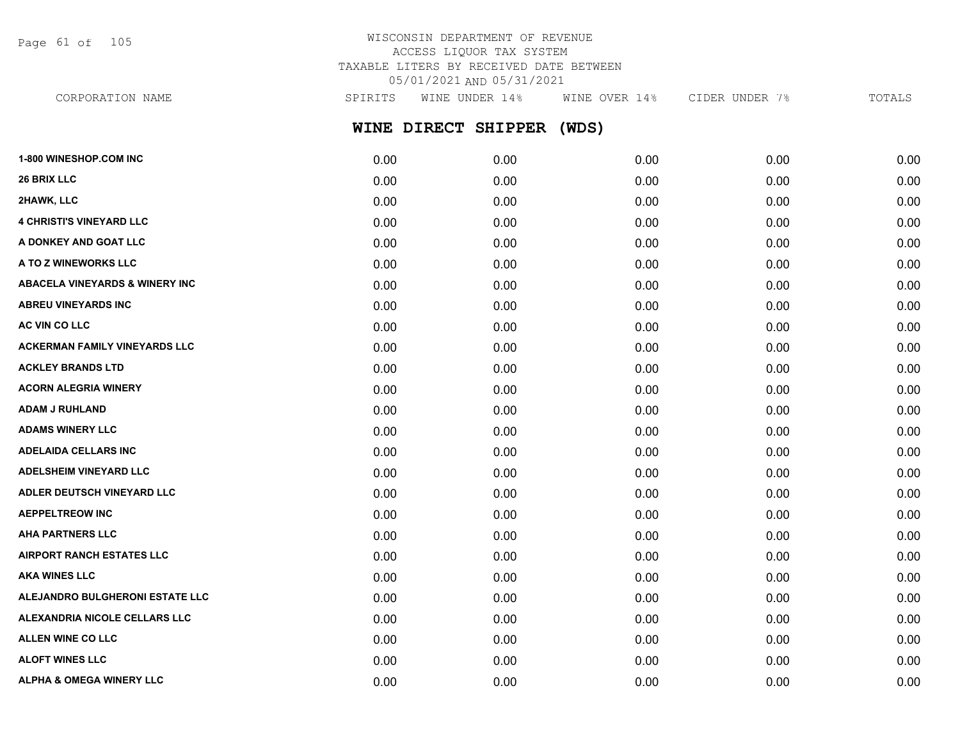Page 61 of 105

# WISCONSIN DEPARTMENT OF REVENUE ACCESS LIQUOR TAX SYSTEM TAXABLE LITERS BY RECEIVED DATE BETWEEN 05/01/2021 AND 05/31/2021

CORPORATION NAME SPIRITS WINE UNDER 14% WINE OVER 14% CIDER UNDER 7% TOTALS

**WINE DIRECT SHIPPER (WDS)**

| 1-800 WINESHOP.COM INC                    | 0.00 | 0.00 | 0.00 | 0.00 | 0.00 |
|-------------------------------------------|------|------|------|------|------|
| <b>26 BRIX LLC</b>                        | 0.00 | 0.00 | 0.00 | 0.00 | 0.00 |
| 2HAWK, LLC                                | 0.00 | 0.00 | 0.00 | 0.00 | 0.00 |
| <b>4 CHRISTI'S VINEYARD LLC</b>           | 0.00 | 0.00 | 0.00 | 0.00 | 0.00 |
| A DONKEY AND GOAT LLC                     | 0.00 | 0.00 | 0.00 | 0.00 | 0.00 |
| A TO Z WINEWORKS LLC                      | 0.00 | 0.00 | 0.00 | 0.00 | 0.00 |
| <b>ABACELA VINEYARDS &amp; WINERY INC</b> | 0.00 | 0.00 | 0.00 | 0.00 | 0.00 |
| <b>ABREU VINEYARDS INC</b>                | 0.00 | 0.00 | 0.00 | 0.00 | 0.00 |
| AC VIN CO LLC                             | 0.00 | 0.00 | 0.00 | 0.00 | 0.00 |
| <b>ACKERMAN FAMILY VINEYARDS LLC</b>      | 0.00 | 0.00 | 0.00 | 0.00 | 0.00 |
| <b>ACKLEY BRANDS LTD</b>                  | 0.00 | 0.00 | 0.00 | 0.00 | 0.00 |
| <b>ACORN ALEGRIA WINERY</b>               | 0.00 | 0.00 | 0.00 | 0.00 | 0.00 |
| <b>ADAM J RUHLAND</b>                     | 0.00 | 0.00 | 0.00 | 0.00 | 0.00 |
| <b>ADAMS WINERY LLC</b>                   | 0.00 | 0.00 | 0.00 | 0.00 | 0.00 |
| <b>ADELAIDA CELLARS INC</b>               | 0.00 | 0.00 | 0.00 | 0.00 | 0.00 |
| ADELSHEIM VINEYARD LLC                    | 0.00 | 0.00 | 0.00 | 0.00 | 0.00 |
| ADLER DEUTSCH VINEYARD LLC                | 0.00 | 0.00 | 0.00 | 0.00 | 0.00 |
| <b>AEPPELTREOW INC</b>                    | 0.00 | 0.00 | 0.00 | 0.00 | 0.00 |
| <b>AHA PARTNERS LLC</b>                   | 0.00 | 0.00 | 0.00 | 0.00 | 0.00 |
| <b>AIRPORT RANCH ESTATES LLC</b>          | 0.00 | 0.00 | 0.00 | 0.00 | 0.00 |
| <b>AKA WINES LLC</b>                      | 0.00 | 0.00 | 0.00 | 0.00 | 0.00 |
| ALEJANDRO BULGHERONI ESTATE LLC           | 0.00 | 0.00 | 0.00 | 0.00 | 0.00 |
| ALEXANDRIA NICOLE CELLARS LLC             | 0.00 | 0.00 | 0.00 | 0.00 | 0.00 |
| ALLEN WINE CO LLC                         | 0.00 | 0.00 | 0.00 | 0.00 | 0.00 |
| <b>ALOFT WINES LLC</b>                    | 0.00 | 0.00 | 0.00 | 0.00 | 0.00 |
| <b>ALPHA &amp; OMEGA WINERY LLC</b>       | 0.00 | 0.00 | 0.00 | 0.00 | 0.00 |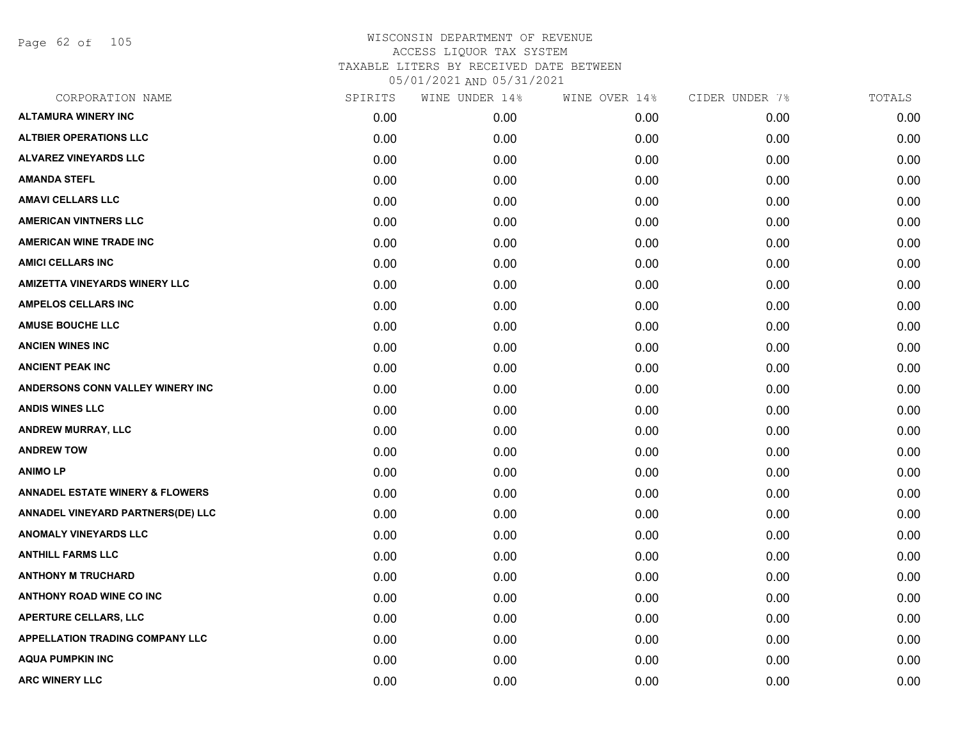Page 62 of 105

| CORPORATION NAME                           | SPIRITS | WINE UNDER 14% | WINE OVER 14% | CIDER UNDER 7% | TOTALS |
|--------------------------------------------|---------|----------------|---------------|----------------|--------|
| <b>ALTAMURA WINERY INC</b>                 | 0.00    | 0.00           | 0.00          | 0.00           | 0.00   |
| <b>ALTBIER OPERATIONS LLC</b>              | 0.00    | 0.00           | 0.00          | 0.00           | 0.00   |
| <b>ALVAREZ VINEYARDS LLC</b>               | 0.00    | 0.00           | 0.00          | 0.00           | 0.00   |
| <b>AMANDA STEFL</b>                        | 0.00    | 0.00           | 0.00          | 0.00           | 0.00   |
| <b>AMAVI CELLARS LLC</b>                   | 0.00    | 0.00           | 0.00          | 0.00           | 0.00   |
| <b>AMERICAN VINTNERS LLC</b>               | 0.00    | 0.00           | 0.00          | 0.00           | 0.00   |
| <b>AMERICAN WINE TRADE INC</b>             | 0.00    | 0.00           | 0.00          | 0.00           | 0.00   |
| <b>AMICI CELLARS INC</b>                   | 0.00    | 0.00           | 0.00          | 0.00           | 0.00   |
| <b>AMIZETTA VINEYARDS WINERY LLC</b>       | 0.00    | 0.00           | 0.00          | 0.00           | 0.00   |
| <b>AMPELOS CELLARS INC</b>                 | 0.00    | 0.00           | 0.00          | 0.00           | 0.00   |
| <b>AMUSE BOUCHE LLC</b>                    | 0.00    | 0.00           | 0.00          | 0.00           | 0.00   |
| <b>ANCIEN WINES INC</b>                    | 0.00    | 0.00           | 0.00          | 0.00           | 0.00   |
| <b>ANCIENT PEAK INC</b>                    | 0.00    | 0.00           | 0.00          | 0.00           | 0.00   |
| ANDERSONS CONN VALLEY WINERY INC           | 0.00    | 0.00           | 0.00          | 0.00           | 0.00   |
| <b>ANDIS WINES LLC</b>                     | 0.00    | 0.00           | 0.00          | 0.00           | 0.00   |
| ANDREW MURRAY, LLC                         | 0.00    | 0.00           | 0.00          | 0.00           | 0.00   |
| <b>ANDREW TOW</b>                          | 0.00    | 0.00           | 0.00          | 0.00           | 0.00   |
| <b>ANIMOLP</b>                             | 0.00    | 0.00           | 0.00          | 0.00           | 0.00   |
| <b>ANNADEL ESTATE WINERY &amp; FLOWERS</b> | 0.00    | 0.00           | 0.00          | 0.00           | 0.00   |
| ANNADEL VINEYARD PARTNERS(DE) LLC          | 0.00    | 0.00           | 0.00          | 0.00           | 0.00   |
| <b>ANOMALY VINEYARDS LLC</b>               | 0.00    | 0.00           | 0.00          | 0.00           | 0.00   |
| <b>ANTHILL FARMS LLC</b>                   | 0.00    | 0.00           | 0.00          | 0.00           | 0.00   |
| <b>ANTHONY M TRUCHARD</b>                  | 0.00    | 0.00           | 0.00          | 0.00           | 0.00   |
| <b>ANTHONY ROAD WINE CO INC</b>            | 0.00    | 0.00           | 0.00          | 0.00           | 0.00   |
| APERTURE CELLARS, LLC                      | 0.00    | 0.00           | 0.00          | 0.00           | 0.00   |
| APPELLATION TRADING COMPANY LLC            | 0.00    | 0.00           | 0.00          | 0.00           | 0.00   |
| <b>AQUA PUMPKIN INC</b>                    | 0.00    | 0.00           | 0.00          | 0.00           | 0.00   |
| <b>ARC WINERY LLC</b>                      | 0.00    | 0.00           | 0.00          | 0.00           | 0.00   |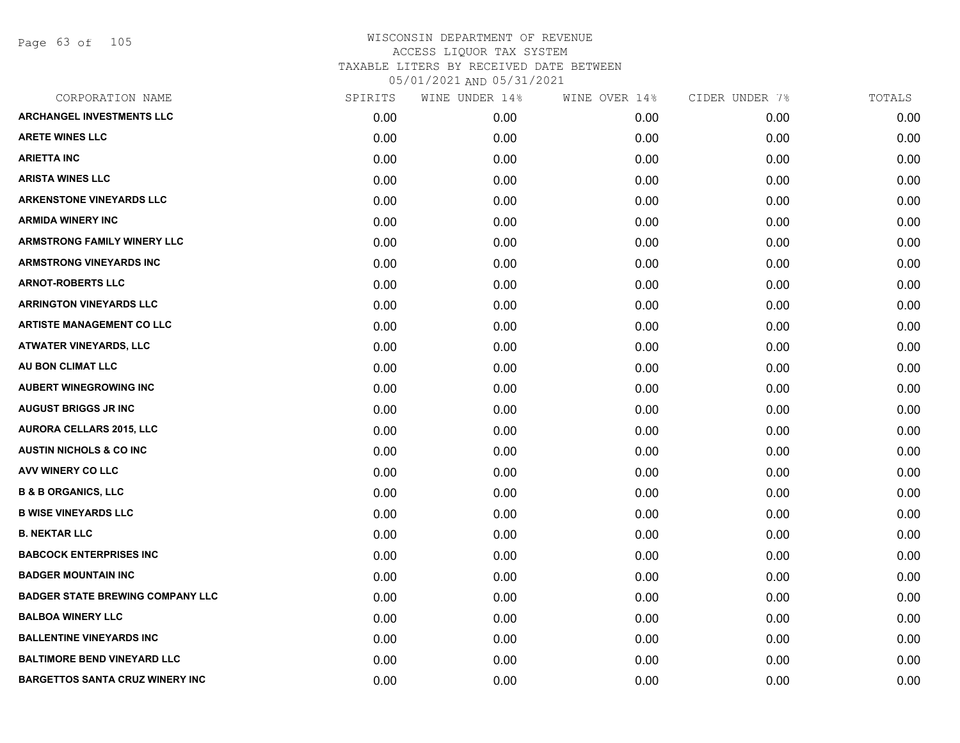Page 63 of 105

| CORPORATION NAME                        | SPIRITS | WINE UNDER 14% | WINE OVER 14% | CIDER UNDER 7% | TOTALS |
|-----------------------------------------|---------|----------------|---------------|----------------|--------|
| <b>ARCHANGEL INVESTMENTS LLC</b>        | 0.00    | 0.00           | 0.00          | 0.00           | 0.00   |
| <b>ARETE WINES LLC</b>                  | 0.00    | 0.00           | 0.00          | 0.00           | 0.00   |
| <b>ARIETTA INC</b>                      | 0.00    | 0.00           | 0.00          | 0.00           | 0.00   |
| <b>ARISTA WINES LLC</b>                 | 0.00    | 0.00           | 0.00          | 0.00           | 0.00   |
| <b>ARKENSTONE VINEYARDS LLC</b>         | 0.00    | 0.00           | 0.00          | 0.00           | 0.00   |
| <b>ARMIDA WINERY INC</b>                | 0.00    | 0.00           | 0.00          | 0.00           | 0.00   |
| <b>ARMSTRONG FAMILY WINERY LLC</b>      | 0.00    | 0.00           | 0.00          | 0.00           | 0.00   |
| ARMSTRONG VINEYARDS INC                 | 0.00    | 0.00           | 0.00          | 0.00           | 0.00   |
| <b>ARNOT-ROBERTS LLC</b>                | 0.00    | 0.00           | 0.00          | 0.00           | 0.00   |
| <b>ARRINGTON VINEYARDS LLC</b>          | 0.00    | 0.00           | 0.00          | 0.00           | 0.00   |
| <b>ARTISTE MANAGEMENT CO LLC</b>        | 0.00    | 0.00           | 0.00          | 0.00           | 0.00   |
| <b>ATWATER VINEYARDS, LLC</b>           | 0.00    | 0.00           | 0.00          | 0.00           | 0.00   |
| AU BON CLIMAT LLC                       | 0.00    | 0.00           | 0.00          | 0.00           | 0.00   |
| <b>AUBERT WINEGROWING INC</b>           | 0.00    | 0.00           | 0.00          | 0.00           | 0.00   |
| <b>AUGUST BRIGGS JR INC</b>             | 0.00    | 0.00           | 0.00          | 0.00           | 0.00   |
| <b>AURORA CELLARS 2015, LLC</b>         | 0.00    | 0.00           | 0.00          | 0.00           | 0.00   |
| <b>AUSTIN NICHOLS &amp; CO INC</b>      | 0.00    | 0.00           | 0.00          | 0.00           | 0.00   |
| AVV WINERY CO LLC                       | 0.00    | 0.00           | 0.00          | 0.00           | 0.00   |
| <b>B &amp; B ORGANICS, LLC</b>          | 0.00    | 0.00           | 0.00          | 0.00           | 0.00   |
| <b>B WISE VINEYARDS LLC</b>             | 0.00    | 0.00           | 0.00          | 0.00           | 0.00   |
| <b>B. NEKTAR LLC</b>                    | 0.00    | 0.00           | 0.00          | 0.00           | 0.00   |
| <b>BABCOCK ENTERPRISES INC</b>          | 0.00    | 0.00           | 0.00          | 0.00           | 0.00   |
| <b>BADGER MOUNTAIN INC</b>              | 0.00    | 0.00           | 0.00          | 0.00           | 0.00   |
| <b>BADGER STATE BREWING COMPANY LLC</b> | 0.00    | 0.00           | 0.00          | 0.00           | 0.00   |
| <b>BALBOA WINERY LLC</b>                | 0.00    | 0.00           | 0.00          | 0.00           | 0.00   |
| <b>BALLENTINE VINEYARDS INC</b>         | 0.00    | 0.00           | 0.00          | 0.00           | 0.00   |
| <b>BALTIMORE BEND VINEYARD LLC</b>      | 0.00    | 0.00           | 0.00          | 0.00           | 0.00   |
| <b>BARGETTOS SANTA CRUZ WINERY INC</b>  | 0.00    | 0.00           | 0.00          | 0.00           | 0.00   |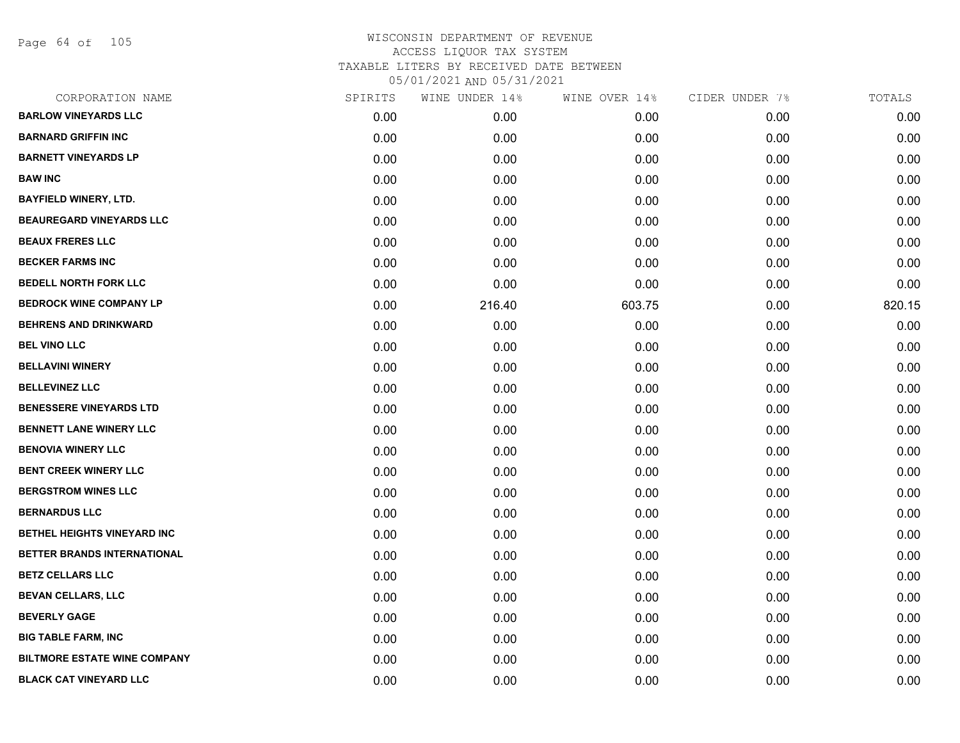Page 64 of 105

| CORPORATION NAME                    | SPIRITS | WINE UNDER 14% | WINE OVER 14% | CIDER UNDER 7% | TOTALS |
|-------------------------------------|---------|----------------|---------------|----------------|--------|
| <b>BARLOW VINEYARDS LLC</b>         | 0.00    | 0.00           | 0.00          | 0.00           | 0.00   |
| <b>BARNARD GRIFFIN INC</b>          | 0.00    | 0.00           | 0.00          | 0.00           | 0.00   |
| <b>BARNETT VINEYARDS LP</b>         | 0.00    | 0.00           | 0.00          | 0.00           | 0.00   |
| <b>BAW INC</b>                      | 0.00    | 0.00           | 0.00          | 0.00           | 0.00   |
| <b>BAYFIELD WINERY, LTD.</b>        | 0.00    | 0.00           | 0.00          | 0.00           | 0.00   |
| <b>BEAUREGARD VINEYARDS LLC</b>     | 0.00    | 0.00           | 0.00          | 0.00           | 0.00   |
| <b>BEAUX FRERES LLC</b>             | 0.00    | 0.00           | 0.00          | 0.00           | 0.00   |
| <b>BECKER FARMS INC</b>             | 0.00    | 0.00           | 0.00          | 0.00           | 0.00   |
| <b>BEDELL NORTH FORK LLC</b>        | 0.00    | 0.00           | 0.00          | 0.00           | 0.00   |
| <b>BEDROCK WINE COMPANY LP</b>      | 0.00    | 216.40         | 603.75        | 0.00           | 820.15 |
| <b>BEHRENS AND DRINKWARD</b>        | 0.00    | 0.00           | 0.00          | 0.00           | 0.00   |
| <b>BEL VINO LLC</b>                 | 0.00    | 0.00           | 0.00          | 0.00           | 0.00   |
| <b>BELLAVINI WINERY</b>             | 0.00    | 0.00           | 0.00          | 0.00           | 0.00   |
| <b>BELLEVINEZ LLC</b>               | 0.00    | 0.00           | 0.00          | 0.00           | 0.00   |
| <b>BENESSERE VINEYARDS LTD</b>      | 0.00    | 0.00           | 0.00          | 0.00           | 0.00   |
| <b>BENNETT LANE WINERY LLC</b>      | 0.00    | 0.00           | 0.00          | 0.00           | 0.00   |
| <b>BENOVIA WINERY LLC</b>           | 0.00    | 0.00           | 0.00          | 0.00           | 0.00   |
| <b>BENT CREEK WINERY LLC</b>        | 0.00    | 0.00           | 0.00          | 0.00           | 0.00   |
| <b>BERGSTROM WINES LLC</b>          | 0.00    | 0.00           | 0.00          | 0.00           | 0.00   |
| <b>BERNARDUS LLC</b>                | 0.00    | 0.00           | 0.00          | 0.00           | 0.00   |
| BETHEL HEIGHTS VINEYARD INC         | 0.00    | 0.00           | 0.00          | 0.00           | 0.00   |
| BETTER BRANDS INTERNATIONAL         | 0.00    | 0.00           | 0.00          | 0.00           | 0.00   |
| <b>BETZ CELLARS LLC</b>             | 0.00    | 0.00           | 0.00          | 0.00           | 0.00   |
| <b>BEVAN CELLARS, LLC</b>           | 0.00    | 0.00           | 0.00          | 0.00           | 0.00   |
| <b>BEVERLY GAGE</b>                 | 0.00    | 0.00           | 0.00          | 0.00           | 0.00   |
| <b>BIG TABLE FARM, INC</b>          | 0.00    | 0.00           | 0.00          | 0.00           | 0.00   |
| <b>BILTMORE ESTATE WINE COMPANY</b> | 0.00    | 0.00           | 0.00          | 0.00           | 0.00   |
| <b>BLACK CAT VINEYARD LLC</b>       | 0.00    | 0.00           | 0.00          | 0.00           | 0.00   |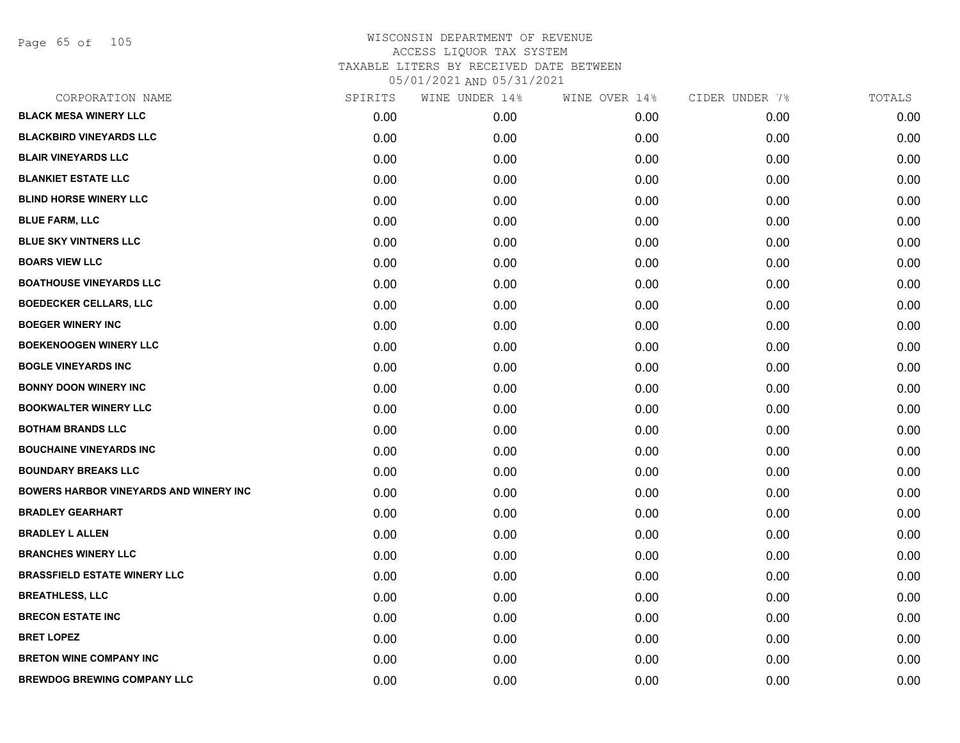Page 65 of 105

| CORPORATION NAME                              | SPIRITS | WINE UNDER 14% | WINE OVER 14% | CIDER UNDER 7% | TOTALS |
|-----------------------------------------------|---------|----------------|---------------|----------------|--------|
| <b>BLACK MESA WINERY LLC</b>                  | 0.00    | 0.00           | 0.00          | 0.00           | 0.00   |
| <b>BLACKBIRD VINEYARDS LLC</b>                | 0.00    | 0.00           | 0.00          | 0.00           | 0.00   |
| <b>BLAIR VINEYARDS LLC</b>                    | 0.00    | 0.00           | 0.00          | 0.00           | 0.00   |
| <b>BLANKIET ESTATE LLC</b>                    | 0.00    | 0.00           | 0.00          | 0.00           | 0.00   |
| <b>BLIND HORSE WINERY LLC</b>                 | 0.00    | 0.00           | 0.00          | 0.00           | 0.00   |
| <b>BLUE FARM, LLC</b>                         | 0.00    | 0.00           | 0.00          | 0.00           | 0.00   |
| <b>BLUE SKY VINTNERS LLC</b>                  | 0.00    | 0.00           | 0.00          | 0.00           | 0.00   |
| <b>BOARS VIEW LLC</b>                         | 0.00    | 0.00           | 0.00          | 0.00           | 0.00   |
| <b>BOATHOUSE VINEYARDS LLC</b>                | 0.00    | 0.00           | 0.00          | 0.00           | 0.00   |
| <b>BOEDECKER CELLARS, LLC</b>                 | 0.00    | 0.00           | 0.00          | 0.00           | 0.00   |
| <b>BOEGER WINERY INC</b>                      | 0.00    | 0.00           | 0.00          | 0.00           | 0.00   |
| <b>BOEKENOOGEN WINERY LLC</b>                 | 0.00    | 0.00           | 0.00          | 0.00           | 0.00   |
| <b>BOGLE VINEYARDS INC</b>                    | 0.00    | 0.00           | 0.00          | 0.00           | 0.00   |
| <b>BONNY DOON WINERY INC</b>                  | 0.00    | 0.00           | 0.00          | 0.00           | 0.00   |
| <b>BOOKWALTER WINERY LLC</b>                  | 0.00    | 0.00           | 0.00          | 0.00           | 0.00   |
| <b>BOTHAM BRANDS LLC</b>                      | 0.00    | 0.00           | 0.00          | 0.00           | 0.00   |
| <b>BOUCHAINE VINEYARDS INC</b>                | 0.00    | 0.00           | 0.00          | 0.00           | 0.00   |
| <b>BOUNDARY BREAKS LLC</b>                    | 0.00    | 0.00           | 0.00          | 0.00           | 0.00   |
| <b>BOWERS HARBOR VINEYARDS AND WINERY INC</b> | 0.00    | 0.00           | 0.00          | 0.00           | 0.00   |
| <b>BRADLEY GEARHART</b>                       | 0.00    | 0.00           | 0.00          | 0.00           | 0.00   |
| <b>BRADLEY L ALLEN</b>                        | 0.00    | 0.00           | 0.00          | 0.00           | 0.00   |
| <b>BRANCHES WINERY LLC</b>                    | 0.00    | 0.00           | 0.00          | 0.00           | 0.00   |
| <b>BRASSFIELD ESTATE WINERY LLC</b>           | 0.00    | 0.00           | 0.00          | 0.00           | 0.00   |
| <b>BREATHLESS, LLC</b>                        | 0.00    | 0.00           | 0.00          | 0.00           | 0.00   |
| <b>BRECON ESTATE INC</b>                      | 0.00    | 0.00           | 0.00          | 0.00           | 0.00   |
| <b>BRET LOPEZ</b>                             | 0.00    | 0.00           | 0.00          | 0.00           | 0.00   |
| <b>BRETON WINE COMPANY INC</b>                | 0.00    | 0.00           | 0.00          | 0.00           | 0.00   |
| <b>BREWDOG BREWING COMPANY LLC</b>            | 0.00    | 0.00           | 0.00          | 0.00           | 0.00   |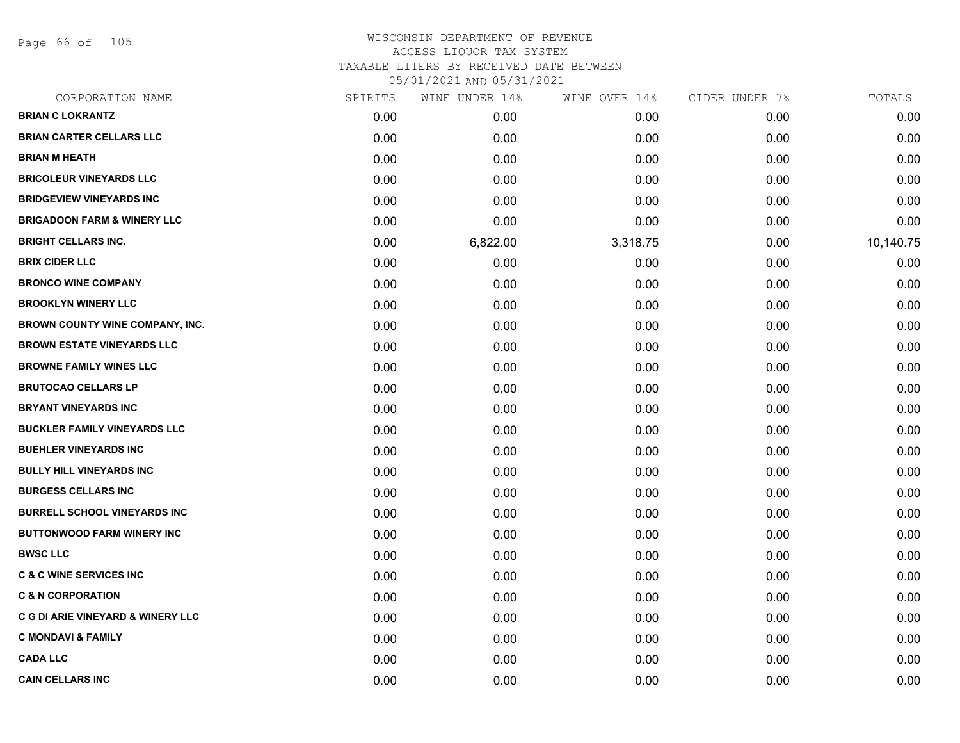Page 66 of 105

# WISCONSIN DEPARTMENT OF REVENUE ACCESS LIQUOR TAX SYSTEM TAXABLE LITERS BY RECEIVED DATE BETWEEN

| CORPORATION NAME                             | SPIRITS | WINE UNDER 14% | WINE OVER 14% | CIDER UNDER 7% | TOTALS    |
|----------------------------------------------|---------|----------------|---------------|----------------|-----------|
| <b>BRIAN C LOKRANTZ</b>                      | 0.00    | 0.00           | 0.00          | 0.00           | 0.00      |
| <b>BRIAN CARTER CELLARS LLC</b>              | 0.00    | 0.00           | 0.00          | 0.00           | 0.00      |
| <b>BRIAN M HEATH</b>                         | 0.00    | 0.00           | 0.00          | 0.00           | 0.00      |
| <b>BRICOLEUR VINEYARDS LLC</b>               | 0.00    | 0.00           | 0.00          | 0.00           | 0.00      |
| <b>BRIDGEVIEW VINEYARDS INC</b>              | 0.00    | 0.00           | 0.00          | 0.00           | 0.00      |
| <b>BRIGADOON FARM &amp; WINERY LLC</b>       | 0.00    | 0.00           | 0.00          | 0.00           | 0.00      |
| <b>BRIGHT CELLARS INC.</b>                   | 0.00    | 6,822.00       | 3,318.75      | 0.00           | 10,140.75 |
| <b>BRIX CIDER LLC</b>                        | 0.00    | 0.00           | 0.00          | 0.00           | 0.00      |
| <b>BRONCO WINE COMPANY</b>                   | 0.00    | 0.00           | 0.00          | 0.00           | 0.00      |
| <b>BROOKLYN WINERY LLC</b>                   | 0.00    | 0.00           | 0.00          | 0.00           | 0.00      |
| BROWN COUNTY WINE COMPANY, INC.              | 0.00    | 0.00           | 0.00          | 0.00           | 0.00      |
| <b>BROWN ESTATE VINEYARDS LLC</b>            | 0.00    | 0.00           | 0.00          | 0.00           | 0.00      |
| <b>BROWNE FAMILY WINES LLC</b>               | 0.00    | 0.00           | 0.00          | 0.00           | 0.00      |
| <b>BRUTOCAO CELLARS LP</b>                   | 0.00    | 0.00           | 0.00          | 0.00           | 0.00      |
| <b>BRYANT VINEYARDS INC</b>                  | 0.00    | 0.00           | 0.00          | 0.00           | 0.00      |
| <b>BUCKLER FAMILY VINEYARDS LLC</b>          | 0.00    | 0.00           | 0.00          | 0.00           | 0.00      |
| <b>BUEHLER VINEYARDS INC</b>                 | 0.00    | 0.00           | 0.00          | 0.00           | 0.00      |
| <b>BULLY HILL VINEYARDS INC</b>              | 0.00    | 0.00           | 0.00          | 0.00           | 0.00      |
| <b>BURGESS CELLARS INC</b>                   | 0.00    | 0.00           | 0.00          | 0.00           | 0.00      |
| <b>BURRELL SCHOOL VINEYARDS INC</b>          | 0.00    | 0.00           | 0.00          | 0.00           | 0.00      |
| <b>BUTTONWOOD FARM WINERY INC</b>            | 0.00    | 0.00           | 0.00          | 0.00           | 0.00      |
| <b>BWSC LLC</b>                              | 0.00    | 0.00           | 0.00          | 0.00           | 0.00      |
| <b>C &amp; C WINE SERVICES INC</b>           | 0.00    | 0.00           | 0.00          | 0.00           | 0.00      |
| <b>C &amp; N CORPORATION</b>                 | 0.00    | 0.00           | 0.00          | 0.00           | 0.00      |
| <b>C G DI ARIE VINEYARD &amp; WINERY LLC</b> | 0.00    | 0.00           | 0.00          | 0.00           | 0.00      |
| <b>C MONDAVI &amp; FAMILY</b>                | 0.00    | 0.00           | 0.00          | 0.00           | 0.00      |
| <b>CADA LLC</b>                              | 0.00    | 0.00           | 0.00          | 0.00           | 0.00      |
| <b>CAIN CELLARS INC</b>                      | 0.00    | 0.00           | 0.00          | 0.00           | 0.00      |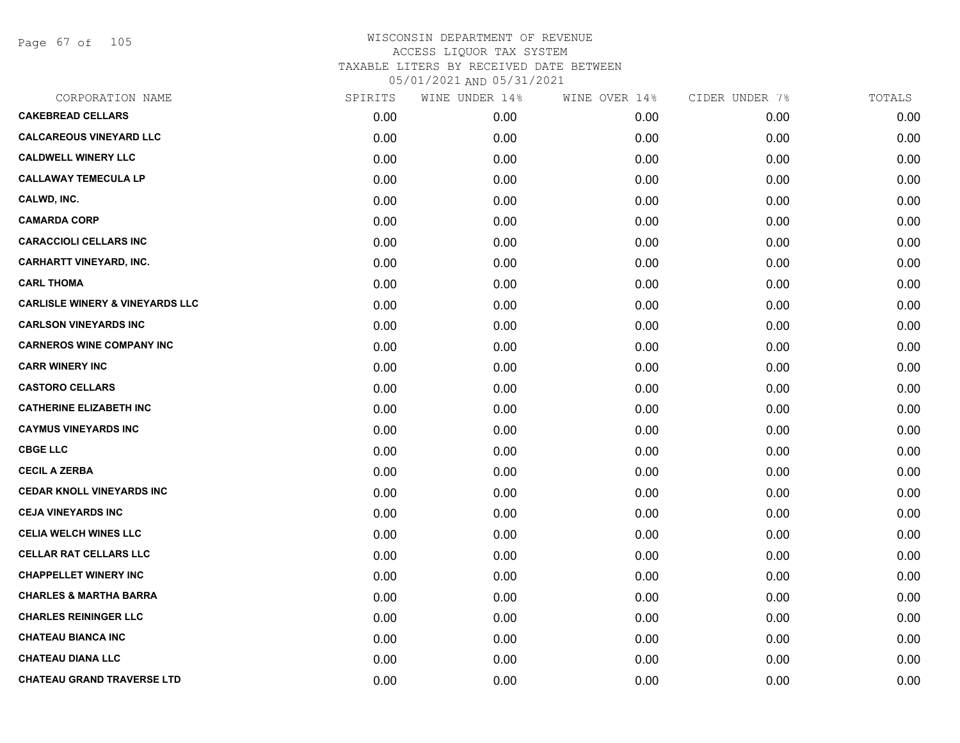Page 67 of 105

| CORPORATION NAME                           | SPIRITS | WINE UNDER 14% | WINE OVER 14% | CIDER UNDER 7% | TOTALS |
|--------------------------------------------|---------|----------------|---------------|----------------|--------|
| <b>CAKEBREAD CELLARS</b>                   | 0.00    | 0.00           | 0.00          | 0.00           | 0.00   |
| <b>CALCAREOUS VINEYARD LLC</b>             | 0.00    | 0.00           | 0.00          | 0.00           | 0.00   |
| <b>CALDWELL WINERY LLC</b>                 | 0.00    | 0.00           | 0.00          | 0.00           | 0.00   |
| <b>CALLAWAY TEMECULA LP</b>                | 0.00    | 0.00           | 0.00          | 0.00           | 0.00   |
| CALWD, INC.                                | 0.00    | 0.00           | 0.00          | 0.00           | 0.00   |
| <b>CAMARDA CORP</b>                        | 0.00    | 0.00           | 0.00          | 0.00           | 0.00   |
| <b>CARACCIOLI CELLARS INC</b>              | 0.00    | 0.00           | 0.00          | 0.00           | 0.00   |
| <b>CARHARTT VINEYARD, INC.</b>             | 0.00    | 0.00           | 0.00          | 0.00           | 0.00   |
| <b>CARL THOMA</b>                          | 0.00    | 0.00           | 0.00          | 0.00           | 0.00   |
| <b>CARLISLE WINERY &amp; VINEYARDS LLC</b> | 0.00    | 0.00           | 0.00          | 0.00           | 0.00   |
| <b>CARLSON VINEYARDS INC</b>               | 0.00    | 0.00           | 0.00          | 0.00           | 0.00   |
| <b>CARNEROS WINE COMPANY INC</b>           | 0.00    | 0.00           | 0.00          | 0.00           | 0.00   |
| <b>CARR WINERY INC</b>                     | 0.00    | 0.00           | 0.00          | 0.00           | 0.00   |
| <b>CASTORO CELLARS</b>                     | 0.00    | 0.00           | 0.00          | 0.00           | 0.00   |
| <b>CATHERINE ELIZABETH INC</b>             | 0.00    | 0.00           | 0.00          | 0.00           | 0.00   |
| <b>CAYMUS VINEYARDS INC</b>                | 0.00    | 0.00           | 0.00          | 0.00           | 0.00   |
| <b>CBGE LLC</b>                            | 0.00    | 0.00           | 0.00          | 0.00           | 0.00   |
| <b>CECIL A ZERBA</b>                       | 0.00    | 0.00           | 0.00          | 0.00           | 0.00   |
| <b>CEDAR KNOLL VINEYARDS INC</b>           | 0.00    | 0.00           | 0.00          | 0.00           | 0.00   |
| <b>CEJA VINEYARDS INC</b>                  | 0.00    | 0.00           | 0.00          | 0.00           | 0.00   |
| <b>CELIA WELCH WINES LLC</b>               | 0.00    | 0.00           | 0.00          | 0.00           | 0.00   |
| <b>CELLAR RAT CELLARS LLC</b>              | 0.00    | 0.00           | 0.00          | 0.00           | 0.00   |
| <b>CHAPPELLET WINERY INC</b>               | 0.00    | 0.00           | 0.00          | 0.00           | 0.00   |
| <b>CHARLES &amp; MARTHA BARRA</b>          | 0.00    | 0.00           | 0.00          | 0.00           | 0.00   |
| <b>CHARLES REININGER LLC</b>               | 0.00    | 0.00           | 0.00          | 0.00           | 0.00   |
| <b>CHATEAU BIANCA INC</b>                  | 0.00    | 0.00           | 0.00          | 0.00           | 0.00   |
| <b>CHATEAU DIANA LLC</b>                   | 0.00    | 0.00           | 0.00          | 0.00           | 0.00   |
| <b>CHATEAU GRAND TRAVERSE LTD</b>          | 0.00    | 0.00           | 0.00          | 0.00           | 0.00   |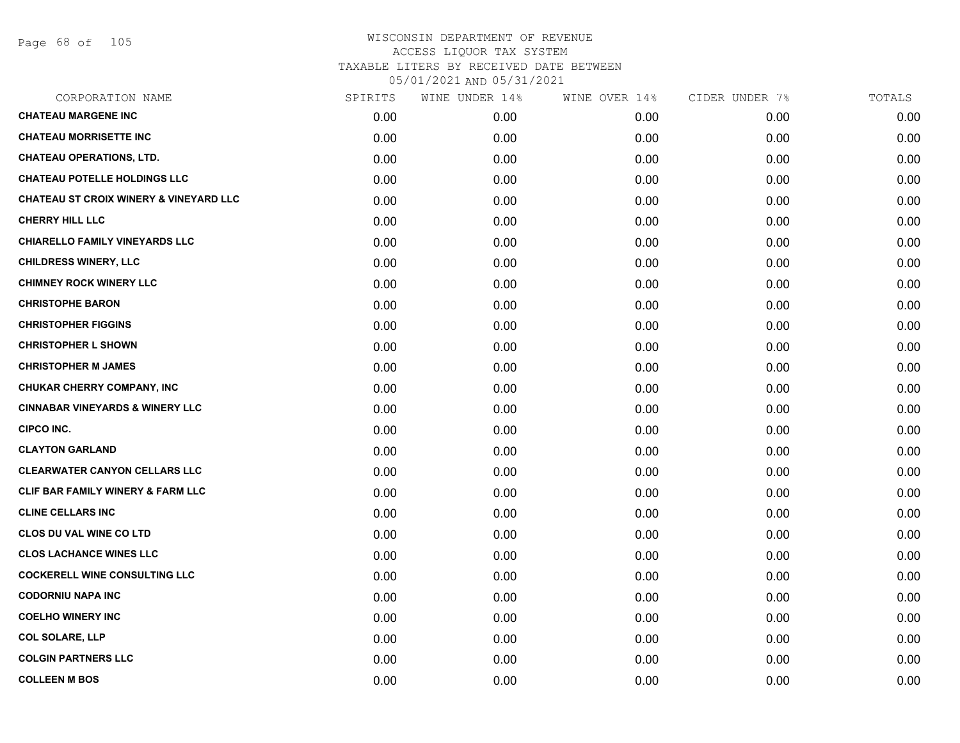Page 68 of 105

| CORPORATION NAME                                  | SPIRITS | WINE UNDER 14% | WINE OVER 14% | CIDER UNDER 7% | TOTALS |
|---------------------------------------------------|---------|----------------|---------------|----------------|--------|
| <b>CHATEAU MARGENE INC</b>                        | 0.00    | 0.00           | 0.00          | 0.00           | 0.00   |
| <b>CHATEAU MORRISETTE INC</b>                     | 0.00    | 0.00           | 0.00          | 0.00           | 0.00   |
| <b>CHATEAU OPERATIONS, LTD.</b>                   | 0.00    | 0.00           | 0.00          | 0.00           | 0.00   |
| <b>CHATEAU POTELLE HOLDINGS LLC</b>               | 0.00    | 0.00           | 0.00          | 0.00           | 0.00   |
| <b>CHATEAU ST CROIX WINERY &amp; VINEYARD LLC</b> | 0.00    | 0.00           | 0.00          | 0.00           | 0.00   |
| <b>CHERRY HILL LLC</b>                            | 0.00    | 0.00           | 0.00          | 0.00           | 0.00   |
| <b>CHIARELLO FAMILY VINEYARDS LLC</b>             | 0.00    | 0.00           | 0.00          | 0.00           | 0.00   |
| <b>CHILDRESS WINERY, LLC</b>                      | 0.00    | 0.00           | 0.00          | 0.00           | 0.00   |
| <b>CHIMNEY ROCK WINERY LLC</b>                    | 0.00    | 0.00           | 0.00          | 0.00           | 0.00   |
| <b>CHRISTOPHE BARON</b>                           | 0.00    | 0.00           | 0.00          | 0.00           | 0.00   |
| <b>CHRISTOPHER FIGGINS</b>                        | 0.00    | 0.00           | 0.00          | 0.00           | 0.00   |
| <b>CHRISTOPHER L SHOWN</b>                        | 0.00    | 0.00           | 0.00          | 0.00           | 0.00   |
| <b>CHRISTOPHER M JAMES</b>                        | 0.00    | 0.00           | 0.00          | 0.00           | 0.00   |
| <b>CHUKAR CHERRY COMPANY, INC</b>                 | 0.00    | 0.00           | 0.00          | 0.00           | 0.00   |
| <b>CINNABAR VINEYARDS &amp; WINERY LLC</b>        | 0.00    | 0.00           | 0.00          | 0.00           | 0.00   |
| <b>CIPCO INC.</b>                                 | 0.00    | 0.00           | 0.00          | 0.00           | 0.00   |
| <b>CLAYTON GARLAND</b>                            | 0.00    | 0.00           | 0.00          | 0.00           | 0.00   |
| <b>CLEARWATER CANYON CELLARS LLC</b>              | 0.00    | 0.00           | 0.00          | 0.00           | 0.00   |
| <b>CLIF BAR FAMILY WINERY &amp; FARM LLC</b>      | 0.00    | 0.00           | 0.00          | 0.00           | 0.00   |
| <b>CLINE CELLARS INC</b>                          | 0.00    | 0.00           | 0.00          | 0.00           | 0.00   |
| <b>CLOS DU VAL WINE CO LTD</b>                    | 0.00    | 0.00           | 0.00          | 0.00           | 0.00   |
| <b>CLOS LACHANCE WINES LLC</b>                    | 0.00    | 0.00           | 0.00          | 0.00           | 0.00   |
| <b>COCKERELL WINE CONSULTING LLC</b>              | 0.00    | 0.00           | 0.00          | 0.00           | 0.00   |
| <b>CODORNIU NAPA INC</b>                          | 0.00    | 0.00           | 0.00          | 0.00           | 0.00   |
| <b>COELHO WINERY INC</b>                          | 0.00    | 0.00           | 0.00          | 0.00           | 0.00   |
| <b>COL SOLARE, LLP</b>                            | 0.00    | 0.00           | 0.00          | 0.00           | 0.00   |
| <b>COLGIN PARTNERS LLC</b>                        | 0.00    | 0.00           | 0.00          | 0.00           | 0.00   |
| <b>COLLEEN M BOS</b>                              | 0.00    | 0.00           | 0.00          | 0.00           | 0.00   |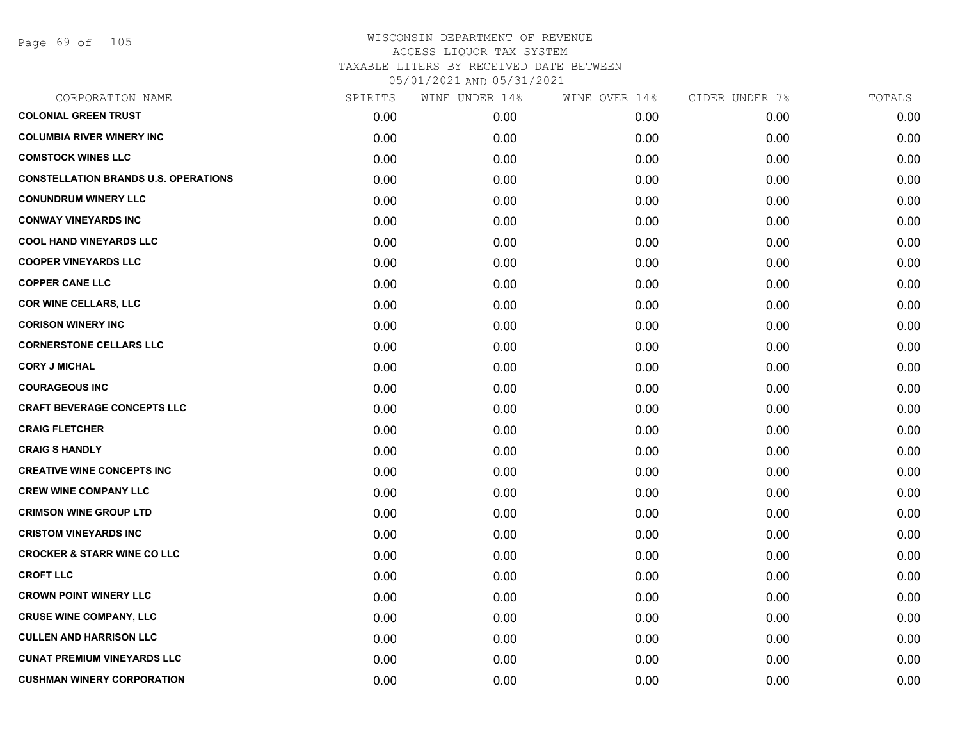Page 69 of 105

| CORPORATION NAME                            | SPIRITS | WINE UNDER 14% | WINE OVER 14% | CIDER UNDER 7% | TOTALS |
|---------------------------------------------|---------|----------------|---------------|----------------|--------|
| <b>COLONIAL GREEN TRUST</b>                 | 0.00    | 0.00           | 0.00          | 0.00           | 0.00   |
| <b>COLUMBIA RIVER WINERY INC</b>            | 0.00    | 0.00           | 0.00          | 0.00           | 0.00   |
| <b>COMSTOCK WINES LLC</b>                   | 0.00    | 0.00           | 0.00          | 0.00           | 0.00   |
| <b>CONSTELLATION BRANDS U.S. OPERATIONS</b> | 0.00    | 0.00           | 0.00          | 0.00           | 0.00   |
| <b>CONUNDRUM WINERY LLC</b>                 | 0.00    | 0.00           | 0.00          | 0.00           | 0.00   |
| <b>CONWAY VINEYARDS INC</b>                 | 0.00    | 0.00           | 0.00          | 0.00           | 0.00   |
| <b>COOL HAND VINEYARDS LLC</b>              | 0.00    | 0.00           | 0.00          | 0.00           | 0.00   |
| <b>COOPER VINEYARDS LLC</b>                 | 0.00    | 0.00           | 0.00          | 0.00           | 0.00   |
| <b>COPPER CANE LLC</b>                      | 0.00    | 0.00           | 0.00          | 0.00           | 0.00   |
| <b>COR WINE CELLARS, LLC</b>                | 0.00    | 0.00           | 0.00          | 0.00           | 0.00   |
| <b>CORISON WINERY INC</b>                   | 0.00    | 0.00           | 0.00          | 0.00           | 0.00   |
| <b>CORNERSTONE CELLARS LLC</b>              | 0.00    | 0.00           | 0.00          | 0.00           | 0.00   |
| <b>CORY J MICHAL</b>                        | 0.00    | 0.00           | 0.00          | 0.00           | 0.00   |
| <b>COURAGEOUS INC</b>                       | 0.00    | 0.00           | 0.00          | 0.00           | 0.00   |
| <b>CRAFT BEVERAGE CONCEPTS LLC</b>          | 0.00    | 0.00           | 0.00          | 0.00           | 0.00   |
| <b>CRAIG FLETCHER</b>                       | 0.00    | 0.00           | 0.00          | 0.00           | 0.00   |
| <b>CRAIG S HANDLY</b>                       | 0.00    | 0.00           | 0.00          | 0.00           | 0.00   |
| <b>CREATIVE WINE CONCEPTS INC</b>           | 0.00    | 0.00           | 0.00          | 0.00           | 0.00   |
| <b>CREW WINE COMPANY LLC</b>                | 0.00    | 0.00           | 0.00          | 0.00           | 0.00   |
| <b>CRIMSON WINE GROUP LTD</b>               | 0.00    | 0.00           | 0.00          | 0.00           | 0.00   |
| <b>CRISTOM VINEYARDS INC</b>                | 0.00    | 0.00           | 0.00          | 0.00           | 0.00   |
| <b>CROCKER &amp; STARR WINE CO LLC</b>      | 0.00    | 0.00           | 0.00          | 0.00           | 0.00   |
| <b>CROFT LLC</b>                            | 0.00    | 0.00           | 0.00          | 0.00           | 0.00   |
| <b>CROWN POINT WINERY LLC</b>               | 0.00    | 0.00           | 0.00          | 0.00           | 0.00   |
| <b>CRUSE WINE COMPANY, LLC</b>              | 0.00    | 0.00           | 0.00          | 0.00           | 0.00   |
| <b>CULLEN AND HARRISON LLC</b>              | 0.00    | 0.00           | 0.00          | 0.00           | 0.00   |
| <b>CUNAT PREMIUM VINEYARDS LLC</b>          | 0.00    | 0.00           | 0.00          | 0.00           | 0.00   |
| <b>CUSHMAN WINERY CORPORATION</b>           | 0.00    | 0.00           | 0.00          | 0.00           | 0.00   |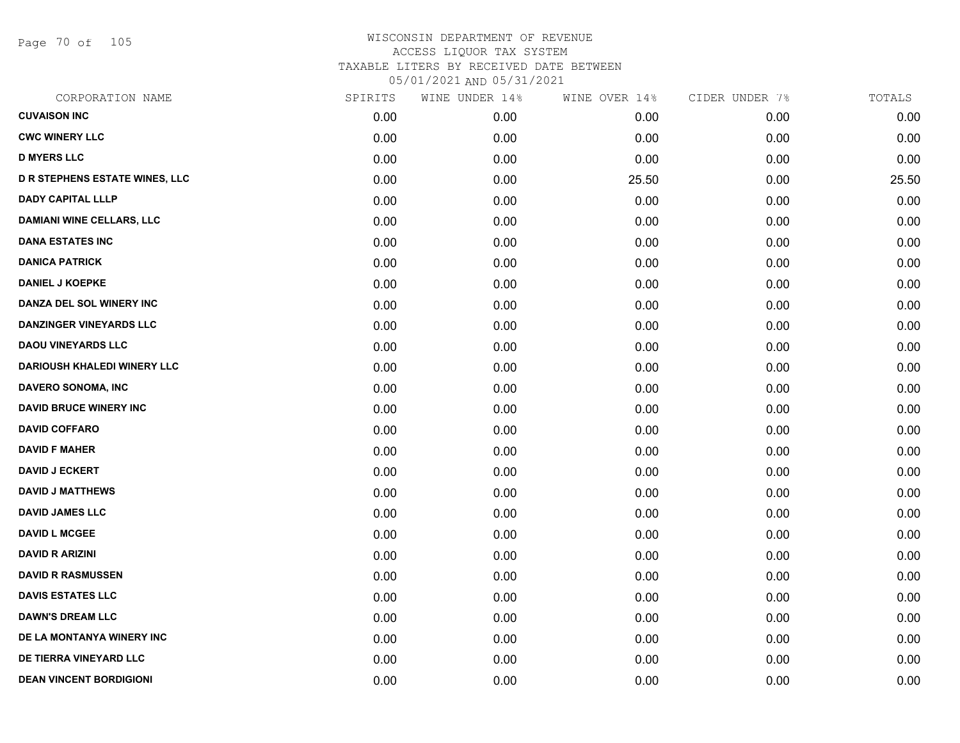Page 70 of 105

| CORPORATION NAME                      | SPIRITS | WINE UNDER 14% | WINE OVER 14% | CIDER UNDER 7% | TOTALS |
|---------------------------------------|---------|----------------|---------------|----------------|--------|
| <b>CUVAISON INC</b>                   | 0.00    | 0.00           | 0.00          | 0.00           | 0.00   |
| <b>CWC WINERY LLC</b>                 | 0.00    | 0.00           | 0.00          | 0.00           | 0.00   |
| <b>D MYERS LLC</b>                    | 0.00    | 0.00           | 0.00          | 0.00           | 0.00   |
| <b>D R STEPHENS ESTATE WINES, LLC</b> | 0.00    | 0.00           | 25.50         | 0.00           | 25.50  |
| <b>DADY CAPITAL LLLP</b>              | 0.00    | 0.00           | 0.00          | 0.00           | 0.00   |
| <b>DAMIANI WINE CELLARS, LLC</b>      | 0.00    | 0.00           | 0.00          | 0.00           | 0.00   |
| <b>DANA ESTATES INC</b>               | 0.00    | 0.00           | 0.00          | 0.00           | 0.00   |
| <b>DANICA PATRICK</b>                 | 0.00    | 0.00           | 0.00          | 0.00           | 0.00   |
| <b>DANIEL J KOEPKE</b>                | 0.00    | 0.00           | 0.00          | 0.00           | 0.00   |
| DANZA DEL SOL WINERY INC              | 0.00    | 0.00           | 0.00          | 0.00           | 0.00   |
| <b>DANZINGER VINEYARDS LLC</b>        | 0.00    | 0.00           | 0.00          | 0.00           | 0.00   |
| <b>DAOU VINEYARDS LLC</b>             | 0.00    | 0.00           | 0.00          | 0.00           | 0.00   |
| <b>DARIOUSH KHALEDI WINERY LLC</b>    | 0.00    | 0.00           | 0.00          | 0.00           | 0.00   |
| DAVERO SONOMA, INC                    | 0.00    | 0.00           | 0.00          | 0.00           | 0.00   |
| <b>DAVID BRUCE WINERY INC</b>         | 0.00    | 0.00           | 0.00          | 0.00           | 0.00   |
| <b>DAVID COFFARO</b>                  | 0.00    | 0.00           | 0.00          | 0.00           | 0.00   |
| <b>DAVID F MAHER</b>                  | 0.00    | 0.00           | 0.00          | 0.00           | 0.00   |
| <b>DAVID J ECKERT</b>                 | 0.00    | 0.00           | 0.00          | 0.00           | 0.00   |
| <b>DAVID J MATTHEWS</b>               | 0.00    | 0.00           | 0.00          | 0.00           | 0.00   |
| <b>DAVID JAMES LLC</b>                | 0.00    | 0.00           | 0.00          | 0.00           | 0.00   |
| <b>DAVID L MCGEE</b>                  | 0.00    | 0.00           | 0.00          | 0.00           | 0.00   |
| <b>DAVID R ARIZINI</b>                | 0.00    | 0.00           | 0.00          | 0.00           | 0.00   |
| <b>DAVID R RASMUSSEN</b>              | 0.00    | 0.00           | 0.00          | 0.00           | 0.00   |
| <b>DAVIS ESTATES LLC</b>              | 0.00    | 0.00           | 0.00          | 0.00           | 0.00   |
| <b>DAWN'S DREAM LLC</b>               | 0.00    | 0.00           | 0.00          | 0.00           | 0.00   |
| DE LA MONTANYA WINERY INC             | 0.00    | 0.00           | 0.00          | 0.00           | 0.00   |
| DE TIERRA VINEYARD LLC                | 0.00    | 0.00           | 0.00          | 0.00           | 0.00   |
| <b>DEAN VINCENT BORDIGIONI</b>        | 0.00    | 0.00           | 0.00          | 0.00           | 0.00   |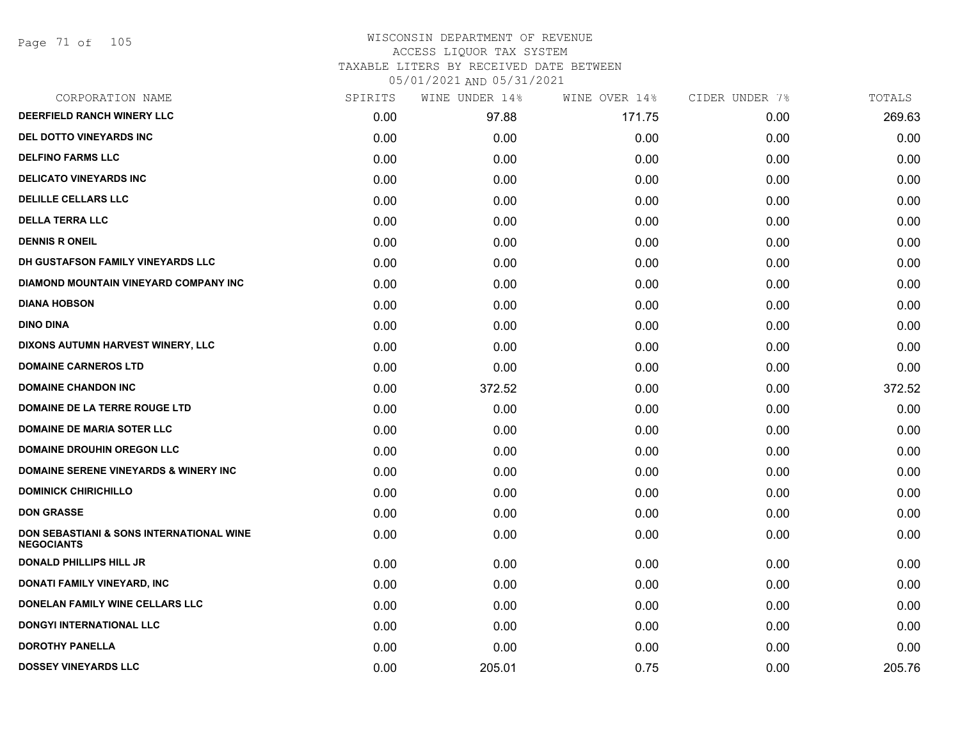Page 71 of 105

### WISCONSIN DEPARTMENT OF REVENUE ACCESS LIQUOR TAX SYSTEM TAXABLE LITERS BY RECEIVED DATE BETWEEN

| CORPORATION NAME                                              | SPIRITS | WINE UNDER 14% | WINE OVER 14% | CIDER UNDER 7% | TOTALS |
|---------------------------------------------------------------|---------|----------------|---------------|----------------|--------|
| <b>DEERFIELD RANCH WINERY LLC</b>                             | 0.00    | 97.88          | 171.75        | 0.00           | 269.63 |
| <b>DEL DOTTO VINEYARDS INC</b>                                | 0.00    | 0.00           | 0.00          | 0.00           | 0.00   |
| <b>DELFINO FARMS LLC</b>                                      | 0.00    | 0.00           | 0.00          | 0.00           | 0.00   |
| <b>DELICATO VINEYARDS INC</b>                                 | 0.00    | 0.00           | 0.00          | 0.00           | 0.00   |
| <b>DELILLE CELLARS LLC</b>                                    | 0.00    | 0.00           | 0.00          | 0.00           | 0.00   |
| <b>DELLA TERRA LLC</b>                                        | 0.00    | 0.00           | 0.00          | 0.00           | 0.00   |
| <b>DENNIS R ONEIL</b>                                         | 0.00    | 0.00           | 0.00          | 0.00           | 0.00   |
| DH GUSTAFSON FAMILY VINEYARDS LLC                             | 0.00    | 0.00           | 0.00          | 0.00           | 0.00   |
| DIAMOND MOUNTAIN VINEYARD COMPANY INC                         | 0.00    | 0.00           | 0.00          | 0.00           | 0.00   |
| <b>DIANA HOBSON</b>                                           | 0.00    | 0.00           | 0.00          | 0.00           | 0.00   |
| <b>DINO DINA</b>                                              | 0.00    | 0.00           | 0.00          | 0.00           | 0.00   |
| DIXONS AUTUMN HARVEST WINERY, LLC                             | 0.00    | 0.00           | 0.00          | 0.00           | 0.00   |
| <b>DOMAINE CARNEROS LTD</b>                                   | 0.00    | 0.00           | 0.00          | 0.00           | 0.00   |
| <b>DOMAINE CHANDON INC</b>                                    | 0.00    | 372.52         | 0.00          | 0.00           | 372.52 |
| DOMAINE DE LA TERRE ROUGE LTD                                 | 0.00    | 0.00           | 0.00          | 0.00           | 0.00   |
| <b>DOMAINE DE MARIA SOTER LLC</b>                             | 0.00    | 0.00           | 0.00          | 0.00           | 0.00   |
| <b>DOMAINE DROUHIN OREGON LLC</b>                             | 0.00    | 0.00           | 0.00          | 0.00           | 0.00   |
| <b>DOMAINE SERENE VINEYARDS &amp; WINERY INC</b>              | 0.00    | 0.00           | 0.00          | 0.00           | 0.00   |
| <b>DOMINICK CHIRICHILLO</b>                                   | 0.00    | 0.00           | 0.00          | 0.00           | 0.00   |
| <b>DON GRASSE</b>                                             | 0.00    | 0.00           | 0.00          | 0.00           | 0.00   |
| DON SEBASTIANI & SONS INTERNATIONAL WINE<br><b>NEGOCIANTS</b> | 0.00    | 0.00           | 0.00          | 0.00           | 0.00   |
| <b>DONALD PHILLIPS HILL JR</b>                                | 0.00    | 0.00           | 0.00          | 0.00           | 0.00   |
| <b>DONATI FAMILY VINEYARD, INC</b>                            | 0.00    | 0.00           | 0.00          | 0.00           | 0.00   |
| DONELAN FAMILY WINE CELLARS LLC                               | 0.00    | 0.00           | 0.00          | 0.00           | 0.00   |
| <b>DONGYI INTERNATIONAL LLC</b>                               | 0.00    | 0.00           | 0.00          | 0.00           | 0.00   |
| <b>DOROTHY PANELLA</b>                                        | 0.00    | 0.00           | 0.00          | 0.00           | 0.00   |
| <b>DOSSEY VINEYARDS LLC</b>                                   | 0.00    | 205.01         | 0.75          | 0.00           | 205.76 |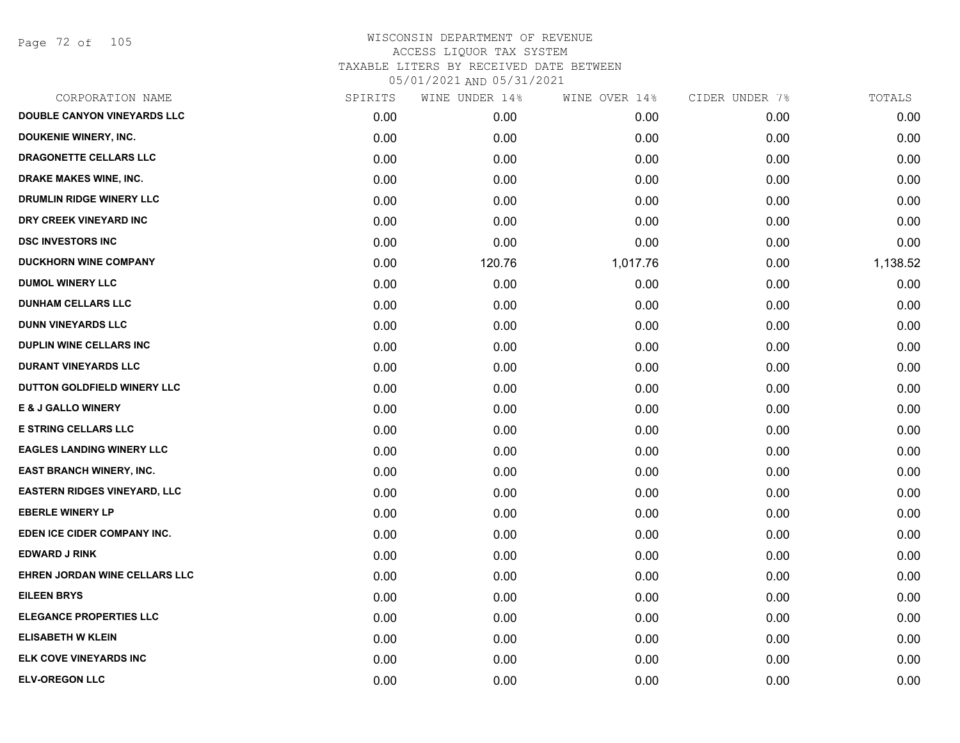Page 72 of 105

| CORPORATION NAME                    | SPIRITS | WINE UNDER 14% | WINE OVER 14% | CIDER UNDER 7% | TOTALS   |
|-------------------------------------|---------|----------------|---------------|----------------|----------|
| DOUBLE CANYON VINEYARDS LLC         | 0.00    | 0.00           | 0.00          | 0.00           | 0.00     |
| DOUKENIE WINERY, INC.               | 0.00    | 0.00           | 0.00          | 0.00           | 0.00     |
| DRAGONETTE CELLARS LLC              | 0.00    | 0.00           | 0.00          | 0.00           | 0.00     |
| <b>DRAKE MAKES WINE, INC.</b>       | 0.00    | 0.00           | 0.00          | 0.00           | 0.00     |
| DRUMLIN RIDGE WINERY LLC            | 0.00    | 0.00           | 0.00          | 0.00           | 0.00     |
| DRY CREEK VINEYARD INC              | 0.00    | 0.00           | 0.00          | 0.00           | 0.00     |
| <b>DSC INVESTORS INC</b>            | 0.00    | 0.00           | 0.00          | 0.00           | 0.00     |
| <b>DUCKHORN WINE COMPANY</b>        | 0.00    | 120.76         | 1,017.76      | 0.00           | 1,138.52 |
| <b>DUMOL WINERY LLC</b>             | 0.00    | 0.00           | 0.00          | 0.00           | 0.00     |
| <b>DUNHAM CELLARS LLC</b>           | 0.00    | 0.00           | 0.00          | 0.00           | 0.00     |
| <b>DUNN VINEYARDS LLC</b>           | 0.00    | 0.00           | 0.00          | 0.00           | 0.00     |
| <b>DUPLIN WINE CELLARS INC</b>      | 0.00    | 0.00           | 0.00          | 0.00           | 0.00     |
| <b>DURANT VINEYARDS LLC</b>         | 0.00    | 0.00           | 0.00          | 0.00           | 0.00     |
| DUTTON GOLDFIELD WINERY LLC         | 0.00    | 0.00           | 0.00          | 0.00           | 0.00     |
| <b>E &amp; J GALLO WINERY</b>       | 0.00    | 0.00           | 0.00          | 0.00           | 0.00     |
| <b>E STRING CELLARS LLC</b>         | 0.00    | 0.00           | 0.00          | 0.00           | 0.00     |
| <b>EAGLES LANDING WINERY LLC</b>    | 0.00    | 0.00           | 0.00          | 0.00           | 0.00     |
| EAST BRANCH WINERY, INC.            | 0.00    | 0.00           | 0.00          | 0.00           | 0.00     |
| <b>EASTERN RIDGES VINEYARD, LLC</b> | 0.00    | 0.00           | 0.00          | 0.00           | 0.00     |
| <b>EBERLE WINERY LP</b>             | 0.00    | 0.00           | 0.00          | 0.00           | 0.00     |
| EDEN ICE CIDER COMPANY INC.         | 0.00    | 0.00           | 0.00          | 0.00           | 0.00     |
| <b>EDWARD J RINK</b>                | 0.00    | 0.00           | 0.00          | 0.00           | 0.00     |
| EHREN JORDAN WINE CELLARS LLC       | 0.00    | 0.00           | 0.00          | 0.00           | 0.00     |
| <b>EILEEN BRYS</b>                  | 0.00    | 0.00           | 0.00          | 0.00           | 0.00     |
| <b>ELEGANCE PROPERTIES LLC</b>      | 0.00    | 0.00           | 0.00          | 0.00           | 0.00     |
| <b>ELISABETH W KLEIN</b>            | 0.00    | 0.00           | 0.00          | 0.00           | 0.00     |
| ELK COVE VINEYARDS INC              | 0.00    | 0.00           | 0.00          | 0.00           | 0.00     |
| <b>ELV-OREGON LLC</b>               | 0.00    | 0.00           | 0.00          | 0.00           | 0.00     |
|                                     |         |                |               |                |          |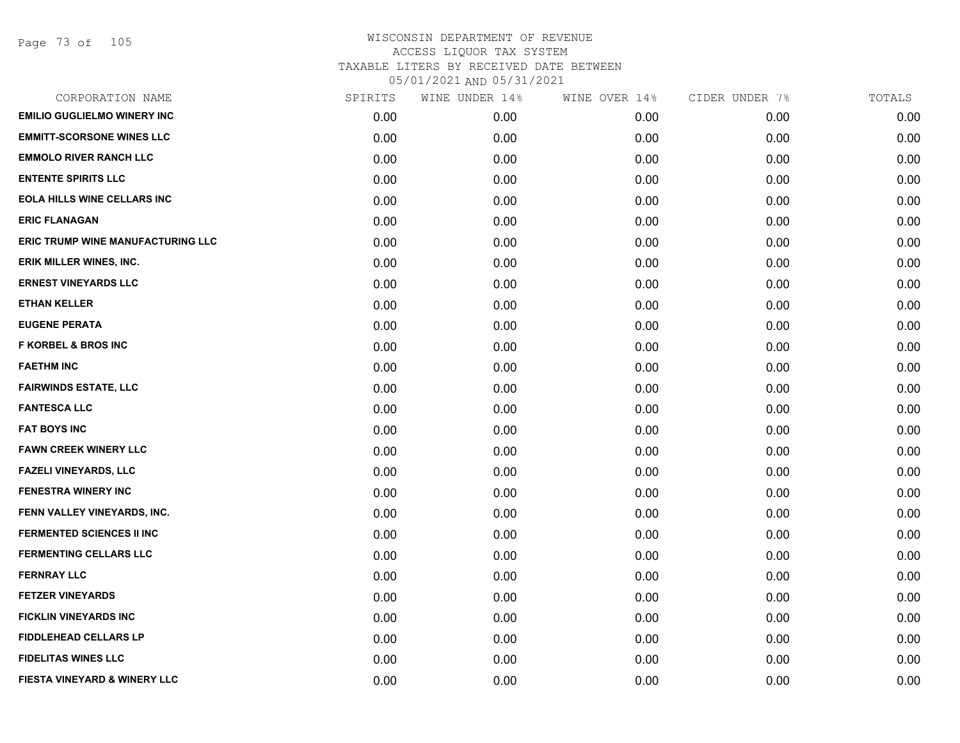| SPIRITS | WINE UNDER 14% | WINE OVER 14% | CIDER UNDER 7% | TOTALS |
|---------|----------------|---------------|----------------|--------|
| 0.00    | 0.00           | 0.00          | 0.00           | 0.00   |
| 0.00    | 0.00           | 0.00          | 0.00           | 0.00   |
| 0.00    | 0.00           | 0.00          | 0.00           | 0.00   |
| 0.00    | 0.00           | 0.00          | 0.00           | 0.00   |
| 0.00    | 0.00           | 0.00          | 0.00           | 0.00   |
| 0.00    | 0.00           | 0.00          | 0.00           | 0.00   |
| 0.00    | 0.00           | 0.00          | 0.00           | 0.00   |
| 0.00    | 0.00           | 0.00          | 0.00           | 0.00   |
| 0.00    | 0.00           | 0.00          | 0.00           | 0.00   |
| 0.00    | 0.00           | 0.00          | 0.00           | 0.00   |
| 0.00    | 0.00           | 0.00          | 0.00           | 0.00   |
| 0.00    | 0.00           | 0.00          | 0.00           | 0.00   |
| 0.00    | 0.00           | 0.00          | 0.00           | 0.00   |
| 0.00    | 0.00           | 0.00          | 0.00           | 0.00   |
| 0.00    | 0.00           | 0.00          | 0.00           | 0.00   |
| 0.00    | 0.00           | 0.00          | 0.00           | 0.00   |
| 0.00    | 0.00           | 0.00          | 0.00           | 0.00   |
| 0.00    | 0.00           | 0.00          | 0.00           | 0.00   |
| 0.00    | 0.00           | 0.00          | 0.00           | 0.00   |
| 0.00    | 0.00           | 0.00          | 0.00           | 0.00   |
| 0.00    | 0.00           | 0.00          | 0.00           | 0.00   |
| 0.00    | 0.00           | 0.00          | 0.00           | 0.00   |
| 0.00    | 0.00           | 0.00          | 0.00           | 0.00   |
| 0.00    | 0.00           | 0.00          | 0.00           | 0.00   |
| 0.00    | 0.00           | 0.00          | 0.00           | 0.00   |
| 0.00    | 0.00           | 0.00          | 0.00           | 0.00   |
| 0.00    | 0.00           | 0.00          | 0.00           | 0.00   |
| 0.00    | 0.00           | 0.00          | 0.00           | 0.00   |
|         |                |               |                |        |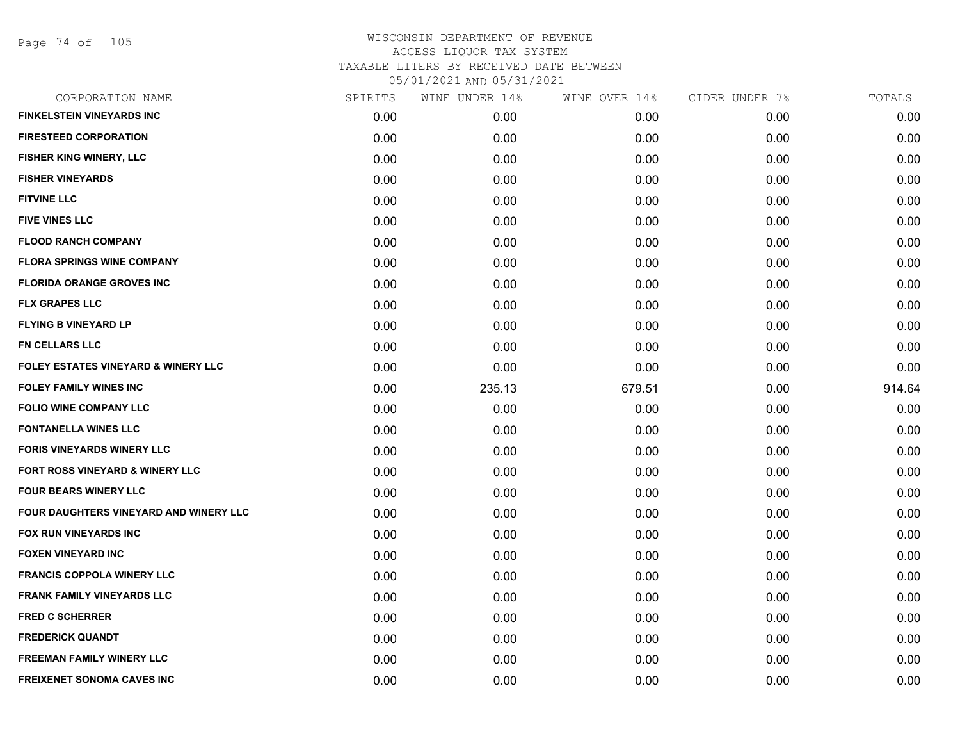Page 74 of 105

| CORPORATION NAME                               | SPIRITS | WINE UNDER 14% | WINE OVER 14% | CIDER UNDER 7% | TOTALS |
|------------------------------------------------|---------|----------------|---------------|----------------|--------|
| <b>FINKELSTEIN VINEYARDS INC</b>               | 0.00    | 0.00           | 0.00          | 0.00           | 0.00   |
| <b>FIRESTEED CORPORATION</b>                   | 0.00    | 0.00           | 0.00          | 0.00           | 0.00   |
| FISHER KING WINERY, LLC                        | 0.00    | 0.00           | 0.00          | 0.00           | 0.00   |
| <b>FISHER VINEYARDS</b>                        | 0.00    | 0.00           | 0.00          | 0.00           | 0.00   |
| <b>FITVINE LLC</b>                             | 0.00    | 0.00           | 0.00          | 0.00           | 0.00   |
| <b>FIVE VINES LLC</b>                          | 0.00    | 0.00           | 0.00          | 0.00           | 0.00   |
| <b>FLOOD RANCH COMPANY</b>                     | 0.00    | 0.00           | 0.00          | 0.00           | 0.00   |
| <b>FLORA SPRINGS WINE COMPANY</b>              | 0.00    | 0.00           | 0.00          | 0.00           | 0.00   |
| <b>FLORIDA ORANGE GROVES INC</b>               | 0.00    | 0.00           | 0.00          | 0.00           | 0.00   |
| <b>FLX GRAPES LLC</b>                          | 0.00    | 0.00           | 0.00          | 0.00           | 0.00   |
| <b>FLYING B VINEYARD LP</b>                    | 0.00    | 0.00           | 0.00          | 0.00           | 0.00   |
| FN CELLARS LLC                                 | 0.00    | 0.00           | 0.00          | 0.00           | 0.00   |
| <b>FOLEY ESTATES VINEYARD &amp; WINERY LLC</b> | 0.00    | 0.00           | 0.00          | 0.00           | 0.00   |
| <b>FOLEY FAMILY WINES INC</b>                  | 0.00    | 235.13         | 679.51        | 0.00           | 914.64 |
| <b>FOLIO WINE COMPANY LLC</b>                  | 0.00    | 0.00           | 0.00          | 0.00           | 0.00   |
| <b>FONTANELLA WINES LLC</b>                    | 0.00    | 0.00           | 0.00          | 0.00           | 0.00   |
| <b>FORIS VINEYARDS WINERY LLC</b>              | 0.00    | 0.00           | 0.00          | 0.00           | 0.00   |
| FORT ROSS VINEYARD & WINERY LLC                | 0.00    | 0.00           | 0.00          | 0.00           | 0.00   |
| <b>FOUR BEARS WINERY LLC</b>                   | 0.00    | 0.00           | 0.00          | 0.00           | 0.00   |
| <b>FOUR DAUGHTERS VINEYARD AND WINERY LLC</b>  | 0.00    | 0.00           | 0.00          | 0.00           | 0.00   |
| FOX RUN VINEYARDS INC                          | 0.00    | 0.00           | 0.00          | 0.00           | 0.00   |
| <b>FOXEN VINEYARD INC</b>                      | 0.00    | 0.00           | 0.00          | 0.00           | 0.00   |
| <b>FRANCIS COPPOLA WINERY LLC</b>              | 0.00    | 0.00           | 0.00          | 0.00           | 0.00   |
| <b>FRANK FAMILY VINEYARDS LLC</b>              | 0.00    | 0.00           | 0.00          | 0.00           | 0.00   |
| <b>FRED C SCHERRER</b>                         | 0.00    | 0.00           | 0.00          | 0.00           | 0.00   |
| <b>FREDERICK QUANDT</b>                        | 0.00    | 0.00           | 0.00          | 0.00           | 0.00   |
| FREEMAN FAMILY WINERY LLC                      | 0.00    | 0.00           | 0.00          | 0.00           | 0.00   |
| <b>FREIXENET SONOMA CAVES INC</b>              | 0.00    | 0.00           | 0.00          | 0.00           | 0.00   |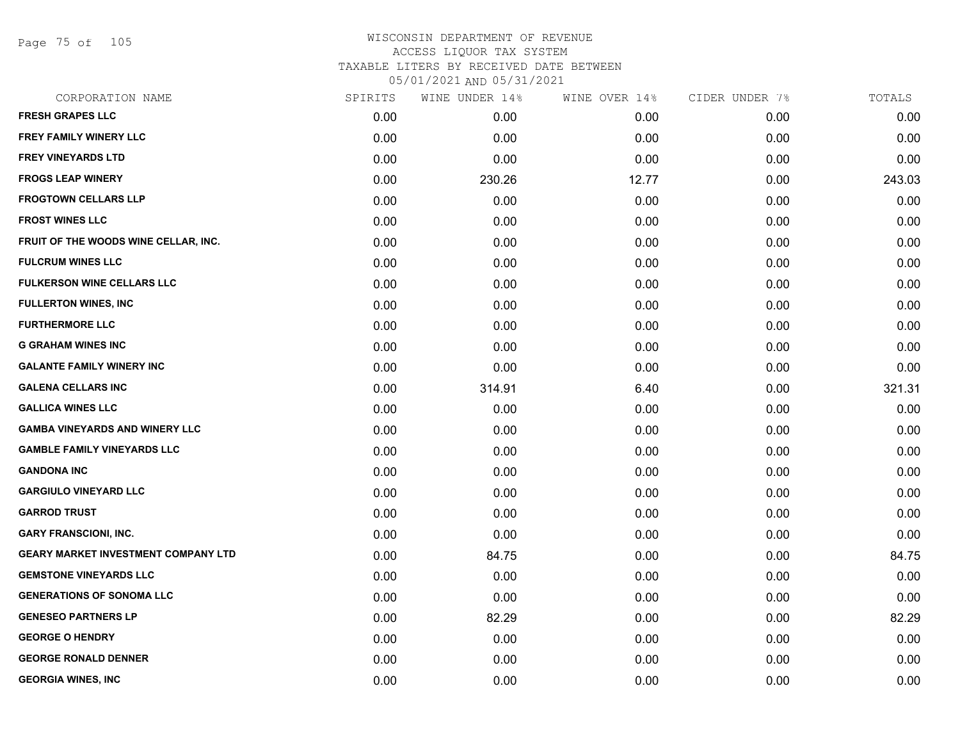Page 75 of 105

| CORPORATION NAME                           | SPIRITS | WINE UNDER 14% | WINE OVER 14% | CIDER UNDER 7% | TOTALS |
|--------------------------------------------|---------|----------------|---------------|----------------|--------|
| <b>FRESH GRAPES LLC</b>                    | 0.00    | 0.00           | 0.00          | 0.00           | 0.00   |
| FREY FAMILY WINERY LLC                     | 0.00    | 0.00           | 0.00          | 0.00           | 0.00   |
| <b>FREY VINEYARDS LTD</b>                  | 0.00    | 0.00           | 0.00          | 0.00           | 0.00   |
| <b>FROGS LEAP WINERY</b>                   | 0.00    | 230.26         | 12.77         | 0.00           | 243.03 |
| <b>FROGTOWN CELLARS LLP</b>                | 0.00    | 0.00           | 0.00          | 0.00           | 0.00   |
| <b>FROST WINES LLC</b>                     | 0.00    | 0.00           | 0.00          | 0.00           | 0.00   |
| FRUIT OF THE WOODS WINE CELLAR, INC.       | 0.00    | 0.00           | 0.00          | 0.00           | 0.00   |
| <b>FULCRUM WINES LLC</b>                   | 0.00    | 0.00           | 0.00          | 0.00           | 0.00   |
| <b>FULKERSON WINE CELLARS LLC</b>          | 0.00    | 0.00           | 0.00          | 0.00           | 0.00   |
| <b>FULLERTON WINES, INC</b>                | 0.00    | 0.00           | 0.00          | 0.00           | 0.00   |
| <b>FURTHERMORE LLC</b>                     | 0.00    | 0.00           | 0.00          | 0.00           | 0.00   |
| <b>G GRAHAM WINES INC</b>                  | 0.00    | 0.00           | 0.00          | 0.00           | 0.00   |
| <b>GALANTE FAMILY WINERY INC</b>           | 0.00    | 0.00           | 0.00          | 0.00           | 0.00   |
| <b>GALENA CELLARS INC</b>                  | 0.00    | 314.91         | 6.40          | 0.00           | 321.31 |
| <b>GALLICA WINES LLC</b>                   | 0.00    | 0.00           | 0.00          | 0.00           | 0.00   |
| <b>GAMBA VINEYARDS AND WINERY LLC</b>      | 0.00    | 0.00           | 0.00          | 0.00           | 0.00   |
| <b>GAMBLE FAMILY VINEYARDS LLC</b>         | 0.00    | 0.00           | 0.00          | 0.00           | 0.00   |
| <b>GANDONA INC</b>                         | 0.00    | 0.00           | 0.00          | 0.00           | 0.00   |
| <b>GARGIULO VINEYARD LLC</b>               | 0.00    | 0.00           | 0.00          | 0.00           | 0.00   |
| <b>GARROD TRUST</b>                        | 0.00    | 0.00           | 0.00          | 0.00           | 0.00   |
| <b>GARY FRANSCIONI, INC.</b>               | 0.00    | 0.00           | 0.00          | 0.00           | 0.00   |
| <b>GEARY MARKET INVESTMENT COMPANY LTD</b> | 0.00    | 84.75          | 0.00          | 0.00           | 84.75  |
| <b>GEMSTONE VINEYARDS LLC</b>              | 0.00    | 0.00           | 0.00          | 0.00           | 0.00   |
| <b>GENERATIONS OF SONOMA LLC</b>           | 0.00    | 0.00           | 0.00          | 0.00           | 0.00   |
| <b>GENESEO PARTNERS LP</b>                 | 0.00    | 82.29          | 0.00          | 0.00           | 82.29  |
| <b>GEORGE O HENDRY</b>                     | 0.00    | 0.00           | 0.00          | 0.00           | 0.00   |
| <b>GEORGE RONALD DENNER</b>                | 0.00    | 0.00           | 0.00          | 0.00           | 0.00   |
| <b>GEORGIA WINES, INC</b>                  | 0.00    | 0.00           | 0.00          | 0.00           | 0.00   |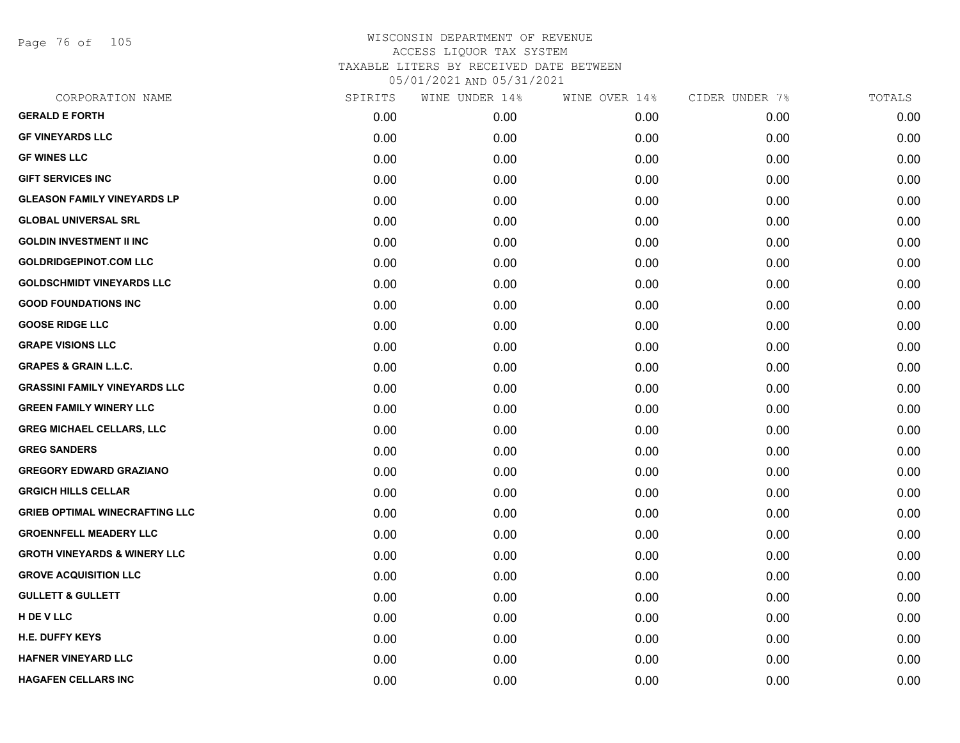Page 76 of 105

| CORPORATION NAME                        | SPIRITS | WINE UNDER 14% | WINE OVER 14% | CIDER UNDER 7% | TOTALS |
|-----------------------------------------|---------|----------------|---------------|----------------|--------|
| <b>GERALD E FORTH</b>                   | 0.00    | 0.00           | 0.00          | 0.00           | 0.00   |
| <b>GF VINEYARDS LLC</b>                 | 0.00    | 0.00           | 0.00          | 0.00           | 0.00   |
| <b>GF WINES LLC</b>                     | 0.00    | 0.00           | 0.00          | 0.00           | 0.00   |
| <b>GIFT SERVICES INC</b>                | 0.00    | 0.00           | 0.00          | 0.00           | 0.00   |
| <b>GLEASON FAMILY VINEYARDS LP</b>      | 0.00    | 0.00           | 0.00          | 0.00           | 0.00   |
| <b>GLOBAL UNIVERSAL SRL</b>             | 0.00    | 0.00           | 0.00          | 0.00           | 0.00   |
| <b>GOLDIN INVESTMENT II INC</b>         | 0.00    | 0.00           | 0.00          | 0.00           | 0.00   |
| <b>GOLDRIDGEPINOT.COM LLC</b>           | 0.00    | 0.00           | 0.00          | 0.00           | 0.00   |
| <b>GOLDSCHMIDT VINEYARDS LLC</b>        | 0.00    | 0.00           | 0.00          | 0.00           | 0.00   |
| <b>GOOD FOUNDATIONS INC</b>             | 0.00    | 0.00           | 0.00          | 0.00           | 0.00   |
| <b>GOOSE RIDGE LLC</b>                  | 0.00    | 0.00           | 0.00          | 0.00           | 0.00   |
| <b>GRAPE VISIONS LLC</b>                | 0.00    | 0.00           | 0.00          | 0.00           | 0.00   |
| <b>GRAPES &amp; GRAIN L.L.C.</b>        | 0.00    | 0.00           | 0.00          | 0.00           | 0.00   |
| <b>GRASSINI FAMILY VINEYARDS LLC</b>    | 0.00    | 0.00           | 0.00          | 0.00           | 0.00   |
| <b>GREEN FAMILY WINERY LLC</b>          | 0.00    | 0.00           | 0.00          | 0.00           | 0.00   |
| <b>GREG MICHAEL CELLARS, LLC</b>        | 0.00    | 0.00           | 0.00          | 0.00           | 0.00   |
| <b>GREG SANDERS</b>                     | 0.00    | 0.00           | 0.00          | 0.00           | 0.00   |
| <b>GREGORY EDWARD GRAZIANO</b>          | 0.00    | 0.00           | 0.00          | 0.00           | 0.00   |
| <b>GRGICH HILLS CELLAR</b>              | 0.00    | 0.00           | 0.00          | 0.00           | 0.00   |
| <b>GRIEB OPTIMAL WINECRAFTING LLC</b>   | 0.00    | 0.00           | 0.00          | 0.00           | 0.00   |
| <b>GROENNFELL MEADERY LLC</b>           | 0.00    | 0.00           | 0.00          | 0.00           | 0.00   |
| <b>GROTH VINEYARDS &amp; WINERY LLC</b> | 0.00    | 0.00           | 0.00          | 0.00           | 0.00   |
| <b>GROVE ACQUISITION LLC</b>            | 0.00    | 0.00           | 0.00          | 0.00           | 0.00   |
| <b>GULLETT &amp; GULLETT</b>            | 0.00    | 0.00           | 0.00          | 0.00           | 0.00   |
| H DE V LLC                              | 0.00    | 0.00           | 0.00          | 0.00           | 0.00   |
| <b>H.E. DUFFY KEYS</b>                  | 0.00    | 0.00           | 0.00          | 0.00           | 0.00   |
| <b>HAFNER VINEYARD LLC</b>              | 0.00    | 0.00           | 0.00          | 0.00           | 0.00   |
| <b>HAGAFEN CELLARS INC</b>              | 0.00    | 0.00           | 0.00          | 0.00           | 0.00   |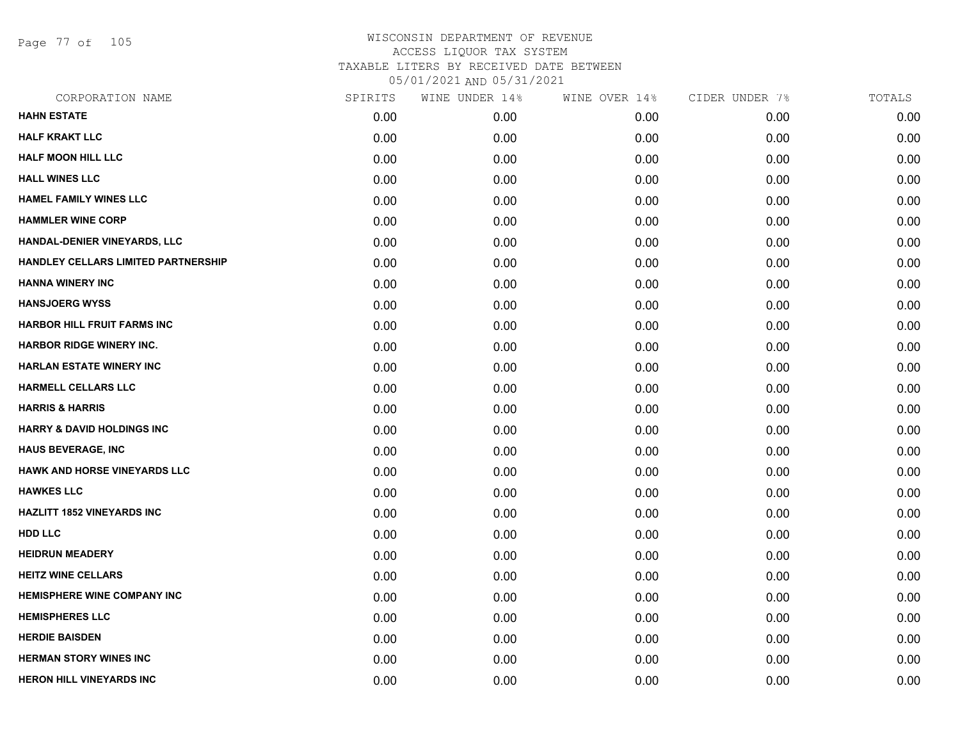Page 77 of 105

| CORPORATION NAME                      | SPIRITS | WINE UNDER 14% | WINE OVER 14% | CIDER UNDER 7% | TOTALS |
|---------------------------------------|---------|----------------|---------------|----------------|--------|
| <b>HAHN ESTATE</b>                    | 0.00    | 0.00           | 0.00          | 0.00           | 0.00   |
| <b>HALF KRAKT LLC</b>                 | 0.00    | 0.00           | 0.00          | 0.00           | 0.00   |
| <b>HALF MOON HILL LLC</b>             | 0.00    | 0.00           | 0.00          | 0.00           | 0.00   |
| <b>HALL WINES LLC</b>                 | 0.00    | 0.00           | 0.00          | 0.00           | 0.00   |
| <b>HAMEL FAMILY WINES LLC</b>         | 0.00    | 0.00           | 0.00          | 0.00           | 0.00   |
| <b>HAMMLER WINE CORP</b>              | 0.00    | 0.00           | 0.00          | 0.00           | 0.00   |
| HANDAL-DENIER VINEYARDS, LLC          | 0.00    | 0.00           | 0.00          | 0.00           | 0.00   |
| HANDLEY CELLARS LIMITED PARTNERSHIP   | 0.00    | 0.00           | 0.00          | 0.00           | 0.00   |
| <b>HANNA WINERY INC</b>               | 0.00    | 0.00           | 0.00          | 0.00           | 0.00   |
| <b>HANSJOERG WYSS</b>                 | 0.00    | 0.00           | 0.00          | 0.00           | 0.00   |
| <b>HARBOR HILL FRUIT FARMS INC</b>    | 0.00    | 0.00           | 0.00          | 0.00           | 0.00   |
| <b>HARBOR RIDGE WINERY INC.</b>       | 0.00    | 0.00           | 0.00          | 0.00           | 0.00   |
| <b>HARLAN ESTATE WINERY INC</b>       | 0.00    | 0.00           | 0.00          | 0.00           | 0.00   |
| <b>HARMELL CELLARS LLC</b>            | 0.00    | 0.00           | 0.00          | 0.00           | 0.00   |
| <b>HARRIS &amp; HARRIS</b>            | 0.00    | 0.00           | 0.00          | 0.00           | 0.00   |
| <b>HARRY &amp; DAVID HOLDINGS INC</b> | 0.00    | 0.00           | 0.00          | 0.00           | 0.00   |
| <b>HAUS BEVERAGE, INC</b>             | 0.00    | 0.00           | 0.00          | 0.00           | 0.00   |
| <b>HAWK AND HORSE VINEYARDS LLC</b>   | 0.00    | 0.00           | 0.00          | 0.00           | 0.00   |
| <b>HAWKES LLC</b>                     | 0.00    | 0.00           | 0.00          | 0.00           | 0.00   |
| <b>HAZLITT 1852 VINEYARDS INC</b>     | 0.00    | 0.00           | 0.00          | 0.00           | 0.00   |
| <b>HDD LLC</b>                        | 0.00    | 0.00           | 0.00          | 0.00           | 0.00   |
| <b>HEIDRUN MEADERY</b>                | 0.00    | 0.00           | 0.00          | 0.00           | 0.00   |
| <b>HEITZ WINE CELLARS</b>             | 0.00    | 0.00           | 0.00          | 0.00           | 0.00   |
| <b>HEMISPHERE WINE COMPANY INC</b>    | 0.00    | 0.00           | 0.00          | 0.00           | 0.00   |
| <b>HEMISPHERES LLC</b>                | 0.00    | 0.00           | 0.00          | 0.00           | 0.00   |
| <b>HERDIE BAISDEN</b>                 | 0.00    | 0.00           | 0.00          | 0.00           | 0.00   |
| <b>HERMAN STORY WINES INC</b>         | 0.00    | 0.00           | 0.00          | 0.00           | 0.00   |
| <b>HERON HILL VINEYARDS INC</b>       | 0.00    | 0.00           | 0.00          | 0.00           | 0.00   |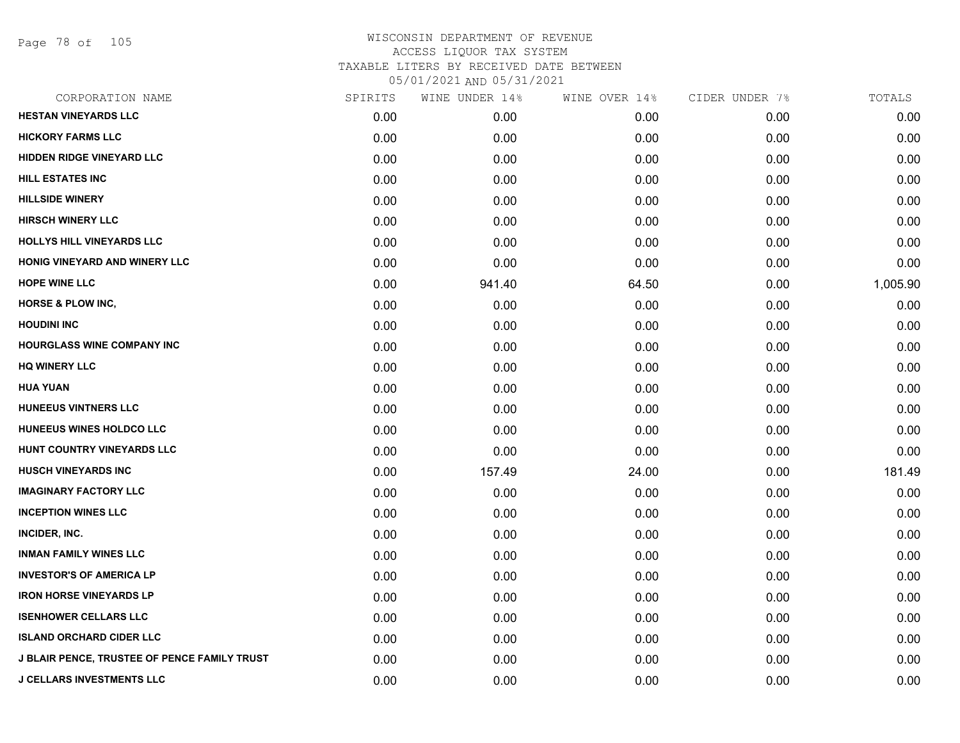Page 78 of 105

| CORPORATION NAME                                    | SPIRITS | WINE UNDER 14% | WINE OVER 14% | CIDER UNDER 7% | TOTALS   |
|-----------------------------------------------------|---------|----------------|---------------|----------------|----------|
| <b>HESTAN VINEYARDS LLC</b>                         | 0.00    | 0.00           | 0.00          | 0.00           | 0.00     |
| <b>HICKORY FARMS LLC</b>                            | 0.00    | 0.00           | 0.00          | 0.00           | 0.00     |
| <b>HIDDEN RIDGE VINEYARD LLC</b>                    | 0.00    | 0.00           | 0.00          | 0.00           | 0.00     |
| <b>HILL ESTATES INC</b>                             | 0.00    | 0.00           | 0.00          | 0.00           | 0.00     |
| <b>HILLSIDE WINERY</b>                              | 0.00    | 0.00           | 0.00          | 0.00           | 0.00     |
| <b>HIRSCH WINERY LLC</b>                            | 0.00    | 0.00           | 0.00          | 0.00           | 0.00     |
| HOLLYS HILL VINEYARDS LLC                           | 0.00    | 0.00           | 0.00          | 0.00           | 0.00     |
| HONIG VINEYARD AND WINERY LLC                       | 0.00    | 0.00           | 0.00          | 0.00           | 0.00     |
| <b>HOPE WINE LLC</b>                                | 0.00    | 941.40         | 64.50         | 0.00           | 1,005.90 |
| <b>HORSE &amp; PLOW INC,</b>                        | 0.00    | 0.00           | 0.00          | 0.00           | 0.00     |
| <b>HOUDINI INC</b>                                  | 0.00    | 0.00           | 0.00          | 0.00           | 0.00     |
| <b>HOURGLASS WINE COMPANY INC</b>                   | 0.00    | 0.00           | 0.00          | 0.00           | 0.00     |
| <b>HQ WINERY LLC</b>                                | 0.00    | 0.00           | 0.00          | 0.00           | 0.00     |
| <b>HUA YUAN</b>                                     | 0.00    | 0.00           | 0.00          | 0.00           | 0.00     |
| <b>HUNEEUS VINTNERS LLC</b>                         | 0.00    | 0.00           | 0.00          | 0.00           | 0.00     |
| HUNEEUS WINES HOLDCO LLC                            | 0.00    | 0.00           | 0.00          | 0.00           | 0.00     |
| HUNT COUNTRY VINEYARDS LLC                          | 0.00    | 0.00           | 0.00          | 0.00           | 0.00     |
| <b>HUSCH VINEYARDS INC</b>                          | 0.00    | 157.49         | 24.00         | 0.00           | 181.49   |
| <b>IMAGINARY FACTORY LLC</b>                        | 0.00    | 0.00           | 0.00          | 0.00           | 0.00     |
| <b>INCEPTION WINES LLC</b>                          | 0.00    | 0.00           | 0.00          | 0.00           | 0.00     |
| INCIDER, INC.                                       | 0.00    | 0.00           | 0.00          | 0.00           | 0.00     |
| <b>INMAN FAMILY WINES LLC</b>                       | 0.00    | 0.00           | 0.00          | 0.00           | 0.00     |
| <b>INVESTOR'S OF AMERICA LP</b>                     | 0.00    | 0.00           | 0.00          | 0.00           | 0.00     |
| <b>IRON HORSE VINEYARDS LP</b>                      | 0.00    | 0.00           | 0.00          | 0.00           | 0.00     |
| <b>ISENHOWER CELLARS LLC</b>                        | 0.00    | 0.00           | 0.00          | 0.00           | 0.00     |
| <b>ISLAND ORCHARD CIDER LLC</b>                     | 0.00    | 0.00           | 0.00          | 0.00           | 0.00     |
| <b>J BLAIR PENCE, TRUSTEE OF PENCE FAMILY TRUST</b> | 0.00    | 0.00           | 0.00          | 0.00           | 0.00     |
| <b>J CELLARS INVESTMENTS LLC</b>                    | 0.00    | 0.00           | 0.00          | 0.00           | 0.00     |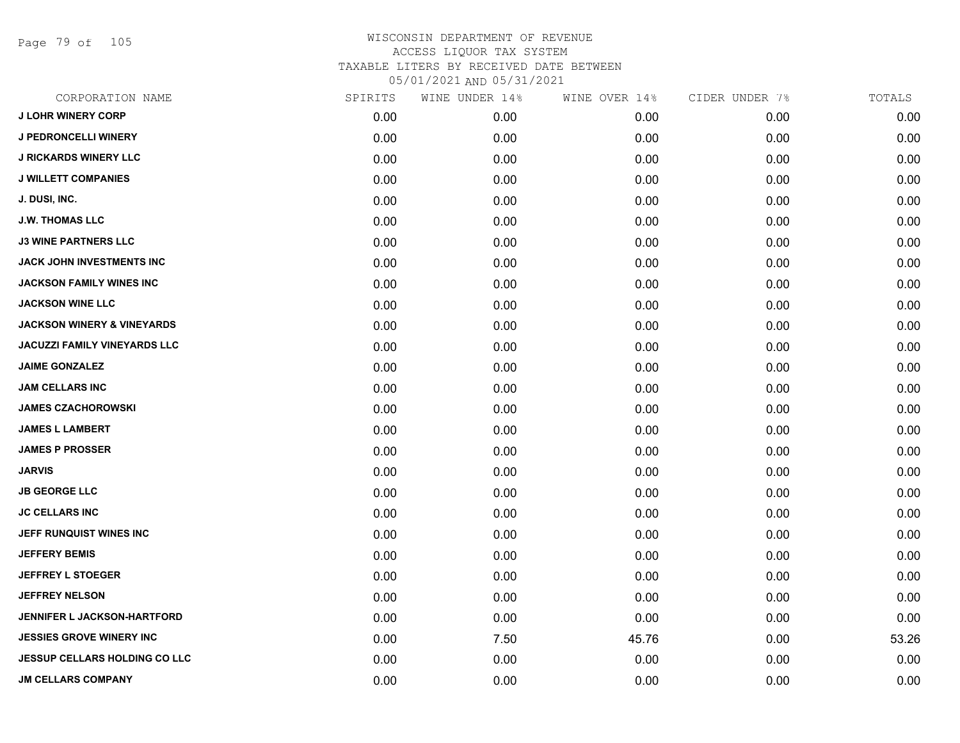Page 79 of 105

| CORPORATION NAME                      | SPIRITS | WINE UNDER 14% | WINE OVER 14% | CIDER UNDER 7% | TOTALS |
|---------------------------------------|---------|----------------|---------------|----------------|--------|
| <b>J LOHR WINERY CORP</b>             | 0.00    | 0.00           | 0.00          | 0.00           | 0.00   |
| <b>J PEDRONCELLI WINERY</b>           | 0.00    | 0.00           | 0.00          | 0.00           | 0.00   |
| <b>J RICKARDS WINERY LLC</b>          | 0.00    | 0.00           | 0.00          | 0.00           | 0.00   |
| <b>J WILLETT COMPANIES</b>            | 0.00    | 0.00           | 0.00          | 0.00           | 0.00   |
| J. DUSI, INC.                         | 0.00    | 0.00           | 0.00          | 0.00           | 0.00   |
| <b>J.W. THOMAS LLC</b>                | 0.00    | 0.00           | 0.00          | 0.00           | 0.00   |
| <b>J3 WINE PARTNERS LLC</b>           | 0.00    | 0.00           | 0.00          | 0.00           | 0.00   |
| <b>JACK JOHN INVESTMENTS INC</b>      | 0.00    | 0.00           | 0.00          | 0.00           | 0.00   |
| <b>JACKSON FAMILY WINES INC</b>       | 0.00    | 0.00           | 0.00          | 0.00           | 0.00   |
| <b>JACKSON WINE LLC</b>               | 0.00    | 0.00           | 0.00          | 0.00           | 0.00   |
| <b>JACKSON WINERY &amp; VINEYARDS</b> | 0.00    | 0.00           | 0.00          | 0.00           | 0.00   |
| <b>JACUZZI FAMILY VINEYARDS LLC</b>   | 0.00    | 0.00           | 0.00          | 0.00           | 0.00   |
| <b>JAIME GONZALEZ</b>                 | 0.00    | 0.00           | 0.00          | 0.00           | 0.00   |
| <b>JAM CELLARS INC</b>                | 0.00    | 0.00           | 0.00          | 0.00           | 0.00   |
| <b>JAMES CZACHOROWSKI</b>             | 0.00    | 0.00           | 0.00          | 0.00           | 0.00   |
| <b>JAMES L LAMBERT</b>                | 0.00    | 0.00           | 0.00          | 0.00           | 0.00   |
| <b>JAMES P PROSSER</b>                | 0.00    | 0.00           | 0.00          | 0.00           | 0.00   |
| <b>JARVIS</b>                         | 0.00    | 0.00           | 0.00          | 0.00           | 0.00   |
| <b>JB GEORGE LLC</b>                  | 0.00    | 0.00           | 0.00          | 0.00           | 0.00   |
| <b>JC CELLARS INC</b>                 | 0.00    | 0.00           | 0.00          | 0.00           | 0.00   |
| JEFF RUNQUIST WINES INC               | 0.00    | 0.00           | 0.00          | 0.00           | 0.00   |
| <b>JEFFERY BEMIS</b>                  | 0.00    | 0.00           | 0.00          | 0.00           | 0.00   |
| <b>JEFFREY L STOEGER</b>              | 0.00    | 0.00           | 0.00          | 0.00           | 0.00   |
| <b>JEFFREY NELSON</b>                 | 0.00    | 0.00           | 0.00          | 0.00           | 0.00   |
| JENNIFER L JACKSON-HARTFORD           | 0.00    | 0.00           | 0.00          | 0.00           | 0.00   |
| <b>JESSIES GROVE WINERY INC</b>       | 0.00    | 7.50           | 45.76         | 0.00           | 53.26  |
| <b>JESSUP CELLARS HOLDING CO LLC</b>  | 0.00    | 0.00           | 0.00          | 0.00           | 0.00   |
| <b>JM CELLARS COMPANY</b>             | 0.00    | 0.00           | 0.00          | 0.00           | 0.00   |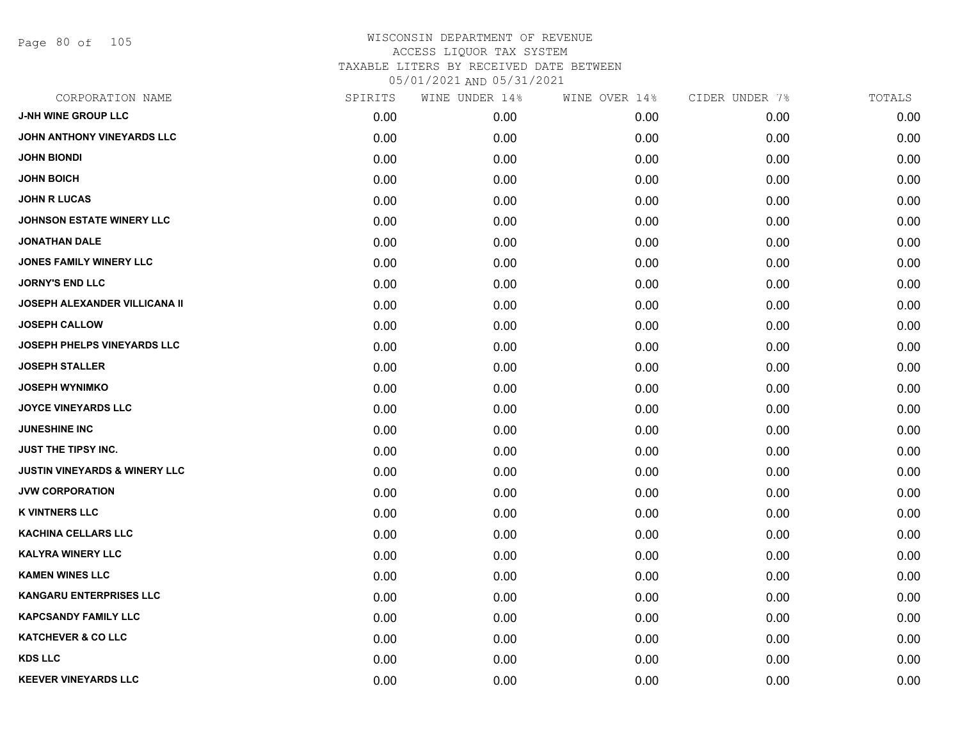Page 80 of 105

| CORPORATION NAME                         | SPIRITS | WINE UNDER 14% | WINE OVER 14% | CIDER UNDER 7% | TOTALS |
|------------------------------------------|---------|----------------|---------------|----------------|--------|
| <b>J-NH WINE GROUP LLC</b>               | 0.00    | 0.00           | 0.00          | 0.00           | 0.00   |
| JOHN ANTHONY VINEYARDS LLC               | 0.00    | 0.00           | 0.00          | 0.00           | 0.00   |
| <b>JOHN BIONDI</b>                       | 0.00    | 0.00           | 0.00          | 0.00           | 0.00   |
| <b>JOHN BOICH</b>                        | 0.00    | 0.00           | 0.00          | 0.00           | 0.00   |
| <b>JOHN R LUCAS</b>                      | 0.00    | 0.00           | 0.00          | 0.00           | 0.00   |
| JOHNSON ESTATE WINERY LLC                | 0.00    | 0.00           | 0.00          | 0.00           | 0.00   |
| <b>JONATHAN DALE</b>                     | 0.00    | 0.00           | 0.00          | 0.00           | 0.00   |
| <b>JONES FAMILY WINERY LLC</b>           | 0.00    | 0.00           | 0.00          | 0.00           | 0.00   |
| <b>JORNY'S END LLC</b>                   | 0.00    | 0.00           | 0.00          | 0.00           | 0.00   |
| <b>JOSEPH ALEXANDER VILLICANA II</b>     | 0.00    | 0.00           | 0.00          | 0.00           | 0.00   |
| <b>JOSEPH CALLOW</b>                     | 0.00    | 0.00           | 0.00          | 0.00           | 0.00   |
| JOSEPH PHELPS VINEYARDS LLC              | 0.00    | 0.00           | 0.00          | 0.00           | 0.00   |
| <b>JOSEPH STALLER</b>                    | 0.00    | 0.00           | 0.00          | 0.00           | 0.00   |
| <b>JOSEPH WYNIMKO</b>                    | 0.00    | 0.00           | 0.00          | 0.00           | 0.00   |
| <b>JOYCE VINEYARDS LLC</b>               | 0.00    | 0.00           | 0.00          | 0.00           | 0.00   |
| <b>JUNESHINE INC</b>                     | 0.00    | 0.00           | 0.00          | 0.00           | 0.00   |
| JUST THE TIPSY INC.                      | 0.00    | 0.00           | 0.00          | 0.00           | 0.00   |
| <b>JUSTIN VINEYARDS &amp; WINERY LLC</b> | 0.00    | 0.00           | 0.00          | 0.00           | 0.00   |
| <b>JVW CORPORATION</b>                   | 0.00    | 0.00           | 0.00          | 0.00           | 0.00   |
| <b>K VINTNERS LLC</b>                    | 0.00    | 0.00           | 0.00          | 0.00           | 0.00   |
| <b>KACHINA CELLARS LLC</b>               | 0.00    | 0.00           | 0.00          | 0.00           | 0.00   |
| <b>KALYRA WINERY LLC</b>                 | 0.00    | 0.00           | 0.00          | 0.00           | 0.00   |
| <b>KAMEN WINES LLC</b>                   | 0.00    | 0.00           | 0.00          | 0.00           | 0.00   |
| <b>KANGARU ENTERPRISES LLC</b>           | 0.00    | 0.00           | 0.00          | 0.00           | 0.00   |
| <b>KAPCSANDY FAMILY LLC</b>              | 0.00    | 0.00           | 0.00          | 0.00           | 0.00   |
| <b>KATCHEVER &amp; CO LLC</b>            | 0.00    | 0.00           | 0.00          | 0.00           | 0.00   |
| <b>KDS LLC</b>                           | 0.00    | 0.00           | 0.00          | 0.00           | 0.00   |
| <b>KEEVER VINEYARDS LLC</b>              | 0.00    | 0.00           | 0.00          | 0.00           | 0.00   |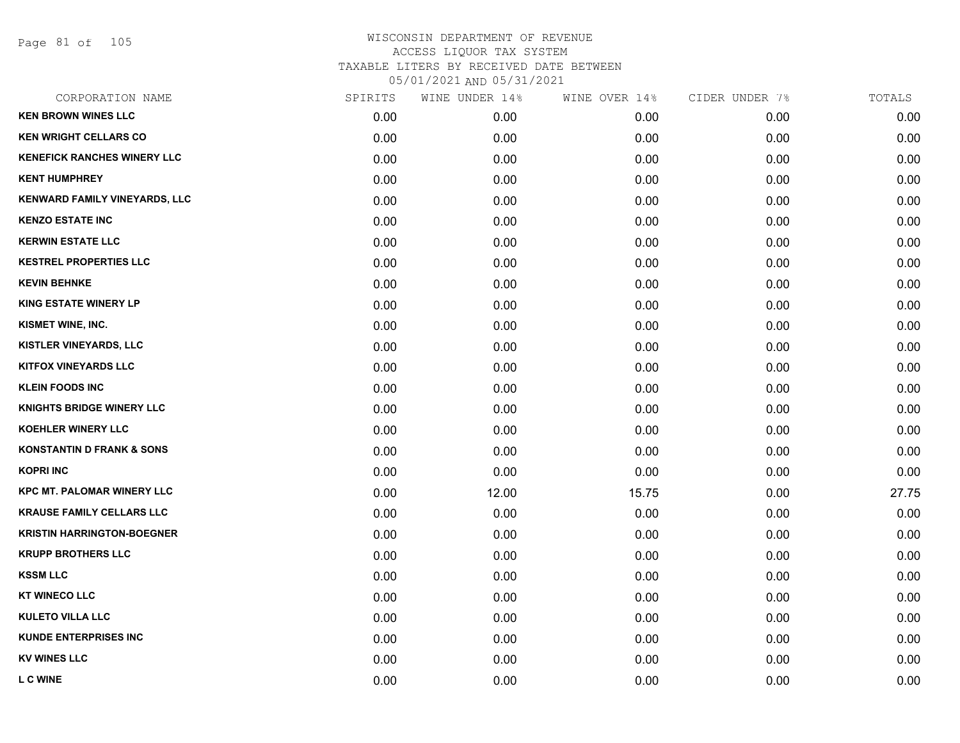Page 81 of 105

| CORPORATION NAME                     | SPIRITS | WINE UNDER 14% | WINE OVER 14% | CIDER UNDER 7% | TOTALS |
|--------------------------------------|---------|----------------|---------------|----------------|--------|
| <b>KEN BROWN WINES LLC</b>           | 0.00    | 0.00           | 0.00          | 0.00           | 0.00   |
| <b>KEN WRIGHT CELLARS CO</b>         | 0.00    | 0.00           | 0.00          | 0.00           | 0.00   |
| <b>KENEFICK RANCHES WINERY LLC</b>   | 0.00    | 0.00           | 0.00          | 0.00           | 0.00   |
| <b>KENT HUMPHREY</b>                 | 0.00    | 0.00           | 0.00          | 0.00           | 0.00   |
| <b>KENWARD FAMILY VINEYARDS, LLC</b> | 0.00    | 0.00           | 0.00          | 0.00           | 0.00   |
| <b>KENZO ESTATE INC</b>              | 0.00    | 0.00           | 0.00          | 0.00           | 0.00   |
| <b>KERWIN ESTATE LLC</b>             | 0.00    | 0.00           | 0.00          | 0.00           | 0.00   |
| <b>KESTREL PROPERTIES LLC</b>        | 0.00    | 0.00           | 0.00          | 0.00           | 0.00   |
| <b>KEVIN BEHNKE</b>                  | 0.00    | 0.00           | 0.00          | 0.00           | 0.00   |
| <b>KING ESTATE WINERY LP</b>         | 0.00    | 0.00           | 0.00          | 0.00           | 0.00   |
| KISMET WINE, INC.                    | 0.00    | 0.00           | 0.00          | 0.00           | 0.00   |
| KISTLER VINEYARDS, LLC               | 0.00    | 0.00           | 0.00          | 0.00           | 0.00   |
| <b>KITFOX VINEYARDS LLC</b>          | 0.00    | 0.00           | 0.00          | 0.00           | 0.00   |
| <b>KLEIN FOODS INC</b>               | 0.00    | 0.00           | 0.00          | 0.00           | 0.00   |
| <b>KNIGHTS BRIDGE WINERY LLC</b>     | 0.00    | 0.00           | 0.00          | 0.00           | 0.00   |
| <b>KOEHLER WINERY LLC</b>            | 0.00    | 0.00           | 0.00          | 0.00           | 0.00   |
| <b>KONSTANTIN D FRANK &amp; SONS</b> | 0.00    | 0.00           | 0.00          | 0.00           | 0.00   |
| <b>KOPRI INC</b>                     | 0.00    | 0.00           | 0.00          | 0.00           | 0.00   |
| <b>KPC MT. PALOMAR WINERY LLC</b>    | 0.00    | 12.00          | 15.75         | 0.00           | 27.75  |
| <b>KRAUSE FAMILY CELLARS LLC</b>     | 0.00    | 0.00           | 0.00          | 0.00           | 0.00   |
| <b>KRISTIN HARRINGTON-BOEGNER</b>    | 0.00    | 0.00           | 0.00          | 0.00           | 0.00   |
| <b>KRUPP BROTHERS LLC</b>            | 0.00    | 0.00           | 0.00          | 0.00           | 0.00   |
| <b>KSSM LLC</b>                      | 0.00    | 0.00           | 0.00          | 0.00           | 0.00   |
| <b>KT WINECO LLC</b>                 | 0.00    | 0.00           | 0.00          | 0.00           | 0.00   |
| <b>KULETO VILLA LLC</b>              | 0.00    | 0.00           | 0.00          | 0.00           | 0.00   |
| <b>KUNDE ENTERPRISES INC</b>         | 0.00    | 0.00           | 0.00          | 0.00           | 0.00   |
| <b>KV WINES LLC</b>                  | 0.00    | 0.00           | 0.00          | 0.00           | 0.00   |
| <b>L C WINE</b>                      | 0.00    | 0.00           | 0.00          | 0.00           | 0.00   |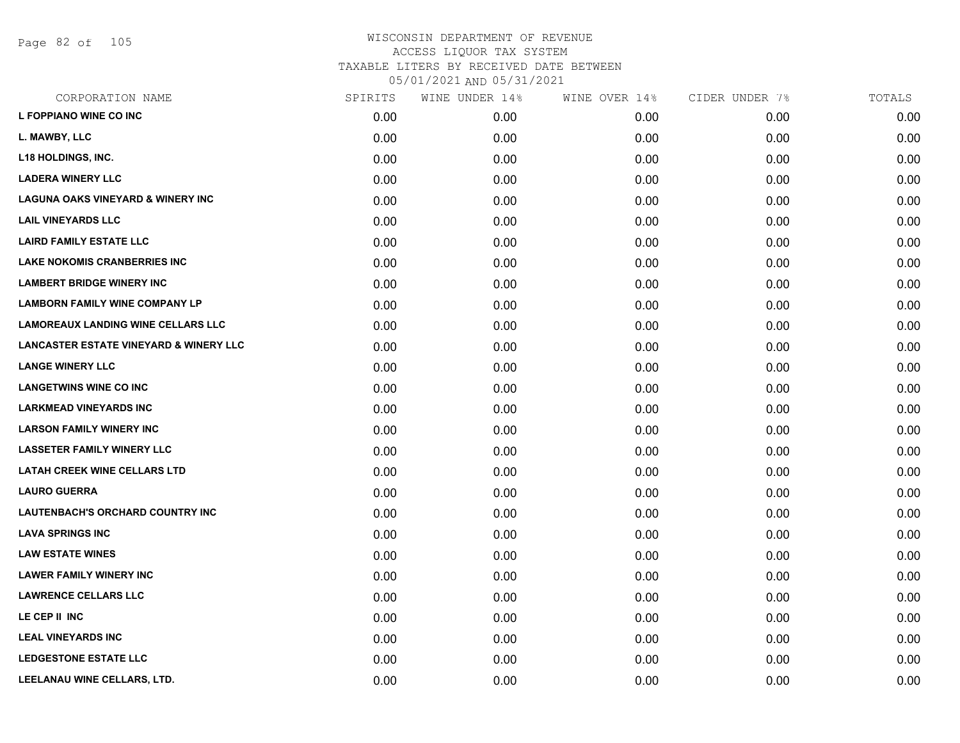| CORPORATION NAME                                  | SPIRITS | WINE UNDER 14% | WINE OVER 14% | CIDER UNDER 7% | TOTALS |
|---------------------------------------------------|---------|----------------|---------------|----------------|--------|
| L FOPPIANO WINE CO INC                            | 0.00    | 0.00           | 0.00          | 0.00           | 0.00   |
| L. MAWBY, LLC                                     | 0.00    | 0.00           | 0.00          | 0.00           | 0.00   |
| <b>L18 HOLDINGS, INC.</b>                         | 0.00    | 0.00           | 0.00          | 0.00           | 0.00   |
| <b>LADERA WINERY LLC</b>                          | 0.00    | 0.00           | 0.00          | 0.00           | 0.00   |
| <b>LAGUNA OAKS VINEYARD &amp; WINERY INC</b>      | 0.00    | 0.00           | 0.00          | 0.00           | 0.00   |
| <b>LAIL VINEYARDS LLC</b>                         | 0.00    | 0.00           | 0.00          | 0.00           | 0.00   |
| <b>LAIRD FAMILY ESTATE LLC</b>                    | 0.00    | 0.00           | 0.00          | 0.00           | 0.00   |
| <b>LAKE NOKOMIS CRANBERRIES INC</b>               | 0.00    | 0.00           | 0.00          | 0.00           | 0.00   |
| <b>LAMBERT BRIDGE WINERY INC</b>                  | 0.00    | 0.00           | 0.00          | 0.00           | 0.00   |
| <b>LAMBORN FAMILY WINE COMPANY LP</b>             | 0.00    | 0.00           | 0.00          | 0.00           | 0.00   |
| <b>LAMOREAUX LANDING WINE CELLARS LLC</b>         | 0.00    | 0.00           | 0.00          | 0.00           | 0.00   |
| <b>LANCASTER ESTATE VINEYARD &amp; WINERY LLC</b> | 0.00    | 0.00           | 0.00          | 0.00           | 0.00   |
| <b>LANGE WINERY LLC</b>                           | 0.00    | 0.00           | 0.00          | 0.00           | 0.00   |
| <b>LANGETWINS WINE CO INC</b>                     | 0.00    | 0.00           | 0.00          | 0.00           | 0.00   |
| <b>LARKMEAD VINEYARDS INC</b>                     | 0.00    | 0.00           | 0.00          | 0.00           | 0.00   |
| <b>LARSON FAMILY WINERY INC</b>                   | 0.00    | 0.00           | 0.00          | 0.00           | 0.00   |
| <b>LASSETER FAMILY WINERY LLC</b>                 | 0.00    | 0.00           | 0.00          | 0.00           | 0.00   |
| <b>LATAH CREEK WINE CELLARS LTD</b>               | 0.00    | 0.00           | 0.00          | 0.00           | 0.00   |
| <b>LAURO GUERRA</b>                               | 0.00    | 0.00           | 0.00          | 0.00           | 0.00   |
| <b>LAUTENBACH'S ORCHARD COUNTRY INC</b>           | 0.00    | 0.00           | 0.00          | 0.00           | 0.00   |
| <b>LAVA SPRINGS INC</b>                           | 0.00    | 0.00           | 0.00          | 0.00           | 0.00   |
| <b>LAW ESTATE WINES</b>                           | 0.00    | 0.00           | 0.00          | 0.00           | 0.00   |
| <b>LAWER FAMILY WINERY INC</b>                    | 0.00    | 0.00           | 0.00          | 0.00           | 0.00   |
| <b>LAWRENCE CELLARS LLC</b>                       | 0.00    | 0.00           | 0.00          | 0.00           | 0.00   |
| LE CEP II INC                                     | 0.00    | 0.00           | 0.00          | 0.00           | 0.00   |
| <b>LEAL VINEYARDS INC</b>                         | 0.00    | 0.00           | 0.00          | 0.00           | 0.00   |
| <b>LEDGESTONE ESTATE LLC</b>                      | 0.00    | 0.00           | 0.00          | 0.00           | 0.00   |
| LEELANAU WINE CELLARS, LTD.                       | 0.00    | 0.00           | 0.00          | 0.00           | 0.00   |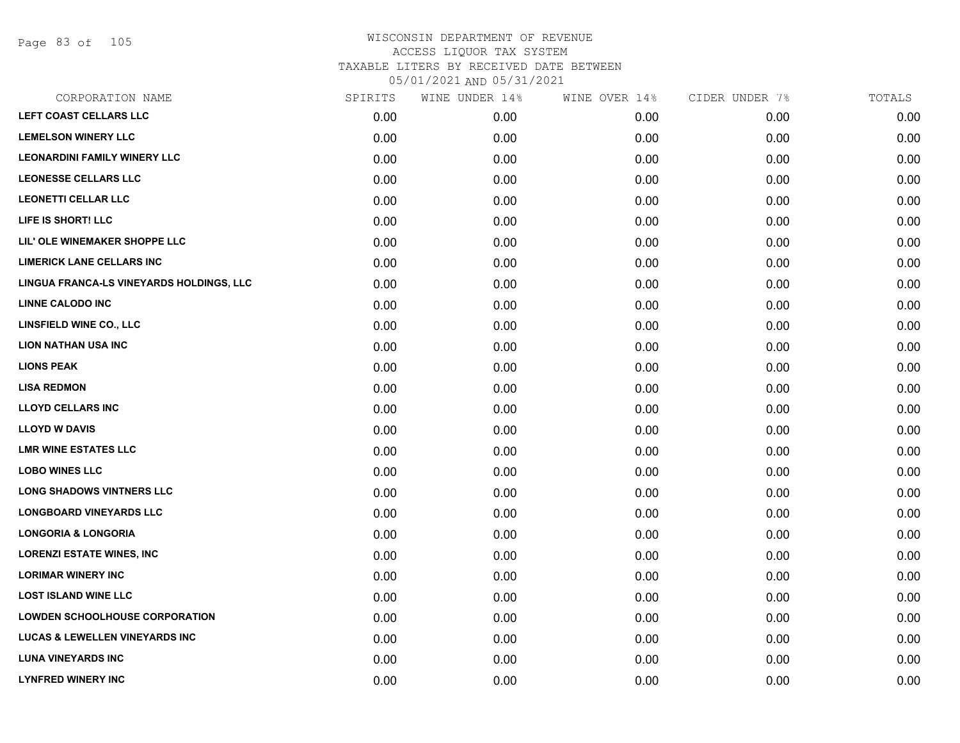Page 83 of 105

| CORPORATION NAME                          | SPIRITS | WINE UNDER 14% | WINE OVER 14% | CIDER UNDER 7% | TOTALS |
|-------------------------------------------|---------|----------------|---------------|----------------|--------|
| LEFT COAST CELLARS LLC                    | 0.00    | 0.00           | 0.00          | 0.00           | 0.00   |
| <b>LEMELSON WINERY LLC</b>                | 0.00    | 0.00           | 0.00          | 0.00           | 0.00   |
| <b>LEONARDINI FAMILY WINERY LLC</b>       | 0.00    | 0.00           | 0.00          | 0.00           | 0.00   |
| <b>LEONESSE CELLARS LLC</b>               | 0.00    | 0.00           | 0.00          | 0.00           | 0.00   |
| <b>LEONETTI CELLAR LLC</b>                | 0.00    | 0.00           | 0.00          | 0.00           | 0.00   |
| LIFE IS SHORT! LLC                        | 0.00    | 0.00           | 0.00          | 0.00           | 0.00   |
| LIL' OLE WINEMAKER SHOPPE LLC             | 0.00    | 0.00           | 0.00          | 0.00           | 0.00   |
| LIMERICK LANE CELLARS INC                 | 0.00    | 0.00           | 0.00          | 0.00           | 0.00   |
| LINGUA FRANCA-LS VINEYARDS HOLDINGS, LLC  | 0.00    | 0.00           | 0.00          | 0.00           | 0.00   |
| <b>LINNE CALODO INC</b>                   | 0.00    | 0.00           | 0.00          | 0.00           | 0.00   |
| LINSFIELD WINE CO., LLC                   | 0.00    | 0.00           | 0.00          | 0.00           | 0.00   |
| <b>LION NATHAN USA INC</b>                | 0.00    | 0.00           | 0.00          | 0.00           | 0.00   |
| <b>LIONS PEAK</b>                         | 0.00    | 0.00           | 0.00          | 0.00           | 0.00   |
| <b>LISA REDMON</b>                        | 0.00    | 0.00           | 0.00          | 0.00           | 0.00   |
| <b>LLOYD CELLARS INC</b>                  | 0.00    | 0.00           | 0.00          | 0.00           | 0.00   |
| <b>LLOYD W DAVIS</b>                      | 0.00    | 0.00           | 0.00          | 0.00           | 0.00   |
| <b>LMR WINE ESTATES LLC</b>               | 0.00    | 0.00           | 0.00          | 0.00           | 0.00   |
| <b>LOBO WINES LLC</b>                     | 0.00    | 0.00           | 0.00          | 0.00           | 0.00   |
| <b>LONG SHADOWS VINTNERS LLC</b>          | 0.00    | 0.00           | 0.00          | 0.00           | 0.00   |
| <b>LONGBOARD VINEYARDS LLC</b>            | 0.00    | 0.00           | 0.00          | 0.00           | 0.00   |
| <b>LONGORIA &amp; LONGORIA</b>            | 0.00    | 0.00           | 0.00          | 0.00           | 0.00   |
| <b>LORENZI ESTATE WINES, INC</b>          | 0.00    | 0.00           | 0.00          | 0.00           | 0.00   |
| <b>LORIMAR WINERY INC</b>                 | 0.00    | 0.00           | 0.00          | 0.00           | 0.00   |
| <b>LOST ISLAND WINE LLC</b>               | 0.00    | 0.00           | 0.00          | 0.00           | 0.00   |
| <b>LOWDEN SCHOOLHOUSE CORPORATION</b>     | 0.00    | 0.00           | 0.00          | 0.00           | 0.00   |
| <b>LUCAS &amp; LEWELLEN VINEYARDS INC</b> | 0.00    | 0.00           | 0.00          | 0.00           | 0.00   |
| <b>LUNA VINEYARDS INC</b>                 | 0.00    | 0.00           | 0.00          | 0.00           | 0.00   |
| <b>LYNFRED WINERY INC</b>                 | 0.00    | 0.00           | 0.00          | 0.00           | 0.00   |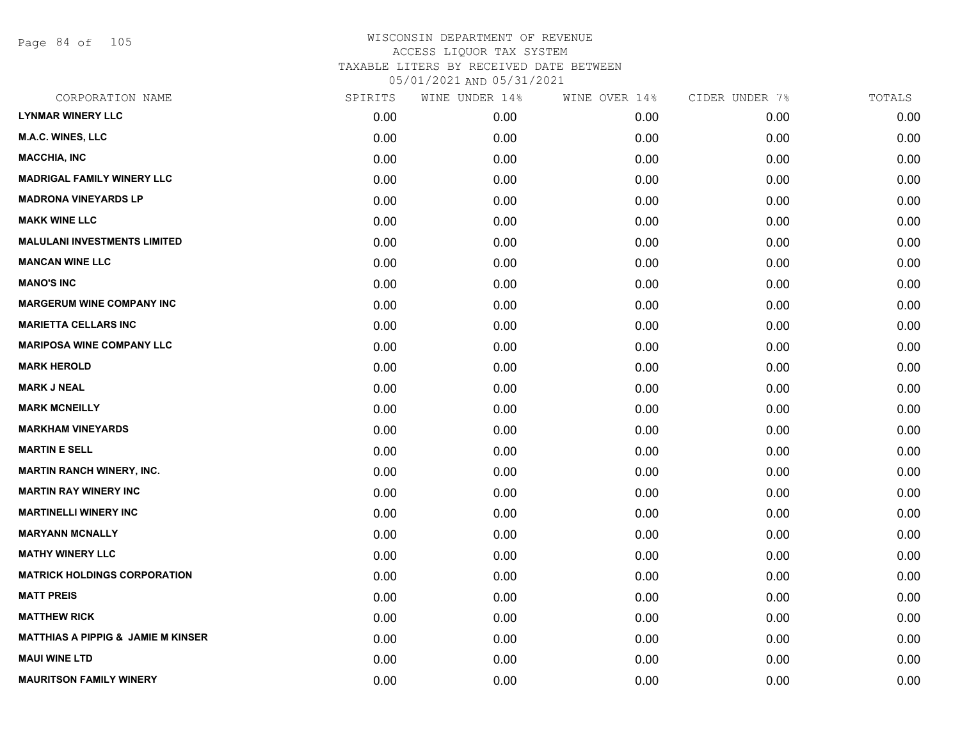Page 84 of 105

| CORPORATION NAME                              | SPIRITS | WINE UNDER 14% | WINE OVER 14% | CIDER UNDER 7% | TOTALS |
|-----------------------------------------------|---------|----------------|---------------|----------------|--------|
| <b>LYNMAR WINERY LLC</b>                      | 0.00    | 0.00           | 0.00          | 0.00           | 0.00   |
| M.A.C. WINES, LLC                             | 0.00    | 0.00           | 0.00          | 0.00           | 0.00   |
| <b>MACCHIA, INC</b>                           | 0.00    | 0.00           | 0.00          | 0.00           | 0.00   |
| <b>MADRIGAL FAMILY WINERY LLC</b>             | 0.00    | 0.00           | 0.00          | 0.00           | 0.00   |
| <b>MADRONA VINEYARDS LP</b>                   | 0.00    | 0.00           | 0.00          | 0.00           | 0.00   |
| <b>MAKK WINE LLC</b>                          | 0.00    | 0.00           | 0.00          | 0.00           | 0.00   |
| <b>MALULANI INVESTMENTS LIMITED</b>           | 0.00    | 0.00           | 0.00          | 0.00           | 0.00   |
| <b>MANCAN WINE LLC</b>                        | 0.00    | 0.00           | 0.00          | 0.00           | 0.00   |
| <b>MANO'S INC</b>                             | 0.00    | 0.00           | 0.00          | 0.00           | 0.00   |
| <b>MARGERUM WINE COMPANY INC</b>              | 0.00    | 0.00           | 0.00          | 0.00           | 0.00   |
| <b>MARIETTA CELLARS INC</b>                   | 0.00    | 0.00           | 0.00          | 0.00           | 0.00   |
| <b>MARIPOSA WINE COMPANY LLC</b>              | 0.00    | 0.00           | 0.00          | 0.00           | 0.00   |
| <b>MARK HEROLD</b>                            | 0.00    | 0.00           | 0.00          | 0.00           | 0.00   |
| <b>MARK J NEAL</b>                            | 0.00    | 0.00           | 0.00          | 0.00           | 0.00   |
| <b>MARK MCNEILLY</b>                          | 0.00    | 0.00           | 0.00          | 0.00           | 0.00   |
| <b>MARKHAM VINEYARDS</b>                      | 0.00    | 0.00           | 0.00          | 0.00           | 0.00   |
| <b>MARTIN E SELL</b>                          | 0.00    | 0.00           | 0.00          | 0.00           | 0.00   |
| <b>MARTIN RANCH WINERY, INC.</b>              | 0.00    | 0.00           | 0.00          | 0.00           | 0.00   |
| <b>MARTIN RAY WINERY INC</b>                  | 0.00    | 0.00           | 0.00          | 0.00           | 0.00   |
| <b>MARTINELLI WINERY INC</b>                  | 0.00    | 0.00           | 0.00          | 0.00           | 0.00   |
| <b>MARYANN MCNALLY</b>                        | 0.00    | 0.00           | 0.00          | 0.00           | 0.00   |
| <b>MATHY WINERY LLC</b>                       | 0.00    | 0.00           | 0.00          | 0.00           | 0.00   |
| <b>MATRICK HOLDINGS CORPORATION</b>           | 0.00    | 0.00           | 0.00          | 0.00           | 0.00   |
| <b>MATT PREIS</b>                             | 0.00    | 0.00           | 0.00          | 0.00           | 0.00   |
| <b>MATTHEW RICK</b>                           | 0.00    | 0.00           | 0.00          | 0.00           | 0.00   |
| <b>MATTHIAS A PIPPIG &amp; JAMIE M KINSER</b> | 0.00    | 0.00           | 0.00          | 0.00           | 0.00   |
| <b>MAUI WINE LTD</b>                          | 0.00    | 0.00           | 0.00          | 0.00           | 0.00   |
| <b>MAURITSON FAMILY WINERY</b>                | 0.00    | 0.00           | 0.00          | 0.00           | 0.00   |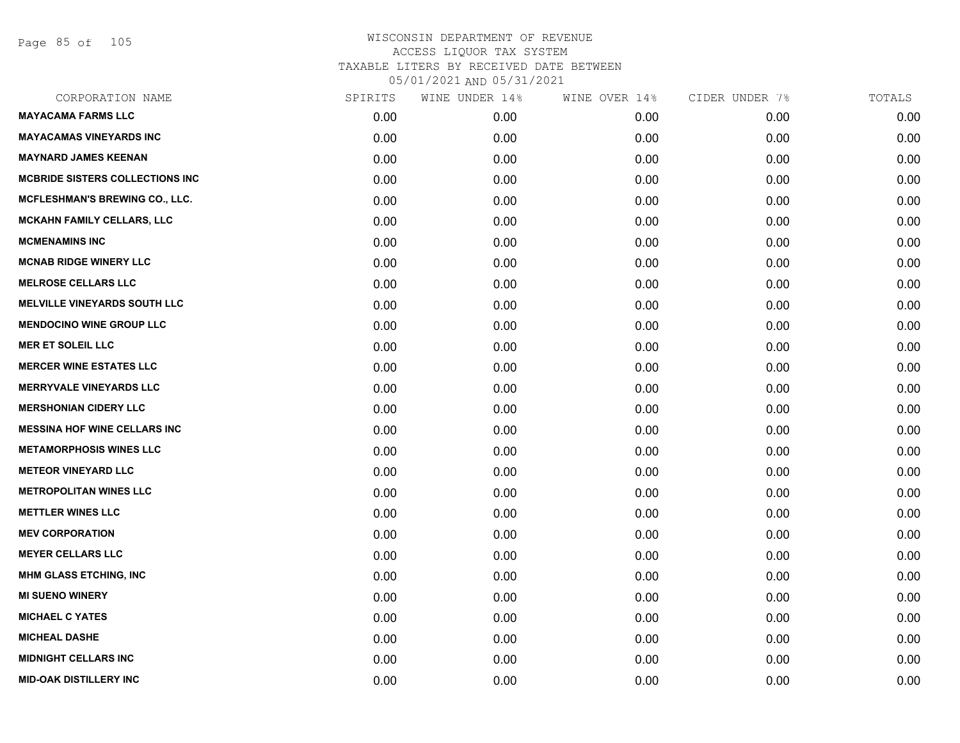Page 85 of 105

| CORPORATION NAME                       | SPIRITS | WINE UNDER 14% | WINE OVER 14% | CIDER UNDER 7% | TOTALS |
|----------------------------------------|---------|----------------|---------------|----------------|--------|
| <b>MAYACAMA FARMS LLC</b>              | 0.00    | 0.00           | 0.00          | 0.00           | 0.00   |
| <b>MAYACAMAS VINEYARDS INC</b>         | 0.00    | 0.00           | 0.00          | 0.00           | 0.00   |
| <b>MAYNARD JAMES KEENAN</b>            | 0.00    | 0.00           | 0.00          | 0.00           | 0.00   |
| <b>MCBRIDE SISTERS COLLECTIONS INC</b> | 0.00    | 0.00           | 0.00          | 0.00           | 0.00   |
| <b>MCFLESHMAN'S BREWING CO., LLC.</b>  | 0.00    | 0.00           | 0.00          | 0.00           | 0.00   |
| <b>MCKAHN FAMILY CELLARS, LLC</b>      | 0.00    | 0.00           | 0.00          | 0.00           | 0.00   |
| <b>MCMENAMINS INC</b>                  | 0.00    | 0.00           | 0.00          | 0.00           | 0.00   |
| <b>MCNAB RIDGE WINERY LLC</b>          | 0.00    | 0.00           | 0.00          | 0.00           | 0.00   |
| <b>MELROSE CELLARS LLC</b>             | 0.00    | 0.00           | 0.00          | 0.00           | 0.00   |
| <b>MELVILLE VINEYARDS SOUTH LLC</b>    | 0.00    | 0.00           | 0.00          | 0.00           | 0.00   |
| <b>MENDOCINO WINE GROUP LLC</b>        | 0.00    | 0.00           | 0.00          | 0.00           | 0.00   |
| <b>MER ET SOLEIL LLC</b>               | 0.00    | 0.00           | 0.00          | 0.00           | 0.00   |
| <b>MERCER WINE ESTATES LLC</b>         | 0.00    | 0.00           | 0.00          | 0.00           | 0.00   |
| <b>MERRYVALE VINEYARDS LLC</b>         | 0.00    | 0.00           | 0.00          | 0.00           | 0.00   |
| <b>MERSHONIAN CIDERY LLC</b>           | 0.00    | 0.00           | 0.00          | 0.00           | 0.00   |
| <b>MESSINA HOF WINE CELLARS INC</b>    | 0.00    | 0.00           | 0.00          | 0.00           | 0.00   |
| <b>METAMORPHOSIS WINES LLC</b>         | 0.00    | 0.00           | 0.00          | 0.00           | 0.00   |
| <b>METEOR VINEYARD LLC</b>             | 0.00    | 0.00           | 0.00          | 0.00           | 0.00   |
| <b>METROPOLITAN WINES LLC</b>          | 0.00    | 0.00           | 0.00          | 0.00           | 0.00   |
| <b>METTLER WINES LLC</b>               | 0.00    | 0.00           | 0.00          | 0.00           | 0.00   |
| <b>MEV CORPORATION</b>                 | 0.00    | 0.00           | 0.00          | 0.00           | 0.00   |
| <b>MEYER CELLARS LLC</b>               | 0.00    | 0.00           | 0.00          | 0.00           | 0.00   |
| <b>MHM GLASS ETCHING, INC</b>          | 0.00    | 0.00           | 0.00          | 0.00           | 0.00   |
| <b>MI SUENO WINERY</b>                 | 0.00    | 0.00           | 0.00          | 0.00           | 0.00   |
| <b>MICHAEL C YATES</b>                 | 0.00    | 0.00           | 0.00          | 0.00           | 0.00   |
| <b>MICHEAL DASHE</b>                   | 0.00    | 0.00           | 0.00          | 0.00           | 0.00   |
| <b>MIDNIGHT CELLARS INC</b>            | 0.00    | 0.00           | 0.00          | 0.00           | 0.00   |
| <b>MID-OAK DISTILLERY INC</b>          | 0.00    | 0.00           | 0.00          | 0.00           | 0.00   |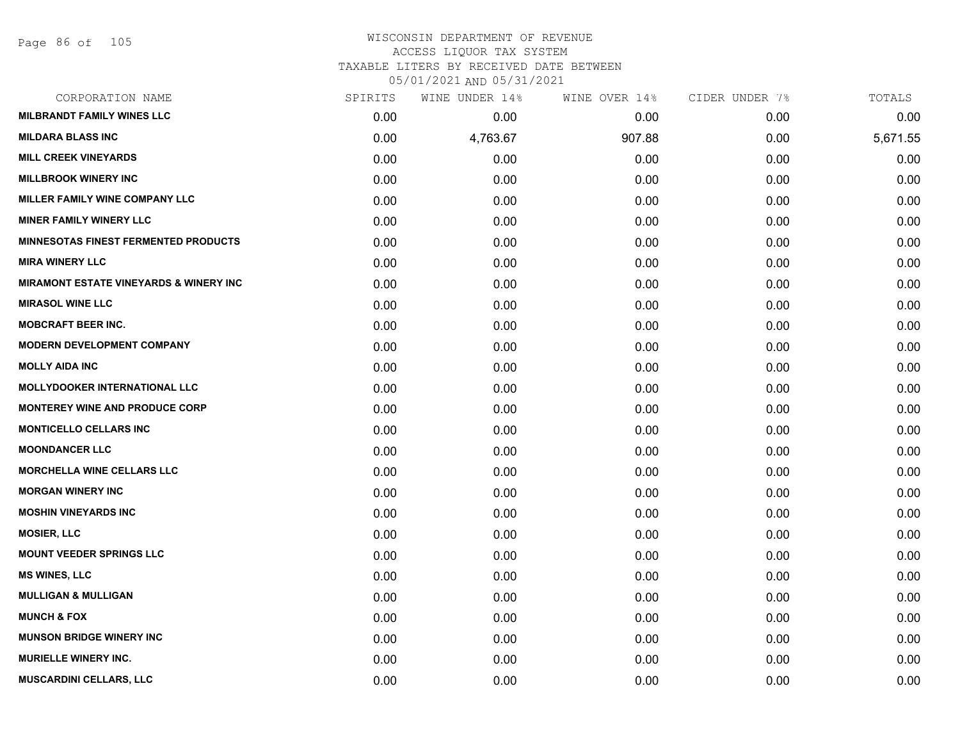#### WISCONSIN DEPARTMENT OF REVENUE ACCESS LIQUOR TAX SYSTEM TAXABLE LITERS BY RECEIVED DATE BETWEEN

05/01/2021 AND 05/31/2021

| CORPORATION NAME                                  | SPIRITS | WINE UNDER 14% | WINE OVER 14% | CIDER UNDER 7% | TOTALS   |
|---------------------------------------------------|---------|----------------|---------------|----------------|----------|
| <b>MILBRANDT FAMILY WINES LLC</b>                 | 0.00    | 0.00           | 0.00          | 0.00           | 0.00     |
| <b>MILDARA BLASS INC</b>                          | 0.00    | 4,763.67       | 907.88        | 0.00           | 5,671.55 |
| <b>MILL CREEK VINEYARDS</b>                       | 0.00    | 0.00           | 0.00          | 0.00           | 0.00     |
| <b>MILLBROOK WINERY INC</b>                       | 0.00    | 0.00           | 0.00          | 0.00           | 0.00     |
| MILLER FAMILY WINE COMPANY LLC                    | 0.00    | 0.00           | 0.00          | 0.00           | 0.00     |
| <b>MINER FAMILY WINERY LLC</b>                    | 0.00    | 0.00           | 0.00          | 0.00           | 0.00     |
| <b>MINNESOTAS FINEST FERMENTED PRODUCTS</b>       | 0.00    | 0.00           | 0.00          | 0.00           | 0.00     |
| <b>MIRA WINERY LLC</b>                            | 0.00    | 0.00           | 0.00          | 0.00           | 0.00     |
| <b>MIRAMONT ESTATE VINEYARDS &amp; WINERY INC</b> | 0.00    | 0.00           | 0.00          | 0.00           | 0.00     |
| <b>MIRASOL WINE LLC</b>                           | 0.00    | 0.00           | 0.00          | 0.00           | 0.00     |
| <b>MOBCRAFT BEER INC.</b>                         | 0.00    | 0.00           | 0.00          | 0.00           | 0.00     |
| <b>MODERN DEVELOPMENT COMPANY</b>                 | 0.00    | 0.00           | 0.00          | 0.00           | 0.00     |
| <b>MOLLY AIDA INC</b>                             | 0.00    | 0.00           | 0.00          | 0.00           | 0.00     |
| <b>MOLLYDOOKER INTERNATIONAL LLC</b>              | 0.00    | 0.00           | 0.00          | 0.00           | 0.00     |
| MONTEREY WINE AND PRODUCE CORP                    | 0.00    | 0.00           | 0.00          | 0.00           | 0.00     |
| <b>MONTICELLO CELLARS INC</b>                     | 0.00    | 0.00           | 0.00          | 0.00           | 0.00     |
| <b>MOONDANCER LLC</b>                             | 0.00    | 0.00           | 0.00          | 0.00           | 0.00     |
| <b>MORCHELLA WINE CELLARS LLC</b>                 | 0.00    | 0.00           | 0.00          | 0.00           | 0.00     |
| <b>MORGAN WINERY INC</b>                          | 0.00    | 0.00           | 0.00          | 0.00           | 0.00     |
| <b>MOSHIN VINEYARDS INC</b>                       | 0.00    | 0.00           | 0.00          | 0.00           | 0.00     |
| <b>MOSIER, LLC</b>                                | 0.00    | 0.00           | 0.00          | 0.00           | 0.00     |
| <b>MOUNT VEEDER SPRINGS LLC</b>                   | 0.00    | 0.00           | 0.00          | 0.00           | 0.00     |
| <b>MS WINES, LLC</b>                              | 0.00    | 0.00           | 0.00          | 0.00           | 0.00     |
| <b>MULLIGAN &amp; MULLIGAN</b>                    | 0.00    | 0.00           | 0.00          | 0.00           | 0.00     |
| <b>MUNCH &amp; FOX</b>                            | 0.00    | 0.00           | 0.00          | 0.00           | 0.00     |
| <b>MUNSON BRIDGE WINERY INC</b>                   | 0.00    | 0.00           | 0.00          | 0.00           | 0.00     |
| <b>MURIELLE WINERY INC.</b>                       | 0.00    | 0.00           | 0.00          | 0.00           | 0.00     |
| MUSCARDINI CELLARS, LLC                           | 0.00    | 0.00           | 0.00          | 0.00           | 0.00     |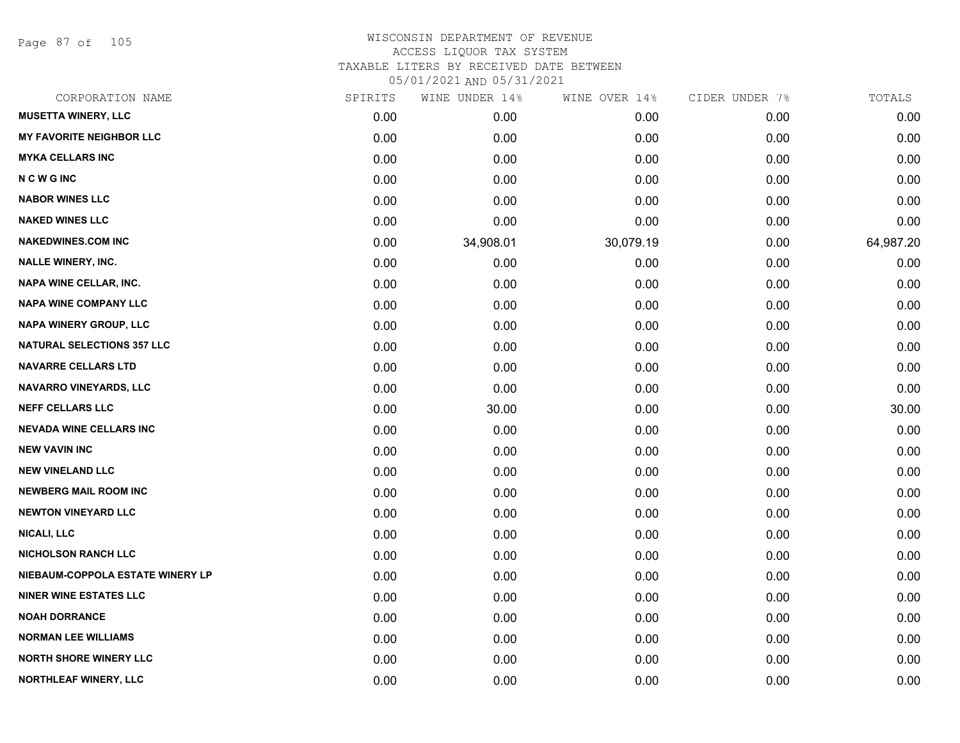Page 87 of 105

| CORPORATION NAME                  | SPIRITS | WINE UNDER 14% | WINE OVER 14% | CIDER UNDER 7% | TOTALS    |
|-----------------------------------|---------|----------------|---------------|----------------|-----------|
| <b>MUSETTA WINERY, LLC</b>        | 0.00    | 0.00           | 0.00          | 0.00           | 0.00      |
| <b>MY FAVORITE NEIGHBOR LLC</b>   | 0.00    | 0.00           | 0.00          | 0.00           | 0.00      |
| <b>MYKA CELLARS INC</b>           | 0.00    | 0.00           | 0.00          | 0.00           | 0.00      |
| <b>NCWGINC</b>                    | 0.00    | 0.00           | 0.00          | 0.00           | 0.00      |
| <b>NABOR WINES LLC</b>            | 0.00    | 0.00           | 0.00          | 0.00           | 0.00      |
| <b>NAKED WINES LLC</b>            | 0.00    | 0.00           | 0.00          | 0.00           | 0.00      |
| <b>NAKEDWINES.COM INC</b>         | 0.00    | 34,908.01      | 30,079.19     | 0.00           | 64,987.20 |
| <b>NALLE WINERY, INC.</b>         | 0.00    | 0.00           | 0.00          | 0.00           | 0.00      |
| <b>NAPA WINE CELLAR, INC.</b>     | 0.00    | 0.00           | 0.00          | 0.00           | 0.00      |
| <b>NAPA WINE COMPANY LLC</b>      | 0.00    | 0.00           | 0.00          | 0.00           | 0.00      |
| NAPA WINERY GROUP, LLC            | 0.00    | 0.00           | 0.00          | 0.00           | 0.00      |
| <b>NATURAL SELECTIONS 357 LLC</b> | 0.00    | 0.00           | 0.00          | 0.00           | 0.00      |
| <b>NAVARRE CELLARS LTD</b>        | 0.00    | 0.00           | 0.00          | 0.00           | 0.00      |
| <b>NAVARRO VINEYARDS, LLC</b>     | 0.00    | 0.00           | 0.00          | 0.00           | 0.00      |
| <b>NEFF CELLARS LLC</b>           | 0.00    | 30.00          | 0.00          | 0.00           | 30.00     |
| <b>NEVADA WINE CELLARS INC</b>    | 0.00    | 0.00           | 0.00          | 0.00           | 0.00      |
| <b>NEW VAVIN INC</b>              | 0.00    | 0.00           | 0.00          | 0.00           | 0.00      |
| <b>NEW VINELAND LLC</b>           | 0.00    | 0.00           | 0.00          | 0.00           | 0.00      |
| <b>NEWBERG MAIL ROOM INC</b>      | 0.00    | 0.00           | 0.00          | 0.00           | 0.00      |
| <b>NEWTON VINEYARD LLC</b>        | 0.00    | 0.00           | 0.00          | 0.00           | 0.00      |
| <b>NICALI, LLC</b>                | 0.00    | 0.00           | 0.00          | 0.00           | 0.00      |
| <b>NICHOLSON RANCH LLC</b>        | 0.00    | 0.00           | 0.00          | 0.00           | 0.00      |
| NIEBAUM-COPPOLA ESTATE WINERY LP  | 0.00    | 0.00           | 0.00          | 0.00           | 0.00      |
| <b>NINER WINE ESTATES LLC</b>     | 0.00    | 0.00           | 0.00          | 0.00           | 0.00      |
| <b>NOAH DORRANCE</b>              | 0.00    | 0.00           | 0.00          | 0.00           | 0.00      |
| <b>NORMAN LEE WILLIAMS</b>        | 0.00    | 0.00           | 0.00          | 0.00           | 0.00      |
| <b>NORTH SHORE WINERY LLC</b>     | 0.00    | 0.00           | 0.00          | 0.00           | 0.00      |
| NORTHLEAF WINERY, LLC             | 0.00    | 0.00           | 0.00          | 0.00           | 0.00      |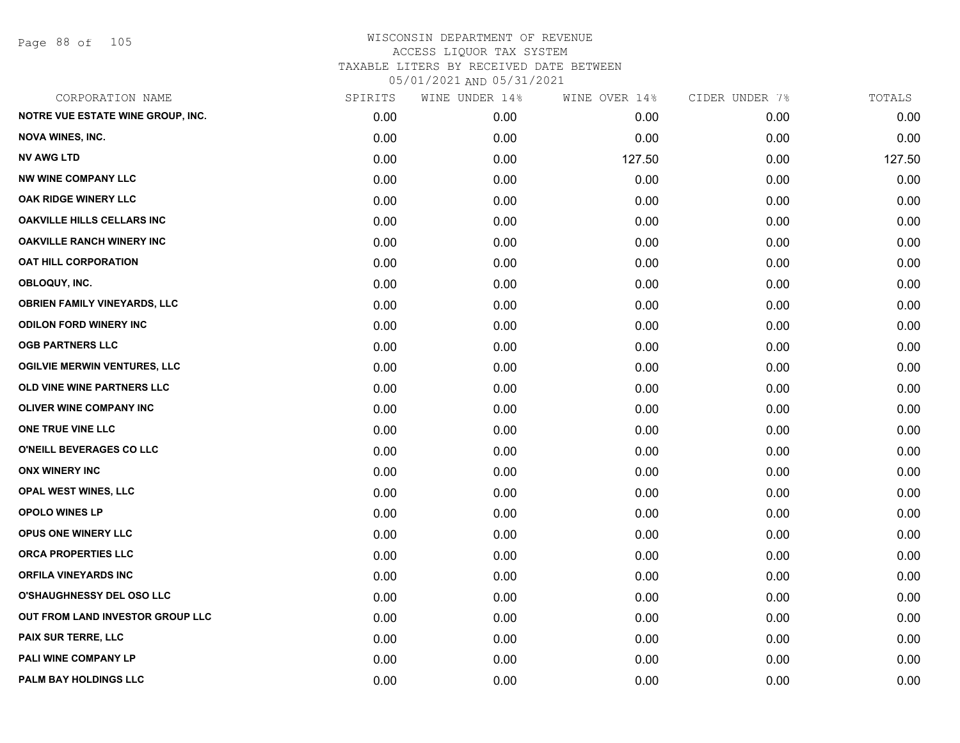Page 88 of 105

| CORPORATION NAME                    | SPIRITS | WINE UNDER 14% | WINE OVER 14% | CIDER UNDER 7% | TOTALS |
|-------------------------------------|---------|----------------|---------------|----------------|--------|
| NOTRE VUE ESTATE WINE GROUP, INC.   | 0.00    | 0.00           | 0.00          | 0.00           | 0.00   |
| <b>NOVA WINES, INC.</b>             | 0.00    | 0.00           | 0.00          | 0.00           | 0.00   |
| <b>NV AWG LTD</b>                   | 0.00    | 0.00           | 127.50        | 0.00           | 127.50 |
| <b>NW WINE COMPANY LLC</b>          | 0.00    | 0.00           | 0.00          | 0.00           | 0.00   |
| OAK RIDGE WINERY LLC                | 0.00    | 0.00           | 0.00          | 0.00           | 0.00   |
| <b>OAKVILLE HILLS CELLARS INC</b>   | 0.00    | 0.00           | 0.00          | 0.00           | 0.00   |
| <b>OAKVILLE RANCH WINERY INC</b>    | 0.00    | 0.00           | 0.00          | 0.00           | 0.00   |
| <b>OAT HILL CORPORATION</b>         | 0.00    | 0.00           | 0.00          | 0.00           | 0.00   |
| OBLOQUY, INC.                       | 0.00    | 0.00           | 0.00          | 0.00           | 0.00   |
| <b>OBRIEN FAMILY VINEYARDS, LLC</b> | 0.00    | 0.00           | 0.00          | 0.00           | 0.00   |
| <b>ODILON FORD WINERY INC</b>       | 0.00    | 0.00           | 0.00          | 0.00           | 0.00   |
| <b>OGB PARTNERS LLC</b>             | 0.00    | 0.00           | 0.00          | 0.00           | 0.00   |
| <b>OGILVIE MERWIN VENTURES, LLC</b> | 0.00    | 0.00           | 0.00          | 0.00           | 0.00   |
| OLD VINE WINE PARTNERS LLC          | 0.00    | 0.00           | 0.00          | 0.00           | 0.00   |
| OLIVER WINE COMPANY INC             | 0.00    | 0.00           | 0.00          | 0.00           | 0.00   |
| ONE TRUE VINE LLC                   | 0.00    | 0.00           | 0.00          | 0.00           | 0.00   |
| O'NEILL BEVERAGES CO LLC            | 0.00    | 0.00           | 0.00          | 0.00           | 0.00   |
| <b>ONX WINERY INC</b>               | 0.00    | 0.00           | 0.00          | 0.00           | 0.00   |
| <b>OPAL WEST WINES, LLC</b>         | 0.00    | 0.00           | 0.00          | 0.00           | 0.00   |
| OPOLO WINES LP                      | 0.00    | 0.00           | 0.00          | 0.00           | 0.00   |
| OPUS ONE WINERY LLC                 | 0.00    | 0.00           | 0.00          | 0.00           | 0.00   |
| ORCA PROPERTIES LLC                 | 0.00    | 0.00           | 0.00          | 0.00           | 0.00   |
| <b>ORFILA VINEYARDS INC</b>         | 0.00    | 0.00           | 0.00          | 0.00           | 0.00   |
| O'SHAUGHNESSY DEL OSO LLC           | 0.00    | 0.00           | 0.00          | 0.00           | 0.00   |
| OUT FROM LAND INVESTOR GROUP LLC    | 0.00    | 0.00           | 0.00          | 0.00           | 0.00   |
| PAIX SUR TERRE, LLC                 | 0.00    | 0.00           | 0.00          | 0.00           | 0.00   |
| PALI WINE COMPANY LP                | 0.00    | 0.00           | 0.00          | 0.00           | 0.00   |
| <b>PALM BAY HOLDINGS LLC</b>        | 0.00    | 0.00           | 0.00          | 0.00           | 0.00   |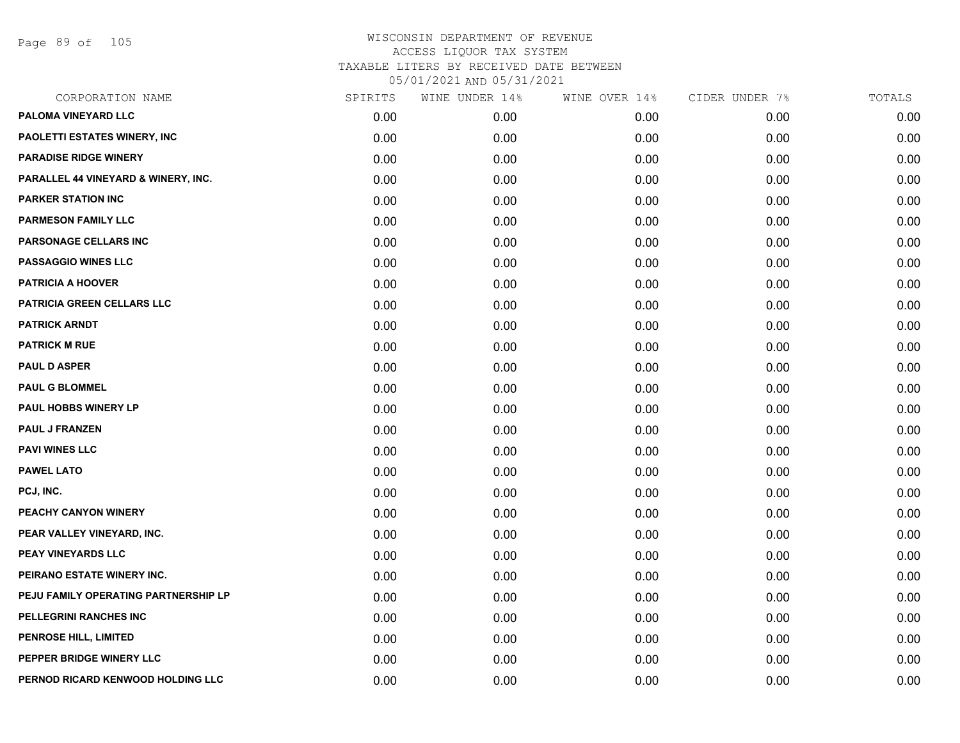Page 89 of 105

| CORPORATION NAME                     | SPIRITS | WINE UNDER 14% | WINE OVER 14% | CIDER UNDER 7% | TOTALS |
|--------------------------------------|---------|----------------|---------------|----------------|--------|
| PALOMA VINEYARD LLC                  | 0.00    | 0.00           | 0.00          | 0.00           | 0.00   |
| PAOLETTI ESTATES WINERY, INC         | 0.00    | 0.00           | 0.00          | 0.00           | 0.00   |
| <b>PARADISE RIDGE WINERY</b>         | 0.00    | 0.00           | 0.00          | 0.00           | 0.00   |
| PARALLEL 44 VINEYARD & WINERY, INC.  | 0.00    | 0.00           | 0.00          | 0.00           | 0.00   |
| <b>PARKER STATION INC</b>            | 0.00    | 0.00           | 0.00          | 0.00           | 0.00   |
| <b>PARMESON FAMILY LLC</b>           | 0.00    | 0.00           | 0.00          | 0.00           | 0.00   |
| PARSONAGE CELLARS INC                | 0.00    | 0.00           | 0.00          | 0.00           | 0.00   |
| <b>PASSAGGIO WINES LLC</b>           | 0.00    | 0.00           | 0.00          | 0.00           | 0.00   |
| <b>PATRICIA A HOOVER</b>             | 0.00    | 0.00           | 0.00          | 0.00           | 0.00   |
| PATRICIA GREEN CELLARS LLC           | 0.00    | 0.00           | 0.00          | 0.00           | 0.00   |
| <b>PATRICK ARNDT</b>                 | 0.00    | 0.00           | 0.00          | 0.00           | 0.00   |
| <b>PATRICK M RUE</b>                 | 0.00    | 0.00           | 0.00          | 0.00           | 0.00   |
| <b>PAUL D ASPER</b>                  | 0.00    | 0.00           | 0.00          | 0.00           | 0.00   |
| <b>PAUL G BLOMMEL</b>                | 0.00    | 0.00           | 0.00          | 0.00           | 0.00   |
| <b>PAUL HOBBS WINERY LP</b>          | 0.00    | 0.00           | 0.00          | 0.00           | 0.00   |
| <b>PAUL J FRANZEN</b>                | 0.00    | 0.00           | 0.00          | 0.00           | 0.00   |
| <b>PAVI WINES LLC</b>                | 0.00    | 0.00           | 0.00          | 0.00           | 0.00   |
| <b>PAWEL LATO</b>                    | 0.00    | 0.00           | 0.00          | 0.00           | 0.00   |
| PCJ, INC.                            | 0.00    | 0.00           | 0.00          | 0.00           | 0.00   |
| PEACHY CANYON WINERY                 | 0.00    | 0.00           | 0.00          | 0.00           | 0.00   |
| PEAR VALLEY VINEYARD, INC.           | 0.00    | 0.00           | 0.00          | 0.00           | 0.00   |
| PEAY VINEYARDS LLC                   | 0.00    | 0.00           | 0.00          | 0.00           | 0.00   |
| PEIRANO ESTATE WINERY INC.           | 0.00    | 0.00           | 0.00          | 0.00           | 0.00   |
| PEJU FAMILY OPERATING PARTNERSHIP LP | 0.00    | 0.00           | 0.00          | 0.00           | 0.00   |
| PELLEGRINI RANCHES INC               | 0.00    | 0.00           | 0.00          | 0.00           | 0.00   |
| PENROSE HILL, LIMITED                | 0.00    | 0.00           | 0.00          | 0.00           | 0.00   |
| PEPPER BRIDGE WINERY LLC             | 0.00    | 0.00           | 0.00          | 0.00           | 0.00   |
| PERNOD RICARD KENWOOD HOLDING LLC    | 0.00    | 0.00           | 0.00          | 0.00           | 0.00   |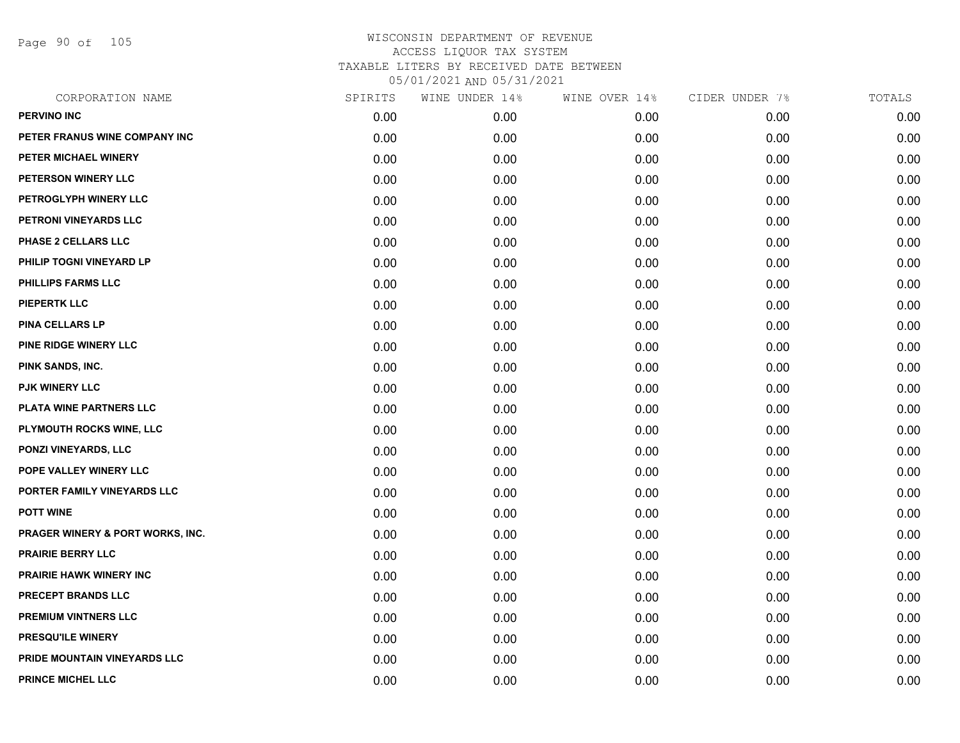Page 90 of 105

| WINE UNDER 14% | WINE OVER 14% | CIDER UNDER 7% | TOTALS |
|----------------|---------------|----------------|--------|
| 0.00           | 0.00          | 0.00           | 0.00   |
| 0.00           | 0.00          | 0.00           | 0.00   |
| 0.00           | 0.00          | 0.00           | 0.00   |
| 0.00           | 0.00          | 0.00           | 0.00   |
| 0.00           | 0.00          | 0.00           | 0.00   |
| 0.00           | 0.00          | 0.00           | 0.00   |
| 0.00           | 0.00          | 0.00           | 0.00   |
| 0.00           | 0.00          | 0.00           | 0.00   |
| 0.00           | 0.00          | 0.00           | 0.00   |
| 0.00           | 0.00          | 0.00           | 0.00   |
| 0.00           | 0.00          | 0.00           | 0.00   |
| 0.00           | 0.00          | 0.00           | 0.00   |
| 0.00           | 0.00          | 0.00           | 0.00   |
| 0.00           | 0.00          | 0.00           | 0.00   |
| 0.00           | 0.00          | 0.00           | 0.00   |
| 0.00           | 0.00          | 0.00           | 0.00   |
| 0.00           | 0.00          | 0.00           | 0.00   |
| 0.00           | 0.00          | 0.00           | 0.00   |
| 0.00           | 0.00          | 0.00           | 0.00   |
| 0.00           | 0.00          | 0.00           | 0.00   |
| 0.00           | 0.00          | 0.00           | 0.00   |
| 0.00           | 0.00          | 0.00           | 0.00   |
| 0.00           | 0.00          | 0.00           | 0.00   |
| 0.00           | 0.00          | 0.00           | 0.00   |
| 0.00           | 0.00          | 0.00           | 0.00   |
| 0.00           | 0.00          | 0.00           | 0.00   |
| 0.00           | 0.00          | 0.00           | 0.00   |
| 0.00           | 0.00          | 0.00           | 0.00   |
|                |               |                |        |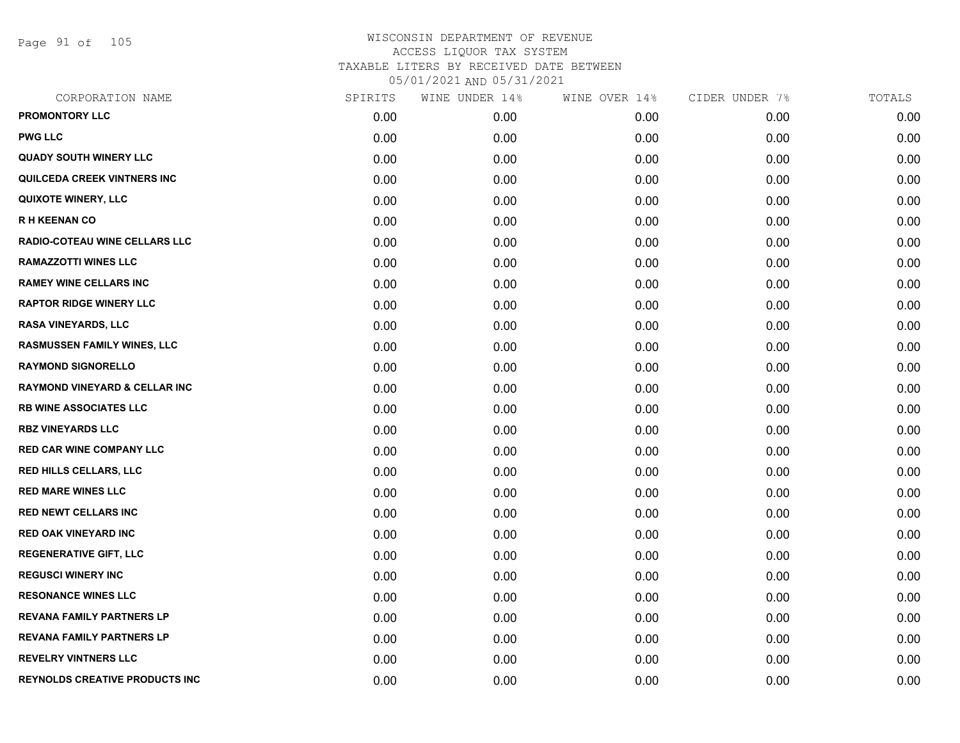Page 91 of 105

| CORPORATION NAME                         | SPIRITS | WINE UNDER 14% | WINE OVER 14% | CIDER UNDER 7% | TOTALS |
|------------------------------------------|---------|----------------|---------------|----------------|--------|
| <b>PROMONTORY LLC</b>                    | 0.00    | 0.00           | 0.00          | 0.00           | 0.00   |
| <b>PWG LLC</b>                           | 0.00    | 0.00           | 0.00          | 0.00           | 0.00   |
| <b>QUADY SOUTH WINERY LLC</b>            | 0.00    | 0.00           | 0.00          | 0.00           | 0.00   |
| QUILCEDA CREEK VINTNERS INC              | 0.00    | 0.00           | 0.00          | 0.00           | 0.00   |
| <b>QUIXOTE WINERY, LLC</b>               | 0.00    | 0.00           | 0.00          | 0.00           | 0.00   |
| <b>RH KEENAN CO</b>                      | 0.00    | 0.00           | 0.00          | 0.00           | 0.00   |
| <b>RADIO-COTEAU WINE CELLARS LLC</b>     | 0.00    | 0.00           | 0.00          | 0.00           | 0.00   |
| <b>RAMAZZOTTI WINES LLC</b>              | 0.00    | 0.00           | 0.00          | 0.00           | 0.00   |
| <b>RAMEY WINE CELLARS INC</b>            | 0.00    | 0.00           | 0.00          | 0.00           | 0.00   |
| <b>RAPTOR RIDGE WINERY LLC</b>           | 0.00    | 0.00           | 0.00          | 0.00           | 0.00   |
| <b>RASA VINEYARDS, LLC</b>               | 0.00    | 0.00           | 0.00          | 0.00           | 0.00   |
| <b>RASMUSSEN FAMILY WINES, LLC</b>       | 0.00    | 0.00           | 0.00          | 0.00           | 0.00   |
| <b>RAYMOND SIGNORELLO</b>                | 0.00    | 0.00           | 0.00          | 0.00           | 0.00   |
| <b>RAYMOND VINEYARD &amp; CELLAR INC</b> | 0.00    | 0.00           | 0.00          | 0.00           | 0.00   |
| <b>RB WINE ASSOCIATES LLC</b>            | 0.00    | 0.00           | 0.00          | 0.00           | 0.00   |
| <b>RBZ VINEYARDS LLC</b>                 | 0.00    | 0.00           | 0.00          | 0.00           | 0.00   |
| <b>RED CAR WINE COMPANY LLC</b>          | 0.00    | 0.00           | 0.00          | 0.00           | 0.00   |
| RED HILLS CELLARS, LLC                   | 0.00    | 0.00           | 0.00          | 0.00           | 0.00   |
| <b>RED MARE WINES LLC</b>                | 0.00    | 0.00           | 0.00          | 0.00           | 0.00   |
| <b>RED NEWT CELLARS INC</b>              | 0.00    | 0.00           | 0.00          | 0.00           | 0.00   |
| <b>RED OAK VINEYARD INC</b>              | 0.00    | 0.00           | 0.00          | 0.00           | 0.00   |
| <b>REGENERATIVE GIFT, LLC</b>            | 0.00    | 0.00           | 0.00          | 0.00           | 0.00   |
| <b>REGUSCI WINERY INC</b>                | 0.00    | 0.00           | 0.00          | 0.00           | 0.00   |
| <b>RESONANCE WINES LLC</b>               | 0.00    | 0.00           | 0.00          | 0.00           | 0.00   |
| <b>REVANA FAMILY PARTNERS LP</b>         | 0.00    | 0.00           | 0.00          | 0.00           | 0.00   |
| <b>REVANA FAMILY PARTNERS LP</b>         | 0.00    | 0.00           | 0.00          | 0.00           | 0.00   |
| <b>REVELRY VINTNERS LLC</b>              | 0.00    | 0.00           | 0.00          | 0.00           | 0.00   |
| <b>REYNOLDS CREATIVE PRODUCTS INC</b>    | 0.00    | 0.00           | 0.00          | 0.00           | 0.00   |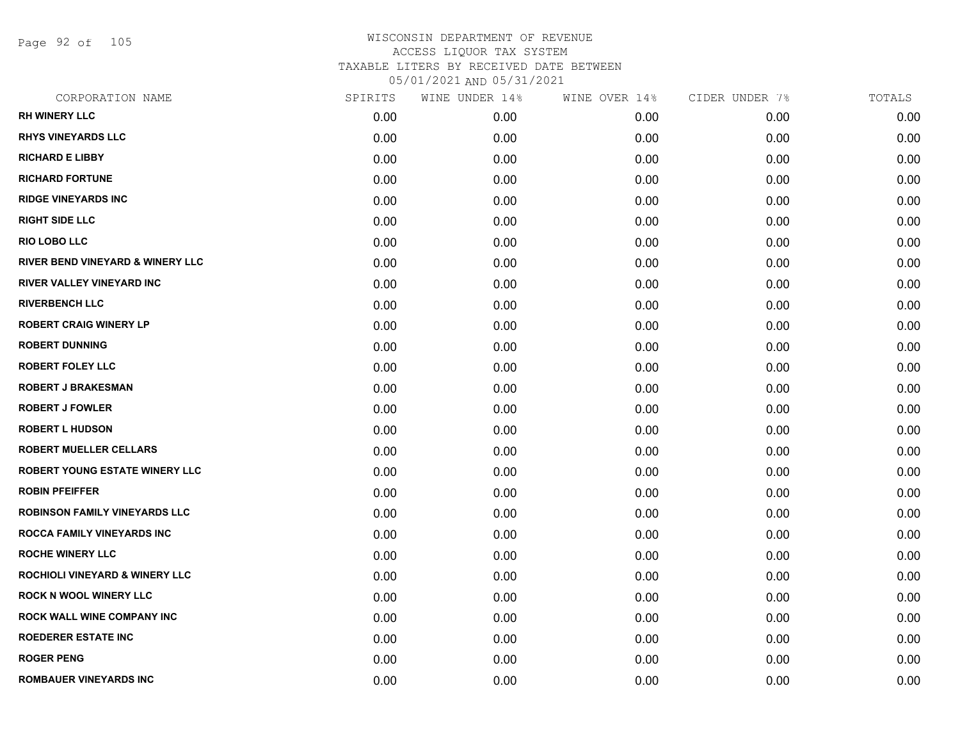Page 92 of 105

| CORPORATION NAME                            | SPIRITS | WINE UNDER 14% | WINE OVER 14% | CIDER UNDER 7% | TOTALS |
|---------------------------------------------|---------|----------------|---------------|----------------|--------|
| <b>RH WINERY LLC</b>                        | 0.00    | 0.00           | 0.00          | 0.00           | 0.00   |
| <b>RHYS VINEYARDS LLC</b>                   | 0.00    | 0.00           | 0.00          | 0.00           | 0.00   |
| <b>RICHARD E LIBBY</b>                      | 0.00    | 0.00           | 0.00          | 0.00           | 0.00   |
| <b>RICHARD FORTUNE</b>                      | 0.00    | 0.00           | 0.00          | 0.00           | 0.00   |
| <b>RIDGE VINEYARDS INC</b>                  | 0.00    | 0.00           | 0.00          | 0.00           | 0.00   |
| <b>RIGHT SIDE LLC</b>                       | 0.00    | 0.00           | 0.00          | 0.00           | 0.00   |
| RIO LOBO LLC                                | 0.00    | 0.00           | 0.00          | 0.00           | 0.00   |
| <b>RIVER BEND VINEYARD &amp; WINERY LLC</b> | 0.00    | 0.00           | 0.00          | 0.00           | 0.00   |
| RIVER VALLEY VINEYARD INC                   | 0.00    | 0.00           | 0.00          | 0.00           | 0.00   |
| <b>RIVERBENCH LLC</b>                       | 0.00    | 0.00           | 0.00          | 0.00           | 0.00   |
| <b>ROBERT CRAIG WINERY LP</b>               | 0.00    | 0.00           | 0.00          | 0.00           | 0.00   |
| <b>ROBERT DUNNING</b>                       | 0.00    | 0.00           | 0.00          | 0.00           | 0.00   |
| <b>ROBERT FOLEY LLC</b>                     | 0.00    | 0.00           | 0.00          | 0.00           | 0.00   |
| <b>ROBERT J BRAKESMAN</b>                   | 0.00    | 0.00           | 0.00          | 0.00           | 0.00   |
| <b>ROBERT J FOWLER</b>                      | 0.00    | 0.00           | 0.00          | 0.00           | 0.00   |
| <b>ROBERT L HUDSON</b>                      | 0.00    | 0.00           | 0.00          | 0.00           | 0.00   |
| <b>ROBERT MUELLER CELLARS</b>               | 0.00    | 0.00           | 0.00          | 0.00           | 0.00   |
| ROBERT YOUNG ESTATE WINERY LLC              | 0.00    | 0.00           | 0.00          | 0.00           | 0.00   |
| <b>ROBIN PFEIFFER</b>                       | 0.00    | 0.00           | 0.00          | 0.00           | 0.00   |
| <b>ROBINSON FAMILY VINEYARDS LLC</b>        | 0.00    | 0.00           | 0.00          | 0.00           | 0.00   |
| <b>ROCCA FAMILY VINEYARDS INC</b>           | 0.00    | 0.00           | 0.00          | 0.00           | 0.00   |
| <b>ROCHE WINERY LLC</b>                     | 0.00    | 0.00           | 0.00          | 0.00           | 0.00   |
| <b>ROCHIOLI VINEYARD &amp; WINERY LLC</b>   | 0.00    | 0.00           | 0.00          | 0.00           | 0.00   |
| <b>ROCK N WOOL WINERY LLC</b>               | 0.00    | 0.00           | 0.00          | 0.00           | 0.00   |
| ROCK WALL WINE COMPANY INC                  | 0.00    | 0.00           | 0.00          | 0.00           | 0.00   |
| <b>ROEDERER ESTATE INC</b>                  | 0.00    | 0.00           | 0.00          | 0.00           | 0.00   |
| <b>ROGER PENG</b>                           | 0.00    | 0.00           | 0.00          | 0.00           | 0.00   |
| <b>ROMBAUER VINEYARDS INC</b>               | 0.00    | 0.00           | 0.00          | 0.00           | 0.00   |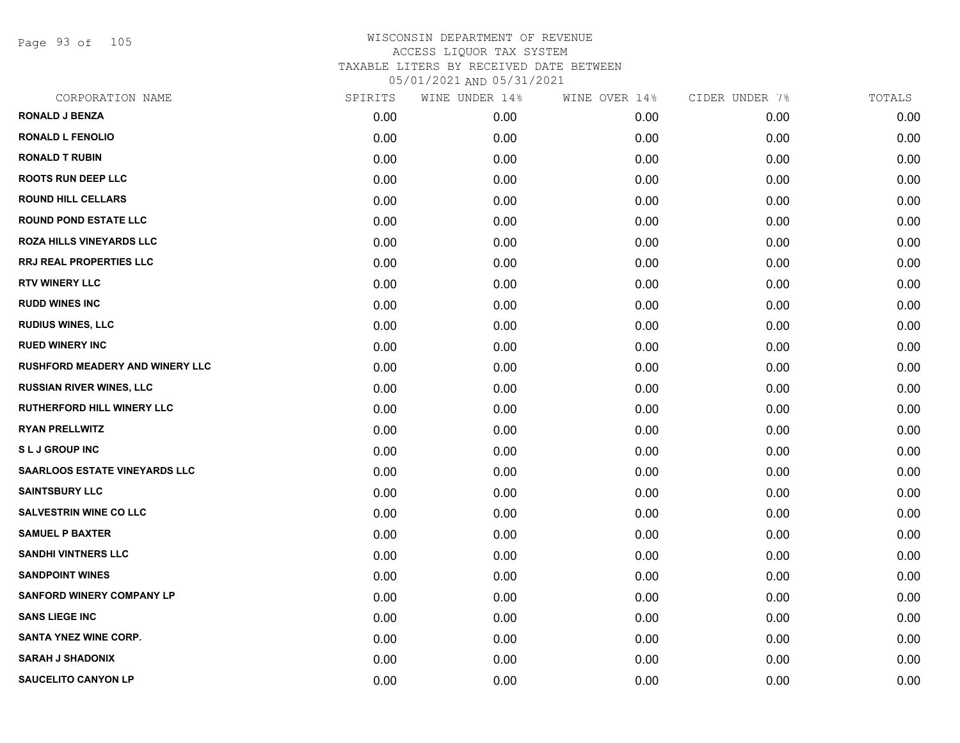Page 93 of 105

| CORPORATION NAME                     | SPIRITS | WINE UNDER 14% | WINE OVER 14% | CIDER UNDER 7% | TOTALS |
|--------------------------------------|---------|----------------|---------------|----------------|--------|
| <b>RONALD J BENZA</b>                | 0.00    | 0.00           | 0.00          | 0.00           | 0.00   |
| <b>RONALD L FENOLIO</b>              | 0.00    | 0.00           | 0.00          | 0.00           | 0.00   |
| <b>RONALD T RUBIN</b>                | 0.00    | 0.00           | 0.00          | 0.00           | 0.00   |
| <b>ROOTS RUN DEEP LLC</b>            | 0.00    | 0.00           | 0.00          | 0.00           | 0.00   |
| <b>ROUND HILL CELLARS</b>            | 0.00    | 0.00           | 0.00          | 0.00           | 0.00   |
| <b>ROUND POND ESTATE LLC</b>         | 0.00    | 0.00           | 0.00          | 0.00           | 0.00   |
| <b>ROZA HILLS VINEYARDS LLC</b>      | 0.00    | 0.00           | 0.00          | 0.00           | 0.00   |
| RRJ REAL PROPERTIES LLC              | 0.00    | 0.00           | 0.00          | 0.00           | 0.00   |
| <b>RTV WINERY LLC</b>                | 0.00    | 0.00           | 0.00          | 0.00           | 0.00   |
| <b>RUDD WINES INC</b>                | 0.00    | 0.00           | 0.00          | 0.00           | 0.00   |
| <b>RUDIUS WINES, LLC</b>             | 0.00    | 0.00           | 0.00          | 0.00           | 0.00   |
| <b>RUED WINERY INC</b>               | 0.00    | 0.00           | 0.00          | 0.00           | 0.00   |
| RUSHFORD MEADERY AND WINERY LLC      | 0.00    | 0.00           | 0.00          | 0.00           | 0.00   |
| <b>RUSSIAN RIVER WINES, LLC</b>      | 0.00    | 0.00           | 0.00          | 0.00           | 0.00   |
| <b>RUTHERFORD HILL WINERY LLC</b>    | 0.00    | 0.00           | 0.00          | 0.00           | 0.00   |
| <b>RYAN PRELLWITZ</b>                | 0.00    | 0.00           | 0.00          | 0.00           | 0.00   |
| <b>SLJ GROUP INC</b>                 | 0.00    | 0.00           | 0.00          | 0.00           | 0.00   |
| <b>SAARLOOS ESTATE VINEYARDS LLC</b> | 0.00    | 0.00           | 0.00          | 0.00           | 0.00   |
| <b>SAINTSBURY LLC</b>                | 0.00    | 0.00           | 0.00          | 0.00           | 0.00   |
| <b>SALVESTRIN WINE CO LLC</b>        | 0.00    | 0.00           | 0.00          | 0.00           | 0.00   |
| <b>SAMUEL P BAXTER</b>               | 0.00    | 0.00           | 0.00          | 0.00           | 0.00   |
| <b>SANDHI VINTNERS LLC</b>           | 0.00    | 0.00           | 0.00          | 0.00           | 0.00   |
| <b>SANDPOINT WINES</b>               | 0.00    | 0.00           | 0.00          | 0.00           | 0.00   |
| <b>SANFORD WINERY COMPANY LP</b>     | 0.00    | 0.00           | 0.00          | 0.00           | 0.00   |
| <b>SANS LIEGE INC</b>                | 0.00    | 0.00           | 0.00          | 0.00           | 0.00   |
| <b>SANTA YNEZ WINE CORP.</b>         | 0.00    | 0.00           | 0.00          | 0.00           | 0.00   |
| <b>SARAH J SHADONIX</b>              | 0.00    | 0.00           | 0.00          | 0.00           | 0.00   |
| <b>SAUCELITO CANYON LP</b>           | 0.00    | 0.00           | 0.00          | 0.00           | 0.00   |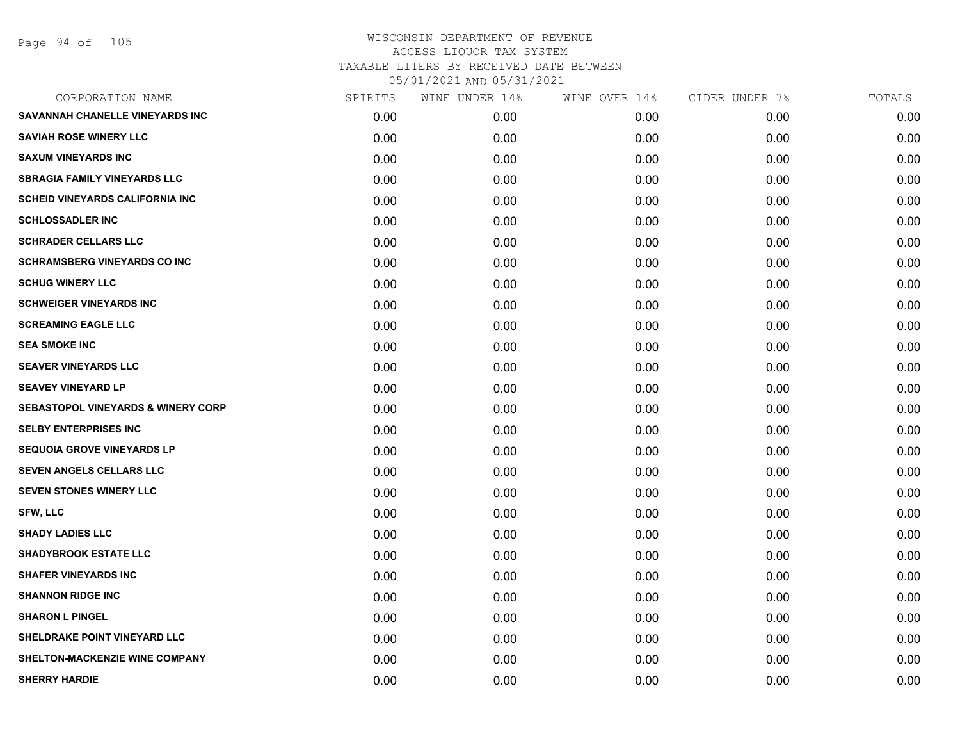| SPIRITS | WINE UNDER 14%    | WINE OVER 14% | CIDER UNDER 7% | TOTALS |
|---------|-------------------|---------------|----------------|--------|
| 0.00    | 0.00 <sub>1</sub> | 0.00          | 0.00           | 0.00   |
| 0.00    | 0.00              | 0.00          | 0.00           | 0.00   |
| 0.00    | 0.00              | 0.00          | 0.00           | 0.00   |
| 0.00    | 0.00              | 0.00          | 0.00           | 0.00   |
| 0.00    | 0.00              | 0.00          | 0.00           | 0.00   |
| 0.00    | 0.00              | 0.00          | 0.00           | 0.00   |
| 0.00    | 0.00              | 0.00          | 0.00           | 0.00   |
| 0.00    | 0.00              | 0.00          | 0.00           | 0.00   |
| 0.00    | 0.00              | 0.00          | 0.00           | 0.00   |
| 0.00    | 0.00              | 0.00          | 0.00           | 0.00   |
| 0.00    | 0.00              | 0.00          | 0.00           | 0.00   |
| 0.00    | 0.00              | 0.00          | 0.00           | 0.00   |
| 0.00    | 0.00              | 0.00          | 0.00           | 0.00   |
| 0.00    | 0.00              | 0.00          | 0.00           | 0.00   |
| 0.00    | 0.00              | 0.00          | 0.00           | 0.00   |
| 0.00    | 0.00              | 0.00          | 0.00           | 0.00   |
| 0.00    | 0.00              | 0.00          | 0.00           | 0.00   |
| 0.00    | 0.00              | 0.00          | 0.00           | 0.00   |
| 0.00    | 0.00              | 0.00          | 0.00           | 0.00   |
| 0.00    | 0.00              | 0.00          | 0.00           | 0.00   |
| 0.00    | 0.00              | 0.00          | 0.00           | 0.00   |
| 0.00    | 0.00              | 0.00          | 0.00           | 0.00   |
| 0.00    | 0.00              | 0.00          | 0.00           | 0.00   |
| 0.00    | 0.00              | 0.00          | 0.00           | 0.00   |
| 0.00    | 0.00              | 0.00          | 0.00           | 0.00   |
| 0.00    | 0.00              | 0.00          | 0.00           | 0.00   |
| 0.00    | 0.00              | 0.00          | 0.00           | 0.00   |
| 0.00    | 0.00              | 0.00          | 0.00           | 0.00   |
|         |                   |               |                |        |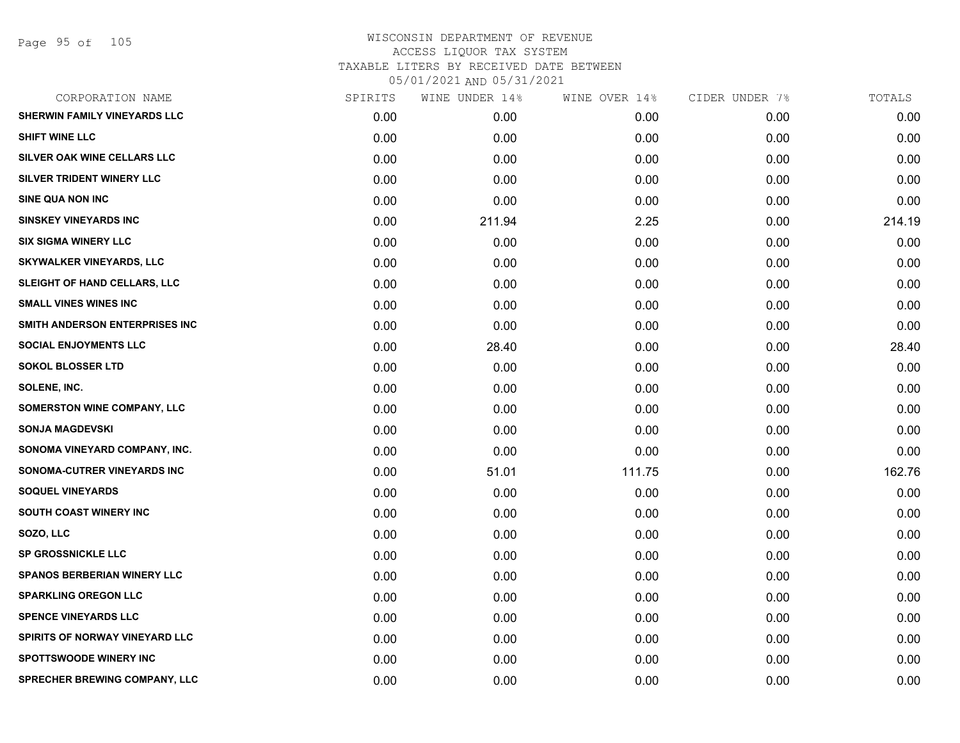| CORPORATION NAME                   | SPIRITS | WINE UNDER 14% | WINE OVER 14% | CIDER UNDER 7% | TOTALS |
|------------------------------------|---------|----------------|---------------|----------------|--------|
| SHERWIN FAMILY VINEYARDS LLC       | 0.00    | 0.00           | 0.00          | 0.00           | 0.00   |
| <b>SHIFT WINE LLC</b>              | 0.00    | 0.00           | 0.00          | 0.00           | 0.00   |
| SILVER OAK WINE CELLARS LLC        | 0.00    | 0.00           | 0.00          | 0.00           | 0.00   |
| SILVER TRIDENT WINERY LLC          | 0.00    | 0.00           | 0.00          | 0.00           | 0.00   |
| SINE QUA NON INC                   | 0.00    | 0.00           | 0.00          | 0.00           | 0.00   |
| <b>SINSKEY VINEYARDS INC</b>       | 0.00    | 211.94         | 2.25          | 0.00           | 214.19 |
| <b>SIX SIGMA WINERY LLC</b>        | 0.00    | 0.00           | 0.00          | 0.00           | 0.00   |
| <b>SKYWALKER VINEYARDS, LLC</b>    | 0.00    | 0.00           | 0.00          | 0.00           | 0.00   |
| SLEIGHT OF HAND CELLARS, LLC       | 0.00    | 0.00           | 0.00          | 0.00           | 0.00   |
| <b>SMALL VINES WINES INC</b>       | 0.00    | 0.00           | 0.00          | 0.00           | 0.00   |
| SMITH ANDERSON ENTERPRISES INC     | 0.00    | 0.00           | 0.00          | 0.00           | 0.00   |
| <b>SOCIAL ENJOYMENTS LLC</b>       | 0.00    | 28.40          | 0.00          | 0.00           | 28.40  |
| <b>SOKOL BLOSSER LTD</b>           | 0.00    | 0.00           | 0.00          | 0.00           | 0.00   |
| SOLENE, INC.                       | 0.00    | 0.00           | 0.00          | 0.00           | 0.00   |
| <b>SOMERSTON WINE COMPANY, LLC</b> | 0.00    | 0.00           | 0.00          | 0.00           | 0.00   |
| <b>SONJA MAGDEVSKI</b>             | 0.00    | 0.00           | 0.00          | 0.00           | 0.00   |
| SONOMA VINEYARD COMPANY, INC.      | 0.00    | 0.00           | 0.00          | 0.00           | 0.00   |
| SONOMA-CUTRER VINEYARDS INC        | 0.00    | 51.01          | 111.75        | 0.00           | 162.76 |
| <b>SOQUEL VINEYARDS</b>            | 0.00    | 0.00           | 0.00          | 0.00           | 0.00   |
| <b>SOUTH COAST WINERY INC</b>      | 0.00    | 0.00           | 0.00          | 0.00           | 0.00   |
| SOZO, LLC                          | 0.00    | 0.00           | 0.00          | 0.00           | 0.00   |
| <b>SP GROSSNICKLE LLC</b>          | 0.00    | 0.00           | 0.00          | 0.00           | 0.00   |
| SPANOS BERBERIAN WINERY LLC        | 0.00    | 0.00           | 0.00          | 0.00           | 0.00   |
| <b>SPARKLING OREGON LLC</b>        | 0.00    | 0.00           | 0.00          | 0.00           | 0.00   |
| <b>SPENCE VINEYARDS LLC</b>        | 0.00    | 0.00           | 0.00          | 0.00           | 0.00   |
| SPIRITS OF NORWAY VINEYARD LLC     | 0.00    | 0.00           | 0.00          | 0.00           | 0.00   |
| <b>SPOTTSWOODE WINERY INC</b>      | 0.00    | 0.00           | 0.00          | 0.00           | 0.00   |
| SPRECHER BREWING COMPANY, LLC      | 0.00    | 0.00           | 0.00          | 0.00           | 0.00   |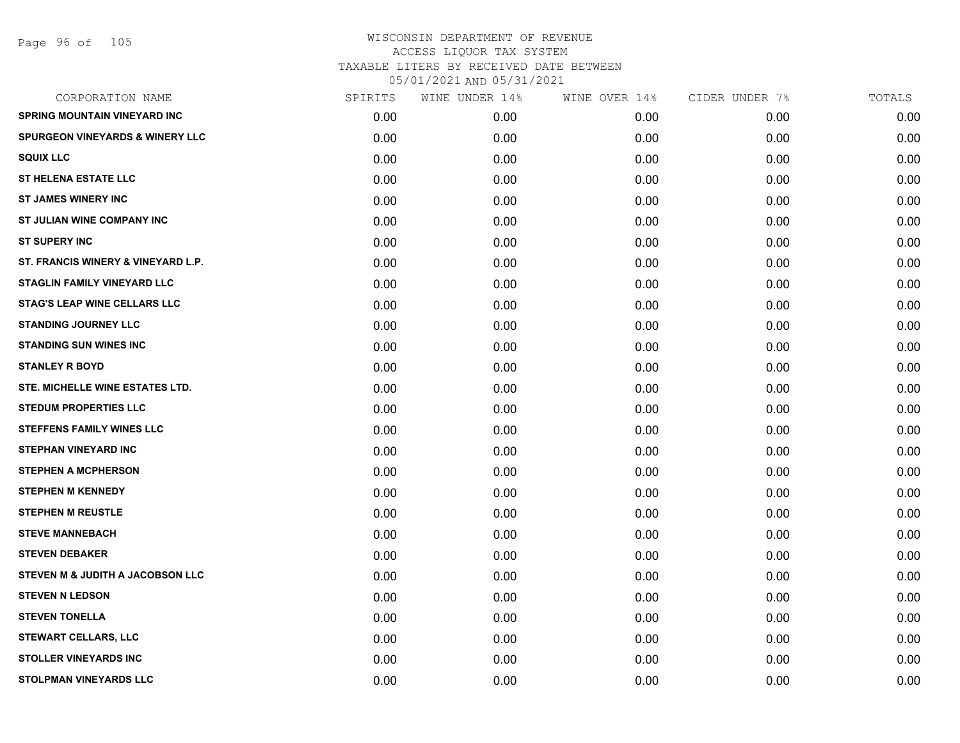| CORPORATION NAME                            | SPIRITS | WINE UNDER 14% | WINE OVER 14% | CIDER UNDER 7% | TOTALS |
|---------------------------------------------|---------|----------------|---------------|----------------|--------|
| <b>SPRING MOUNTAIN VINEYARD INC</b>         | 0.00    | 0.00           | 0.00          | 0.00           | 0.00   |
| <b>SPURGEON VINEYARDS &amp; WINERY LLC</b>  | 0.00    | 0.00           | 0.00          | 0.00           | 0.00   |
| <b>SQUIX LLC</b>                            | 0.00    | 0.00           | 0.00          | 0.00           | 0.00   |
| <b>ST HELENA ESTATE LLC</b>                 | 0.00    | 0.00           | 0.00          | 0.00           | 0.00   |
| <b>ST JAMES WINERY INC</b>                  | 0.00    | 0.00           | 0.00          | 0.00           | 0.00   |
| ST JULIAN WINE COMPANY INC                  | 0.00    | 0.00           | 0.00          | 0.00           | 0.00   |
| <b>ST SUPERY INC</b>                        | 0.00    | 0.00           | 0.00          | 0.00           | 0.00   |
| ST. FRANCIS WINERY & VINEYARD L.P.          | 0.00    | 0.00           | 0.00          | 0.00           | 0.00   |
| <b>STAGLIN FAMILY VINEYARD LLC</b>          | 0.00    | 0.00           | 0.00          | 0.00           | 0.00   |
| <b>STAG'S LEAP WINE CELLARS LLC</b>         | 0.00    | 0.00           | 0.00          | 0.00           | 0.00   |
| <b>STANDING JOURNEY LLC</b>                 | 0.00    | 0.00           | 0.00          | 0.00           | 0.00   |
| <b>STANDING SUN WINES INC</b>               | 0.00    | 0.00           | 0.00          | 0.00           | 0.00   |
| <b>STANLEY R BOYD</b>                       | 0.00    | 0.00           | 0.00          | 0.00           | 0.00   |
| STE. MICHELLE WINE ESTATES LTD.             | 0.00    | 0.00           | 0.00          | 0.00           | 0.00   |
| <b>STEDUM PROPERTIES LLC</b>                | 0.00    | 0.00           | 0.00          | 0.00           | 0.00   |
| <b>STEFFENS FAMILY WINES LLC</b>            | 0.00    | 0.00           | 0.00          | 0.00           | 0.00   |
| <b>STEPHAN VINEYARD INC</b>                 | 0.00    | 0.00           | 0.00          | 0.00           | 0.00   |
| <b>STEPHEN A MCPHERSON</b>                  | 0.00    | 0.00           | 0.00          | 0.00           | 0.00   |
| <b>STEPHEN M KENNEDY</b>                    | 0.00    | 0.00           | 0.00          | 0.00           | 0.00   |
| <b>STEPHEN M REUSTLE</b>                    | 0.00    | 0.00           | 0.00          | 0.00           | 0.00   |
| <b>STEVE MANNEBACH</b>                      | 0.00    | 0.00           | 0.00          | 0.00           | 0.00   |
| <b>STEVEN DEBAKER</b>                       | 0.00    | 0.00           | 0.00          | 0.00           | 0.00   |
| <b>STEVEN M &amp; JUDITH A JACOBSON LLC</b> | 0.00    | 0.00           | 0.00          | 0.00           | 0.00   |
| <b>STEVEN N LEDSON</b>                      | 0.00    | 0.00           | 0.00          | 0.00           | 0.00   |
| <b>STEVEN TONELLA</b>                       | 0.00    | 0.00           | 0.00          | 0.00           | 0.00   |
| <b>STEWART CELLARS, LLC</b>                 | 0.00    | 0.00           | 0.00          | 0.00           | 0.00   |
| <b>STOLLER VINEYARDS INC</b>                | 0.00    | 0.00           | 0.00          | 0.00           | 0.00   |
| <b>STOLPMAN VINEYARDS LLC</b>               | 0.00    | 0.00           | 0.00          | 0.00           | 0.00   |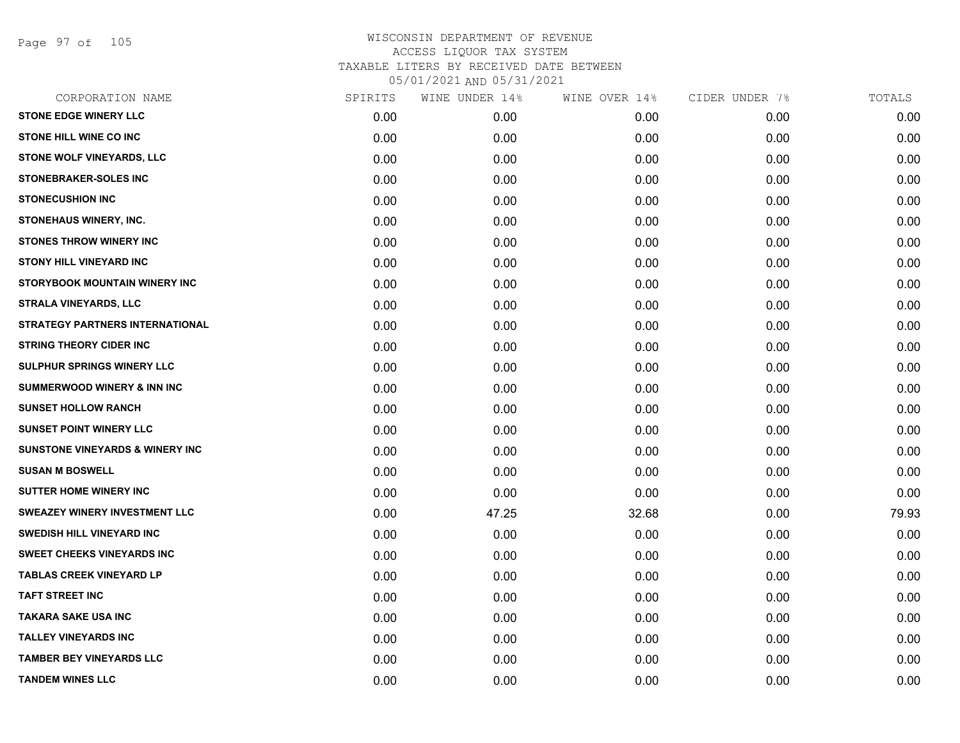Page 97 of 105

| CORPORATION NAME                           | SPIRITS | WINE UNDER 14% | WINE OVER 14% | CIDER UNDER 7% | TOTALS |
|--------------------------------------------|---------|----------------|---------------|----------------|--------|
| <b>STONE EDGE WINERY LLC</b>               | 0.00    | 0.00           | 0.00          | 0.00           | 0.00   |
| <b>STONE HILL WINE CO INC</b>              | 0.00    | 0.00           | 0.00          | 0.00           | 0.00   |
| STONE WOLF VINEYARDS, LLC                  | 0.00    | 0.00           | 0.00          | 0.00           | 0.00   |
| <b>STONEBRAKER-SOLES INC</b>               | 0.00    | 0.00           | 0.00          | 0.00           | 0.00   |
| <b>STONECUSHION INC</b>                    | 0.00    | 0.00           | 0.00          | 0.00           | 0.00   |
| <b>STONEHAUS WINERY, INC.</b>              | 0.00    | 0.00           | 0.00          | 0.00           | 0.00   |
| <b>STONES THROW WINERY INC</b>             | 0.00    | 0.00           | 0.00          | 0.00           | 0.00   |
| <b>STONY HILL VINEYARD INC</b>             | 0.00    | 0.00           | 0.00          | 0.00           | 0.00   |
| STORYBOOK MOUNTAIN WINERY INC              | 0.00    | 0.00           | 0.00          | 0.00           | 0.00   |
| <b>STRALA VINEYARDS, LLC</b>               | 0.00    | 0.00           | 0.00          | 0.00           | 0.00   |
| <b>STRATEGY PARTNERS INTERNATIONAL</b>     | 0.00    | 0.00           | 0.00          | 0.00           | 0.00   |
| <b>STRING THEORY CIDER INC</b>             | 0.00    | 0.00           | 0.00          | 0.00           | 0.00   |
| <b>SULPHUR SPRINGS WINERY LLC</b>          | 0.00    | 0.00           | 0.00          | 0.00           | 0.00   |
| <b>SUMMERWOOD WINERY &amp; INN INC</b>     | 0.00    | 0.00           | 0.00          | 0.00           | 0.00   |
| <b>SUNSET HOLLOW RANCH</b>                 | 0.00    | 0.00           | 0.00          | 0.00           | 0.00   |
| <b>SUNSET POINT WINERY LLC</b>             | 0.00    | 0.00           | 0.00          | 0.00           | 0.00   |
| <b>SUNSTONE VINEYARDS &amp; WINERY INC</b> | 0.00    | 0.00           | 0.00          | 0.00           | 0.00   |
| <b>SUSAN M BOSWELL</b>                     | 0.00    | 0.00           | 0.00          | 0.00           | 0.00   |
| <b>SUTTER HOME WINERY INC</b>              | 0.00    | 0.00           | 0.00          | 0.00           | 0.00   |
| <b>SWEAZEY WINERY INVESTMENT LLC</b>       | 0.00    | 47.25          | 32.68         | 0.00           | 79.93  |
| <b>SWEDISH HILL VINEYARD INC</b>           | 0.00    | 0.00           | 0.00          | 0.00           | 0.00   |
| <b>SWEET CHEEKS VINEYARDS INC</b>          | 0.00    | 0.00           | 0.00          | 0.00           | 0.00   |
| <b>TABLAS CREEK VINEYARD LP</b>            | 0.00    | 0.00           | 0.00          | 0.00           | 0.00   |
| <b>TAFT STREET INC</b>                     | 0.00    | 0.00           | 0.00          | 0.00           | 0.00   |
| <b>TAKARA SAKE USA INC</b>                 | 0.00    | 0.00           | 0.00          | 0.00           | 0.00   |
| <b>TALLEY VINEYARDS INC</b>                | 0.00    | 0.00           | 0.00          | 0.00           | 0.00   |
| <b>TAMBER BEY VINEYARDS LLC</b>            | 0.00    | 0.00           | 0.00          | 0.00           | 0.00   |
| <b>TANDEM WINES LLC</b>                    | 0.00    | 0.00           | 0.00          | 0.00           | 0.00   |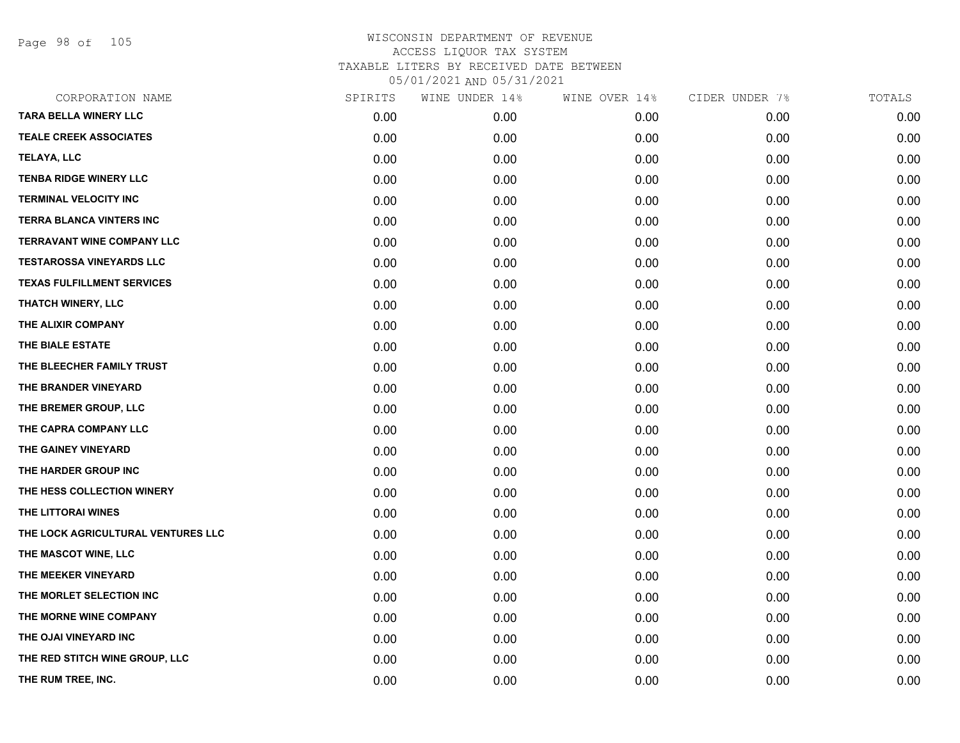Page 98 of 105

| CORPORATION NAME                   | SPIRITS | WINE UNDER 14% | WINE OVER 14% | CIDER UNDER 7% | TOTALS |
|------------------------------------|---------|----------------|---------------|----------------|--------|
| <b>TARA BELLA WINERY LLC</b>       | 0.00    | 0.00           | 0.00          | 0.00           | 0.00   |
| <b>TEALE CREEK ASSOCIATES</b>      | 0.00    | 0.00           | 0.00          | 0.00           | 0.00   |
| <b>TELAYA, LLC</b>                 | 0.00    | 0.00           | 0.00          | 0.00           | 0.00   |
| <b>TENBA RIDGE WINERY LLC</b>      | 0.00    | 0.00           | 0.00          | 0.00           | 0.00   |
| <b>TERMINAL VELOCITY INC</b>       | 0.00    | 0.00           | 0.00          | 0.00           | 0.00   |
| <b>TERRA BLANCA VINTERS INC</b>    | 0.00    | 0.00           | 0.00          | 0.00           | 0.00   |
| <b>TERRAVANT WINE COMPANY LLC</b>  | 0.00    | 0.00           | 0.00          | 0.00           | 0.00   |
| <b>TESTAROSSA VINEYARDS LLC</b>    | 0.00    | 0.00           | 0.00          | 0.00           | 0.00   |
| <b>TEXAS FULFILLMENT SERVICES</b>  | 0.00    | 0.00           | 0.00          | 0.00           | 0.00   |
| THATCH WINERY, LLC                 | 0.00    | 0.00           | 0.00          | 0.00           | 0.00   |
| THE ALIXIR COMPANY                 | 0.00    | 0.00           | 0.00          | 0.00           | 0.00   |
| THE BIALE ESTATE                   | 0.00    | 0.00           | 0.00          | 0.00           | 0.00   |
| THE BLEECHER FAMILY TRUST          | 0.00    | 0.00           | 0.00          | 0.00           | 0.00   |
| THE BRANDER VINEYARD               | 0.00    | 0.00           | 0.00          | 0.00           | 0.00   |
| THE BREMER GROUP, LLC              | 0.00    | 0.00           | 0.00          | 0.00           | 0.00   |
| THE CAPRA COMPANY LLC              | 0.00    | 0.00           | 0.00          | 0.00           | 0.00   |
| THE GAINEY VINEYARD                | 0.00    | 0.00           | 0.00          | 0.00           | 0.00   |
| THE HARDER GROUP INC               | 0.00    | 0.00           | 0.00          | 0.00           | 0.00   |
| THE HESS COLLECTION WINERY         | 0.00    | 0.00           | 0.00          | 0.00           | 0.00   |
| THE LITTORAI WINES                 | 0.00    | 0.00           | 0.00          | 0.00           | 0.00   |
| THE LOCK AGRICULTURAL VENTURES LLC | 0.00    | 0.00           | 0.00          | 0.00           | 0.00   |
| THE MASCOT WINE, LLC               | 0.00    | 0.00           | 0.00          | 0.00           | 0.00   |
| THE MEEKER VINEYARD                | 0.00    | 0.00           | 0.00          | 0.00           | 0.00   |
| THE MORLET SELECTION INC           | 0.00    | 0.00           | 0.00          | 0.00           | 0.00   |
| THE MORNE WINE COMPANY             | 0.00    | 0.00           | 0.00          | 0.00           | 0.00   |
| THE OJAI VINEYARD INC              | 0.00    | 0.00           | 0.00          | 0.00           | 0.00   |
| THE RED STITCH WINE GROUP, LLC     | 0.00    | 0.00           | 0.00          | 0.00           | 0.00   |
| THE RUM TREE, INC.                 | 0.00    | 0.00           | 0.00          | 0.00           | 0.00   |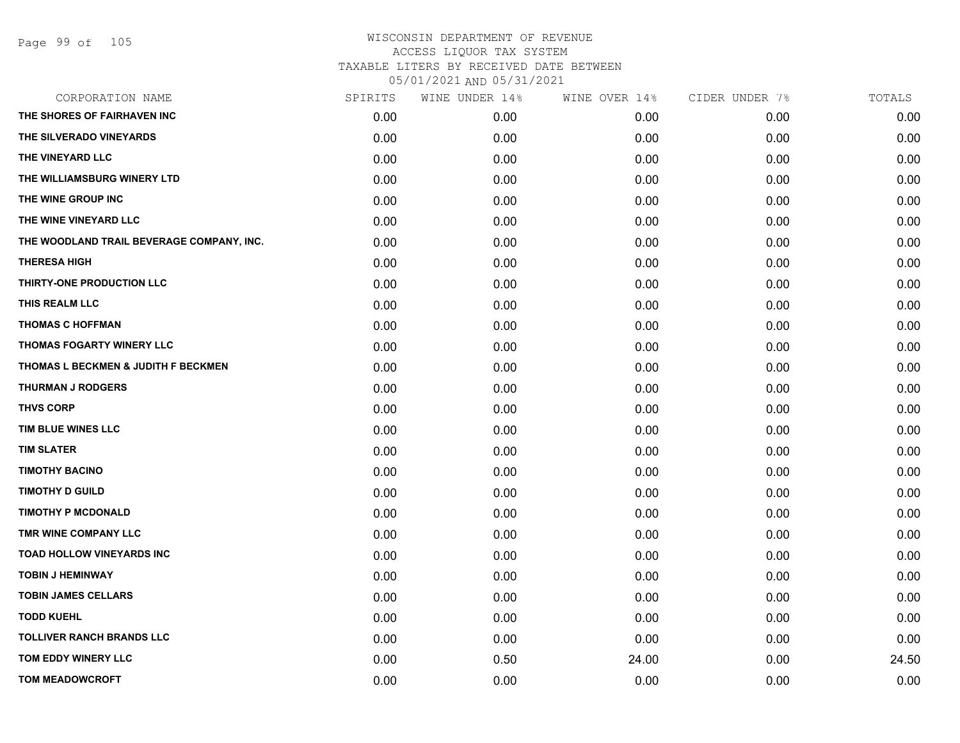# WISCONSIN DEPARTMENT OF REVENUE ACCESS LIQUOR TAX SYSTEM TAXABLE LITERS BY RECEIVED DATE BETWEEN

05/01/2021 AND 05/31/2021

| CORPORATION NAME                          | SPIRITS | WINE UNDER 14% | WINE OVER 14% | CIDER UNDER 7% | TOTALS |
|-------------------------------------------|---------|----------------|---------------|----------------|--------|
| THE SHORES OF FAIRHAVEN INC               | 0.00    | 0.00           | 0.00          | 0.00           | 0.00   |
| THE SILVERADO VINEYARDS                   | 0.00    | 0.00           | 0.00          | 0.00           | 0.00   |
| THE VINEYARD LLC                          | 0.00    | 0.00           | 0.00          | 0.00           | 0.00   |
| THE WILLIAMSBURG WINERY LTD               | 0.00    | 0.00           | 0.00          | 0.00           | 0.00   |
| THE WINE GROUP INC                        | 0.00    | 0.00           | 0.00          | 0.00           | 0.00   |
| THE WINE VINEYARD LLC                     | 0.00    | 0.00           | 0.00          | 0.00           | 0.00   |
| THE WOODLAND TRAIL BEVERAGE COMPANY, INC. | 0.00    | 0.00           | 0.00          | 0.00           | 0.00   |
| <b>THERESA HIGH</b>                       | 0.00    | 0.00           | 0.00          | 0.00           | 0.00   |
| THIRTY-ONE PRODUCTION LLC                 | 0.00    | 0.00           | 0.00          | 0.00           | 0.00   |
| THIS REALM LLC                            | 0.00    | 0.00           | 0.00          | 0.00           | 0.00   |
| <b>THOMAS C HOFFMAN</b>                   | 0.00    | 0.00           | 0.00          | 0.00           | 0.00   |
| THOMAS FOGARTY WINERY LLC                 | 0.00    | 0.00           | 0.00          | 0.00           | 0.00   |
| THOMAS L BECKMEN & JUDITH F BECKMEN       | 0.00    | 0.00           | 0.00          | 0.00           | 0.00   |
| <b>THURMAN J RODGERS</b>                  | 0.00    | 0.00           | 0.00          | 0.00           | 0.00   |
| <b>THVS CORP</b>                          | 0.00    | 0.00           | 0.00          | 0.00           | 0.00   |
| TIM BLUE WINES LLC                        | 0.00    | 0.00           | 0.00          | 0.00           | 0.00   |
| <b>TIM SLATER</b>                         | 0.00    | 0.00           | 0.00          | 0.00           | 0.00   |
| <b>TIMOTHY BACINO</b>                     | 0.00    | 0.00           | 0.00          | 0.00           | 0.00   |
| <b>TIMOTHY D GUILD</b>                    | 0.00    | 0.00           | 0.00          | 0.00           | 0.00   |
| <b>TIMOTHY P MCDONALD</b>                 | 0.00    | 0.00           | 0.00          | 0.00           | 0.00   |
| TMR WINE COMPANY LLC                      | 0.00    | 0.00           | 0.00          | 0.00           | 0.00   |
| <b>TOAD HOLLOW VINEYARDS INC</b>          | 0.00    | 0.00           | 0.00          | 0.00           | 0.00   |
| <b>TOBIN J HEMINWAY</b>                   | 0.00    | 0.00           | 0.00          | 0.00           | 0.00   |
| <b>TOBIN JAMES CELLARS</b>                | 0.00    | 0.00           | 0.00          | 0.00           | 0.00   |
| <b>TODD KUEHL</b>                         | 0.00    | 0.00           | 0.00          | 0.00           | 0.00   |
| <b>TOLLIVER RANCH BRANDS LLC</b>          | 0.00    | 0.00           | 0.00          | 0.00           | 0.00   |
| TOM EDDY WINERY LLC                       | 0.00    | 0.50           | 24.00         | 0.00           | 24.50  |
| <b>TOM MEADOWCROFT</b>                    | 0.00    | 0.00           | 0.00          | 0.00           | 0.00   |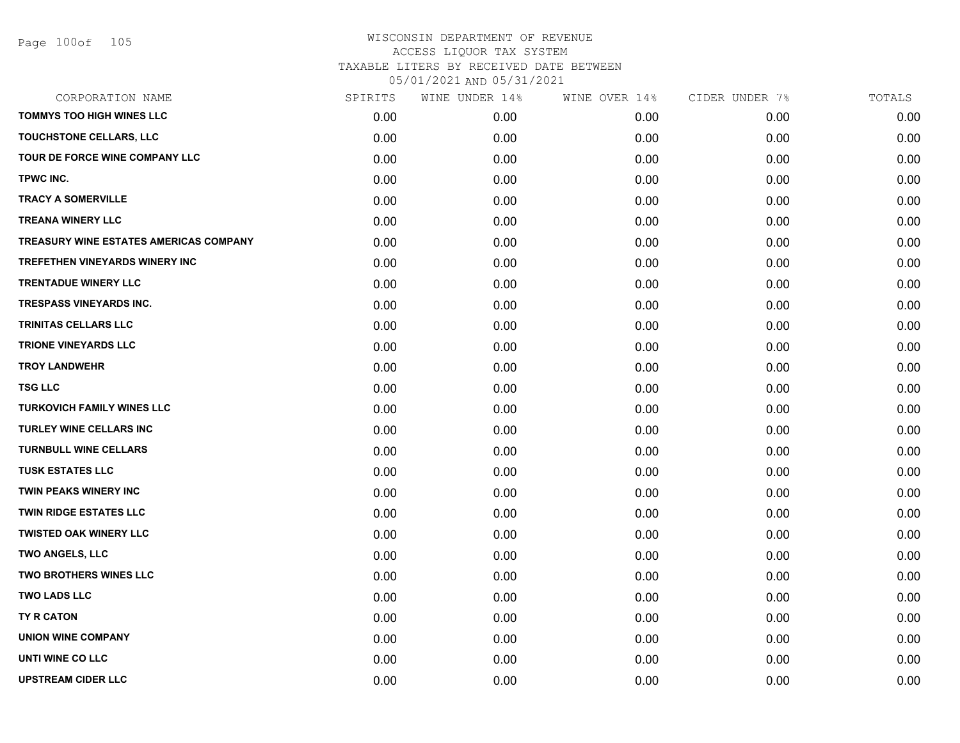| CORPORATION NAME                       | SPIRITS | WINE UNDER 14% | WINE OVER 14% | CIDER UNDER 7% | TOTALS |
|----------------------------------------|---------|----------------|---------------|----------------|--------|
| <b>TOMMYS TOO HIGH WINES LLC</b>       | 0.00    | 0.00           | 0.00          | 0.00           | 0.00   |
| TOUCHSTONE CELLARS, LLC                | 0.00    | 0.00           | 0.00          | 0.00           | 0.00   |
| TOUR DE FORCE WINE COMPANY LLC         | 0.00    | 0.00           | 0.00          | 0.00           | 0.00   |
| TPWC INC.                              | 0.00    | 0.00           | 0.00          | 0.00           | 0.00   |
| <b>TRACY A SOMERVILLE</b>              | 0.00    | 0.00           | 0.00          | 0.00           | 0.00   |
| <b>TREANA WINERY LLC</b>               | 0.00    | 0.00           | 0.00          | 0.00           | 0.00   |
| TREASURY WINE ESTATES AMERICAS COMPANY | 0.00    | 0.00           | 0.00          | 0.00           | 0.00   |
| TREFETHEN VINEYARDS WINERY INC         | 0.00    | 0.00           | 0.00          | 0.00           | 0.00   |
| <b>TRENTADUE WINERY LLC</b>            | 0.00    | 0.00           | 0.00          | 0.00           | 0.00   |
| <b>TRESPASS VINEYARDS INC.</b>         | 0.00    | 0.00           | 0.00          | 0.00           | 0.00   |
| <b>TRINITAS CELLARS LLC</b>            | 0.00    | 0.00           | 0.00          | 0.00           | 0.00   |
| <b>TRIONE VINEYARDS LLC</b>            | 0.00    | 0.00           | 0.00          | 0.00           | 0.00   |
| <b>TROY LANDWEHR</b>                   | 0.00    | 0.00           | 0.00          | 0.00           | 0.00   |
| <b>TSG LLC</b>                         | 0.00    | 0.00           | 0.00          | 0.00           | 0.00   |
| <b>TURKOVICH FAMILY WINES LLC</b>      | 0.00    | 0.00           | 0.00          | 0.00           | 0.00   |
| TURLEY WINE CELLARS INC                | 0.00    | 0.00           | 0.00          | 0.00           | 0.00   |
| <b>TURNBULL WINE CELLARS</b>           | 0.00    | 0.00           | 0.00          | 0.00           | 0.00   |
| <b>TUSK ESTATES LLC</b>                | 0.00    | 0.00           | 0.00          | 0.00           | 0.00   |
| <b>TWIN PEAKS WINERY INC</b>           | 0.00    | 0.00           | 0.00          | 0.00           | 0.00   |
| <b>TWIN RIDGE ESTATES LLC</b>          | 0.00    | 0.00           | 0.00          | 0.00           | 0.00   |
| <b>TWISTED OAK WINERY LLC</b>          | 0.00    | 0.00           | 0.00          | 0.00           | 0.00   |
| TWO ANGELS, LLC                        | 0.00    | 0.00           | 0.00          | 0.00           | 0.00   |
| <b>TWO BROTHERS WINES LLC</b>          | 0.00    | 0.00           | 0.00          | 0.00           | 0.00   |
| <b>TWO LADS LLC</b>                    | 0.00    | 0.00           | 0.00          | 0.00           | 0.00   |
| TY R CATON                             | 0.00    | 0.00           | 0.00          | 0.00           | 0.00   |
| <b>UNION WINE COMPANY</b>              | 0.00    | 0.00           | 0.00          | 0.00           | 0.00   |
| UNTI WINE CO LLC                       | 0.00    | 0.00           | 0.00          | 0.00           | 0.00   |
| <b>UPSTREAM CIDER LLC</b>              | 0.00    | 0.00           | 0.00          | 0.00           | 0.00   |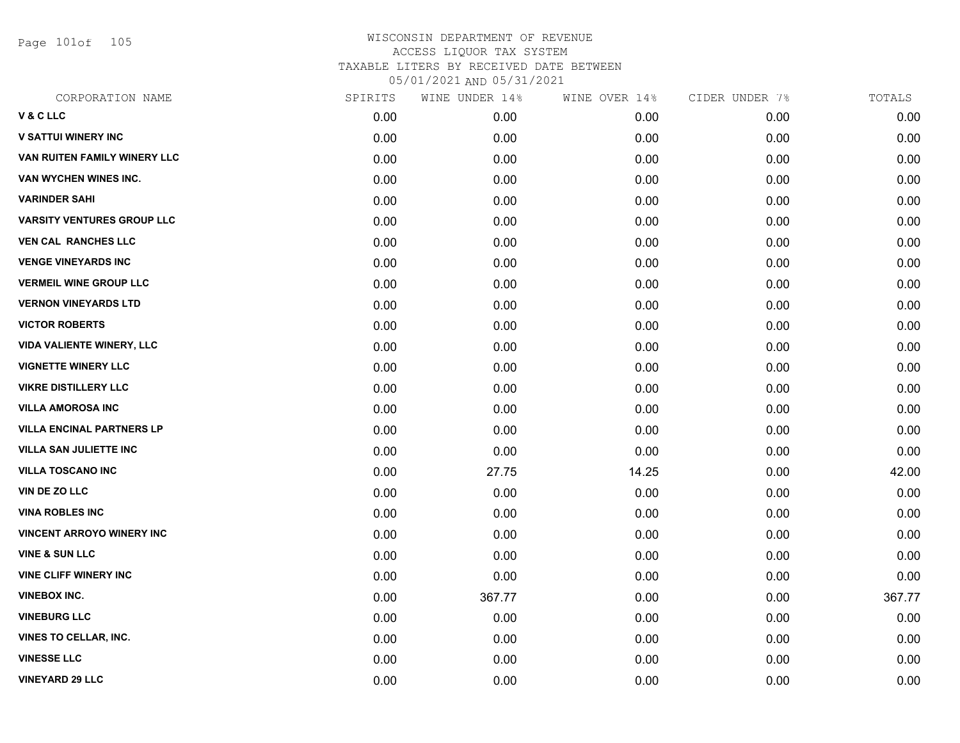Page 101of 105

| CORPORATION NAME                    | SPIRITS | WINE UNDER 14% | WINE OVER 14% | CIDER UNDER 7% | TOTALS |
|-------------------------------------|---------|----------------|---------------|----------------|--------|
| V & C LLC                           | 0.00    | 0.00           | 0.00          | 0.00           | 0.00   |
| <b>V SATTUI WINERY INC</b>          | 0.00    | 0.00           | 0.00          | 0.00           | 0.00   |
| <b>VAN RUITEN FAMILY WINERY LLC</b> | 0.00    | 0.00           | 0.00          | 0.00           | 0.00   |
| VAN WYCHEN WINES INC.               | 0.00    | 0.00           | 0.00          | 0.00           | 0.00   |
| <b>VARINDER SAHI</b>                | 0.00    | 0.00           | 0.00          | 0.00           | 0.00   |
| <b>VARSITY VENTURES GROUP LLC</b>   | 0.00    | 0.00           | 0.00          | 0.00           | 0.00   |
| <b>VEN CAL RANCHES LLC</b>          | 0.00    | 0.00           | 0.00          | 0.00           | 0.00   |
| <b>VENGE VINEYARDS INC</b>          | 0.00    | 0.00           | 0.00          | 0.00           | 0.00   |
| <b>VERMEIL WINE GROUP LLC</b>       | 0.00    | 0.00           | 0.00          | 0.00           | 0.00   |
| <b>VERNON VINEYARDS LTD</b>         | 0.00    | 0.00           | 0.00          | 0.00           | 0.00   |
| <b>VICTOR ROBERTS</b>               | 0.00    | 0.00           | 0.00          | 0.00           | 0.00   |
| <b>VIDA VALIENTE WINERY, LLC</b>    | 0.00    | 0.00           | 0.00          | 0.00           | 0.00   |
| <b>VIGNETTE WINERY LLC</b>          | 0.00    | 0.00           | 0.00          | 0.00           | 0.00   |
| <b>VIKRE DISTILLERY LLC</b>         | 0.00    | 0.00           | 0.00          | 0.00           | 0.00   |
| <b>VILLA AMOROSA INC</b>            | 0.00    | 0.00           | 0.00          | 0.00           | 0.00   |
| <b>VILLA ENCINAL PARTNERS LP</b>    | 0.00    | 0.00           | 0.00          | 0.00           | 0.00   |
| <b>VILLA SAN JULIETTE INC</b>       | 0.00    | 0.00           | 0.00          | 0.00           | 0.00   |
| <b>VILLA TOSCANO INC</b>            | 0.00    | 27.75          | 14.25         | 0.00           | 42.00  |
| VIN DE ZO LLC                       | 0.00    | 0.00           | 0.00          | 0.00           | 0.00   |
| <b>VINA ROBLES INC</b>              | 0.00    | 0.00           | 0.00          | 0.00           | 0.00   |
| <b>VINCENT ARROYO WINERY INC</b>    | 0.00    | 0.00           | 0.00          | 0.00           | 0.00   |
| <b>VINE &amp; SUN LLC</b>           | 0.00    | 0.00           | 0.00          | 0.00           | 0.00   |
| <b>VINE CLIFF WINERY INC</b>        | 0.00    | 0.00           | 0.00          | 0.00           | 0.00   |
| <b>VINEBOX INC.</b>                 | 0.00    | 367.77         | 0.00          | 0.00           | 367.77 |
| <b>VINEBURG LLC</b>                 | 0.00    | 0.00           | 0.00          | 0.00           | 0.00   |
| <b>VINES TO CELLAR, INC.</b>        | 0.00    | 0.00           | 0.00          | 0.00           | 0.00   |
| <b>VINESSE LLC</b>                  | 0.00    | 0.00           | 0.00          | 0.00           | 0.00   |
| <b>VINEYARD 29 LLC</b>              | 0.00    | 0.00           | 0.00          | 0.00           | 0.00   |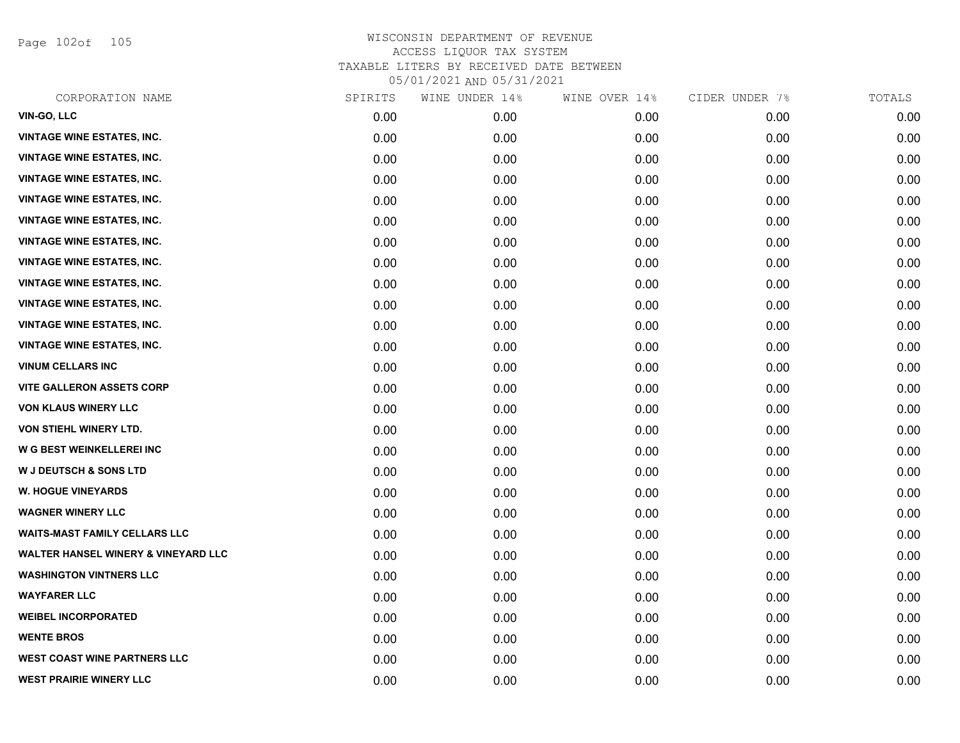Page 102of 105

| CORPORATION NAME                               | SPIRITS | WINE UNDER 14% | WINE OVER 14% | CIDER UNDER 7% | TOTALS |
|------------------------------------------------|---------|----------------|---------------|----------------|--------|
| VIN-GO, LLC                                    | 0.00    | 0.00           | 0.00          | 0.00           | 0.00   |
| <b>VINTAGE WINE ESTATES, INC.</b>              | 0.00    | 0.00           | 0.00          | 0.00           | 0.00   |
| <b>VINTAGE WINE ESTATES, INC.</b>              | 0.00    | 0.00           | 0.00          | 0.00           | 0.00   |
| <b>VINTAGE WINE ESTATES, INC.</b>              | 0.00    | 0.00           | 0.00          | 0.00           | 0.00   |
| <b>VINTAGE WINE ESTATES, INC.</b>              | 0.00    | 0.00           | 0.00          | 0.00           | 0.00   |
| <b>VINTAGE WINE ESTATES, INC.</b>              | 0.00    | 0.00           | 0.00          | 0.00           | 0.00   |
| <b>VINTAGE WINE ESTATES, INC.</b>              | 0.00    | 0.00           | 0.00          | 0.00           | 0.00   |
| <b>VINTAGE WINE ESTATES, INC.</b>              | 0.00    | 0.00           | 0.00          | 0.00           | 0.00   |
| <b>VINTAGE WINE ESTATES, INC.</b>              | 0.00    | 0.00           | 0.00          | 0.00           | 0.00   |
| <b>VINTAGE WINE ESTATES, INC.</b>              | 0.00    | 0.00           | 0.00          | 0.00           | 0.00   |
| <b>VINTAGE WINE ESTATES, INC.</b>              | 0.00    | 0.00           | 0.00          | 0.00           | 0.00   |
| <b>VINTAGE WINE ESTATES, INC.</b>              | 0.00    | 0.00           | 0.00          | 0.00           | 0.00   |
| <b>VINUM CELLARS INC</b>                       | 0.00    | 0.00           | 0.00          | 0.00           | 0.00   |
| <b>VITE GALLERON ASSETS CORP</b>               | 0.00    | 0.00           | 0.00          | 0.00           | 0.00   |
| <b>VON KLAUS WINERY LLC</b>                    | 0.00    | 0.00           | 0.00          | 0.00           | 0.00   |
| VON STIEHL WINERY LTD.                         | 0.00    | 0.00           | 0.00          | 0.00           | 0.00   |
| W G BEST WEINKELLEREI INC                      | 0.00    | 0.00           | 0.00          | 0.00           | 0.00   |
| <b>W J DEUTSCH &amp; SONS LTD</b>              | 0.00    | 0.00           | 0.00          | 0.00           | 0.00   |
| <b>W. HOGUE VINEYARDS</b>                      | 0.00    | 0.00           | 0.00          | 0.00           | 0.00   |
| <b>WAGNER WINERY LLC</b>                       | 0.00    | 0.00           | 0.00          | 0.00           | 0.00   |
| <b>WAITS-MAST FAMILY CELLARS LLC</b>           | 0.00    | 0.00           | 0.00          | 0.00           | 0.00   |
| <b>WALTER HANSEL WINERY &amp; VINEYARD LLC</b> | 0.00    | 0.00           | 0.00          | 0.00           | 0.00   |
| <b>WASHINGTON VINTNERS LLC</b>                 | 0.00    | 0.00           | 0.00          | 0.00           | 0.00   |
| <b>WAYFARER LLC</b>                            | 0.00    | 0.00           | 0.00          | 0.00           | 0.00   |
| <b>WEIBEL INCORPORATED</b>                     | 0.00    | 0.00           | 0.00          | 0.00           | 0.00   |
| <b>WENTE BROS</b>                              | 0.00    | 0.00           | 0.00          | 0.00           | 0.00   |
| <b>WEST COAST WINE PARTNERS LLC</b>            | 0.00    | 0.00           | 0.00          | 0.00           | 0.00   |
| <b>WEST PRAIRIE WINERY LLC</b>                 | 0.00    | 0.00           | 0.00          | 0.00           | 0.00   |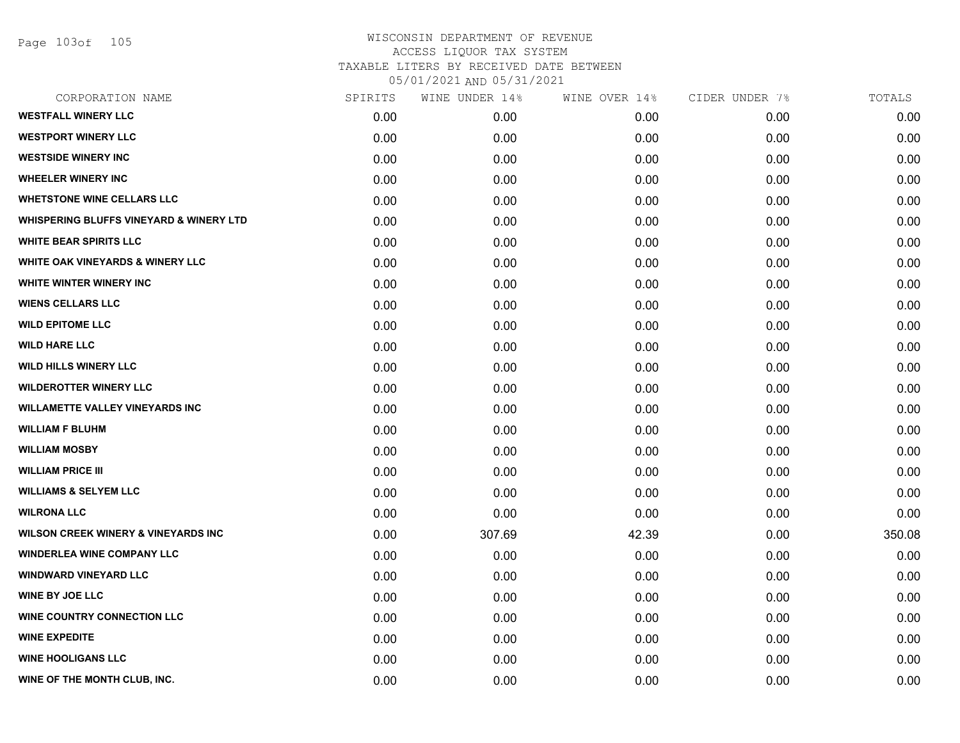Page 103of 105

| CORPORATION NAME                                   | SPIRITS | WINE UNDER 14% | WINE OVER 14% | CIDER UNDER 7% | TOTALS |
|----------------------------------------------------|---------|----------------|---------------|----------------|--------|
| <b>WESTFALL WINERY LLC</b>                         | 0.00    | 0.00           | 0.00          | 0.00           | 0.00   |
| <b>WESTPORT WINERY LLC</b>                         | 0.00    | 0.00           | 0.00          | 0.00           | 0.00   |
| <b>WESTSIDE WINERY INC</b>                         | 0.00    | 0.00           | 0.00          | 0.00           | 0.00   |
| <b>WHEELER WINERY INC</b>                          | 0.00    | 0.00           | 0.00          | 0.00           | 0.00   |
| <b>WHETSTONE WINE CELLARS LLC</b>                  | 0.00    | 0.00           | 0.00          | 0.00           | 0.00   |
| <b>WHISPERING BLUFFS VINEYARD &amp; WINERY LTD</b> | 0.00    | 0.00           | 0.00          | 0.00           | 0.00   |
| <b>WHITE BEAR SPIRITS LLC</b>                      | 0.00    | 0.00           | 0.00          | 0.00           | 0.00   |
| <b>WHITE OAK VINEYARDS &amp; WINERY LLC</b>        | 0.00    | 0.00           | 0.00          | 0.00           | 0.00   |
| <b>WHITE WINTER WINERY INC.</b>                    | 0.00    | 0.00           | 0.00          | 0.00           | 0.00   |
| <b>WIENS CELLARS LLC</b>                           | 0.00    | 0.00           | 0.00          | 0.00           | 0.00   |
| <b>WILD EPITOME LLC</b>                            | 0.00    | 0.00           | 0.00          | 0.00           | 0.00   |
| <b>WILD HARE LLC</b>                               | 0.00    | 0.00           | 0.00          | 0.00           | 0.00   |
| <b>WILD HILLS WINERY LLC</b>                       | 0.00    | 0.00           | 0.00          | 0.00           | 0.00   |
| <b>WILDEROTTER WINERY LLC</b>                      | 0.00    | 0.00           | 0.00          | 0.00           | 0.00   |
| <b>WILLAMETTE VALLEY VINEYARDS INC</b>             | 0.00    | 0.00           | 0.00          | 0.00           | 0.00   |
| <b>WILLIAM F BLUHM</b>                             | 0.00    | 0.00           | 0.00          | 0.00           | 0.00   |
| <b>WILLIAM MOSBY</b>                               | 0.00    | 0.00           | 0.00          | 0.00           | 0.00   |
| <b>WILLIAM PRICE III</b>                           | 0.00    | 0.00           | 0.00          | 0.00           | 0.00   |
| <b>WILLIAMS &amp; SELYEM LLC</b>                   | 0.00    | 0.00           | 0.00          | 0.00           | 0.00   |
| <b>WILRONA LLC</b>                                 | 0.00    | 0.00           | 0.00          | 0.00           | 0.00   |
| <b>WILSON CREEK WINERY &amp; VINEYARDS INC</b>     | 0.00    | 307.69         | 42.39         | 0.00           | 350.08 |
| <b>WINDERLEA WINE COMPANY LLC</b>                  | 0.00    | 0.00           | 0.00          | 0.00           | 0.00   |
| <b>WINDWARD VINEYARD LLC</b>                       | 0.00    | 0.00           | 0.00          | 0.00           | 0.00   |
| <b>WINE BY JOE LLC</b>                             | 0.00    | 0.00           | 0.00          | 0.00           | 0.00   |
| <b>WINE COUNTRY CONNECTION LLC</b>                 | 0.00    | 0.00           | 0.00          | 0.00           | 0.00   |
| <b>WINE EXPEDITE</b>                               | 0.00    | 0.00           | 0.00          | 0.00           | 0.00   |
| <b>WINE HOOLIGANS LLC</b>                          | 0.00    | 0.00           | 0.00          | 0.00           | 0.00   |
| WINE OF THE MONTH CLUB, INC.                       | 0.00    | 0.00           | 0.00          | 0.00           | 0.00   |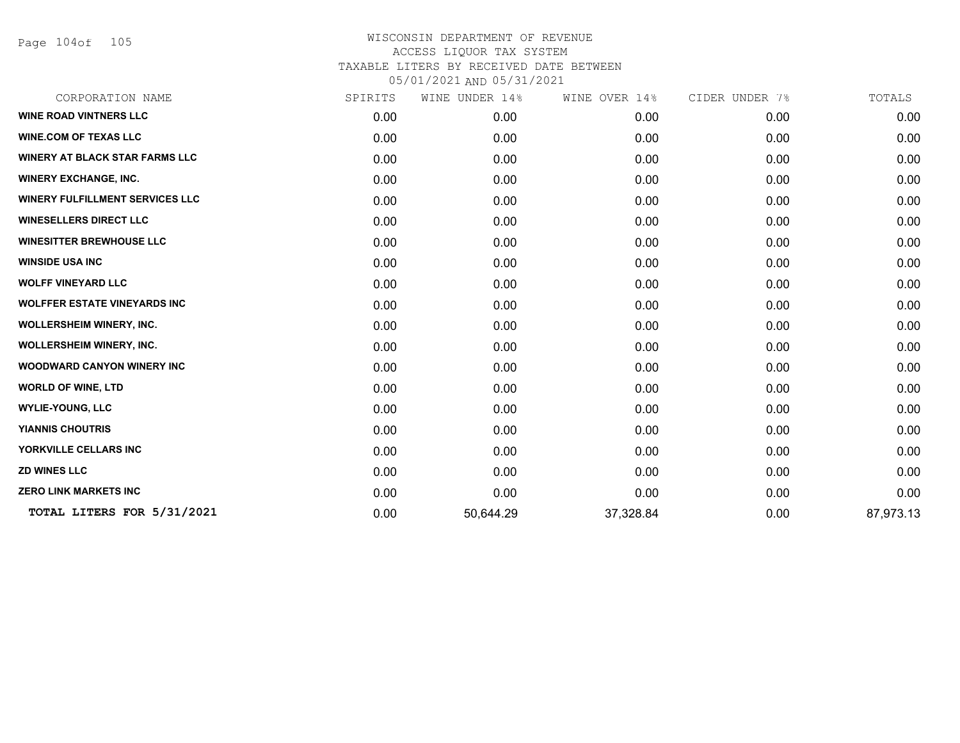Page 104of 105

| CORPORATION NAME                       | SPIRITS | WINE UNDER 14% | WINE OVER 14% | CIDER UNDER 7% | TOTALS    |
|----------------------------------------|---------|----------------|---------------|----------------|-----------|
| <b>WINE ROAD VINTNERS LLC</b>          | 0.00    | 0.00           | 0.00          | 0.00           | 0.00      |
| <b>WINE.COM OF TEXAS LLC</b>           | 0.00    | 0.00           | 0.00          | 0.00           | 0.00      |
| <b>WINERY AT BLACK STAR FARMS LLC</b>  | 0.00    | 0.00           | 0.00          | 0.00           | 0.00      |
| <b>WINERY EXCHANGE, INC.</b>           | 0.00    | 0.00           | 0.00          | 0.00           | 0.00      |
| <b>WINERY FULFILLMENT SERVICES LLC</b> | 0.00    | 0.00           | 0.00          | 0.00           | 0.00      |
| <b>WINESELLERS DIRECT LLC</b>          | 0.00    | 0.00           | 0.00          | 0.00           | 0.00      |
| <b>WINESITTER BREWHOUSE LLC</b>        | 0.00    | 0.00           | 0.00          | 0.00           | 0.00      |
| <b>WINSIDE USA INC</b>                 | 0.00    | 0.00           | 0.00          | 0.00           | 0.00      |
| <b>WOLFF VINEYARD LLC</b>              | 0.00    | 0.00           | 0.00          | 0.00           | 0.00      |
| <b>WOLFFER ESTATE VINEYARDS INC</b>    | 0.00    | 0.00           | 0.00          | 0.00           | 0.00      |
| WOLLERSHEIM WINERY, INC.               | 0.00    | 0.00           | 0.00          | 0.00           | 0.00      |
| WOLLERSHEIM WINERY, INC.               | 0.00    | 0.00           | 0.00          | 0.00           | 0.00      |
| <b>WOODWARD CANYON WINERY INC</b>      | 0.00    | 0.00           | 0.00          | 0.00           | 0.00      |
| <b>WORLD OF WINE, LTD</b>              | 0.00    | 0.00           | 0.00          | 0.00           | 0.00      |
| <b>WYLIE-YOUNG, LLC</b>                | 0.00    | 0.00           | 0.00          | 0.00           | 0.00      |
| <b>YIANNIS CHOUTRIS</b>                | 0.00    | 0.00           | 0.00          | 0.00           | 0.00      |
| YORKVILLE CELLARS INC                  | 0.00    | 0.00           | 0.00          | 0.00           | 0.00      |
| <b>ZD WINES LLC</b>                    | 0.00    | 0.00           | 0.00          | 0.00           | 0.00      |
| <b>ZERO LINK MARKETS INC</b>           | 0.00    | 0.00           | 0.00          | 0.00           | 0.00      |
| TOTAL LITERS FOR 5/31/2021             | 0.00    | 50,644.29      | 37,328.84     | 0.00           | 87,973.13 |